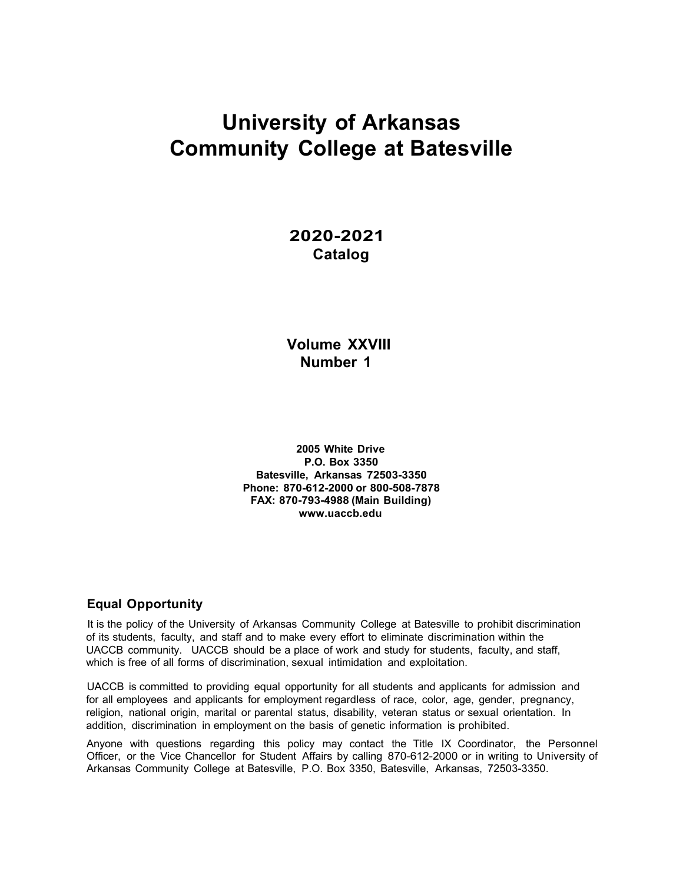# **University of Arkansas Community College at Batesville**

# **2020-2021 Catalog**

# **Volume XXVIII Number 1**

**2005 White Drive P.O. Box 3350 Batesville, Arkansas 72503-3350 Phone: 870-612-2000 or 800-508-7878 FAX: 870-793-4988 (Main Building) www.uaccb.edu**

# **Equal Opportunity**

It is the policy of the University of Arkansas Community College at Batesville to prohibit discrimination of its students, faculty, and staff and to make every effort to eliminate discrimination within the UACCB community. UACCB should be a place of work and study for students, faculty, and staff, which is free of all forms of discrimination, sexual intimidation and exploitation.

UACCB is committed to providing equal opportunity for all students and applicants for admission and for all employees and applicants for employment regardless of race, color, age, gender, pregnancy, religion, national origin, marital or parental status, disability, veteran status or sexual orientation. In addition, discrimination in employment on the basis of genetic information is prohibited.

Anyone with questions regarding this policy may contact the Title IX Coordinator, the Personnel Officer, or the Vice Chancellor for Student Affairs by calling 870-612-2000 or in writing to University of Arkansas Community College at Batesville, P.O. Box 3350, Batesville, Arkansas, 72503-3350.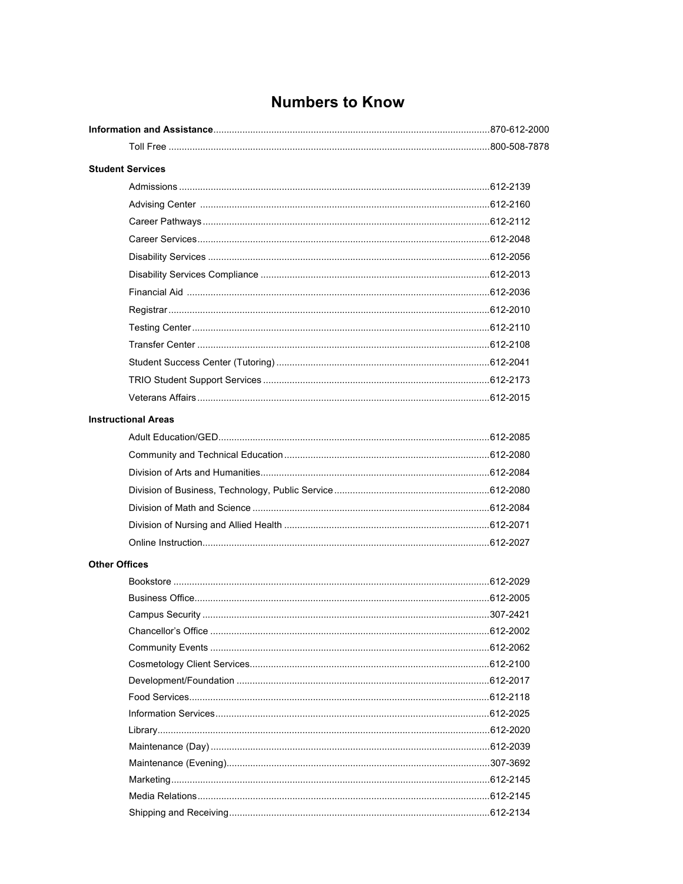# **Numbers to Know**

|                      | <b>Student Services</b>    |  |
|----------------------|----------------------------|--|
|                      |                            |  |
|                      |                            |  |
|                      |                            |  |
|                      |                            |  |
|                      |                            |  |
|                      |                            |  |
|                      |                            |  |
|                      |                            |  |
|                      |                            |  |
|                      |                            |  |
|                      |                            |  |
|                      |                            |  |
|                      |                            |  |
|                      | <b>Instructional Areas</b> |  |
|                      |                            |  |
|                      |                            |  |
|                      |                            |  |
|                      |                            |  |
|                      |                            |  |
|                      |                            |  |
|                      |                            |  |
| <b>Other Offices</b> |                            |  |
|                      |                            |  |
|                      |                            |  |
|                      |                            |  |
|                      |                            |  |
|                      |                            |  |
|                      |                            |  |
|                      |                            |  |
|                      |                            |  |
|                      |                            |  |
|                      |                            |  |
|                      |                            |  |
|                      |                            |  |
|                      |                            |  |
|                      |                            |  |
|                      |                            |  |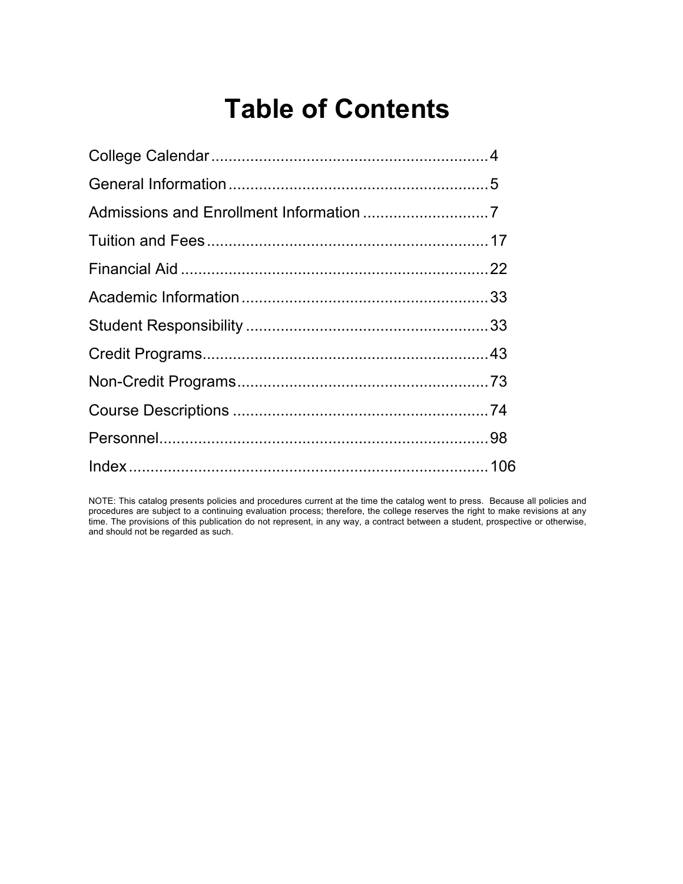# **Table of Contents**

NOTE: This catalog presents policies and procedures current at the time the catalog went to press. Because all policies and procedures are subject to a continuing evaluation process; therefore, the college reserves the right to make revisions at any time. The provisions of this publication do not represent, in any way, a contract between a student, prospective or otherwise, and should not be regarded as such.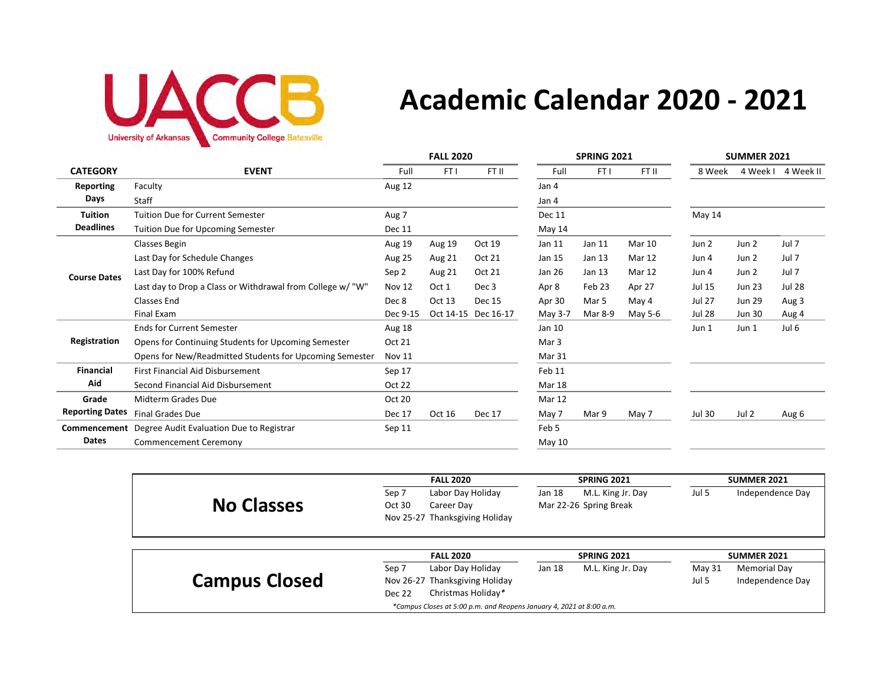

# **Academic Calendar 2020 - 2021**

|                        |                                                              | <b>FALL 2020</b> |        |                     | <b>SPRING 2021</b> |         |               | <b>SUMMER 2021</b> |               |               |
|------------------------|--------------------------------------------------------------|------------------|--------|---------------------|--------------------|---------|---------------|--------------------|---------------|---------------|
| <b>CATEGORY</b>        | <b>EVENT</b>                                                 | Full             | FT I   | FT II               | Full               | FT I    | FT II         | 8 Week             | 4 Week I      | 4 Week II     |
| <b>Reporting</b>       | Faculty                                                      | Aug 12           |        |                     | Jan 4              |         |               |                    |               |               |
| Days                   | Staff                                                        |                  |        |                     | Jan 4              |         |               |                    |               |               |
| <b>Tuition</b>         | Tuition Due for Current Semester                             | Aug 7            |        |                     | <b>Dec 11</b>      |         |               | May 14             |               |               |
| <b>Deadlines</b>       | <b>Tuition Due for Upcoming Semester</b>                     | <b>Dec 11</b>    |        |                     | May 14             |         |               |                    |               |               |
|                        | Classes Begin                                                | Aug 19           | Aug 19 | Oct 19              | Jan 11             | Jan 11  | <b>Mar 10</b> | Jun 2              | Jun 2         | Jul 7         |
|                        | Last Day for Schedule Changes                                | Aug 25           | Aug 21 | Oct 21              | Jan 15             | Jan 13  | Mar 12        | Jun 4              | Jun 2         | Jul 7         |
| <b>Course Dates</b>    | Last Day for 100% Refund                                     | Sep 2            | Aug 21 | Oct 21              | Jan 26             | Jan 13  | Mar 12        | Jun 4              | Jun 2         | Jul 7         |
|                        | Last day to Drop a Class or Withdrawal from College w/ "W"   | Nov 12           | Oct 1  | Dec 3               | Apr 8              | Feb 23  | Apr 27        | Jul 15             | <b>Jun 23</b> | <b>Jul 28</b> |
|                        | Classes End                                                  | Dec 8            | Oct 13 | <b>Dec 15</b>       | Apr 30             | Mar 5   | May 4         | <b>Jul 27</b>      | <b>Jun 29</b> | Aug 3         |
|                        | Final Exam                                                   | Dec 9-15         |        | Oct 14-15 Dec 16-17 | May 3-7            | Mar 8-9 | May 5-6       | <b>Jul 28</b>      | <b>Jun 30</b> | Aug 4         |
|                        | <b>Ends for Current Semester</b>                             | Aug 18           |        |                     | Jan 10             |         |               | Jun 1              | Jun 1         | Jul 6         |
| Registration           | Opens for Continuing Students for Upcoming Semester          | Oct 21           |        |                     | Mar 3              |         |               |                    |               |               |
|                        | Opens for New/Readmitted Students for Upcoming Semester      | <b>Nov 11</b>    |        |                     | Mar 31             |         |               |                    |               |               |
| <b>Financial</b>       | <b>First Financial Aid Disbursement</b>                      | Sep 17           |        |                     | Feb 11             |         |               |                    |               |               |
| Aid                    | Second Financial Aid Disbursement                            | Oct 22           |        |                     | <b>Mar 18</b>      |         |               |                    |               |               |
| Grade                  | Midterm Grades Due                                           | Oct 20           |        |                     | <b>Mar 12</b>      |         |               |                    |               |               |
| <b>Reporting Dates</b> | <b>Final Grades Due</b>                                      | Dec 17           | Oct 16 | <b>Dec 17</b>       | May 7              | Mar 9   | May 7         | <b>Jul 30</b>      | Jul 2         | Aug 6         |
|                        | <b>Commencement</b> Degree Audit Evaluation Due to Registrar | Sep 11           |        |                     | Feb 5              |         |               |                    |               |               |
| <b>Dates</b>           | Commencement Ceremony                                        |                  |        |                     | May 10             |         |               |                    |               |               |

|                      |        | <b>FALL 2020</b>                                                     |        | <b>SPRING 2021</b>     |        | <b>SUMMER 2021</b> |
|----------------------|--------|----------------------------------------------------------------------|--------|------------------------|--------|--------------------|
|                      | Sep 7  | Labor Day Holiday                                                    | Jan 18 | M.L. King Jr. Day      | Jul 5  | Independence Day   |
| <b>No Classes</b>    | Oct 30 | Career Day                                                           |        | Mar 22-26 Spring Break |        |                    |
|                      |        | Nov 25-27 Thanksgiving Holiday                                       |        |                        |        |                    |
|                      |        |                                                                      |        |                        |        |                    |
|                      |        |                                                                      |        |                        |        |                    |
|                      |        | <b>FALL 2020</b>                                                     |        | <b>SPRING 2021</b>     |        | <b>SUMMER 2021</b> |
|                      | Sep 7  | Labor Day Holiday                                                    | Jan 18 | M.L. King Jr. Day      | May 31 | Memorial Day       |
| <b>Campus Closed</b> |        | Nov 26-27 Thanksgiving Holiday                                       |        |                        | Jul 5  | Independence Day   |
|                      | Dec 22 | Christmas Holiday*                                                   |        |                        |        |                    |
|                      |        | *Campus Closes at 5:00 p.m. and Reopens January 4, 2021 at 8:00 a.m. |        |                        |        |                    |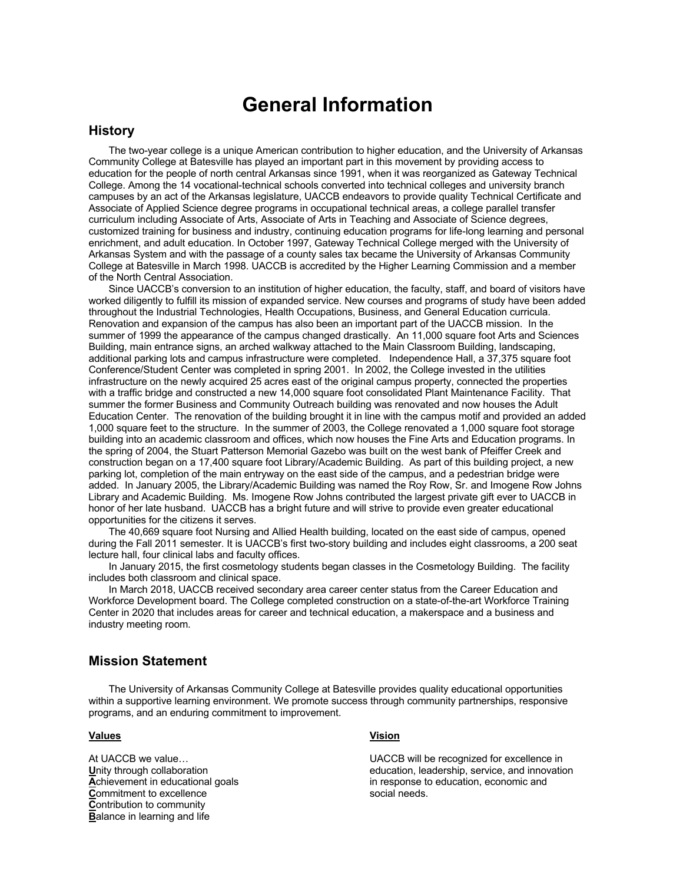# **General Information**

# **History**

The two-year college is a unique American contribution to higher education, and the University of Arkansas Community College at Batesville has played an important part in this movement by providing access to education for the people of north central Arkansas since 1991, when it was reorganized as Gateway Technical College. Among the 14 vocational-technical schools converted into technical colleges and university branch campuses by an act of the Arkansas legislature, UACCB endeavors to provide quality Technical Certificate and Associate of Applied Science degree programs in occupational technical areas, a college parallel transfer curriculum including Associate of Arts, Associate of Arts in Teaching and Associate of Science degrees, customized training for business and industry, continuing education programs for life-long learning and personal enrichment, and adult education. In October 1997, Gateway Technical College merged with the University of Arkansas System and with the passage of a county sales tax became the University of Arkansas Community College at Batesville in March 1998. UACCB is accredited by the Higher Learning Commission and a member of the North Central Association.

Since UACCB's conversion to an institution of higher education, the faculty, staff, and board of visitors have worked diligently to fulfill its mission of expanded service. New courses and programs of study have been added throughout the Industrial Technologies, Health Occupations, Business, and General Education curricula. Renovation and expansion of the campus has also been an important part of the UACCB mission. In the summer of 1999 the appearance of the campus changed drastically. An 11,000 square foot Arts and Sciences Building, main entrance signs, an arched walkway attached to the Main Classroom Building, landscaping, additional parking lots and campus infrastructure were completed. Independence Hall, a 37,375 square foot Conference/Student Center was completed in spring 2001. In 2002, the College invested in the utilities infrastructure on the newly acquired 25 acres east of the original campus property, connected the properties with a traffic bridge and constructed a new 14,000 square foot consolidated Plant Maintenance Facility. That summer the former Business and Community Outreach building was renovated and now houses the Adult Education Center. The renovation of the building brought it in line with the campus motif and provided an added 1,000 square feet to the structure. In the summer of 2003, the College renovated a 1,000 square foot storage building into an academic classroom and offices, which now houses the Fine Arts and Education programs. In the spring of 2004, the Stuart Patterson Memorial Gazebo was built on the west bank of Pfeiffer Creek and construction began on a 17,400 square foot Library/Academic Building. As part of this building project, a new parking lot, completion of the main entryway on the east side of the campus, and a pedestrian bridge were added. In January 2005, the Library/Academic Building was named the Roy Row, Sr. and Imogene Row Johns Library and Academic Building. Ms. Imogene Row Johns contributed the largest private gift ever to UACCB in honor of her late husband. UACCB has a bright future and will strive to provide even greater educational opportunities for the citizens it serves.

The 40,669 square foot Nursing and Allied Health building, located on the east side of campus, opened during the Fall 2011 semester. It is UACCB's first two-story building and includes eight classrooms, a 200 seat lecture hall, four clinical labs and faculty offices.

In January 2015, the first cosmetology students began classes in the Cosmetology Building. The facility includes both classroom and clinical space.

In March 2018, UACCB received secondary area career center status from the Career Education and Workforce Development board. The College completed construction on a state-of-the-art Workforce Training Center in 2020 that includes areas for career and technical education, a makerspace and a business and industry meeting room.

# **Mission Statement**

The University of Arkansas Community College at Batesville provides quality educational opportunities within a supportive learning environment. We promote success through community partnerships, responsive programs, and an enduring commitment to improvement.

#### **Values Vision**

**C**ommitment to excellence social needs. **C**ontribution to community **Balance in learning and life** 

At UACCB we value... The contract of the UACCB will be recognized for excellence in **Unity through collaboration** education education, leadership, service, and innovation **A**chievement in educational goals in response to education, economic and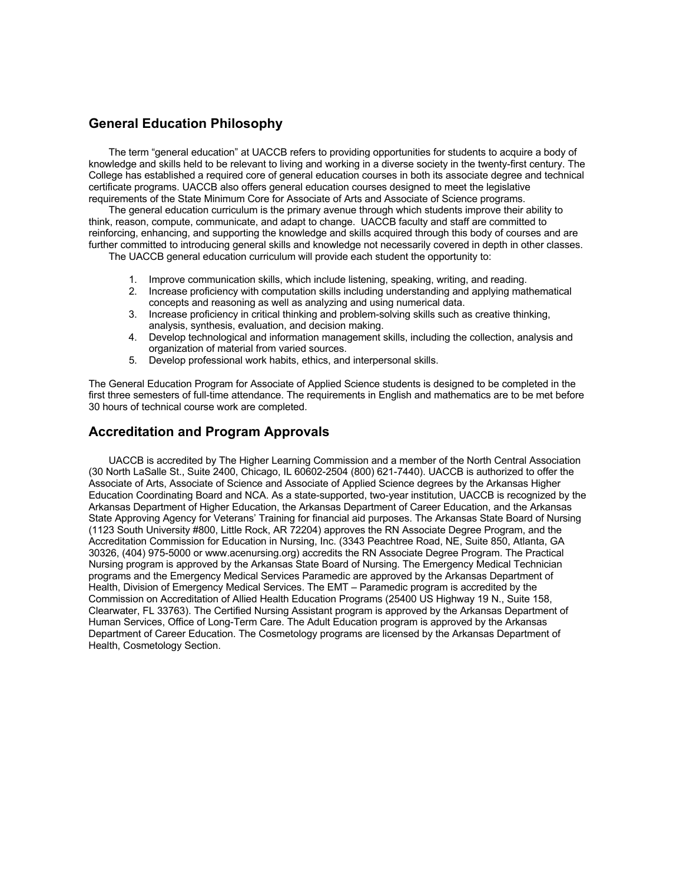# **General Education Philosophy**

The term "general education" at UACCB refers to providing opportunities for students to acquire a body of knowledge and skills held to be relevant to living and working in a diverse society in the twenty-first century. The College has established a required core of general education courses in both its associate degree and technical certificate programs. UACCB also offers general education courses designed to meet the legislative requirements of the State Minimum Core for Associate of Arts and Associate of Science programs.

The general education curriculum is the primary avenue through which students improve their ability to think, reason, compute, communicate, and adapt to change. UACCB faculty and staff are committed to reinforcing, enhancing, and supporting the knowledge and skills acquired through this body of courses and are further committed to introducing general skills and knowledge not necessarily covered in depth in other classes.

The UACCB general education curriculum will provide each student the opportunity to:

- 1. Improve communication skills, which include listening, speaking, writing, and reading.
- 2. Increase proficiency with computation skills including understanding and applying mathematical concepts and reasoning as well as analyzing and using numerical data.
- 3. Increase proficiency in critical thinking and problem-solving skills such as creative thinking, analysis, synthesis, evaluation, and decision making.
- 4. Develop technological and information management skills, including the collection, analysis and organization of material from varied sources.
- 5. Develop professional work habits, ethics, and interpersonal skills.

The General Education Program for Associate of Applied Science students is designed to be completed in the first three semesters of full-time attendance. The requirements in English and mathematics are to be met before 30 hours of technical course work are completed.

# **Accreditation and Program Approvals**

UACCB is accredited by The Higher Learning Commission and a member of the North Central Association (30 North LaSalle St., Suite 2400, Chicago, IL 60602-2504 (800) 621-7440). UACCB is authorized to offer the Associate of Arts, Associate of Science and Associate of Applied Science degrees by the Arkansas Higher Education Coordinating Board and NCA. As a state-supported, two-year institution, UACCB is recognized by the Arkansas Department of Higher Education, the Arkansas Department of Career Education, and the Arkansas State Approving Agency for Veterans' Training for financial aid purposes. The Arkansas State Board of Nursing (1123 South University #800, Little Rock, AR 72204) approves the RN Associate Degree Program, and the Accreditation Commission for Education in Nursing, Inc. (3343 Peachtree Road, NE, Suite 850, Atlanta, GA 30326, (404) 975-5000 or www.acenursing.org) accredits the RN Associate Degree Program. The Practical Nursing program is approved by the Arkansas State Board of Nursing. The Emergency Medical Technician programs and the Emergency Medical Services Paramedic are approved by the Arkansas Department of Health, Division of Emergency Medical Services. The EMT – Paramedic program is accredited by the Commission on Accreditation of Allied Health Education Programs (25400 US Highway 19 N., Suite 158, Clearwater, FL 33763). The Certified Nursing Assistant program is approved by the Arkansas Department of Human Services, Office of Long-Term Care. The Adult Education program is approved by the Arkansas Department of Career Education. The Cosmetology programs are licensed by the Arkansas Department of Health, Cosmetology Section.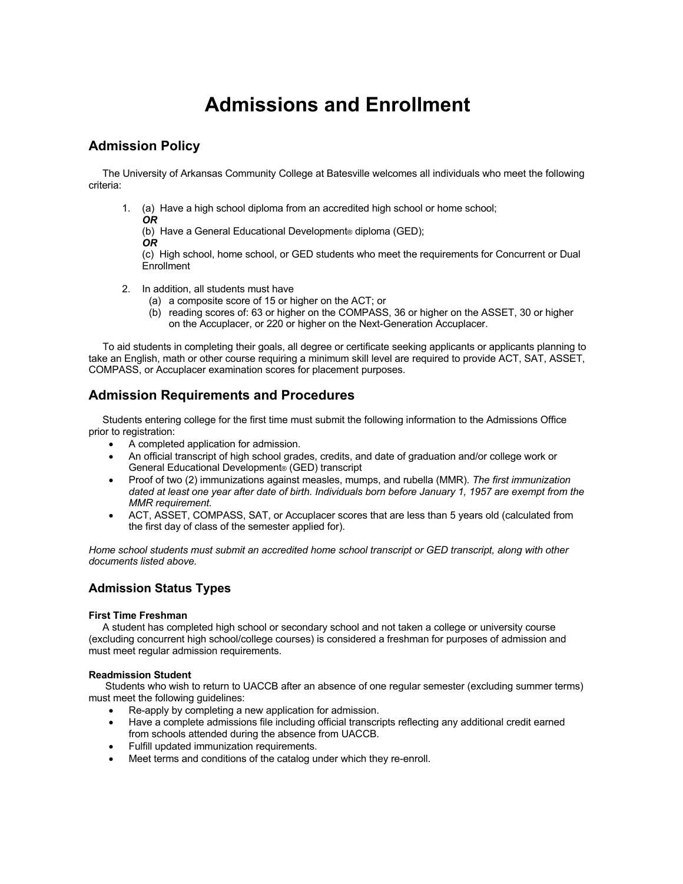# **Admissions and Enrollment**

# **Admission Policy**

 The University of Arkansas Community College at Batesville welcomes all individuals who meet the following criteria:

1. (a) Have a high school diploma from an accredited high school or home school;

*OR*

(b) Have a General Educational Development® diploma (GED);

*OR*

(c) High school, home school, or GED students who meet the requirements for Concurrent or Dual Enrollment

- 2. In addition, all students must have
	- (a) a composite score of 15 or higher on the ACT; or
	- (b) reading scores of: 63 or higher on the COMPASS, 36 or higher on the ASSET, 30 or higher on the Accuplacer, or 220 or higher on the Next-Generation Accuplacer.

 To aid students in completing their goals, all degree or certificate seeking applicants or applicants planning to take an English, math or other course requiring a minimum skill level are required to provide ACT, SAT, ASSET, COMPASS, or Accuplacer examination scores for placement purposes.

# **Admission Requirements and Procedures**

 Students entering college for the first time must submit the following information to the Admissions Office prior to registration:

- A completed application for admission.
- An official transcript of high school grades, credits, and date of graduation and/or college work or General Educational Development® (GED) transcript
- Proof of two (2) immunizations against measles, mumps, and rubella (MMR). *The first immunization dated at least one year after date of birth. Individuals born before January 1, 1957 are exempt from the MMR requirement.*
- ACT, ASSET, COMPASS, SAT, or Accuplacer scores that are less than 5 years old (calculated from the first day of class of the semester applied for).

*Home school students must submit an accredited home school transcript or GED transcript, along with other documents listed above.*

# **Admission Status Types**

#### **First Time Freshman**

 A student has completed high school or secondary school and not taken a college or university course (excluding concurrent high school/college courses) is considered a freshman for purposes of admission and must meet regular admission requirements.

#### **Readmission Student**

 Students who wish to return to UACCB after an absence of one regular semester (excluding summer terms) must meet the following guidelines:

- Re-apply by completing a new application for admission.
- Have a complete admissions file including official transcripts reflecting any additional credit earned from schools attended during the absence from UACCB.
- Fulfill updated immunization requirements.
- Meet terms and conditions of the catalog under which they re-enroll.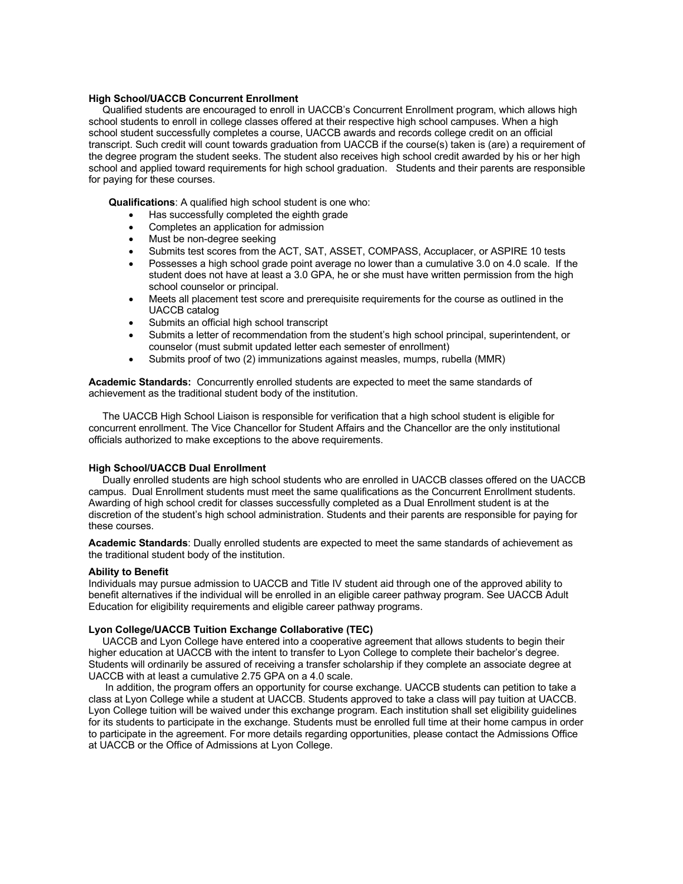#### **High School/UACCB Concurrent Enrollment**

 Qualified students are encouraged to enroll in UACCB's Concurrent Enrollment program, which allows high school students to enroll in college classes offered at their respective high school campuses. When a high school student successfully completes a course, UACCB awards and records college credit on an official transcript. Such credit will count towards graduation from UACCB if the course(s) taken is (are) a requirement of the degree program the student seeks. The student also receives high school credit awarded by his or her high school and applied toward requirements for high school graduation. Students and their parents are responsible for paying for these courses.

**Qualifications**: A qualified high school student is one who:

- Has successfully completed the eighth grade
- Completes an application for admission
- Must be non-degree seeking
- Submits test scores from the ACT, SAT, ASSET, COMPASS, Accuplacer, or ASPIRE 10 tests
- Possesses a high school grade point average no lower than a cumulative 3.0 on 4.0 scale. If the student does not have at least a 3.0 GPA, he or she must have written permission from the high school counselor or principal.
- Meets all placement test score and prerequisite requirements for the course as outlined in the UACCB catalog
- Submits an official high school transcript
- Submits a letter of recommendation from the student's high school principal, superintendent, or counselor (must submit updated letter each semester of enrollment)
- Submits proof of two (2) immunizations against measles, mumps, rubella (MMR)

**Academic Standards:** Concurrently enrolled students are expected to meet the same standards of achievement as the traditional student body of the institution.

 The UACCB High School Liaison is responsible for verification that a high school student is eligible for concurrent enrollment. The Vice Chancellor for Student Affairs and the Chancellor are the only institutional officials authorized to make exceptions to the above requirements.

#### **High School/UACCB Dual Enrollment**

 Dually enrolled students are high school students who are enrolled in UACCB classes offered on the UACCB campus. Dual Enrollment students must meet the same qualifications as the Concurrent Enrollment students. Awarding of high school credit for classes successfully completed as a Dual Enrollment student is at the discretion of the student's high school administration. Students and their parents are responsible for paying for these courses.

**Academic Standards**: Dually enrolled students are expected to meet the same standards of achievement as the traditional student body of the institution.

#### **Ability to Benefit**

Individuals may pursue admission to UACCB and Title IV student aid through one of the approved ability to benefit alternatives if the individual will be enrolled in an eligible career pathway program. See UACCB Adult Education for eligibility requirements and eligible career pathway programs.

#### **Lyon College/UACCB Tuition Exchange Collaborative (TEC)**

 UACCB and Lyon College have entered into a cooperative agreement that allows students to begin their higher education at UACCB with the intent to transfer to Lyon College to complete their bachelor's degree. Students will ordinarily be assured of receiving a transfer scholarship if they complete an associate degree at UACCB with at least a cumulative 2.75 GPA on a 4.0 scale.

 In addition, the program offers an opportunity for course exchange. UACCB students can petition to take a class at Lyon College while a student at UACCB. Students approved to take a class will pay tuition at UACCB. Lyon College tuition will be waived under this exchange program. Each institution shall set eligibility guidelines for its students to participate in the exchange. Students must be enrolled full time at their home campus in order to participate in the agreement. For more details regarding opportunities, please contact the Admissions Office at UACCB or the Office of Admissions at Lyon College.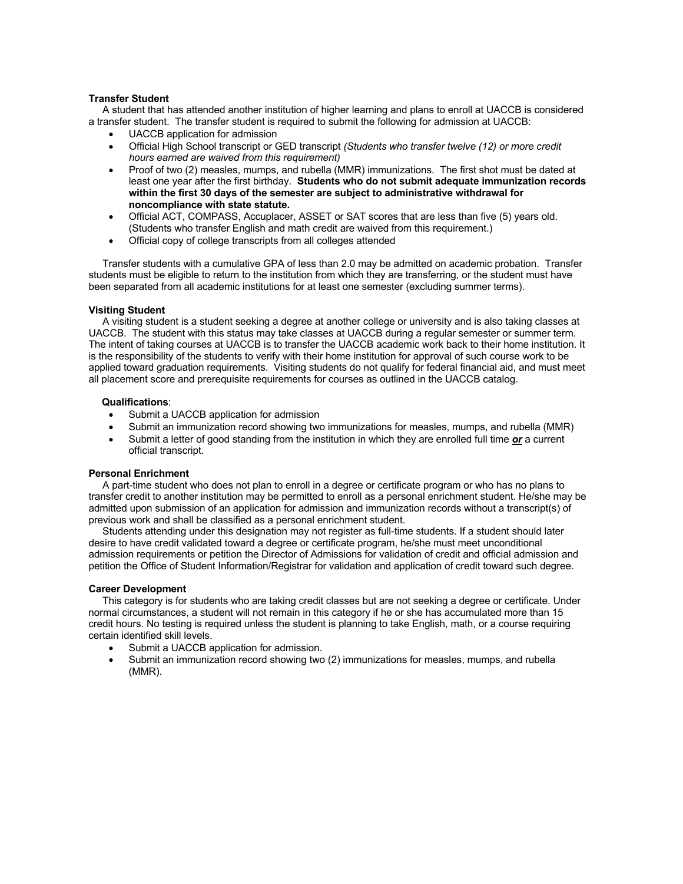#### **Transfer Student**

A student that has attended another institution of higher learning and plans to enroll at UACCB is considered a transfer student. The transfer student is required to submit the following for admission at UACCB:

- UACCB application for admission
- Official High School transcript or GED transcript *(Students who transfer twelve (12) or more credit hours earned are waived from this requirement)*
- Proof of two (2) measles, mumps, and rubella (MMR) immunizations. The first shot must be dated at least one year after the first birthday. **Students who do not submit adequate immunization records within the first 30 days of the semester are subject to administrative withdrawal for noncompliance with state statute.**
- Official ACT, COMPASS, Accuplacer, ASSET or SAT scores that are less than five (5) years old. (Students who transfer English and math credit are waived from this requirement.)
- Official copy of college transcripts from all colleges attended

 Transfer students with a cumulative GPA of less than 2.0 may be admitted on academic probation. Transfer students must be eligible to return to the institution from which they are transferring, or the student must have been separated from all academic institutions for at least one semester (excluding summer terms).

#### **Visiting Student**

 A visiting student is a student seeking a degree at another college or university and is also taking classes at UACCB. The student with this status may take classes at UACCB during a regular semester or summer term. The intent of taking courses at UACCB is to transfer the UACCB academic work back to their home institution. It is the responsibility of the students to verify with their home institution for approval of such course work to be applied toward graduation requirements. Visiting students do not qualify for federal financial aid, and must meet all placement score and prerequisite requirements for courses as outlined in the UACCB catalog.

#### **Qualifications**:

- Submit a UACCB application for admission
- Submit an immunization record showing two immunizations for measles, mumps, and rubella (MMR)
- Submit a letter of good standing from the institution in which they are enrolled full time *or* a current official transcript.

#### **Personal Enrichment**

 A part-time student who does not plan to enroll in a degree or certificate program or who has no plans to transfer credit to another institution may be permitted to enroll as a personal enrichment student. He/she may be admitted upon submission of an application for admission and immunization records without a transcript(s) of previous work and shall be classified as a personal enrichment student.

 Students attending under this designation may not register as full-time students. If a student should later desire to have credit validated toward a degree or certificate program, he/she must meet unconditional admission requirements or petition the Director of Admissions for validation of credit and official admission and petition the Office of Student Information/Registrar for validation and application of credit toward such degree.

#### **Career Development**

 This category is for students who are taking credit classes but are not seeking a degree or certificate. Under normal circumstances, a student will not remain in this category if he or she has accumulated more than 15 credit hours. No testing is required unless the student is planning to take English, math, or a course requiring certain identified skill levels.

- Submit a UACCB application for admission.
- Submit an immunization record showing two (2) immunizations for measles, mumps, and rubella (MMR).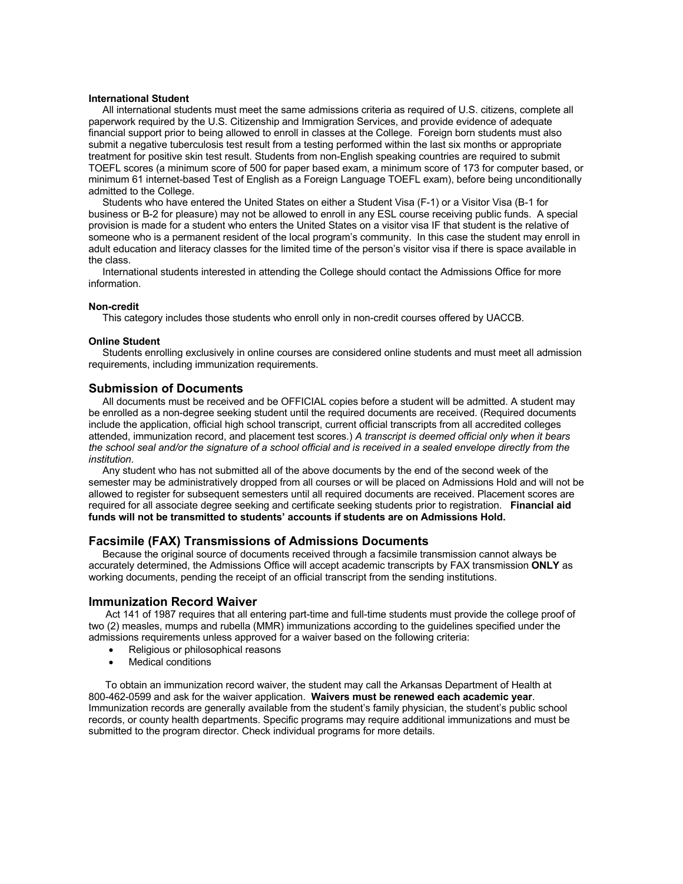### **International Student**

All international students must meet the same admissions criteria as required of U.S. citizens, complete all paperwork required by the U.S. Citizenship and Immigration Services, and provide evidence of adequate financial support prior to being allowed to enroll in classes at the College. Foreign born students must also submit a negative tuberculosis test result from a testing performed within the last six months or appropriate treatment for positive skin test result. Students from non-English speaking countries are required to submit TOEFL scores (a minimum score of 500 for paper based exam, a minimum score of 173 for computer based, or minimum 61 internet-based Test of English as a Foreign Language TOEFL exam), before being unconditionally admitted to the College.

 Students who have entered the United States on either a Student Visa (F-1) or a Visitor Visa (B-1 for business or B-2 for pleasure) may not be allowed to enroll in any ESL course receiving public funds. A special provision is made for a student who enters the United States on a visitor visa IF that student is the relative of someone who is a permanent resident of the local program's community. In this case the student may enroll in adult education and literacy classes for the limited time of the person's visitor visa if there is space available in the class.

 International students interested in attending the College should contact the Admissions Office for more information.

#### **Non-credit**

This category includes those students who enroll only in non-credit courses offered by UACCB.

#### **Online Student**

Students enrolling exclusively in online courses are considered online students and must meet all admission requirements, including immunization requirements.

#### **Submission of Documents**

All documents must be received and be OFFICIAL copies before a student will be admitted. A student may be enrolled as a non-degree seeking student until the required documents are received. (Required documents include the application, official high school transcript, current official transcripts from all accredited colleges attended, immunization record, and placement test scores.) *A transcript is deemed official only when it bears*  the school seal and/or the signature of a school official and is received in a sealed envelope directly from the *institution*.

 Any student who has not submitted all of the above documents by the end of the second week of the semester may be administratively dropped from all courses or will be placed on Admissions Hold and will not be allowed to register for subsequent semesters until all required documents are received. Placement scores are required for all associate degree seeking and certificate seeking students prior to registration. **Financial aid funds will not be transmitted to students' accounts if students are on Admissions Hold.**

#### **Facsimile (FAX) Transmissions of Admissions Documents**

 Because the original source of documents received through a facsimile transmission cannot always be accurately determined, the Admissions Office will accept academic transcripts by FAX transmission **ONLY** as working documents, pending the receipt of an official transcript from the sending institutions.

#### **Immunization Record Waiver**

Act 141 of 1987 requires that all entering part-time and full-time students must provide the college proof of two (2) measles, mumps and rubella (MMR) immunizations according to the guidelines specified under the admissions requirements unless approved for a waiver based on the following criteria:

- Religious or philosophical reasons
- Medical conditions

 To obtain an immunization record waiver, the student may call the Arkansas Department of Health at 800-462-0599 and ask for the waiver application. **Waivers must be renewed each academic year**. Immunization records are generally available from the student's family physician, the student's public school records, or county health departments. Specific programs may require additional immunizations and must be submitted to the program director. Check individual programs for more details.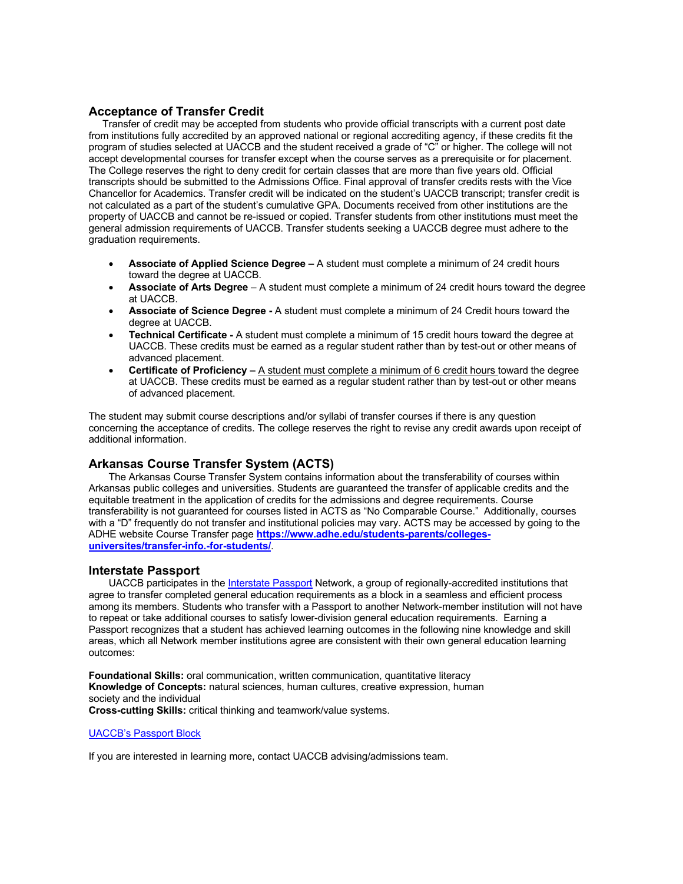# **Acceptance of Transfer Credit**

Transfer of credit may be accepted from students who provide official transcripts with a current post date from institutions fully accredited by an approved national or regional accrediting agency, if these credits fit the program of studies selected at UACCB and the student received a grade of "C" or higher. The college will not accept developmental courses for transfer except when the course serves as a prerequisite or for placement. The College reserves the right to deny credit for certain classes that are more than five years old. Official transcripts should be submitted to the Admissions Office. Final approval of transfer credits rests with the Vice Chancellor for Academics. Transfer credit will be indicated on the student's UACCB transcript; transfer credit is not calculated as a part of the student's cumulative GPA. Documents received from other institutions are the property of UACCB and cannot be re-issued or copied. Transfer students from other institutions must meet the general admission requirements of UACCB. Transfer students seeking a UACCB degree must adhere to the graduation requirements.

- **Associate of Applied Science Degree –** A student must complete a minimum of 24 credit hours toward the degree at UACCB.
- **Associate of Arts Degree** A student must complete a minimum of 24 credit hours toward the degree at UACCB.
- **Associate of Science Degree -** A student must complete a minimum of 24 Credit hours toward the degree at UACCB.
- **Technical Certificate -** A student must complete a minimum of 15 credit hours toward the degree at UACCB. These credits must be earned as a regular student rather than by test-out or other means of advanced placement.
- **Certificate of Proficiency** A student must complete a minimum of 6 credit hours toward the degree at UACCB. These credits must be earned as a regular student rather than by test-out or other means of advanced placement.

The student may submit course descriptions and/or syllabi of transfer courses if there is any question concerning the acceptance of credits. The college reserves the right to revise any credit awards upon receipt of additional information.

# **Arkansas Course Transfer System (ACTS)**

The Arkansas Course Transfer System contains information about the transferability of courses within Arkansas public colleges and universities. Students are guaranteed the transfer of applicable credits and the equitable treatment in the application of credits for the admissions and degree requirements. Course transferability is not guaranteed for courses listed in ACTS as "No Comparable Course." Additionally, courses with a "D" frequently do not transfer and institutional policies may vary. ACTS may be accessed by going to the ADHE website Course Transfer page **https://www.adhe.edu/students-parents/collegesuniversites/transfer-info.-for-students/**.

# **Interstate Passport**

UACCB participates in the Interstate Passport Network, a group of regionally-accredited institutions that agree to transfer completed general education requirements as a block in a seamless and efficient process among its members. Students who transfer with a Passport to another Network-member institution will not have to repeat or take additional courses to satisfy lower-division general education requirements. Earning a Passport recognizes that a student has achieved learning outcomes in the following nine knowledge and skill areas, which all Network member institutions agree are consistent with their own general education learning outcomes:

**Foundational Skills:** oral communication, written communication, quantitative literacy **Knowledge of Concepts:** natural sciences, human cultures, creative expression, human society and the individual **Cross-cutting Skills:** critical thinking and teamwork/value systems.

# UACCB's Passport Block

If you are interested in learning more, contact UACCB advising/admissions team.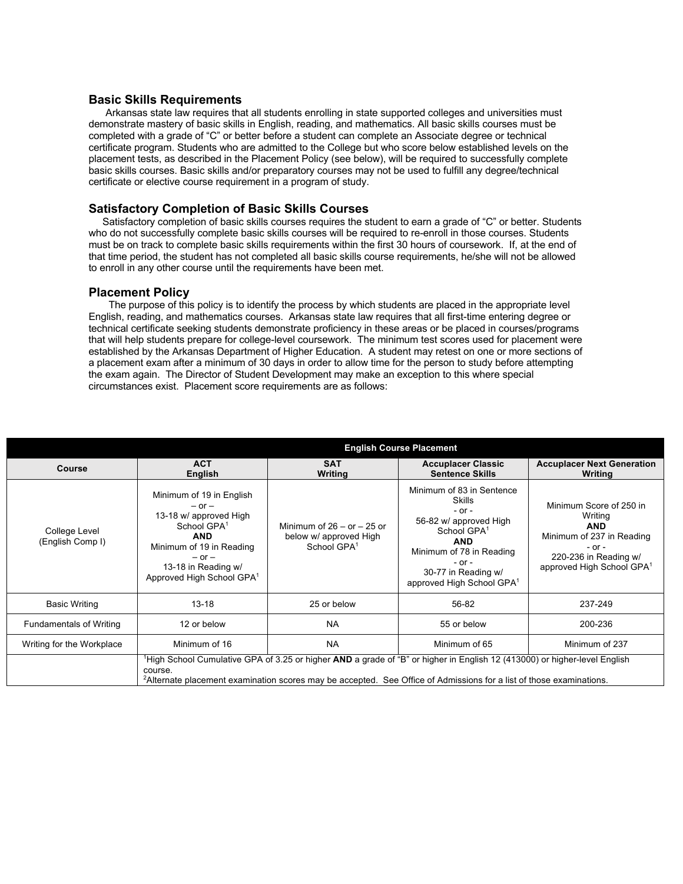**Basic Skills Requirements**<br>Arkansas state law requires that all students enrolling in state supported colleges and universities must demonstrate mastery of basic skills in English, reading, and mathematics. All basic skills courses must be completed with a grade of "C" or better before a student can complete an Associate degree or technical certificate program. Students who are admitted to the College but who score below established levels on the placement tests, as described in the Placement Policy (see below), will be required to successfully complete basic skills courses. Basic skills and/or preparatory courses may not be used to fulfill any degree/technical certificate or elective course requirement in a program of study.

# **Satisfactory Completion of Basic Skills Courses**

 Satisfactory completion of basic skills courses requires the student to earn a grade of "C" or better. Students who do not successfully complete basic skills courses will be required to re-enroll in those courses. Students must be on track to complete basic skills requirements within the first 30 hours of coursework. If, at the end of that time period, the student has not completed all basic skills course requirements, he/she will not be allowed to enroll in any other course until the requirements have been met.

### **Placement Policy**

The purpose of this policy is to identify the process by which students are placed in the appropriate level English, reading, and mathematics courses. Arkansas state law requires that all first-time entering degree or technical certificate seeking students demonstrate proficiency in these areas or be placed in courses/programs that will help students prepare for college-level coursework. The minimum test scores used for placement were established by the Arkansas Department of Higher Education. A student may retest on one or more sections of a placement exam after a minimum of 30 days in order to allow time for the person to study before attempting the exam again. The Director of Student Development may make an exception to this where special circumstances exist. Placement score requirements are as follows:

|                                   | <b>English Course Placement</b>                                                                                                                                                                                                                                         |                                                                                     |                                                                                                                                                                                                                                       |                                                                                                                                                               |  |
|-----------------------------------|-------------------------------------------------------------------------------------------------------------------------------------------------------------------------------------------------------------------------------------------------------------------------|-------------------------------------------------------------------------------------|---------------------------------------------------------------------------------------------------------------------------------------------------------------------------------------------------------------------------------------|---------------------------------------------------------------------------------------------------------------------------------------------------------------|--|
| Course                            | <b>ACT</b><br>English                                                                                                                                                                                                                                                   | <b>SAT</b><br>Writing                                                               | <b>Accuplacer Classic</b><br><b>Sentence Skills</b>                                                                                                                                                                                   | <b>Accuplacer Next Generation</b><br>Writing                                                                                                                  |  |
| College Level<br>(English Comp I) | Minimum of 19 in English<br>$-$ or $-$<br>13-18 w/ approved High<br>School GPA <sup>1</sup><br><b>AND</b><br>Minimum of 19 in Reading<br>$-$ or $-$<br>13-18 in Reading w/<br>Approved High School GPA <sup>1</sup>                                                     | Minimum of $26 -$ or $- 25$ or<br>below w/ approved High<br>School GPA <sup>1</sup> | Minimum of 83 in Sentence<br><b>Skills</b><br>$-$ or $-$<br>56-82 w/ approved High<br>School GPA <sup>1</sup><br><b>AND</b><br>Minimum of 78 in Reading<br>$-$ or $-$<br>30-77 in Reading w/<br>approved High School GPA <sup>1</sup> | Minimum Score of 250 in<br>Writing<br><b>AND</b><br>Minimum of 237 in Reading<br>$-$ or $-$<br>220-236 in Reading w/<br>approved High School GPA <sup>1</sup> |  |
| <b>Basic Writing</b>              | $13 - 18$                                                                                                                                                                                                                                                               | 25 or below                                                                         | 56-82                                                                                                                                                                                                                                 | 237-249                                                                                                                                                       |  |
| <b>Fundamentals of Writing</b>    | 12 or below                                                                                                                                                                                                                                                             | <b>NA</b>                                                                           | 55 or below                                                                                                                                                                                                                           | 200-236                                                                                                                                                       |  |
| Writing for the Workplace         | Minimum of 16                                                                                                                                                                                                                                                           | <b>NA</b>                                                                           | Minimum of 65                                                                                                                                                                                                                         | Minimum of 237                                                                                                                                                |  |
|                                   | <sup>1</sup> High School Cumulative GPA of 3.25 or higher AND a grade of "B" or higher in English 12 (413000) or higher-level English<br>course.<br>'Alternate placement examination scores may be accepted. See Office of Admissions for a list of those examinations. |                                                                                     |                                                                                                                                                                                                                                       |                                                                                                                                                               |  |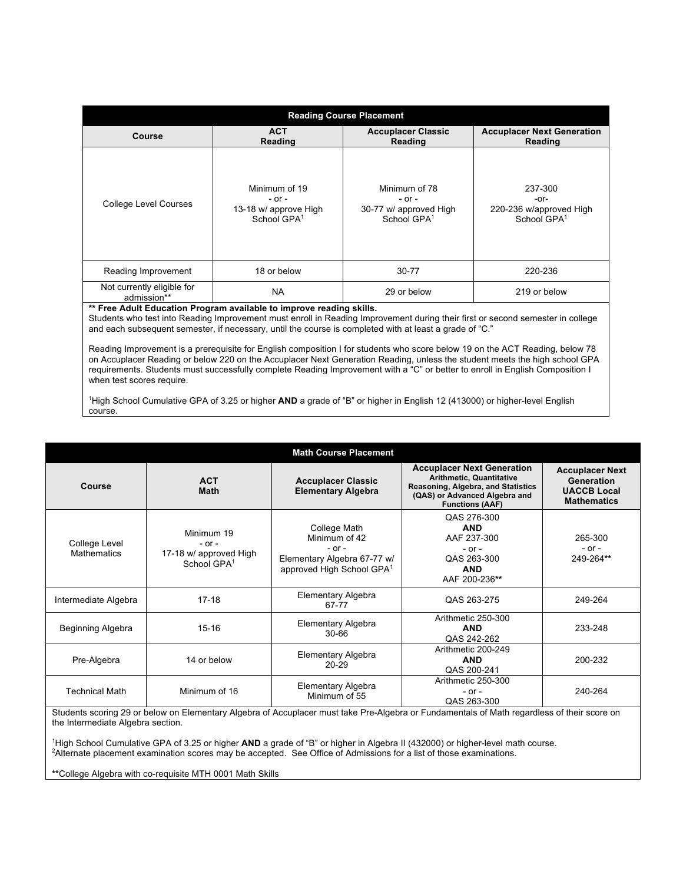| <b>Reading Course Placement</b>           |                                                                                 |                                                                                  |                                                                       |  |  |  |
|-------------------------------------------|---------------------------------------------------------------------------------|----------------------------------------------------------------------------------|-----------------------------------------------------------------------|--|--|--|
| Course                                    | <b>ACT</b><br>Reading                                                           | <b>Accuplacer Classic</b><br>Reading                                             | <b>Accuplacer Next Generation</b><br>Reading                          |  |  |  |
| <b>College Level Courses</b>              | Minimum of 19<br>$-$ or $-$<br>13-18 w/ approve High<br>School GPA <sup>1</sup> | Minimum of 78<br>$-$ or $-$<br>30-77 w/ approved High<br>School GPA <sup>1</sup> | 237-300<br>-or-<br>220-236 w/approved High<br>School GPA <sup>1</sup> |  |  |  |
| Reading Improvement                       | 18 or below                                                                     | 30-77                                                                            | 220-236                                                               |  |  |  |
| Not currently eligible for<br>admission** | <b>NA</b>                                                                       | 29 or below                                                                      | 219 or below                                                          |  |  |  |

### **\*\* Free Adult Education Program available to improve reading skills.**

Students who test into Reading Improvement must enroll in Reading Improvement during their first or second semester in college and each subsequent semester, if necessary, until the course is completed with at least a grade of "C."

Reading Improvement is a prerequisite for English composition I for students who score below 19 on the ACT Reading, below 78 on Accuplacer Reading or below 220 on the Accuplacer Next Generation Reading, unless the student meets the high school GPA requirements. Students must successfully complete Reading Improvement with a "C" or better to enroll in English Composition I when test scores require.

1 High School Cumulative GPA of 3.25 or higher **AND** a grade of "B" or higher in English 12 (413000) or higher-level English course.

| <b>Math Course Placement</b>        |                                                                               |                                                                                                                     |                                                                                                                                                                       |                                                                                  |  |  |
|-------------------------------------|-------------------------------------------------------------------------------|---------------------------------------------------------------------------------------------------------------------|-----------------------------------------------------------------------------------------------------------------------------------------------------------------------|----------------------------------------------------------------------------------|--|--|
| Course                              | <b>ACT</b><br><b>Math</b>                                                     | <b>Accuplacer Classic</b><br><b>Elementary Algebra</b>                                                              | <b>Accuplacer Next Generation</b><br><b>Arithmetic, Quantitative</b><br>Reasoning, Algebra, and Statistics<br>(QAS) or Advanced Algebra and<br><b>Functions (AAF)</b> | <b>Accuplacer Next</b><br>Generation<br><b>UACCB Local</b><br><b>Mathematics</b> |  |  |
| College Level<br><b>Mathematics</b> | Minimum 19<br>$-$ or $-$<br>17-18 w/ approved High<br>School GPA <sup>1</sup> | College Math<br>Minimum of 42<br>$-$ or $-$<br>Elementary Algebra 67-77 w/<br>approved High School GPA <sup>1</sup> | QAS 276-300<br><b>AND</b><br>AAF 237-300<br>$-$ or $-$<br>QAS 263-300<br><b>AND</b><br>AAF 200-236**                                                                  | 265-300<br>$-$ or $-$<br>249-264**                                               |  |  |
| Intermediate Algebra                | $17 - 18$                                                                     | Elementary Algebra<br>67-77                                                                                         | QAS 263-275                                                                                                                                                           | 249-264                                                                          |  |  |
| Beginning Algebra                   | $15 - 16$                                                                     | Elementary Algebra<br>$30 - 66$                                                                                     | Arithmetic 250-300<br><b>AND</b><br>QAS 242-262                                                                                                                       | 233-248                                                                          |  |  |
| Pre-Algebra                         | 14 or below                                                                   | Elementary Algebra<br>$20 - 29$                                                                                     | Arithmetic 200-249<br><b>AND</b><br>QAS 200-241                                                                                                                       | 200-232                                                                          |  |  |
| <b>Technical Math</b>               | Minimum of 16                                                                 | Elementary Algebra<br>Minimum of 55                                                                                 | Arithmetic 250-300<br>$-$ or $-$<br>QAS 263-300                                                                                                                       | 240-264                                                                          |  |  |

Students scoring 29 or below on Elementary Algebra of Accuplacer must take Pre-Algebra or Fundamentals of Math regardless of their score on the Intermediate Algebra section.

1 High School Cumulative GPA of 3.25 or higher **AND** a grade of "B" or higher in Algebra II (432000) or higher-level math course. 2 Alternate placement examination scores may be accepted. See Office of Admissions for a list of those examinations.

**\*\***College Algebra with co-requisite MTH 0001 Math Skills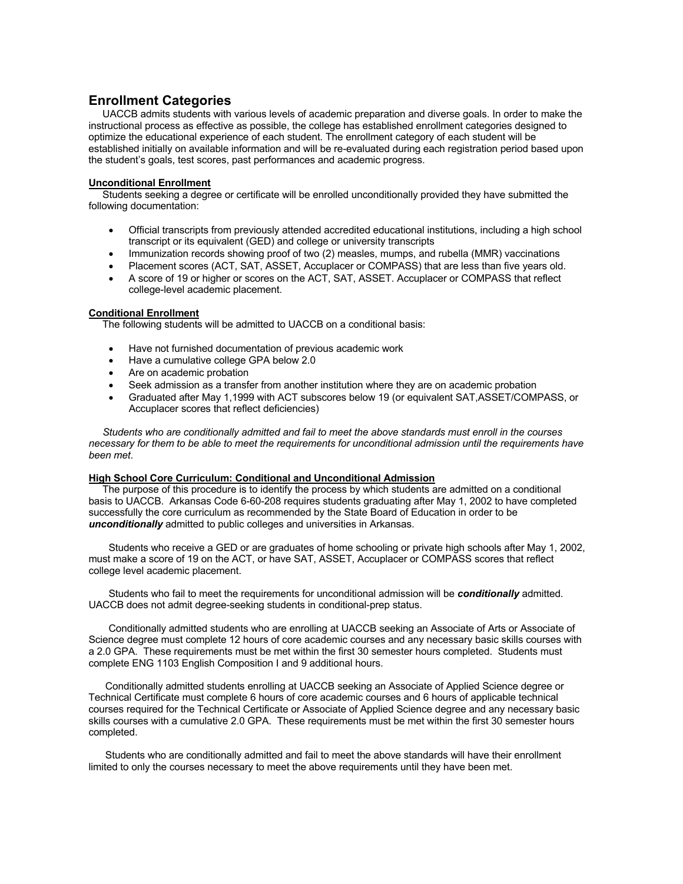# **Enrollment Categories**

UACCB admits students with various levels of academic preparation and diverse goals. In order to make the instructional process as effective as possible, the college has established enrollment categories designed to optimize the educational experience of each student. The enrollment category of each student will be established initially on available information and will be re-evaluated during each registration period based upon the student's goals, test scores, past performances and academic progress.

#### **Unconditional Enrollment**

 Students seeking a degree or certificate will be enrolled unconditionally provided they have submitted the following documentation:

- Official transcripts from previously attended accredited educational institutions, including a high school transcript or its equivalent (GED) and college or university transcripts
- Immunization records showing proof of two (2) measles, mumps, and rubella (MMR) vaccinations
- Placement scores (ACT, SAT, ASSET, Accuplacer or COMPASS) that are less than five years old.
- A score of 19 or higher or scores on the ACT, SAT, ASSET. Accuplacer or COMPASS that reflect college-level academic placement.

#### **Conditional Enrollment**

The following students will be admitted to UACCB on a conditional basis:

- Have not furnished documentation of previous academic work
- Have a cumulative college GPA below 2.0
- Are on academic probation
- Seek admission as a transfer from another institution where they are on academic probation
- Graduated after May 1,1999 with ACT subscores below 19 (or equivalent SAT,ASSET/COMPASS, or Accuplacer scores that reflect deficiencies)

 *Students who are conditionally admitted and fail to meet the above standards must enroll in the courses necessary for them to be able to meet the requirements for unconditional admission until the requirements have been met*.

#### **High School Core Curriculum: Conditional and Unconditional Admission**

The purpose of this procedure is to identify the process by which students are admitted on a conditional basis to UACCB. Arkansas Code 6-60-208 requires students graduating after May 1, 2002 to have completed successfully the core curriculum as recommended by the State Board of Education in order to be *unconditionally* admitted to public colleges and universities in Arkansas.

Students who receive a GED or are graduates of home schooling or private high schools after May 1, 2002, must make a score of 19 on the ACT, or have SAT, ASSET, Accuplacer or COMPASS scores that reflect college level academic placement.

Students who fail to meet the requirements for unconditional admission will be *conditionally* admitted. UACCB does not admit degree-seeking students in conditional-prep status.

Conditionally admitted students who are enrolling at UACCB seeking an Associate of Arts or Associate of Science degree must complete 12 hours of core academic courses and any necessary basic skills courses with a 2.0 GPA. These requirements must be met within the first 30 semester hours completed. Students must complete ENG 1103 English Composition I and 9 additional hours.

 Conditionally admitted students enrolling at UACCB seeking an Associate of Applied Science degree or Technical Certificate must complete 6 hours of core academic courses and 6 hours of applicable technical courses required for the Technical Certificate or Associate of Applied Science degree and any necessary basic skills courses with a cumulative 2.0 GPA. These requirements must be met within the first 30 semester hours completed.

 Students who are conditionally admitted and fail to meet the above standards will have their enrollment limited to only the courses necessary to meet the above requirements until they have been met.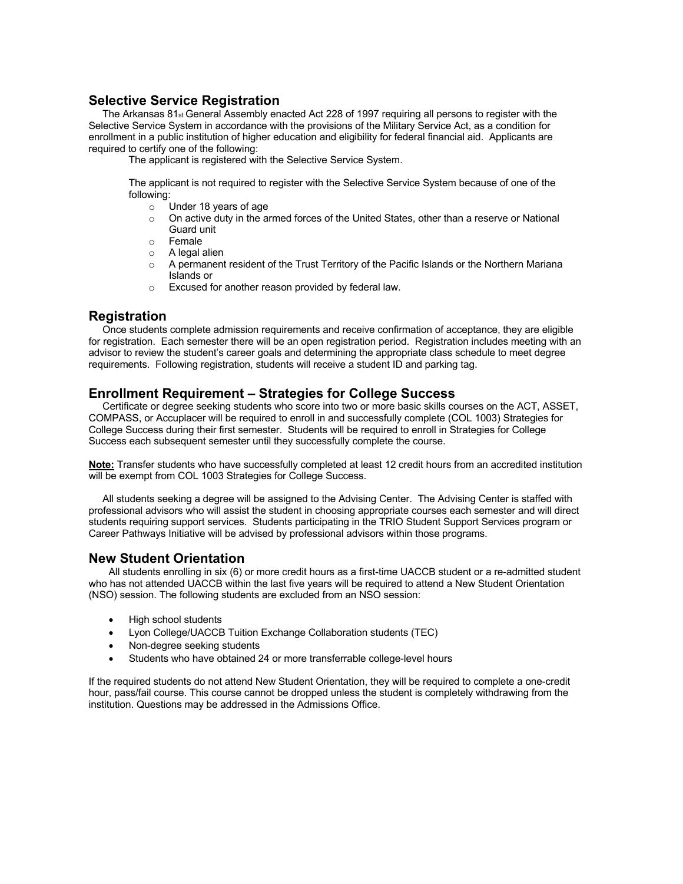# **Selective Service Registration**

 The Arkansas 81st General Assembly enacted Act 228 of 1997 requiring all persons to register with the Selective Service System in accordance with the provisions of the Military Service Act, as a condition for enrollment in a public institution of higher education and eligibility for federal financial aid. Applicants are required to certify one of the following:

The applicant is registered with the Selective Service System.

The applicant is not required to register with the Selective Service System because of one of the following:

- o Under 18 years of age
- $\circ$  On active duty in the armed forces of the United States, other than a reserve or National Guard unit
- o Female
- o A legal alien
- A permanent resident of the Trust Territory of the Pacific Islands or the Northern Mariana Islands or
- o Excused for another reason provided by federal law.

# **Registration**

 Once students complete admission requirements and receive confirmation of acceptance, they are eligible for registration. Each semester there will be an open registration period. Registration includes meeting with an advisor to review the student's career goals and determining the appropriate class schedule to meet degree requirements. Following registration, students will receive a student ID and parking tag.

# **Enrollment Requirement – Strategies for College Success**

Certificate or degree seeking students who score into two or more basic skills courses on the ACT, ASSET, COMPASS, or Accuplacer will be required to enroll in and successfully complete (COL 1003) Strategies for College Success during their first semester. Students will be required to enroll in Strategies for College Success each subsequent semester until they successfully complete the course.

**Note:** Transfer students who have successfully completed at least 12 credit hours from an accredited institution will be exempt from COL 1003 Strategies for College Success.

 All students seeking a degree will be assigned to the Advising Center. The Advising Center is staffed with professional advisors who will assist the student in choosing appropriate courses each semester and will direct students requiring support services. Students participating in the TRIO Student Support Services program or Career Pathways Initiative will be advised by professional advisors within those programs.

# **New Student Orientation**

All students enrolling in six (6) or more credit hours as a first-time UACCB student or a re-admitted student who has not attended UACCB within the last five years will be required to attend a New Student Orientation (NSO) session. The following students are excluded from an NSO session:

- High school students
- Lyon College/UACCB Tuition Exchange Collaboration students (TEC)
- Non-degree seeking students
- Students who have obtained 24 or more transferrable college-level hours

If the required students do not attend New Student Orientation, they will be required to complete a one-credit hour, pass/fail course. This course cannot be dropped unless the student is completely withdrawing from the institution. Questions may be addressed in the Admissions Office.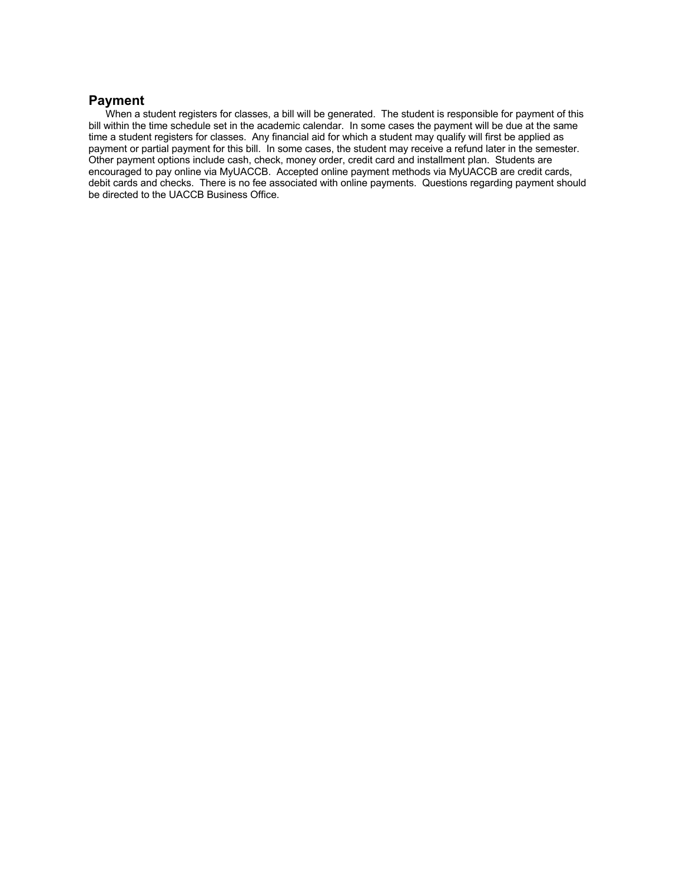# **Payment**

When a student registers for classes, a bill will be generated. The student is responsible for payment of this bill within the time schedule set in the academic calendar. In some cases the payment will be due at the same time a student registers for classes. Any financial aid for which a student may qualify will first be applied as payment or partial payment for this bill. In some cases, the student may receive a refund later in the semester. Other payment options include cash, check, money order, credit card and installment plan. Students are encouraged to pay online via MyUACCB. Accepted online payment methods via MyUACCB are credit cards, debit cards and checks. There is no fee associated with online payments. Questions regarding payment should be directed to the UACCB Business Office.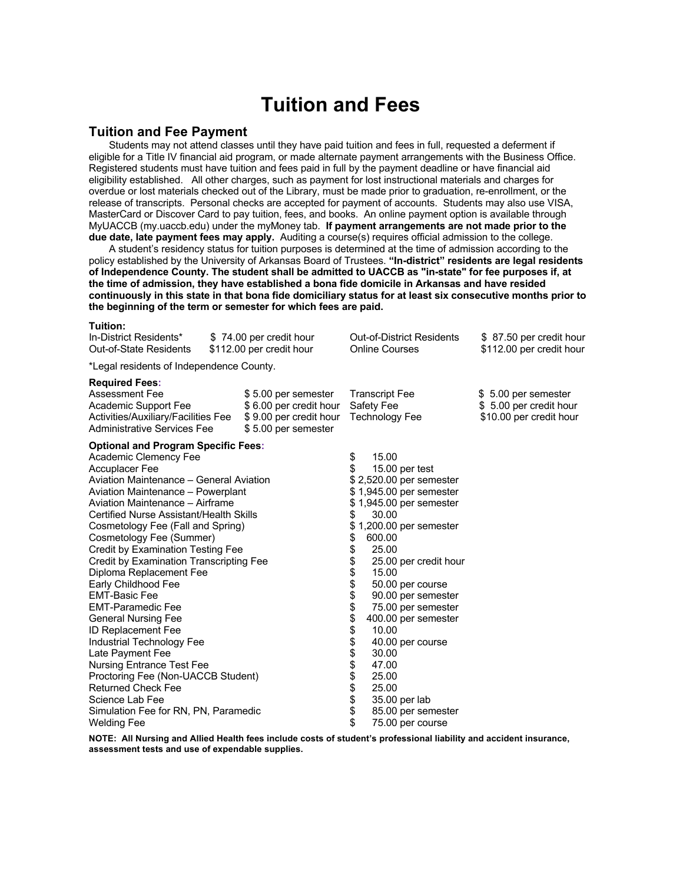# **Tuition and Fees**

#### **Tuition and Fee Payment**

Students may not attend classes until they have paid tuition and fees in full, requested a deferment if eligible for a Title IV financial aid program, or made alternate payment arrangements with the Business Office. Registered students must have tuition and fees paid in full by the payment deadline or have financial aid eligibility established. All other charges, such as payment for lost instructional materials and charges for overdue or lost materials checked out of the Library, must be made prior to graduation, re-enrollment, or the release of transcripts. Personal checks are accepted for payment of accounts. Students may also use VISA, MasterCard or Discover Card to pay tuition, fees, and books. An online payment option is available through MyUACCB (my.uaccb.edu) under the myMoney tab. **If payment arrangements are not made prior to the due date, late payment fees may apply.** Auditing a course(s) requires official admission to the college.

A student's residency status for tuition purposes is determined at the time of admission according to the policy established by the University of Arkansas Board of Trustees. **"In-district" residents are legal residents of Independence County. The student shall be admitted to UACCB as "in-state" for fee purposes if, at the time of admission, they have established a bona fide domicile in Arkansas and have resided continuously in this state in that bona fide domiciliary status for at least six consecutive months prior to the beginning of the term or semester for which fees are paid.** 

# **Tuition:** In-District Residents\* \$ 74.00 per credit hour Out-of-District Residents \$ 87.50 per credit hour<br>Out-of-State Residents \$112.00 per credit hour Online Courses \$112.00 per credit hour

\*Legal residents of Independence County.

 $$112.00$  per credit hour

#### **Required Fees:**

| <b>Required Fees:</b>                      |                        |              |                         |                         |
|--------------------------------------------|------------------------|--------------|-------------------------|-------------------------|
| <b>Assessment Fee</b>                      | \$5.00 per semester    |              | <b>Transcript Fee</b>   | \$5.00 per semester     |
| Academic Support Fee                       | \$6.00 per credit hour |              | Safety Fee              | \$5.00 per credit hour  |
| Activities/Auxiliary/Facilities Fee        | \$9.00 per credit hour |              | Technology Fee          | \$10.00 per credit hour |
| Administrative Services Fee                | \$5.00 per semester    |              |                         |                         |
| <b>Optional and Program Specific Fees:</b> |                        |              |                         |                         |
| Academic Clemency Fee                      |                        | \$           | 15.00                   |                         |
| <b>Accuplacer Fee</b>                      |                        | \$           | 15.00 per test          |                         |
| Aviation Maintenance - General Aviation    |                        |              | \$2,520.00 per semester |                         |
| Aviation Maintenance - Powerplant          |                        |              | \$1,945.00 per semester |                         |
| Aviation Maintenance - Airframe            |                        |              | \$1,945.00 per semester |                         |
| Certified Nurse Assistant/Health Skills    |                        | \$           | 30.00                   |                         |
| Cosmetology Fee (Fall and Spring)          |                        |              | \$1,200.00 per semester |                         |
| Cosmetology Fee (Summer)                   |                        | \$           | 600.00                  |                         |
| <b>Credit by Examination Testing Fee</b>   |                        | \$           | 25.00                   |                         |
| Credit by Examination Transcripting Fee    |                        |              | 25.00 per credit hour   |                         |
| Diploma Replacement Fee                    |                        | \$\$\$       | 15.00                   |                         |
| Early Childhood Fee                        |                        |              | 50.00 per course        |                         |
| <b>EMT-Basic Fee</b>                       |                        |              | 90.00 per semester      |                         |
| <b>EMT-Paramedic Fee</b>                   |                        | \$           | 75.00 per semester      |                         |
| <b>General Nursing Fee</b>                 |                        | \$           | 400.00 per semester     |                         |
| <b>ID Replacement Fee</b>                  |                        |              | 10.00                   |                         |
| Industrial Technology Fee                  |                        | \$\$\$\$\$\$ | 40.00 per course        |                         |
| Late Payment Fee                           |                        |              | 30.00                   |                         |
| <b>Nursing Entrance Test Fee</b>           |                        |              | 47.00                   |                         |
| Proctoring Fee (Non-UACCB Student)         |                        |              | 25.00                   |                         |
| <b>Returned Check Fee</b>                  |                        |              | 25.00                   |                         |
| Science Lab Fee                            |                        | \$           | 35.00 per lab           |                         |
| Simulation Fee for RN, PN, Paramedic       |                        |              | 85.00 per semester      |                         |
| <b>Welding Fee</b>                         |                        | \$           | 75.00 per course        |                         |

**NOTE: All Nursing and Allied Health fees include costs of student's professional liability and accident insurance, assessment tests and use of expendable supplies.**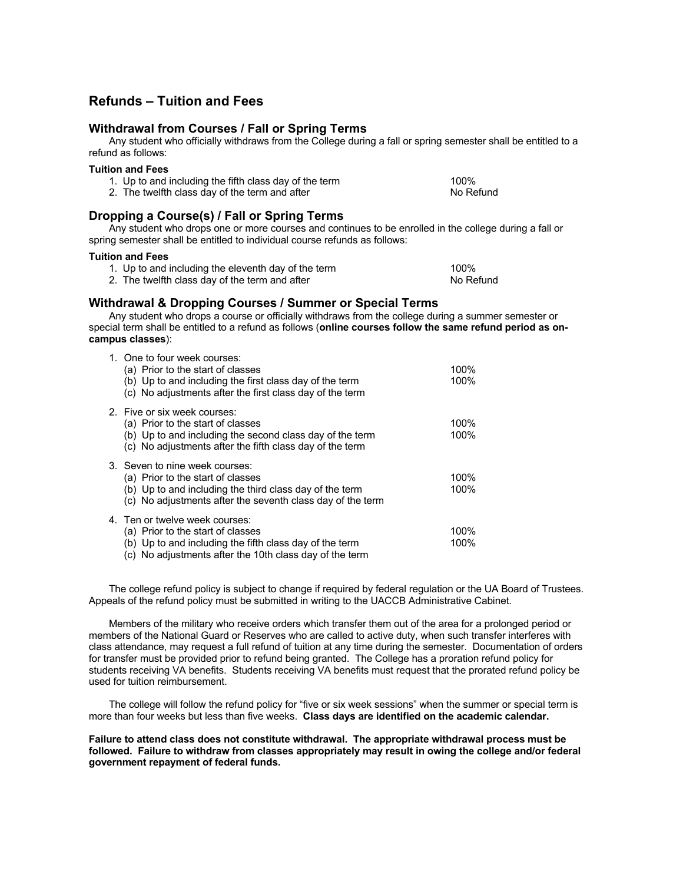# **Refunds – Tuition and Fees**

### **Withdrawal from Courses / Fall or Spring Terms**

Any student who officially withdraws from the College during a fall or spring semester shall be entitled to a refund as follows:

#### **Tuition and Fees**

| 1. Up to and including the fifth class day of the term | 100%      |
|--------------------------------------------------------|-----------|
| 2. The twelfth class day of the term and after         | No Refund |

# **Dropping a Course(s) / Fall or Spring Terms**

Any student who drops one or more courses and continues to be enrolled in the college during a fall or spring semester shall be entitled to individual course refunds as follows:

#### **Tuition and Fees**

- 1. Up to and including the eleventh day of the term 100%
- 2. The twelfth class day of the term and after No Refund No Refund

# **Withdrawal & Dropping Courses / Summer or Special Terms**

Any student who drops a course or officially withdraws from the college during a summer semester or special term shall be entitled to a refund as follows (**online courses follow the same refund period as oncampus classes**):

| 1. One to four week courses:<br>(a) Prior to the start of classes<br>(b) Up to and including the first class day of the term<br>(c) No adjustments after the first class day of the term     | 100%<br>100% |
|----------------------------------------------------------------------------------------------------------------------------------------------------------------------------------------------|--------------|
| 2. Five or six week courses:<br>(a) Prior to the start of classes<br>(b) Up to and including the second class day of the term<br>(c) No adjustments after the fifth class day of the term    | 100%<br>100% |
| 3. Seven to nine week courses:<br>(a) Prior to the start of classes<br>(b) Up to and including the third class day of the term<br>(c) No adjustments after the seventh class day of the term | 100%<br>100% |
| 4. Ten or twelve week courses:<br>(a) Prior to the start of classes<br>(b) Up to and including the fifth class day of the term<br>$(a)$ No adjustments often the 10th alsoe day of the term  | 100%<br>100% |

(c) No adjustments after the 10th class day of the term

The college refund policy is subject to change if required by federal regulation or the UA Board of Trustees. Appeals of the refund policy must be submitted in writing to the UACCB Administrative Cabinet.

Members of the military who receive orders which transfer them out of the area for a prolonged period or members of the National Guard or Reserves who are called to active duty, when such transfer interferes with class attendance, may request a full refund of tuition at any time during the semester. Documentation of orders for transfer must be provided prior to refund being granted. The College has a proration refund policy for students receiving VA benefits. Students receiving VA benefits must request that the prorated refund policy be used for tuition reimbursement.

The college will follow the refund policy for "five or six week sessions" when the summer or special term is more than four weeks but less than five weeks. **Class days are identified on the academic calendar.** 

**Failure to attend class does not constitute withdrawal. The appropriate withdrawal process must be followed. Failure to withdraw from classes appropriately may result in owing the college and/or federal government repayment of federal funds.**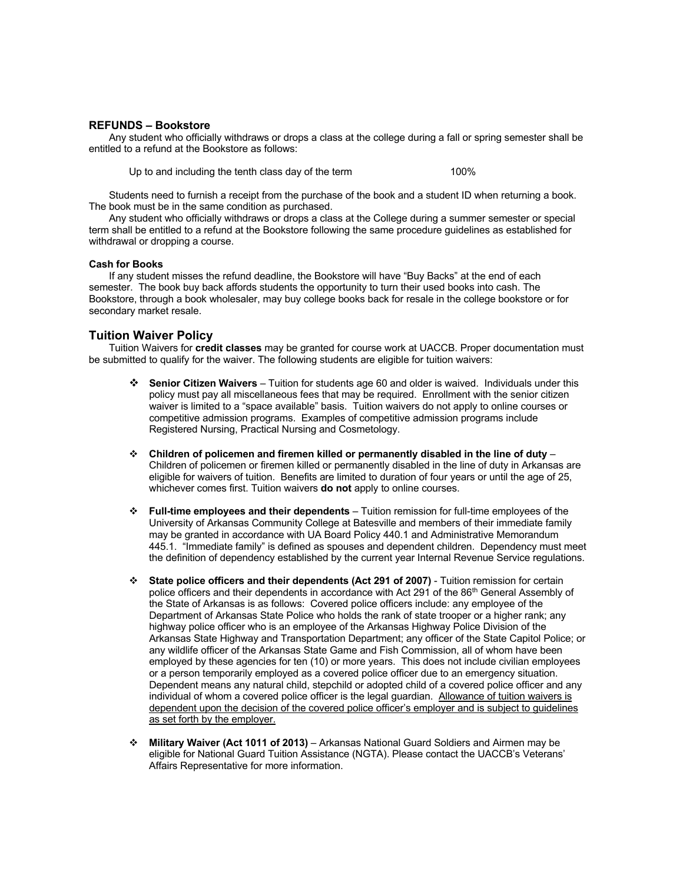#### **REFUNDS – Bookstore**

Any student who officially withdraws or drops a class at the college during a fall or spring semester shall be entitled to a refund at the Bookstore as follows:

Up to and including the tenth class day of the term 100%

Students need to furnish a receipt from the purchase of the book and a student ID when returning a book. The book must be in the same condition as purchased.

Any student who officially withdraws or drops a class at the College during a summer semester or special term shall be entitled to a refund at the Bookstore following the same procedure guidelines as established for withdrawal or dropping a course.

#### **Cash for Books**

If any student misses the refund deadline, the Bookstore will have "Buy Backs" at the end of each semester. The book buy back affords students the opportunity to turn their used books into cash. The Bookstore, through a book wholesaler, may buy college books back for resale in the college bookstore or for secondary market resale.

#### **Tuition Waiver Policy**

Tuition Waivers for **credit classes** may be granted for course work at UACCB. Proper documentation must be submitted to qualify for the waiver. The following students are eligible for tuition waivers:

- v **Senior Citizen Waivers** Tuition for students age 60 and older is waived. Individuals under this policy must pay all miscellaneous fees that may be required. Enrollment with the senior citizen waiver is limited to a "space available" basis. Tuition waivers do not apply to online courses or competitive admission programs. Examples of competitive admission programs include Registered Nursing, Practical Nursing and Cosmetology.
- v **Children of policemen and firemen killed or permanently disabled in the line of duty** Children of policemen or firemen killed or permanently disabled in the line of duty in Arkansas are eligible for waivers of tuition. Benefits are limited to duration of four years or until the age of 25, whichever comes first. Tuition waivers **do not** apply to online courses.
- v **Full-time employees and their dependents** Tuition remission for full-time employees of the University of Arkansas Community College at Batesville and members of their immediate family may be granted in accordance with UA Board Policy 440.1 and Administrative Memorandum 445.1. "Immediate family" is defined as spouses and dependent children. Dependency must meet the definition of dependency established by the current year Internal Revenue Service regulations.
- v **State police officers and their dependents (Act 291 of 2007)** Tuition remission for certain police officers and their dependents in accordance with Act 291 of the 86<sup>th</sup> General Assembly of the State of Arkansas is as follows: Covered police officers include: any employee of the Department of Arkansas State Police who holds the rank of state trooper or a higher rank; any highway police officer who is an employee of the Arkansas Highway Police Division of the Arkansas State Highway and Transportation Department; any officer of the State Capitol Police; or any wildlife officer of the Arkansas State Game and Fish Commission, all of whom have been employed by these agencies for ten (10) or more years. This does not include civilian employees or a person temporarily employed as a covered police officer due to an emergency situation. Dependent means any natural child, stepchild or adopted child of a covered police officer and any individual of whom a covered police officer is the legal guardian. Allowance of tuition waivers is dependent upon the decision of the covered police officer's employer and is subject to guidelines as set forth by the employer.
- v **Military Waiver (Act 1011 of 2013)** Arkansas National Guard Soldiers and Airmen may be eligible for National Guard Tuition Assistance (NGTA). Please contact the UACCB's Veterans' Affairs Representative for more information.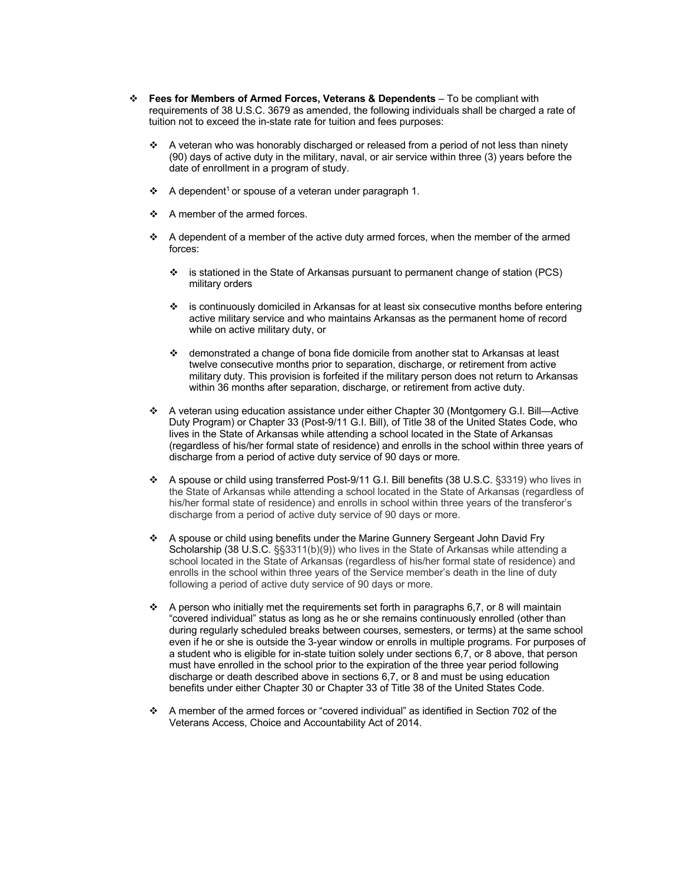- v **Fees for Members of Armed Forces, Veterans & Dependents**  To be compliant with requirements of 38 U.S.C. 3679 as amended, the following individuals shall be charged a rate of tuition not to exceed the in-state rate for tuition and fees purposes:
	- $\clubsuit$  A veteran who was honorably discharged or released from a period of not less than ninety (90) days of active duty in the military, naval, or air service within three (3) years before the date of enrollment in a program of study.
	- $\div$  A dependent<sup>1</sup> or spouse of a veteran under paragraph 1.
	- $\div$  A member of the armed forces.
	- $\div$  A dependent of a member of the active duty armed forces, when the member of the armed forces:
		- $\cdot \cdot$  is stationed in the State of Arkansas pursuant to permanent change of station (PCS) military orders
		- v is continuously domiciled in Arkansas for at least six consecutive months before entering active military service and who maintains Arkansas as the permanent home of record while on active military duty, or
		- $\div$  demonstrated a change of bona fide domicile from another stat to Arkansas at least twelve consecutive months prior to separation, discharge, or retirement from active military duty. This provision is forfeited if the military person does not return to Arkansas within 36 months after separation, discharge, or retirement from active duty.
	- A veteran using education assistance under either Chapter 30 (Montgomery G.I. Bill-Active Duty Program) or Chapter 33 (Post-9/11 G.I. Bill), of Title 38 of the United States Code, who lives in the State of Arkansas while attending a school located in the State of Arkansas (regardless of his/her formal state of residence) and enrolls in the school within three years of discharge from a period of active duty service of 90 days or more.
	- v A spouse or child using transferred Post-9/11 G.I. Bill benefits (38 U.S.C. §3319) who lives in the State of Arkansas while attending a school located in the State of Arkansas (regardless of his/her formal state of residence) and enrolls in school within three years of the transferor's discharge from a period of active duty service of 90 days or more.
	- v A spouse or child using benefits under the Marine Gunnery Sergeant John David Fry Scholarship (38 U.S.C. §§3311(b)(9)) who lives in the State of Arkansas while attending a school located in the State of Arkansas (regardless of his/her formal state of residence) and enrolls in the school within three years of the Service member's death in the line of duty following a period of active duty service of 90 days or more.
	- $\cdot$  A person who initially met the requirements set forth in paragraphs 6,7, or 8 will maintain "covered individual" status as long as he or she remains continuously enrolled (other than during regularly scheduled breaks between courses, semesters, or terms) at the same school even if he or she is outside the 3-year window or enrolls in multiple programs. For purposes of a student who is eligible for in-state tuition solely under sections 6,7, or 8 above, that person must have enrolled in the school prior to the expiration of the three year period following discharge or death described above in sections 6,7, or 8 and must be using education benefits under either Chapter 30 or Chapter 33 of Title 38 of the United States Code.
	- v A member of the armed forces or "covered individual" as identified in Section 702 of the Veterans Access, Choice and Accountability Act of 2014.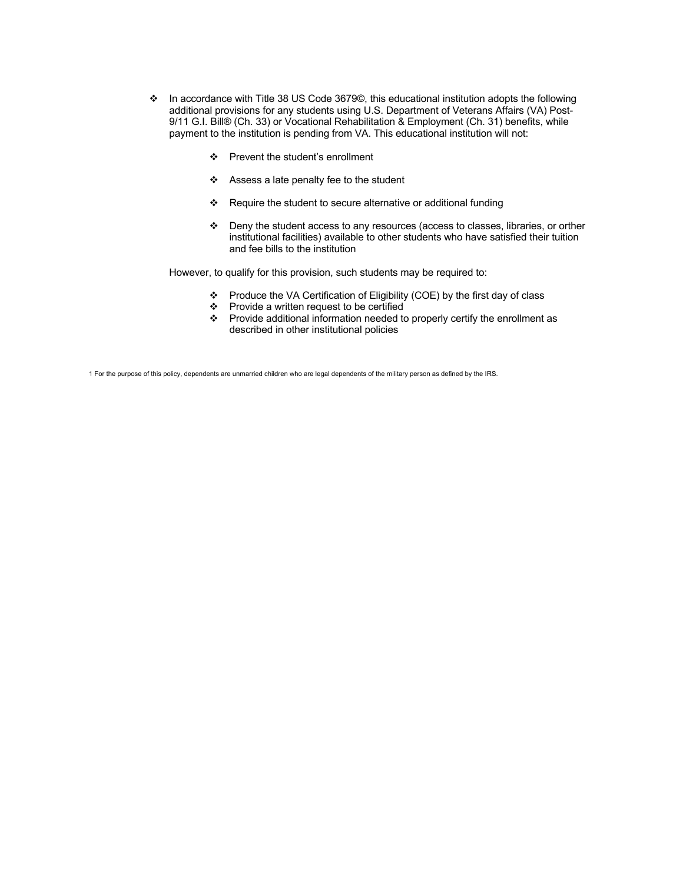- v In accordance with Title 38 US Code 3679©, this educational institution adopts the following additional provisions for any students using U.S. Department of Veterans Affairs (VA) Post-9/11 G.I. Bill® (Ch. 33) or Vocational Rehabilitation & Employment (Ch. 31) benefits, while payment to the institution is pending from VA. This educational institution will not:
	- ❖ Prevent the student's enrollment
	- $\div$  Assess a late penalty fee to the student
	- \* Require the student to secure alternative or additional funding
	- v Deny the student access to any resources (access to classes, libraries, or orther institutional facilities) available to other students who have satisfied their tuition and fee bills to the institution

However, to qualify for this provision, such students may be required to:

- v Produce the VA Certification of Eligibility (COE) by the first day of class
- $\div$  Provide a written request to be certified
- $\cdot \cdot$  Provide additional information needed to properly certify the enrollment as described in other institutional policies

1 For the purpose of this policy, dependents are unmarried children who are legal dependents of the military person as defined by the IRS.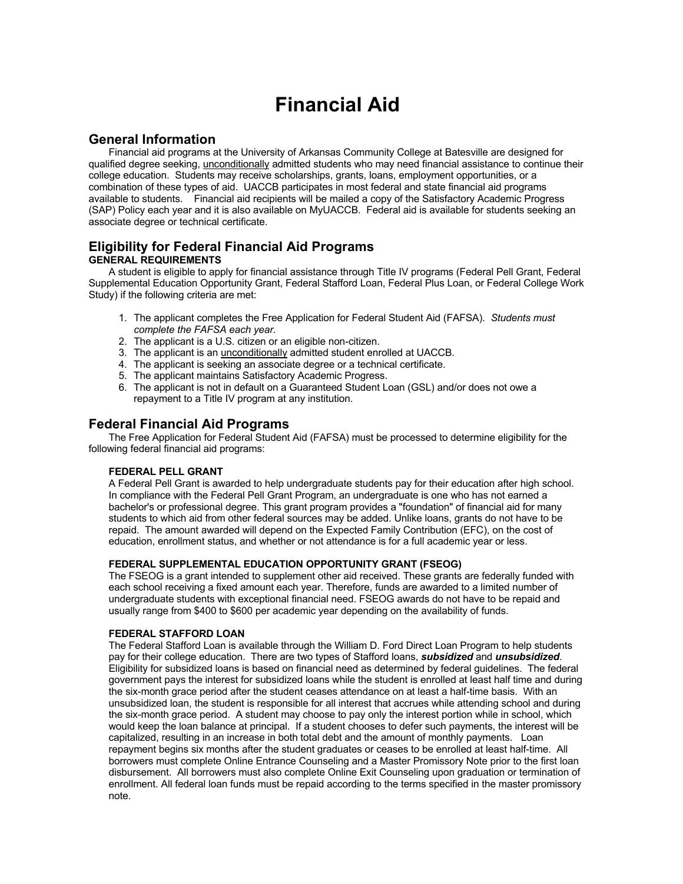# **Financial Aid**

# **General Information**

Financial aid programs at the University of Arkansas Community College at Batesville are designed for qualified degree seeking, unconditionally admitted students who may need financial assistance to continue their college education. Students may receive scholarships, grants, loans, employment opportunities, or a combination of these types of aid. UACCB participates in most federal and state financial aid programs available to students. Financial aid recipients will be mailed a copy of the Satisfactory Academic Progress (SAP) Policy each year and it is also available on MyUACCB. Federal aid is available for students seeking an associate degree or technical certificate.

# **Eligibility for Federal Financial Aid Programs GENERAL REQUIREMENTS**

A student is eligible to apply for financial assistance through Title IV programs (Federal Pell Grant, Federal Supplemental Education Opportunity Grant, Federal Stafford Loan, Federal Plus Loan, or Federal College Work Study) if the following criteria are met:

- 1. The applicant completes the Free Application for Federal Student Aid (FAFSA). *Students must complete the FAFSA each year.*
- 2. The applicant is a U.S. citizen or an eligible non-citizen.
- 3. The applicant is an unconditionally admitted student enrolled at UACCB.
- 4. The applicant is seeking an associate degree or a technical certificate.
- 5. The applicant maintains Satisfactory Academic Progress.
- 6. The applicant is not in default on a Guaranteed Student Loan (GSL) and/or does not owe a repayment to a Title IV program at any institution.

# **Federal Financial Aid Programs**

The Free Application for Federal Student Aid (FAFSA) must be processed to determine eligibility for the following federal financial aid programs:

# **FEDERAL PELL GRANT**

A Federal Pell Grant is awarded to help undergraduate students pay for their education after high school. In compliance with the Federal Pell Grant Program, an undergraduate is one who has not earned a bachelor's or professional degree. This grant program provides a "foundation" of financial aid for many students to which aid from other federal sources may be added. Unlike loans, grants do not have to be repaid. The amount awarded will depend on the Expected Family Contribution (EFC), on the cost of education, enrollment status, and whether or not attendance is for a full academic year or less.

# **FEDERAL SUPPLEMENTAL EDUCATION OPPORTUNITY GRANT (FSEOG)**

The FSEOG is a grant intended to supplement other aid received. These grants are federally funded with each school receiving a fixed amount each year. Therefore, funds are awarded to a limited number of undergraduate students with exceptional financial need. FSEOG awards do not have to be repaid and usually range from \$400 to \$600 per academic year depending on the availability of funds.

# **FEDERAL STAFFORD LOAN**

The Federal Stafford Loan is available through the William D. Ford Direct Loan Program to help students pay for their college education. There are two types of Stafford loans, *subsidized* and *unsubsidized*. Eligibility for subsidized loans is based on financial need as determined by federal guidelines. The federal government pays the interest for subsidized loans while the student is enrolled at least half time and during the six-month grace period after the student ceases attendance on at least a half-time basis. With an unsubsidized loan, the student is responsible for all interest that accrues while attending school and during the six-month grace period. A student may choose to pay only the interest portion while in school, which would keep the loan balance at principal. If a student chooses to defer such payments, the interest will be capitalized, resulting in an increase in both total debt and the amount of monthly payments. Loan repayment begins six months after the student graduates or ceases to be enrolled at least half-time. All borrowers must complete Online Entrance Counseling and a Master Promissory Note prior to the first loan disbursement. All borrowers must also complete Online Exit Counseling upon graduation or termination of enrollment. All federal loan funds must be repaid according to the terms specified in the master promissory note.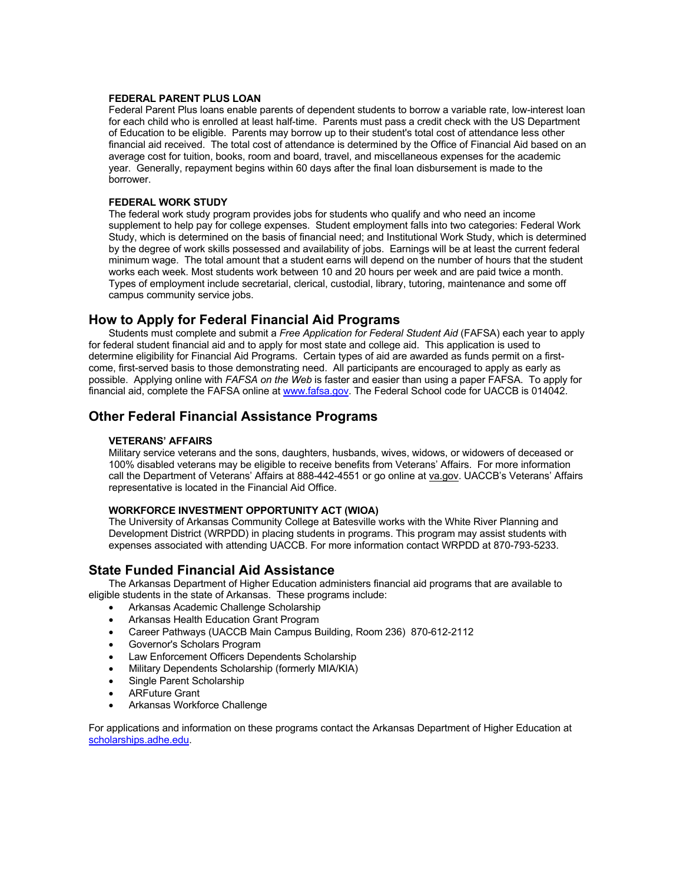#### **FEDERAL PARENT PLUS LOAN**

Federal Parent Plus loans enable parents of dependent students to borrow a variable rate, low-interest loan for each child who is enrolled at least half-time. Parents must pass a credit check with the US Department of Education to be eligible. Parents may borrow up to their student's total cost of attendance less other financial aid received. The total cost of attendance is determined by the Office of Financial Aid based on an average cost for tuition, books, room and board, travel, and miscellaneous expenses for the academic year. Generally, repayment begins within 60 days after the final loan disbursement is made to the borrower.

#### **FEDERAL WORK STUDY**

The federal work study program provides jobs for students who qualify and who need an income supplement to help pay for college expenses. Student employment falls into two categories: Federal Work Study, which is determined on the basis of financial need; and Institutional Work Study, which is determined by the degree of work skills possessed and availability of jobs. Earnings will be at least the current federal minimum wage. The total amount that a student earns will depend on the number of hours that the student works each week. Most students work between 10 and 20 hours per week and are paid twice a month. Types of employment include secretarial, clerical, custodial, library, tutoring, maintenance and some off campus community service jobs.

# **How to Apply for Federal Financial Aid Programs**

Students must complete and submit a *Free Application for Federal Student Aid* (FAFSA) each year to apply for federal student financial aid and to apply for most state and college aid. This application is used to determine eligibility for Financial Aid Programs. Certain types of aid are awarded as funds permit on a firstcome, first-served basis to those demonstrating need. All participants are encouraged to apply as early as possible. Applying online with *FAFSA on the Web* is faster and easier than using a paper FAFSA. To apply for financial aid, complete the FAFSA online at www.fafsa.gov. The Federal School code for UACCB is 014042.

# **Other Federal Financial Assistance Programs**

#### **VETERANS' AFFAIRS**

Military service veterans and the sons, daughters, husbands, wives, widows, or widowers of deceased or 100% disabled veterans may be eligible to receive benefits from Veterans' Affairs. For more information call the Department of Veterans' Affairs at 888-442-4551 or go online at va.gov. UACCB's Veterans' Affairs representative is located in the Financial Aid Office.

#### **WORKFORCE INVESTMENT OPPORTUNITY ACT (WIOA)**

The University of Arkansas Community College at Batesville works with the White River Planning and Development District (WRPDD) in placing students in programs. This program may assist students with expenses associated with attending UACCB. For more information contact WRPDD at 870-793-5233.

# **State Funded Financial Aid Assistance**

The Arkansas Department of Higher Education administers financial aid programs that are available to eligible students in the state of Arkansas. These programs include:

- Arkansas Academic Challenge Scholarship
- Arkansas Health Education Grant Program
- Career Pathways (UACCB Main Campus Building, Room 236) 870-612-2112
- Governor's Scholars Program
- Law Enforcement Officers Dependents Scholarship
- Military Dependents Scholarship (formerly MIA/KIA)
- Single Parent Scholarship
- ARFuture Grant
- Arkansas Workforce Challenge

For applications and information on these programs contact the Arkansas Department of Higher Education at scholarships.adhe.edu.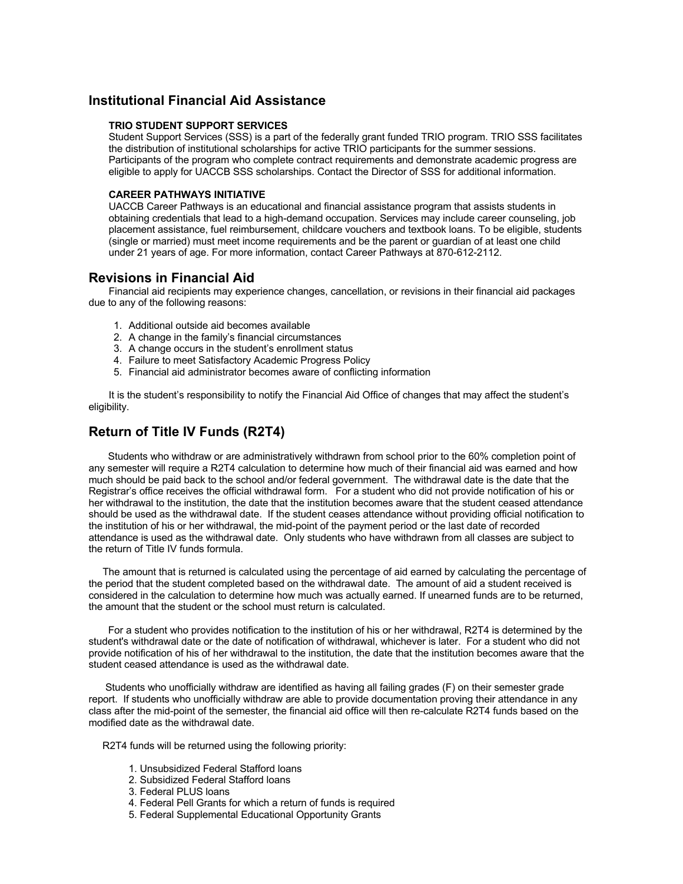# **Institutional Financial Aid Assistance**

#### **TRIO STUDENT SUPPORT SERVICES**

Student Support Services (SSS) is a part of the federally grant funded TRIO program. TRIO SSS facilitates the distribution of institutional scholarships for active TRIO participants for the summer sessions. Participants of the program who complete contract requirements and demonstrate academic progress are eligible to apply for UACCB SSS scholarships. Contact the Director of SSS for additional information.

#### **CAREER PATHWAYS INITIATIVE**

UACCB Career Pathways is an educational and financial assistance program that assists students in obtaining credentials that lead to a high-demand occupation. Services may include career counseling, job placement assistance, fuel reimbursement, childcare vouchers and textbook loans. To be eligible, students (single or married) must meet income requirements and be the parent or guardian of at least one child under 21 years of age. For more information, contact Career Pathways at 870-612-2112.

# **Revisions in Financial Aid**

Financial aid recipients may experience changes, cancellation, or revisions in their financial aid packages due to any of the following reasons:

- 1. Additional outside aid becomes available
- 2. A change in the family's financial circumstances
- 3. A change occurs in the student's enrollment status
- 4. Failure to meet Satisfactory Academic Progress Policy
- 5. Financial aid administrator becomes aware of conflicting information

It is the student's responsibility to notify the Financial Aid Office of changes that may affect the student's eligibility.

# **Return of Title IV Funds (R2T4)**

 Students who withdraw or are administratively withdrawn from school prior to the 60% completion point of any semester will require a R2T4 calculation to determine how much of their financial aid was earned and how much should be paid back to the school and/or federal government. The withdrawal date is the date that the Registrar's office receives the official withdrawal form. For a student who did not provide notification of his or her withdrawal to the institution, the date that the institution becomes aware that the student ceased attendance should be used as the withdrawal date. If the student ceases attendance without providing official notification to the institution of his or her withdrawal, the mid-point of the payment period or the last date of recorded attendance is used as the withdrawal date. Only students who have withdrawn from all classes are subject to the return of Title IV funds formula.

 The amount that is returned is calculated using the percentage of aid earned by calculating the percentage of the period that the student completed based on the withdrawal date. The amount of aid a student received is considered in the calculation to determine how much was actually earned. If unearned funds are to be returned, the amount that the student or the school must return is calculated.

 For a student who provides notification to the institution of his or her withdrawal, R2T4 is determined by the student's withdrawal date or the date of notification of withdrawal, whichever is later. For a student who did not provide notification of his of her withdrawal to the institution, the date that the institution becomes aware that the student ceased attendance is used as the withdrawal date.

 Students who unofficially withdraw are identified as having all failing grades (F) on their semester grade report. If students who unofficially withdraw are able to provide documentation proving their attendance in any class after the mid-point of the semester, the financial aid office will then re-calculate R2T4 funds based on the modified date as the withdrawal date.

R2T4 funds will be returned using the following priority:

- 1. Unsubsidized Federal Stafford loans
- 2. Subsidized Federal Stafford loans
- 3. Federal PLUS loans
- 4. Federal Pell Grants for which a return of funds is required
- 5. Federal Supplemental Educational Opportunity Grants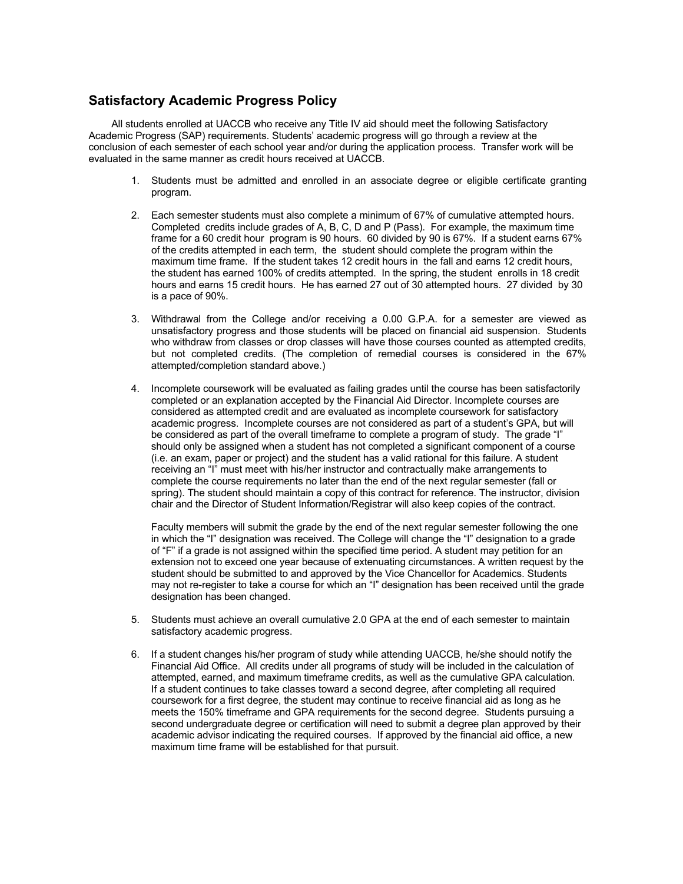# **Satisfactory Academic Progress Policy**

All students enrolled at UACCB who receive any Title IV aid should meet the following Satisfactory Academic Progress (SAP) requirements. Students' academic progress will go through a review at the conclusion of each semester of each school year and/or during the application process. Transfer work will be evaluated in the same manner as credit hours received at UACCB.

- 1. Students must be admitted and enrolled in an associate degree or eligible certificate granting program.
- 2. Each semester students must also complete a minimum of 67% of cumulative attempted hours. Completed credits include grades of A, B, C, D and P (Pass). For example, the maximum time frame for a 60 credit hour program is 90 hours. 60 divided by 90 is 67%. If a student earns 67% of the credits attempted in each term, the student should complete the program within the maximum time frame. If the student takes 12 credit hours in the fall and earns 12 credit hours, the student has earned 100% of credits attempted. In the spring, the student enrolls in 18 credit hours and earns 15 credit hours. He has earned 27 out of 30 attempted hours. 27 divided by 30 is a pace of 90%.
- 3. Withdrawal from the College and/or receiving a 0.00 G.P.A. for a semester are viewed as unsatisfactory progress and those students will be placed on financial aid suspension. Students who withdraw from classes or drop classes will have those courses counted as attempted credits, but not completed credits. (The completion of remedial courses is considered in the 67% attempted/completion standard above.)
- 4. Incomplete coursework will be evaluated as failing grades until the course has been satisfactorily completed or an explanation accepted by the Financial Aid Director. Incomplete courses are considered as attempted credit and are evaluated as incomplete coursework for satisfactory academic progress. Incomplete courses are not considered as part of a student's GPA, but will be considered as part of the overall timeframe to complete a program of study. The grade "I" should only be assigned when a student has not completed a significant component of a course (i.e. an exam, paper or project) and the student has a valid rational for this failure. A student receiving an "I" must meet with his/her instructor and contractually make arrangements to complete the course requirements no later than the end of the next regular semester (fall or spring). The student should maintain a copy of this contract for reference. The instructor, division chair and the Director of Student Information/Registrar will also keep copies of the contract.

Faculty members will submit the grade by the end of the next regular semester following the one in which the "I" designation was received. The College will change the "I" designation to a grade of "F" if a grade is not assigned within the specified time period. A student may petition for an extension not to exceed one year because of extenuating circumstances. A written request by the student should be submitted to and approved by the Vice Chancellor for Academics. Students may not re-register to take a course for which an "I" designation has been received until the grade designation has been changed.

- 5. Students must achieve an overall cumulative 2.0 GPA at the end of each semester to maintain satisfactory academic progress.
- 6. If a student changes his/her program of study while attending UACCB, he/she should notify the Financial Aid Office. All credits under all programs of study will be included in the calculation of attempted, earned, and maximum timeframe credits, as well as the cumulative GPA calculation. If a student continues to take classes toward a second degree, after completing all required coursework for a first degree, the student may continue to receive financial aid as long as he meets the 150% timeframe and GPA requirements for the second degree. Students pursuing a second undergraduate degree or certification will need to submit a degree plan approved by their academic advisor indicating the required courses. If approved by the financial aid office, a new maximum time frame will be established for that pursuit.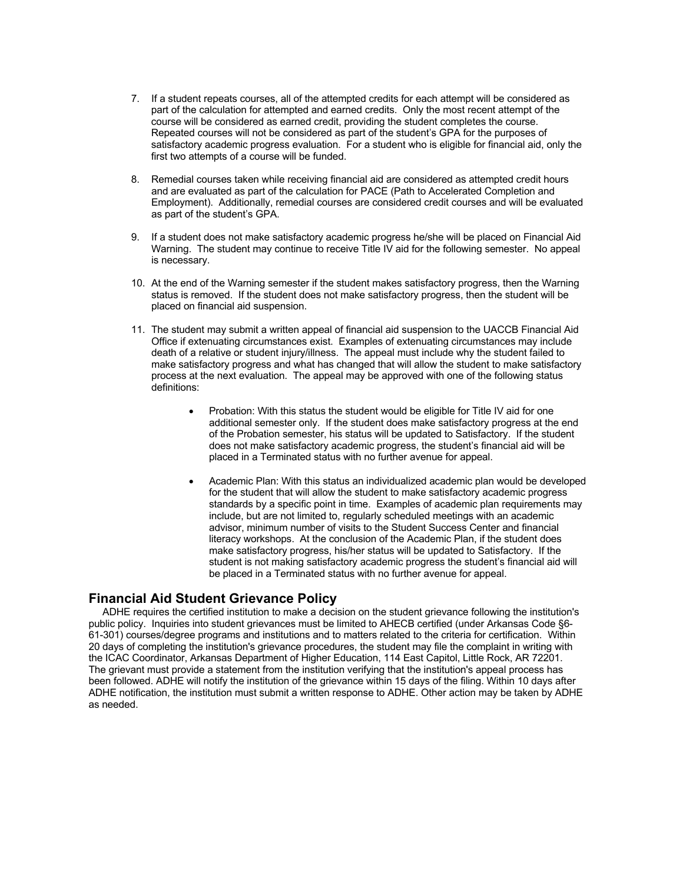- 7. If a student repeats courses, all of the attempted credits for each attempt will be considered as part of the calculation for attempted and earned credits. Only the most recent attempt of the course will be considered as earned credit, providing the student completes the course. Repeated courses will not be considered as part of the student's GPA for the purposes of satisfactory academic progress evaluation. For a student who is eligible for financial aid, only the first two attempts of a course will be funded.
- 8. Remedial courses taken while receiving financial aid are considered as attempted credit hours and are evaluated as part of the calculation for PACE (Path to Accelerated Completion and Employment). Additionally, remedial courses are considered credit courses and will be evaluated as part of the student's GPA.
- 9. If a student does not make satisfactory academic progress he/she will be placed on Financial Aid Warning. The student may continue to receive Title IV aid for the following semester. No appeal is necessary.
- 10. At the end of the Warning semester if the student makes satisfactory progress, then the Warning status is removed. If the student does not make satisfactory progress, then the student will be placed on financial aid suspension.
- 11. The student may submit a written appeal of financial aid suspension to the UACCB Financial Aid Office if extenuating circumstances exist. Examples of extenuating circumstances may include death of a relative or student injury/illness. The appeal must include why the student failed to make satisfactory progress and what has changed that will allow the student to make satisfactory process at the next evaluation. The appeal may be approved with one of the following status definitions:
	- Probation: With this status the student would be eligible for Title IV aid for one additional semester only. If the student does make satisfactory progress at the end of the Probation semester, his status will be updated to Satisfactory. If the student does not make satisfactory academic progress, the student's financial aid will be placed in a Terminated status with no further avenue for appeal.
	- Academic Plan: With this status an individualized academic plan would be developed for the student that will allow the student to make satisfactory academic progress standards by a specific point in time. Examples of academic plan requirements may include, but are not limited to, regularly scheduled meetings with an academic advisor, minimum number of visits to the Student Success Center and financial literacy workshops. At the conclusion of the Academic Plan, if the student does make satisfactory progress, his/her status will be updated to Satisfactory. If the student is not making satisfactory academic progress the student's financial aid will be placed in a Terminated status with no further avenue for appeal.

# **Financial Aid Student Grievance Policy**

 ADHE requires the certified institution to make a decision on the student grievance following the institution's public policy. Inquiries into student grievances must be limited to AHECB certified (under Arkansas Code §6- 61-301) courses/degree programs and institutions and to matters related to the criteria for certification. Within 20 days of completing the institution's grievance procedures, the student may file the complaint in writing with the ICAC Coordinator, Arkansas Department of Higher Education, 114 East Capitol, Little Rock, AR 72201. The grievant must provide a statement from the institution verifying that the institution's appeal process has been followed. ADHE will notify the institution of the grievance within 15 days of the filing. Within 10 days after ADHE notification, the institution must submit a written response to ADHE. Other action may be taken by ADHE as needed.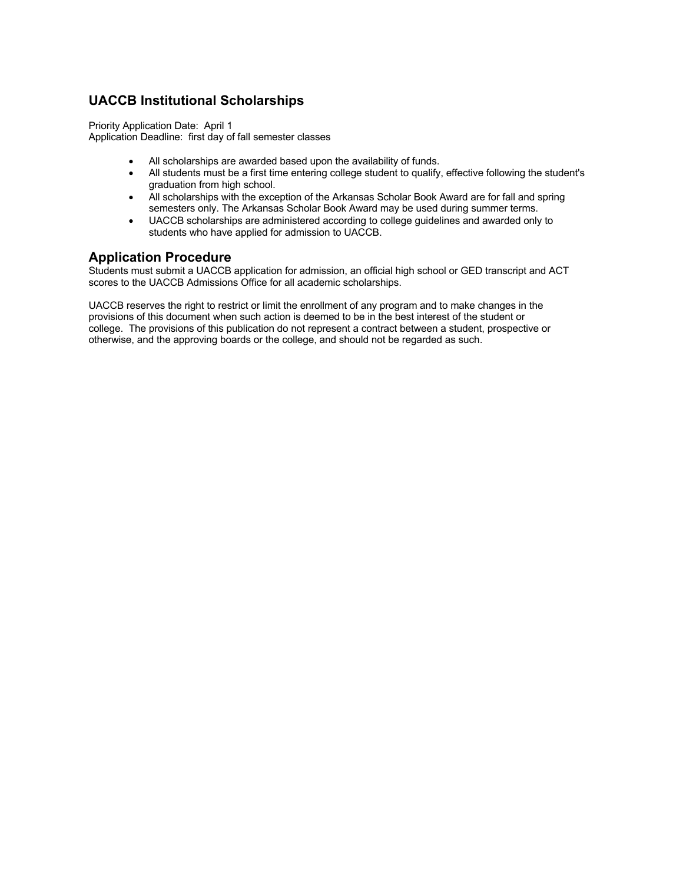# **UACCB Institutional Scholarships**

Priority Application Date: April 1 Application Deadline: first day of fall semester classes

- All scholarships are awarded based upon the availability of funds.
- All students must be a first time entering college student to qualify, effective following the student's graduation from high school.
- All scholarships with the exception of the Arkansas Scholar Book Award are for fall and spring semesters only. The Arkansas Scholar Book Award may be used during summer terms.
- UACCB scholarships are administered according to college guidelines and awarded only to students who have applied for admission to UACCB.

# **Application Procedure**

Students must submit a UACCB application for admission, an official high school or GED transcript and ACT scores to the UACCB Admissions Office for all academic scholarships.

UACCB reserves the right to restrict or limit the enrollment of any program and to make changes in the provisions of this document when such action is deemed to be in the best interest of the student or college. The provisions of this publication do not represent a contract between a student, prospective or otherwise, and the approving boards or the college, and should not be regarded as such.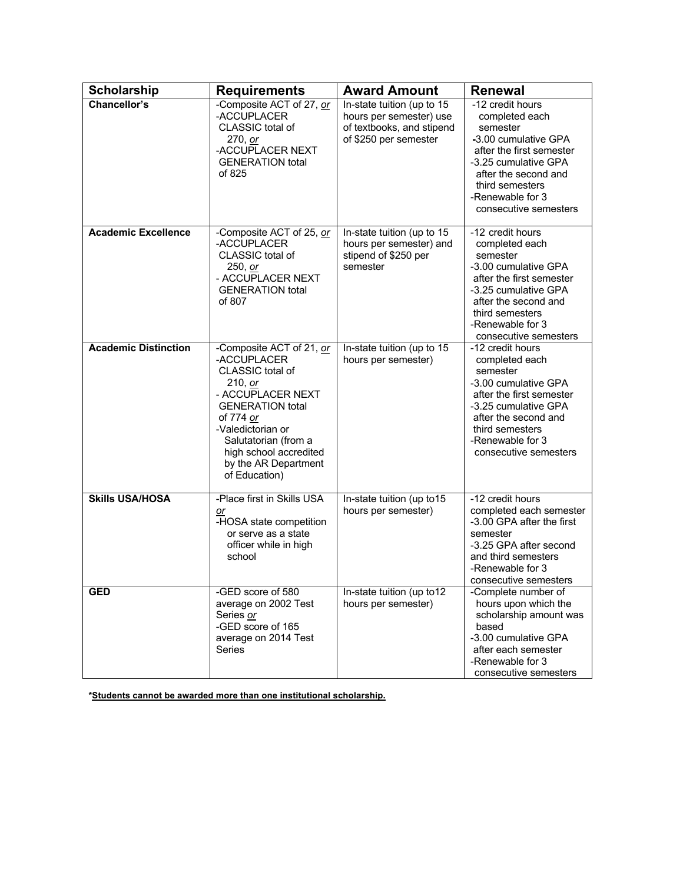| <b>Scholarship</b>          | <b>Requirements</b>                                                                                                                                                                                                                                 | <b>Award Amount</b>                                                                                         | <b>Renewal</b>                                                                                                                                                                                                     |
|-----------------------------|-----------------------------------------------------------------------------------------------------------------------------------------------------------------------------------------------------------------------------------------------------|-------------------------------------------------------------------------------------------------------------|--------------------------------------------------------------------------------------------------------------------------------------------------------------------------------------------------------------------|
| <b>Chancellor's</b>         | -Composite ACT of 27, or<br>-ACCUPLACER<br>CLASSIC total of<br>270, or<br>-ACCUPLACER NEXT<br><b>GENERATION total</b><br>of 825                                                                                                                     | In-state tuition (up to 15<br>hours per semester) use<br>of textbooks, and stipend<br>of \$250 per semester | -12 credit hours<br>completed each<br>semester<br>-3.00 cumulative GPA<br>after the first semester<br>-3.25 cumulative GPA<br>after the second and<br>third semesters<br>-Renewable for 3<br>consecutive semesters |
| <b>Academic Excellence</b>  | -Composite ACT of 25, or<br>-ACCUPLACER<br>CLASSIC total of<br>250, or<br>- ACCUPLACER NEXT<br><b>GENERATION total</b><br>of 807                                                                                                                    | In-state tuition (up to 15<br>hours per semester) and<br>stipend of \$250 per<br>semester                   | -12 credit hours<br>completed each<br>semester<br>-3.00 cumulative GPA<br>after the first semester<br>-3.25 cumulative GPA<br>after the second and<br>third semesters<br>-Renewable for 3<br>consecutive semesters |
| <b>Academic Distinction</b> | -Composite ACT of 21, or<br>-ACCUPLACER<br>CLASSIC total of<br>210, or<br>- ACCUPLACER NEXT<br><b>GENERATION total</b><br>of 774 or<br>-Valedictorian or<br>Salutatorian (from a<br>high school accredited<br>by the AR Department<br>of Education) | In-state tuition (up to 15<br>hours per semester)                                                           | -12 credit hours<br>completed each<br>semester<br>-3.00 cumulative GPA<br>after the first semester<br>-3.25 cumulative GPA<br>after the second and<br>third semesters<br>-Renewable for 3<br>consecutive semesters |
| <b>Skills USA/HOSA</b>      | -Place first in Skills USA<br>or<br>-HOSA state competition<br>or serve as a state<br>officer while in high<br>school                                                                                                                               | In-state tuition (up to15<br>hours per semester)                                                            | -12 credit hours<br>completed each semester<br>-3.00 GPA after the first<br>semester<br>-3.25 GPA after second<br>and third semesters<br>-Renewable for 3<br>consecutive semesters                                 |
| <b>GED</b>                  | -GED score of 580<br>average on 2002 Test<br>Series or<br>-GED score of 165<br>average on 2014 Test<br>Series                                                                                                                                       | In-state tuition (up to12<br>hours per semester)                                                            | -Complete number of<br>hours upon which the<br>scholarship amount was<br>based<br>-3.00 cumulative GPA<br>after each semester<br>-Renewable for 3<br>consecutive semesters                                         |

**\*Students cannot be awarded more than one institutional scholarship.**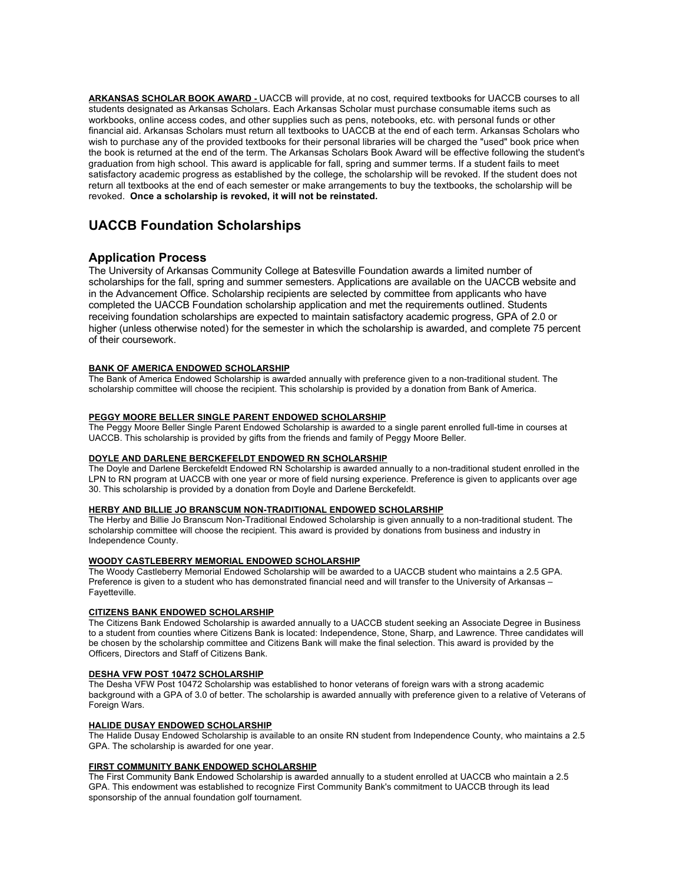**ARKANSAS SCHOLAR BOOK AWARD -** UACCB will provide, at no cost, required textbooks for UACCB courses to all students designated as Arkansas Scholars. Each Arkansas Scholar must purchase consumable items such as workbooks, online access codes, and other supplies such as pens, notebooks, etc. with personal funds or other financial aid. Arkansas Scholars must return all textbooks to UACCB at the end of each term. Arkansas Scholars who wish to purchase any of the provided textbooks for their personal libraries will be charged the "used" book price when the book is returned at the end of the term. The Arkansas Scholars Book Award will be effective following the student's graduation from high school. This award is applicable for fall, spring and summer terms. If a student fails to meet satisfactory academic progress as established by the college, the scholarship will be revoked. If the student does not return all textbooks at the end of each semester or make arrangements to buy the textbooks, the scholarship will be revoked. **Once a scholarship is revoked, it will not be reinstated.** 

# **UACCB Foundation Scholarships**

# **Application Process**

The University of Arkansas Community College at Batesville Foundation awards a limited number of scholarships for the fall, spring and summer semesters. Applications are available on the UACCB website and in the Advancement Office. Scholarship recipients are selected by committee from applicants who have completed the UACCB Foundation scholarship application and met the requirements outlined. Students receiving foundation scholarships are expected to maintain satisfactory academic progress, GPA of 2.0 or higher (unless otherwise noted) for the semester in which the scholarship is awarded, and complete 75 percent of their coursework.

#### **BANK OF AMERICA ENDOWED SCHOLARSHIP**

The Bank of America Endowed Scholarship is awarded annually with preference given to a non-traditional student. The scholarship committee will choose the recipient. This scholarship is provided by a donation from Bank of America.

#### **PEGGY MOORE BELLER SINGLE PARENT ENDOWED SCHOLARSHIP**

The Peggy Moore Beller Single Parent Endowed Scholarship is awarded to a single parent enrolled full-time in courses at UACCB. This scholarship is provided by gifts from the friends and family of Peggy Moore Beller.

#### **DOYLE AND DARLENE BERCKEFELDT ENDOWED RN SCHOLARSHIP**

The Doyle and Darlene Berckefeldt Endowed RN Scholarship is awarded annually to a non-traditional student enrolled in the LPN to RN program at UACCB with one year or more of field nursing experience. Preference is given to applicants over age 30. This scholarship is provided by a donation from Doyle and Darlene Berckefeldt.

#### **HERBY AND BILLIE JO BRANSCUM NON-TRADITIONAL ENDOWED SCHOLARSHIP**

The Herby and Billie Jo Branscum Non-Traditional Endowed Scholarship is given annually to a non-traditional student. The scholarship committee will choose the recipient. This award is provided by donations from business and industry in Independence County.

#### **WOODY CASTLEBERRY MEMORIAL ENDOWED SCHOLARSHIP**

The Woody Castleberry Memorial Endowed Scholarship will be awarded to a UACCB student who maintains a 2.5 GPA. Preference is given to a student who has demonstrated financial need and will transfer to the University of Arkansas – Fayetteville.

#### **CITIZENS BANK ENDOWED SCHOLARSHIP**

The Citizens Bank Endowed Scholarship is awarded annually to a UACCB student seeking an Associate Degree in Business to a student from counties where Citizens Bank is located: Independence, Stone, Sharp, and Lawrence. Three candidates will be chosen by the scholarship committee and Citizens Bank will make the final selection. This award is provided by the Officers, Directors and Staff of Citizens Bank.

#### **DESHA VFW POST 10472 SCHOLARSHIP**

The Desha VFW Post 10472 Scholarship was established to honor veterans of foreign wars with a strong academic background with a GPA of 3.0 of better. The scholarship is awarded annually with preference given to a relative of Veterans of Foreign Wars.

#### **HALIDE DUSAY ENDOWED SCHOLARSHIP**

The Halide Dusay Endowed Scholarship is available to an onsite RN student from Independence County, who maintains a 2.5 GPA. The scholarship is awarded for one year.

#### **FIRST COMMUNITY BANK ENDOWED SCHOLARSHIP**

The First Community Bank Endowed Scholarship is awarded annually to a student enrolled at UACCB who maintain a 2.5 GPA. This endowment was established to recognize First Community Bank's commitment to UACCB through its lead sponsorship of the annual foundation golf tournament.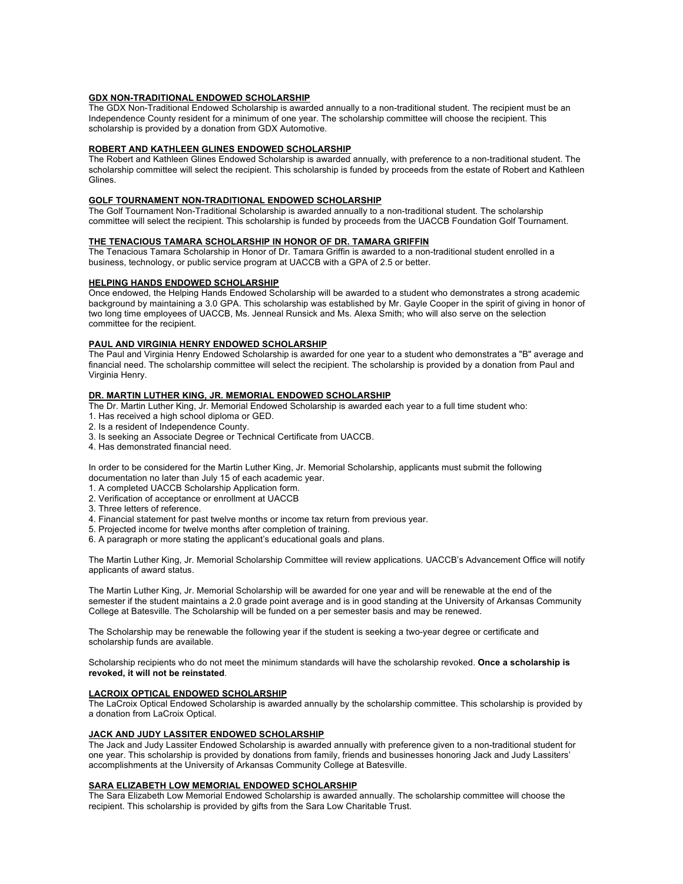#### **GDX NON-TRADITIONAL ENDOWED SCHOLARSHIP**

The GDX Non-Traditional Endowed Scholarship is awarded annually to a non-traditional student. The recipient must be an Independence County resident for a minimum of one year. The scholarship committee will choose the recipient. This scholarship is provided by a donation from GDX Automotive.

#### **ROBERT AND KATHLEEN GLINES ENDOWED SCHOLARSHIP**

The Robert and Kathleen Glines Endowed Scholarship is awarded annually, with preference to a non-traditional student. The scholarship committee will select the recipient. This scholarship is funded by proceeds from the estate of Robert and Kathleen Glines.

#### **GOLF TOURNAMENT NON-TRADITIONAL ENDOWED SCHOLARSHIP**

The Golf Tournament Non-Traditional Scholarship is awarded annually to a non-traditional student. The scholarship committee will select the recipient. This scholarship is funded by proceeds from the UACCB Foundation Golf Tournament.

#### **THE TENACIOUS TAMARA SCHOLARSHIP IN HONOR OF DR. TAMARA GRIFFIN**

The Tenacious Tamara Scholarship in Honor of Dr. Tamara Griffin is awarded to a non-traditional student enrolled in a business, technology, or public service program at UACCB with a GPA of 2.5 or better.

#### **HELPING HANDS ENDOWED SCHOLARSHIP**

Once endowed, the Helping Hands Endowed Scholarship will be awarded to a student who demonstrates a strong academic background by maintaining a 3.0 GPA. This scholarship was established by Mr. Gayle Cooper in the spirit of giving in honor of two long time employees of UACCB, Ms. Jenneal Runsick and Ms. Alexa Smith; who will also serve on the selection committee for the recipient.

#### **PAUL AND VIRGINIA HENRY ENDOWED SCHOLARSHIP**

The Paul and Virginia Henry Endowed Scholarship is awarded for one year to a student who demonstrates a "B" average and financial need. The scholarship committee will select the recipient. The scholarship is provided by a donation from Paul and Virginia Henry.

#### **DR. MARTIN LUTHER KING, JR. MEMORIAL ENDOWED SCHOLARSHIP**

The Dr. Martin Luther King, Jr. Memorial Endowed Scholarship is awarded each year to a full time student who:

- 1. Has received a high school diploma or GED.
- 2. Is a resident of Independence County.
- 3. Is seeking an Associate Degree or Technical Certificate from UACCB.
- 4. Has demonstrated financial need.

In order to be considered for the Martin Luther King, Jr. Memorial Scholarship, applicants must submit the following documentation no later than July 15 of each academic year.

- 1. A completed UACCB Scholarship Application form.
- 2. Verification of acceptance or enrollment at UACCB
- 3. Three letters of reference.
- 4. Financial statement for past twelve months or income tax return from previous year.
- 5. Projected income for twelve months after completion of training.
- 6. A paragraph or more stating the applicant's educational goals and plans.

The Martin Luther King, Jr. Memorial Scholarship Committee will review applications. UACCB's Advancement Office will notify applicants of award status.

The Martin Luther King, Jr. Memorial Scholarship will be awarded for one year and will be renewable at the end of the semester if the student maintains a 2.0 grade point average and is in good standing at the University of Arkansas Community College at Batesville. The Scholarship will be funded on a per semester basis and may be renewed.

The Scholarship may be renewable the following year if the student is seeking a two-year degree or certificate and scholarship funds are available.

Scholarship recipients who do not meet the minimum standards will have the scholarship revoked. **Once a scholarship is revoked, it will not be reinstated**.

#### **LACROIX OPTICAL ENDOWED SCHOLARSHIP**

The LaCroix Optical Endowed Scholarship is awarded annually by the scholarship committee. This scholarship is provided by a donation from LaCroix Optical.

#### **JACK AND JUDY LASSITER ENDOWED SCHOLARSHIP**

The Jack and Judy Lassiter Endowed Scholarship is awarded annually with preference given to a non-traditional student for one year. This scholarship is provided by donations from family, friends and businesses honoring Jack and Judy Lassiters' accomplishments at the University of Arkansas Community College at Batesville.

#### **SARA ELIZABETH LOW MEMORIAL ENDOWED SCHOLARSHIP**

The Sara Elizabeth Low Memorial Endowed Scholarship is awarded annually. The scholarship committee will choose the recipient. This scholarship is provided by gifts from the Sara Low Charitable Trust.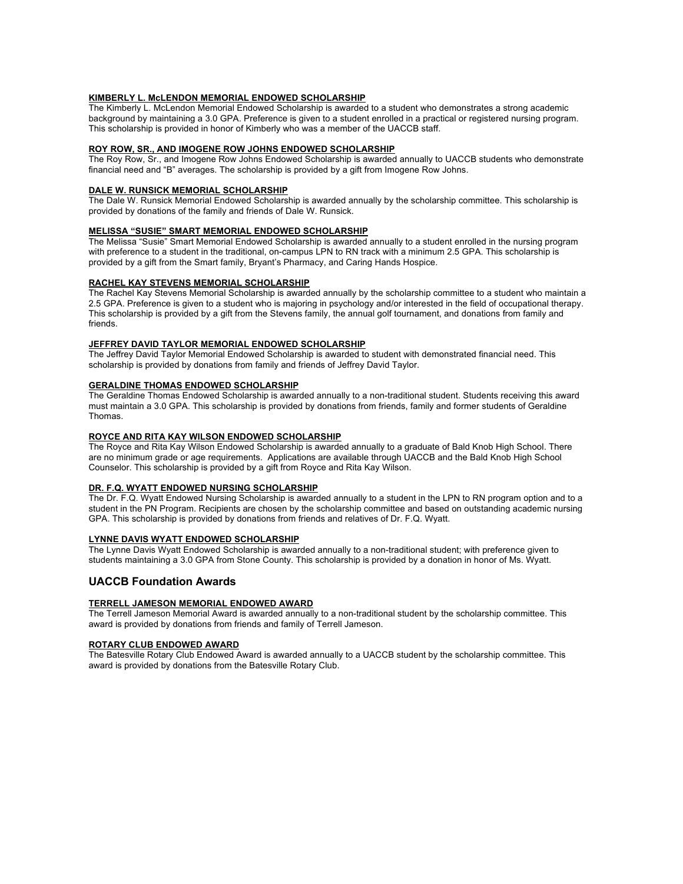#### **KIMBERLY L. McLENDON MEMORIAL ENDOWED SCHOLARSHIP**

The Kimberly L. McLendon Memorial Endowed Scholarship is awarded to a student who demonstrates a strong academic background by maintaining a 3.0 GPA. Preference is given to a student enrolled in a practical or registered nursing program. This scholarship is provided in honor of Kimberly who was a member of the UACCB staff.

#### **ROY ROW, SR., AND IMOGENE ROW JOHNS ENDOWED SCHOLARSHIP**

The Roy Row, Sr., and Imogene Row Johns Endowed Scholarship is awarded annually to UACCB students who demonstrate financial need and "B" averages. The scholarship is provided by a gift from Imogene Row Johns.

#### **DALE W. RUNSICK MEMORIAL SCHOLARSHIP**

The Dale W. Runsick Memorial Endowed Scholarship is awarded annually by the scholarship committee. This scholarship is provided by donations of the family and friends of Dale W. Runsick.

#### **MELISSA "SUSIE" SMART MEMORIAL ENDOWED SCHOLARSHIP**

The Melissa "Susie" Smart Memorial Endowed Scholarship is awarded annually to a student enrolled in the nursing program with preference to a student in the traditional, on-campus LPN to RN track with a minimum 2.5 GPA. This scholarship is provided by a gift from the Smart family, Bryant's Pharmacy, and Caring Hands Hospice.

#### **RACHEL KAY STEVENS MEMORIAL SCHOLARSHIP**

The Rachel Kay Stevens Memorial Scholarship is awarded annually by the scholarship committee to a student who maintain a 2.5 GPA. Preference is given to a student who is majoring in psychology and/or interested in the field of occupational therapy. This scholarship is provided by a gift from the Stevens family, the annual golf tournament, and donations from family and friends.

#### **JEFFREY DAVID TAYLOR MEMORIAL ENDOWED SCHOLARSHIP**

The Jeffrey David Taylor Memorial Endowed Scholarship is awarded to student with demonstrated financial need. This scholarship is provided by donations from family and friends of Jeffrey David Taylor.

#### **GERALDINE THOMAS ENDOWED SCHOLARSHIP**

The Geraldine Thomas Endowed Scholarship is awarded annually to a non-traditional student. Students receiving this award must maintain a 3.0 GPA. This scholarship is provided by donations from friends, family and former students of Geraldine Thomas.

#### **ROYCE AND RITA KAY WILSON ENDOWED SCHOLARSHIP**

The Royce and Rita Kay Wilson Endowed Scholarship is awarded annually to a graduate of Bald Knob High School. There are no minimum grade or age requirements. Applications are available through UACCB and the Bald Knob High School Counselor. This scholarship is provided by a gift from Royce and Rita Kay Wilson.

#### **DR. F.Q. WYATT ENDOWED NURSING SCHOLARSHIP**

The Dr. F.Q. Wyatt Endowed Nursing Scholarship is awarded annually to a student in the LPN to RN program option and to a student in the PN Program. Recipients are chosen by the scholarship committee and based on outstanding academic nursing GPA. This scholarship is provided by donations from friends and relatives of Dr. F.Q. Wyatt.

#### **LYNNE DAVIS WYATT ENDOWED SCHOLARSHIP**

The Lynne Davis Wyatt Endowed Scholarship is awarded annually to a non-traditional student; with preference given to students maintaining a 3.0 GPA from Stone County. This scholarship is provided by a donation in honor of Ms. Wyatt.

#### **UACCB Foundation Awards**

#### **TERRELL JAMESON MEMORIAL ENDOWED AWARD**

The Terrell Jameson Memorial Award is awarded annually to a non-traditional student by the scholarship committee. This award is provided by donations from friends and family of Terrell Jameson.

#### **ROTARY CLUB ENDOWED AWARD**

The Batesville Rotary Club Endowed Award is awarded annually to a UACCB student by the scholarship committee. This award is provided by donations from the Batesville Rotary Club.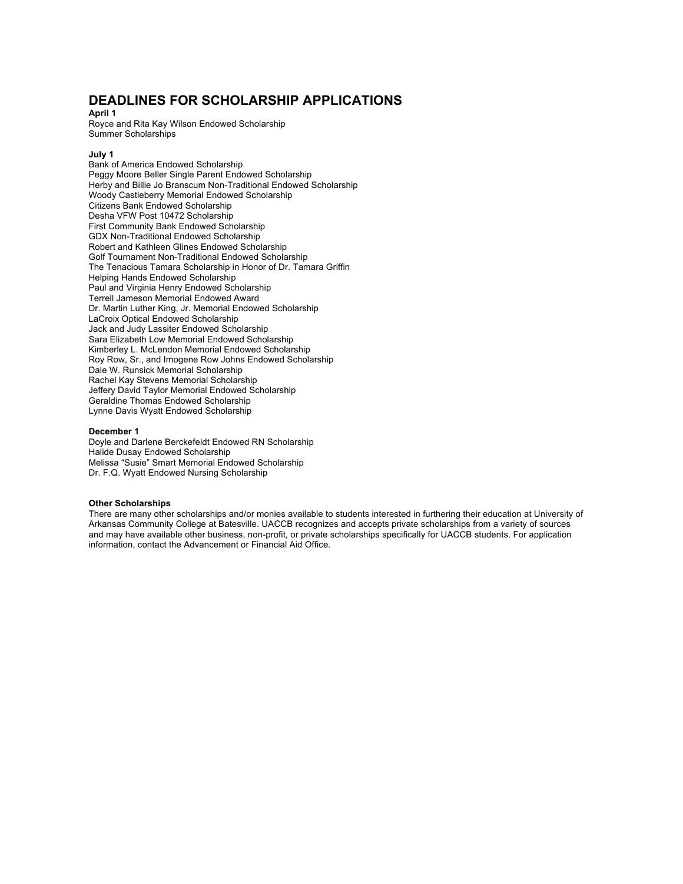# **DEADLINES FOR SCHOLARSHIP APPLICATIONS**

**April 1** 

Royce and Rita Kay Wilson Endowed Scholarship Summer Scholarships

#### **July 1**

Bank of America Endowed Scholarship Peggy Moore Beller Single Parent Endowed Scholarship Herby and Billie Jo Branscum Non-Traditional Endowed Scholarship Woody Castleberry Memorial Endowed Scholarship Citizens Bank Endowed Scholarship Desha VFW Post 10472 Scholarship First Community Bank Endowed Scholarship GDX Non-Traditional Endowed Scholarship Robert and Kathleen Glines Endowed Scholarship Golf Tournament Non-Traditional Endowed Scholarship The Tenacious Tamara Scholarship in Honor of Dr. Tamara Griffin Helping Hands Endowed Scholarship Paul and Virginia Henry Endowed Scholarship Terrell Jameson Memorial Endowed Award Dr. Martin Luther King, Jr. Memorial Endowed Scholarship LaCroix Optical Endowed Scholarship Jack and Judy Lassiter Endowed Scholarship Sara Elizabeth Low Memorial Endowed Scholarship Kimberley L. McLendon Memorial Endowed Scholarship Roy Row, Sr., and Imogene Row Johns Endowed Scholarship Dale W. Runsick Memorial Scholarship Rachel Kay Stevens Memorial Scholarship Jeffery David Taylor Memorial Endowed Scholarship Geraldine Thomas Endowed Scholarship Lynne Davis Wyatt Endowed Scholarship

#### **December 1**

Doyle and Darlene Berckefeldt Endowed RN Scholarship Halide Dusay Endowed Scholarship Melissa "Susie" Smart Memorial Endowed Scholarship Dr. F.Q. Wyatt Endowed Nursing Scholarship

#### **Other Scholarships**

There are many other scholarships and/or monies available to students interested in furthering their education at University of Arkansas Community College at Batesville. UACCB recognizes and accepts private scholarships from a variety of sources and may have available other business, non-profit, or private scholarships specifically for UACCB students. For application information, contact the Advancement or Financial Aid Office.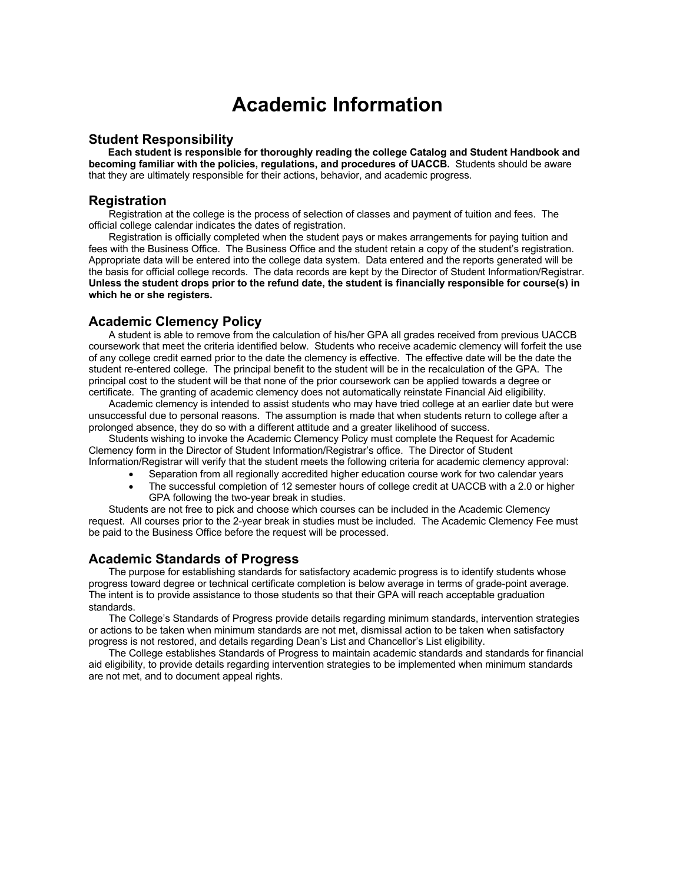# **Academic Information**

### **Student Responsibility**

 **Each student is responsible for thoroughly reading the college Catalog and Student Handbook and becoming familiar with the policies, regulations, and procedures of UACCB.** Students should be aware that they are ultimately responsible for their actions, behavior, and academic progress.

# **Registration**

Registration at the college is the process of selection of classes and payment of tuition and fees. The official college calendar indicates the dates of registration.

 Registration is officially completed when the student pays or makes arrangements for paying tuition and fees with the Business Office. The Business Office and the student retain a copy of the student's registration. Appropriate data will be entered into the college data system. Data entered and the reports generated will be the basis for official college records. The data records are kept by the Director of Student Information/Registrar. **Unless the student drops prior to the refund date, the student is financially responsible for course(s) in which he or she registers.**

# **Academic Clemency Policy**

A student is able to remove from the calculation of his/her GPA all grades received from previous UACCB coursework that meet the criteria identified below. Students who receive academic clemency will forfeit the use of any college credit earned prior to the date the clemency is effective. The effective date will be the date the student re-entered college. The principal benefit to the student will be in the recalculation of the GPA. The principal cost to the student will be that none of the prior coursework can be applied towards a degree or certificate. The granting of academic clemency does not automatically reinstate Financial Aid eligibility.

Academic clemency is intended to assist students who may have tried college at an earlier date but were unsuccessful due to personal reasons. The assumption is made that when students return to college after a prolonged absence, they do so with a different attitude and a greater likelihood of success.

Students wishing to invoke the Academic Clemency Policy must complete the Request for Academic Clemency form in the Director of Student Information/Registrar's office. The Director of Student Information/Registrar will verify that the student meets the following criteria for academic clemency approval:

- Separation from all regionally accredited higher education course work for two calendar years
- The successful completion of 12 semester hours of college credit at UACCB with a 2.0 or higher GPA following the two-year break in studies.

Students are not free to pick and choose which courses can be included in the Academic Clemency request. All courses prior to the 2-year break in studies must be included. The Academic Clemency Fee must be paid to the Business Office before the request will be processed.

# **Academic Standards of Progress**

The purpose for establishing standards for satisfactory academic progress is to identify students whose progress toward degree or technical certificate completion is below average in terms of grade-point average. The intent is to provide assistance to those students so that their GPA will reach acceptable graduation standards.

The College's Standards of Progress provide details regarding minimum standards, intervention strategies or actions to be taken when minimum standards are not met, dismissal action to be taken when satisfactory progress is not restored, and details regarding Dean's List and Chancellor's List eligibility.

The College establishes Standards of Progress to maintain academic standards and standards for financial aid eligibility, to provide details regarding intervention strategies to be implemented when minimum standards are not met, and to document appeal rights.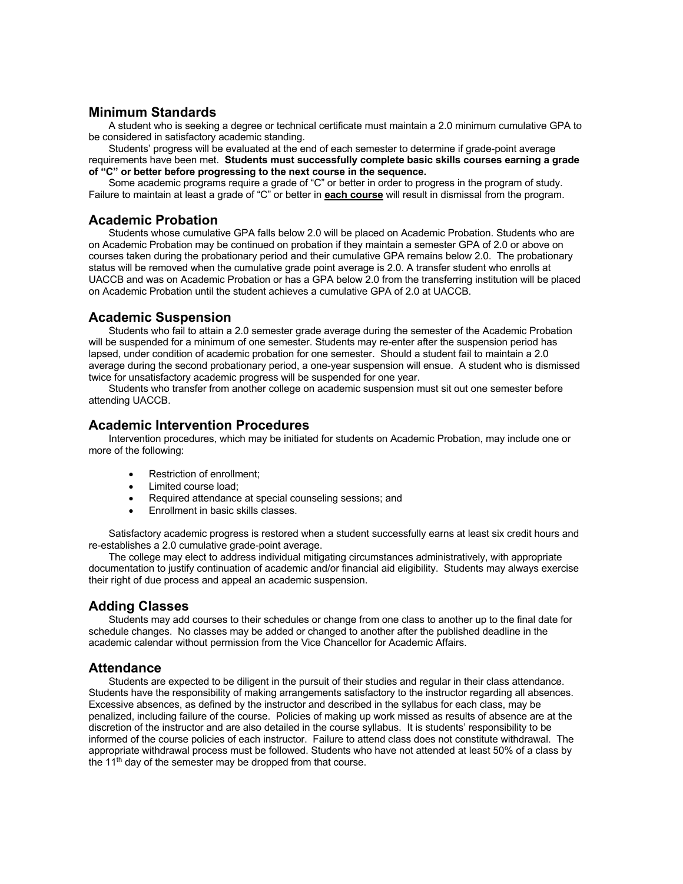# **Minimum Standards**

A student who is seeking a degree or technical certificate must maintain a 2.0 minimum cumulative GPA to be considered in satisfactory academic standing.

Students' progress will be evaluated at the end of each semester to determine if grade-point average requirements have been met. **Students must successfully complete basic skills courses earning a grade of "C" or better before progressing to the next course in the sequence.** 

Some academic programs require a grade of "C" or better in order to progress in the program of study. Failure to maintain at least a grade of "C" or better in **each course** will result in dismissal from the program.

# **Academic Probation**

Students whose cumulative GPA falls below 2.0 will be placed on Academic Probation. Students who are on Academic Probation may be continued on probation if they maintain a semester GPA of 2.0 or above on courses taken during the probationary period and their cumulative GPA remains below 2.0. The probationary status will be removed when the cumulative grade point average is 2.0. A transfer student who enrolls at UACCB and was on Academic Probation or has a GPA below 2.0 from the transferring institution will be placed on Academic Probation until the student achieves a cumulative GPA of 2.0 at UACCB.

# **Academic Suspension**

Students who fail to attain a 2.0 semester grade average during the semester of the Academic Probation will be suspended for a minimum of one semester. Students may re-enter after the suspension period has lapsed, under condition of academic probation for one semester. Should a student fail to maintain a 2.0 average during the second probationary period, a one-year suspension will ensue. A student who is dismissed twice for unsatisfactory academic progress will be suspended for one year.

Students who transfer from another college on academic suspension must sit out one semester before attending UACCB.

# **Academic Intervention Procedures**

Intervention procedures, which may be initiated for students on Academic Probation, may include one or more of the following:

- Restriction of enrollment;
- Limited course load;
- Required attendance at special counseling sessions; and
- Enrollment in basic skills classes.

Satisfactory academic progress is restored when a student successfully earns at least six credit hours and re-establishes a 2.0 cumulative grade-point average.

The college may elect to address individual mitigating circumstances administratively, with appropriate documentation to justify continuation of academic and/or financial aid eligibility. Students may always exercise their right of due process and appeal an academic suspension.

# **Adding Classes**

Students may add courses to their schedules or change from one class to another up to the final date for schedule changes. No classes may be added or changed to another after the published deadline in the academic calendar without permission from the Vice Chancellor for Academic Affairs.

# **Attendance**

Students are expected to be diligent in the pursuit of their studies and regular in their class attendance. Students have the responsibility of making arrangements satisfactory to the instructor regarding all absences. Excessive absences, as defined by the instructor and described in the syllabus for each class, may be penalized, including failure of the course. Policies of making up work missed as results of absence are at the discretion of the instructor and are also detailed in the course syllabus. It is students' responsibility to be informed of the course policies of each instructor. Failure to attend class does not constitute withdrawal. The appropriate withdrawal process must be followed. Students who have not attended at least 50% of a class by the  $11<sup>th</sup>$  day of the semester may be dropped from that course.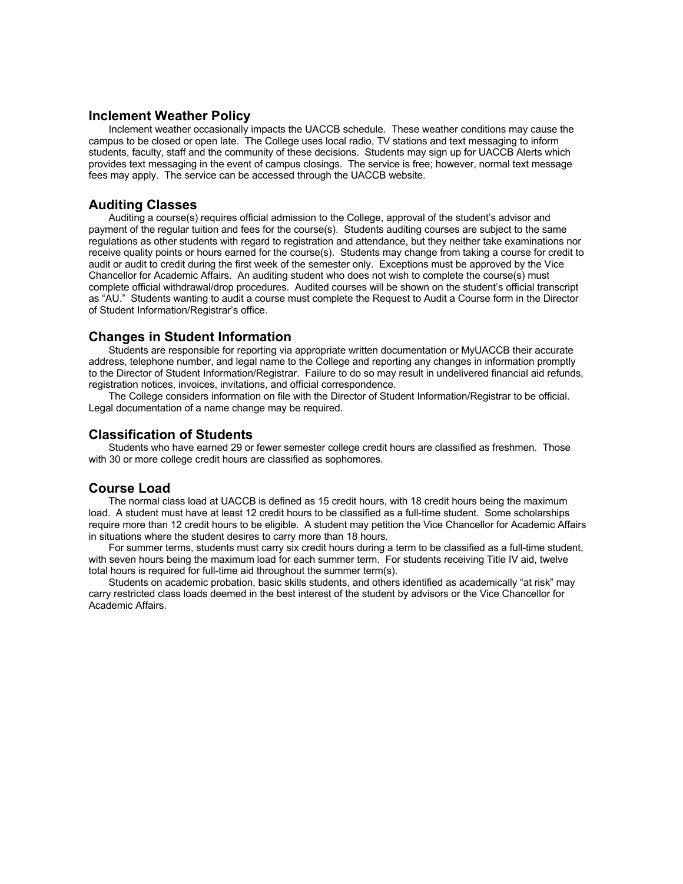# **Inclement Weather Policy**

Inclement weather occasionally impacts the UACCB schedule. These weather conditions may cause the campus to be closed or open late. The College uses local radio, TV stations and text messaging to inform students, faculty, staff and the community of these decisions. Students may sign up for UACCB Alerts which provides text messaging in the event of campus closings. The service is free; however, normal text message fees may apply. The service can be accessed through the UACCB website.

# **Auditing Classes**

Auditing a course(s) requires official admission to the College, approval of the student's advisor and payment of the regular tuition and fees for the course(s). Students auditing courses are subject to the same regulations as other students with regard to registration and attendance, but they neither take examinations nor receive quality points or hours earned for the course(s). Students may change from taking a course for credit to audit or audit to credit during the first week of the semester only. Exceptions must be approved by the Vice Chancellor for Academic Affairs. An auditing student who does not wish to complete the course(s) must complete official withdrawal/drop procedures. Audited courses will be shown on the student's official transcript as "AU." Students wanting to audit a course must complete the Request to Audit a Course form in the Director of Student Information/Registrar's office.

# **Changes in Student Information**

Students are responsible for reporting via appropriate written documentation or MyUACCB their accurate address, telephone number, and legal name to the College and reporting any changes in information promptly to the Director of Student Information/Registrar. Failure to do so may result in undelivered financial aid refunds, registration notices, invoices, invitations, and official correspondence.

The College considers information on file with the Director of Student Information/Registrar to be official. Legal documentation of a name change may be required.

# **Classification of Students**

Students who have earned 29 or fewer semester college credit hours are classified as freshmen. Those with 30 or more college credit hours are classified as sophomores.

# **Course Load**

The normal class load at UACCB is defined as 15 credit hours, with 18 credit hours being the maximum load. A student must have at least 12 credit hours to be classified as a full-time student. Some scholarships require more than 12 credit hours to be eligible. A student may petition the Vice Chancellor for Academic Affairs in situations where the student desires to carry more than 18 hours.

For summer terms, students must carry six credit hours during a term to be classified as a full-time student, with seven hours being the maximum load for each summer term. For students receiving Title IV aid, twelve total hours is required for full-time aid throughout the summer term(s).

Students on academic probation, basic skills students, and others identified as academically "at risk" may carry restricted class loads deemed in the best interest of the student by advisors or the Vice Chancellor for Academic Affairs.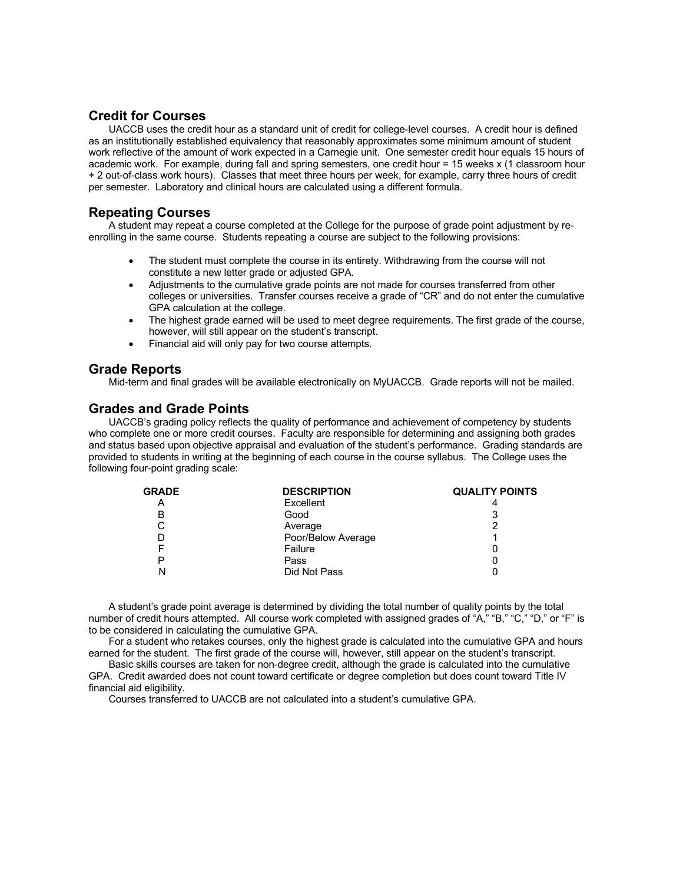# **Credit for Courses**

UACCB uses the credit hour as a standard unit of credit for college-level courses. A credit hour is defined as an institutionally established equivalency that reasonably approximates some minimum amount of student work reflective of the amount of work expected in a Carnegie unit. One semester credit hour equals 15 hours of academic work. For example, during fall and spring semesters, one credit hour = 15 weeks x (1 classroom hour + 2 out-of-class work hours). Classes that meet three hours per week, for example, carry three hours of credit per semester. Laboratory and clinical hours are calculated using a different formula.

# **Repeating Courses**

A student may repeat a course completed at the College for the purpose of grade point adjustment by reenrolling in the same course. Students repeating a course are subject to the following provisions:

- The student must complete the course in its entirety. Withdrawing from the course will not constitute a new letter grade or adjusted GPA.
- Adjustments to the cumulative grade points are not made for courses transferred from other colleges or universities. Transfer courses receive a grade of "CR" and do not enter the cumulative GPA calculation at the college.
- The highest grade earned will be used to meet degree requirements. The first grade of the course, however, will still appear on the student's transcript.
- Financial aid will only pay for two course attempts.

# **Grade Reports**

Mid-term and final grades will be available electronically on MyUACCB. Grade reports will not be mailed.

# **Grades and Grade Points**

UACCB's grading policy reflects the quality of performance and achievement of competency by students who complete one or more credit courses. Faculty are responsible for determining and assigning both grades and status based upon objective appraisal and evaluation of the student's performance. Grading standards are provided to students in writing at the beginning of each course in the course syllabus. The College uses the following four-point grading scale:

| <b>GRADE</b> | <b>DESCRIPTION</b> | <b>QUALITY POINTS</b> |
|--------------|--------------------|-----------------------|
| Α            | Excellent          |                       |
| в            | Good               | ິ                     |
| U            | Average            |                       |
|              | Poor/Below Average |                       |
|              | Failure            |                       |
|              | Pass               |                       |
|              | Did Not Pass       |                       |

A student's grade point average is determined by dividing the total number of quality points by the total number of credit hours attempted. All course work completed with assigned grades of "A," "B," "C," "D," or "F" is to be considered in calculating the cumulative GPA.

For a student who retakes courses, only the highest grade is calculated into the cumulative GPA and hours earned for the student. The first grade of the course will, however, still appear on the student's transcript.

Basic skills courses are taken for non-degree credit, although the grade is calculated into the cumulative GPA. Credit awarded does not count toward certificate or degree completion but does count toward Title IV financial aid eligibility.

Courses transferred to UACCB are not calculated into a student's cumulative GPA.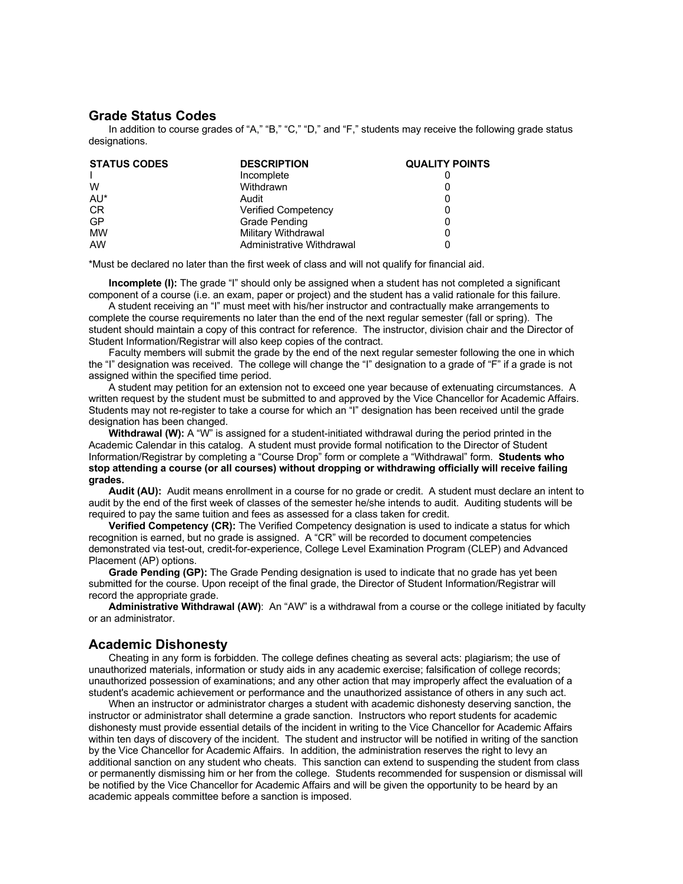## **Grade Status Codes**

In addition to course grades of "A," "B," "C," "D," and "F," students may receive the following grade status designations.

| <b>STATUS CODES</b> | <b>DESCRIPTION</b>         | <b>QUALITY POINTS</b> |
|---------------------|----------------------------|-----------------------|
|                     | Incomplete                 |                       |
| W                   | Withdrawn                  |                       |
| AU*                 | Audit                      |                       |
| <b>CR</b>           | <b>Verified Competency</b> |                       |
| <b>GP</b>           | Grade Pending              |                       |
| MW                  | Military Withdrawal        |                       |
| AW                  | Administrative Withdrawal  |                       |

\*Must be declared no later than the first week of class and will not qualify for financial aid.

**Incomplete (I):** The grade "I" should only be assigned when a student has not completed a significant component of a course (i.e. an exam, paper or project) and the student has a valid rationale for this failure.

A student receiving an "I" must meet with his/her instructor and contractually make arrangements to complete the course requirements no later than the end of the next regular semester (fall or spring). The student should maintain a copy of this contract for reference. The instructor, division chair and the Director of Student Information/Registrar will also keep copies of the contract.

Faculty members will submit the grade by the end of the next regular semester following the one in which the "I" designation was received. The college will change the "I" designation to a grade of "F" if a grade is not assigned within the specified time period.

A student may petition for an extension not to exceed one year because of extenuating circumstances. A written request by the student must be submitted to and approved by the Vice Chancellor for Academic Affairs. Students may not re-register to take a course for which an "I" designation has been received until the grade designation has been changed.

**Withdrawal (W):** A "W" is assigned for a student-initiated withdrawal during the period printed in the Academic Calendar in this catalog. A student must provide formal notification to the Director of Student Information/Registrar by completing a "Course Drop" form or complete a "Withdrawal" form. **Students who stop attending a course (or all courses) without dropping or withdrawing officially will receive failing grades.**

**Audit (AU):** Audit means enrollment in a course for no grade or credit. A student must declare an intent to audit by the end of the first week of classes of the semester he/she intends to audit. Auditing students will be required to pay the same tuition and fees as assessed for a class taken for credit.

**Verified Competency (CR):** The Verified Competency designation is used to indicate a status for which recognition is earned, but no grade is assigned. A "CR" will be recorded to document competencies demonstrated via test-out, credit-for-experience, College Level Examination Program (CLEP) and Advanced Placement (AP) options.

**Grade Pending (GP):** The Grade Pending designation is used to indicate that no grade has yet been submitted for the course. Upon receipt of the final grade, the Director of Student Information/Registrar will record the appropriate grade.

**Administrative Withdrawal (AW)**: An "AW" is a withdrawal from a course or the college initiated by faculty or an administrator.

### **Academic Dishonesty**

Cheating in any form is forbidden. The college defines cheating as several acts: plagiarism; the use of unauthorized materials, information or study aids in any academic exercise; falsification of college records; unauthorized possession of examinations; and any other action that may improperly affect the evaluation of a student's academic achievement or performance and the unauthorized assistance of others in any such act.

When an instructor or administrator charges a student with academic dishonesty deserving sanction, the instructor or administrator shall determine a grade sanction. Instructors who report students for academic dishonesty must provide essential details of the incident in writing to the Vice Chancellor for Academic Affairs within ten days of discovery of the incident. The student and instructor will be notified in writing of the sanction by the Vice Chancellor for Academic Affairs. In addition, the administration reserves the right to levy an additional sanction on any student who cheats. This sanction can extend to suspending the student from class or permanently dismissing him or her from the college. Students recommended for suspension or dismissal will be notified by the Vice Chancellor for Academic Affairs and will be given the opportunity to be heard by an academic appeals committee before a sanction is imposed.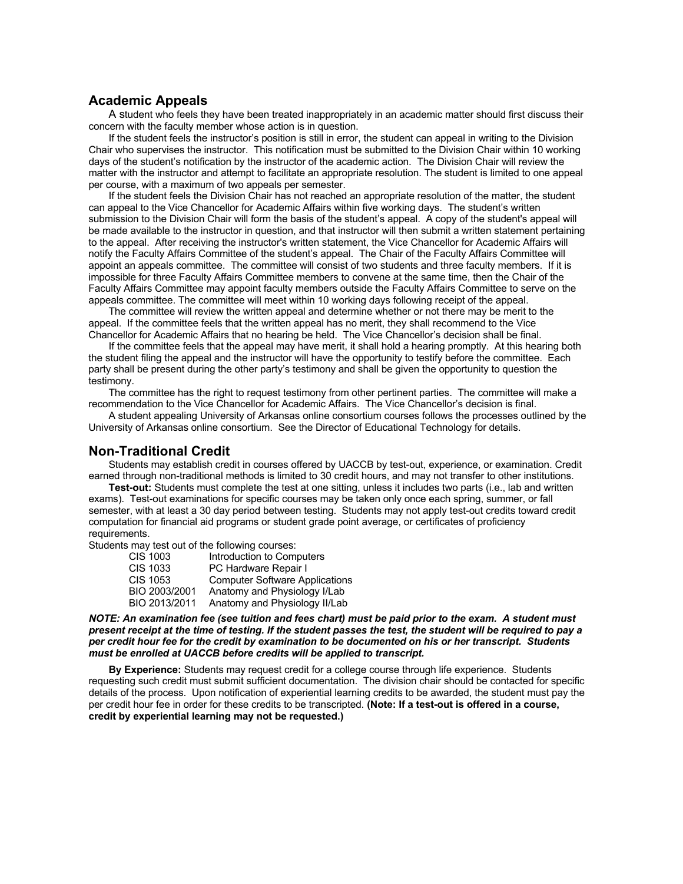### **Academic Appeals**

A student who feels they have been treated inappropriately in an academic matter should first discuss their concern with the faculty member whose action is in question.

If the student feels the instructor's position is still in error, the student can appeal in writing to the Division Chair who supervises the instructor. This notification must be submitted to the Division Chair within 10 working days of the student's notification by the instructor of the academic action. The Division Chair will review the matter with the instructor and attempt to facilitate an appropriate resolution. The student is limited to one appeal per course, with a maximum of two appeals per semester.

If the student feels the Division Chair has not reached an appropriate resolution of the matter, the student can appeal to the Vice Chancellor for Academic Affairs within five working days. The student's written submission to the Division Chair will form the basis of the student's appeal. A copy of the student's appeal will be made available to the instructor in question, and that instructor will then submit a written statement pertaining to the appeal. After receiving the instructor's written statement, the Vice Chancellor for Academic Affairs will notify the Faculty Affairs Committee of the student's appeal. The Chair of the Faculty Affairs Committee will appoint an appeals committee. The committee will consist of two students and three faculty members. If it is impossible for three Faculty Affairs Committee members to convene at the same time, then the Chair of the Faculty Affairs Committee may appoint faculty members outside the Faculty Affairs Committee to serve on the appeals committee. The committee will meet within 10 working days following receipt of the appeal.

The committee will review the written appeal and determine whether or not there may be merit to the appeal. If the committee feels that the written appeal has no merit, they shall recommend to the Vice Chancellor for Academic Affairs that no hearing be held. The Vice Chancellor's decision shall be final.

If the committee feels that the appeal may have merit, it shall hold a hearing promptly. At this hearing both the student filing the appeal and the instructor will have the opportunity to testify before the committee. Each party shall be present during the other party's testimony and shall be given the opportunity to question the testimony.

The committee has the right to request testimony from other pertinent parties. The committee will make a recommendation to the Vice Chancellor for Academic Affairs. The Vice Chancellor's decision is final.

A student appealing University of Arkansas online consortium courses follows the processes outlined by the University of Arkansas online consortium. See the Director of Educational Technology for details.

### **Non-Traditional Credit**

Students may establish credit in courses offered by UACCB by test-out, experience, or examination. Credit earned through non-traditional methods is limited to 30 credit hours, and may not transfer to other institutions.

**Test-out:** Students must complete the test at one sitting, unless it includes two parts (i.e., lab and written exams). Test-out examinations for specific courses may be taken only once each spring, summer, or fall semester, with at least a 30 day period between testing. Students may not apply test-out credits toward credit computation for financial aid programs or student grade point average, or certificates of proficiency requirements.

Students may test out of the following courses:

| CIS 1003        | Introduction to Computers             |
|-----------------|---------------------------------------|
| <b>CIS 1033</b> | PC Hardware Repair I                  |
| CIS 1053        | <b>Computer Software Applications</b> |
| BIO 2003/2001   | Anatomy and Physiology I/Lab          |
| BIO 2013/2011   | Anatomy and Physiology II/Lab         |
|                 |                                       |

#### *NOTE: An examination fee (see tuition and fees chart) must be paid prior to the exam. A student must present receipt at the time of testing. If the student passes the test, the student will be required to pay a per credit hour fee for the credit by examination to be documented on his or her transcript. Students must be enrolled at UACCB before credits will be applied to transcript.*

**By Experience:** Students may request credit for a college course through life experience. Students requesting such credit must submit sufficient documentation. The division chair should be contacted for specific details of the process. Upon notification of experiential learning credits to be awarded, the student must pay the per credit hour fee in order for these credits to be transcripted. **(Note: If a test-out is offered in a course, credit by experiential learning may not be requested.)**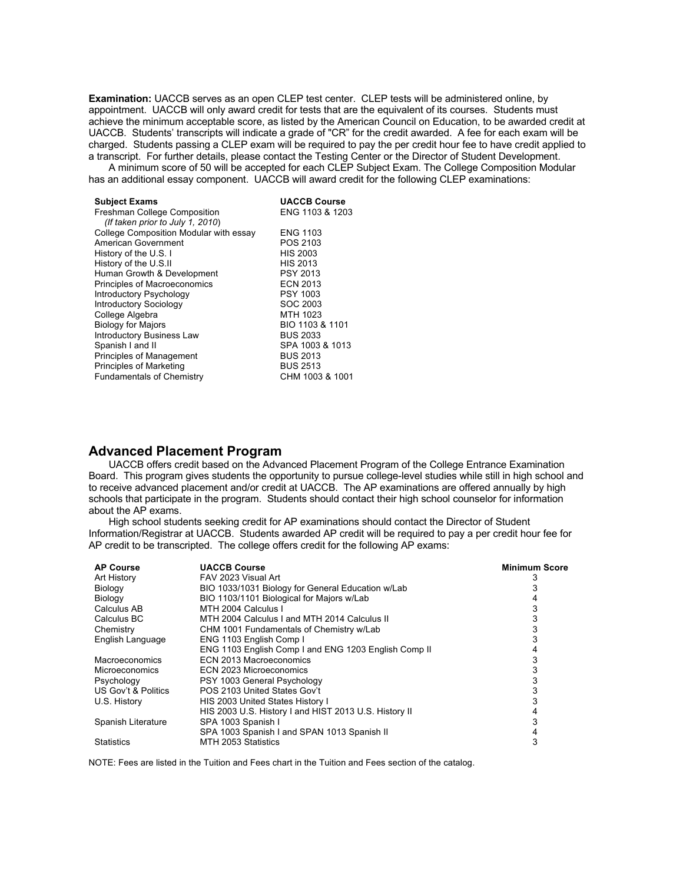**Examination:** UACCB serves as an open CLEP test center. CLEP tests will be administered online, by appointment. UACCB will only award credit for tests that are the equivalent of its courses. Students must achieve the minimum acceptable score, as listed by the American Council on Education, to be awarded credit at UACCB. Students' transcripts will indicate a grade of "CR" for the credit awarded. A fee for each exam will be charged. Students passing a CLEP exam will be required to pay the per credit hour fee to have credit applied to a transcript. For further details, please contact the Testing Center or the Director of Student Development.

A minimum score of 50 will be accepted for each CLEP Subject Exam. The College Composition Modular has an additional essay component. UACCB will award credit for the following CLEP examinations:

| <b>Subject Exams</b>                   | <b>UACCB Course</b> |
|----------------------------------------|---------------------|
| Freshman College Composition           | ENG 1103 & 1203     |
| (If taken prior to July 1, 2010)       |                     |
| College Composition Modular with essay | <b>ENG 1103</b>     |
| American Government                    | POS 2103            |
| History of the U.S. I                  | <b>HIS 2003</b>     |
| History of the U.S.II                  | <b>HIS 2013</b>     |
| Human Growth & Development             | <b>PSY 2013</b>     |
| Principles of Macroeconomics           | <b>ECN 2013</b>     |
| Introductory Psychology                | <b>PSY 1003</b>     |
| <b>Introductory Sociology</b>          | SOC 2003            |
| College Algebra                        | MTH 1023            |
| <b>Biology for Majors</b>              | BIO 1103 & 1101     |
| <b>Introductory Business Law</b>       | <b>BUS 2033</b>     |
| Spanish I and II                       | SPA 1003 & 1013     |
| <b>Principles of Management</b>        | <b>BUS 2013</b>     |
| <b>Principles of Marketing</b>         | <b>BUS 2513</b>     |
| <b>Fundamentals of Chemistry</b>       | CHM 1003 & 1001     |

## **Advanced Placement Program**

UACCB offers credit based on the Advanced Placement Program of the College Entrance Examination Board. This program gives students the opportunity to pursue college-level studies while still in high school and to receive advanced placement and/or credit at UACCB. The AP examinations are offered annually by high schools that participate in the program. Students should contact their high school counselor for information about the AP exams.

High school students seeking credit for AP examinations should contact the Director of Student Information/Registrar at UACCB. Students awarded AP credit will be required to pay a per credit hour fee for AP credit to be transcripted. The college offers credit for the following AP exams:

| <b>AP Course</b>      | <b>UACCB Course</b>                                   | <b>Minimum Score</b> |
|-----------------------|-------------------------------------------------------|----------------------|
| <b>Art History</b>    | FAV 2023 Visual Art                                   |                      |
| Biology               | BIO 1033/1031 Biology for General Education w/Lab     |                      |
| Biology               | BIO 1103/1101 Biological for Majors w/Lab             |                      |
| Calculus AB           | MTH 2004 Calculus I                                   |                      |
| Calculus BC           | MTH 2004 Calculus I and MTH 2014 Calculus II          |                      |
| Chemistry             | CHM 1001 Fundamentals of Chemistry w/Lab              |                      |
| English Language      | ENG 1103 English Comp I                               |                      |
|                       | ENG 1103 English Comp I and ENG 1203 English Comp II  |                      |
| Macroeconomics        | ECN 2013 Macroeconomics                               |                      |
| <b>Microeconomics</b> | ECN 2023 Microeconomics                               |                      |
| Psychology            | PSY 1003 General Psychology                           |                      |
| US Gov't & Politics   | POS 2103 United States Gov't                          |                      |
| U.S. History          | HIS 2003 United States History I                      |                      |
|                       | HIS 2003 U.S. History I and HIST 2013 U.S. History II |                      |
| Spanish Literature    | SPA 1003 Spanish I                                    |                      |
|                       | SPA 1003 Spanish I and SPAN 1013 Spanish II           |                      |
| <b>Statistics</b>     | MTH 2053 Statistics                                   | 3                    |

NOTE: Fees are listed in the Tuition and Fees chart in the Tuition and Fees section of the catalog.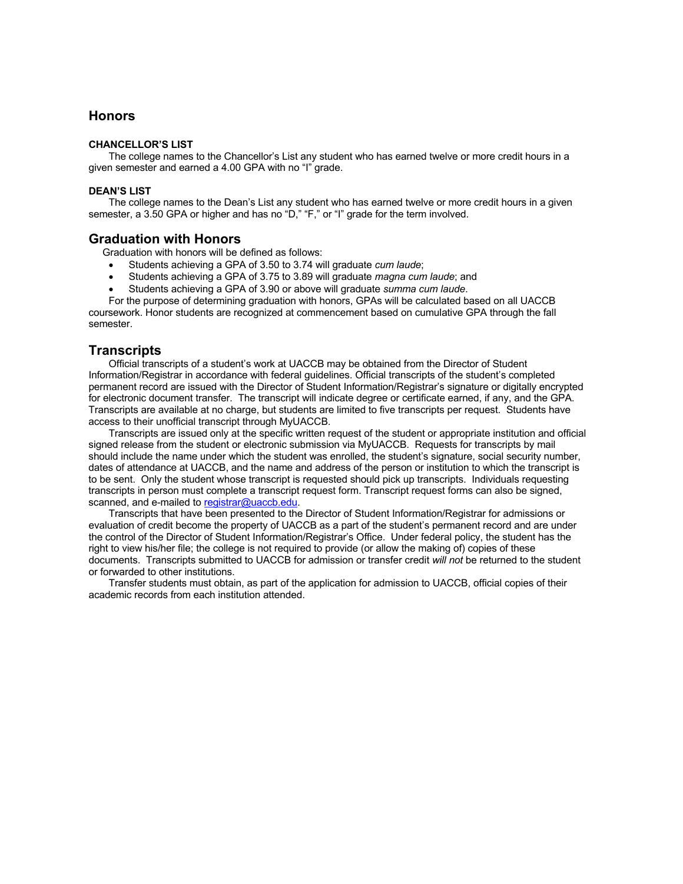### **Honors**

#### **CHANCELLOR'S LIST**

The college names to the Chancellor's List any student who has earned twelve or more credit hours in a given semester and earned a 4.00 GPA with no "I" grade.

#### **DEAN'S LIST**

The college names to the Dean's List any student who has earned twelve or more credit hours in a given semester, a 3.50 GPA or higher and has no "D," "F," or "I" grade for the term involved.

#### **Graduation with Honors**

Graduation with honors will be defined as follows:

- Students achieving a GPA of 3.50 to 3.74 will graduate *cum laude*;
- Students achieving a GPA of 3.75 to 3.89 will graduate *magna cum laude*; and
- Students achieving a GPA of 3.90 or above will graduate *summa cum laude*.

For the purpose of determining graduation with honors, GPAs will be calculated based on all UACCB coursework. Honor students are recognized at commencement based on cumulative GPA through the fall semester.

### **Transcripts**

Official transcripts of a student's work at UACCB may be obtained from the Director of Student Information/Registrar in accordance with federal guidelines. Official transcripts of the student's completed permanent record are issued with the Director of Student Information/Registrar's signature or digitally encrypted for electronic document transfer. The transcript will indicate degree or certificate earned, if any, and the GPA. Transcripts are available at no charge, but students are limited to five transcripts per request. Students have access to their unofficial transcript through MyUACCB.

Transcripts are issued only at the specific written request of the student or appropriate institution and official signed release from the student or electronic submission via MyUACCB. Requests for transcripts by mail should include the name under which the student was enrolled, the student's signature, social security number, dates of attendance at UACCB, and the name and address of the person or institution to which the transcript is to be sent. Only the student whose transcript is requested should pick up transcripts. Individuals requesting transcripts in person must complete a transcript request form. Transcript request forms can also be signed, scanned, and e-mailed to registrar@uaccb.edu.

Transcripts that have been presented to the Director of Student Information/Registrar for admissions or evaluation of credit become the property of UACCB as a part of the student's permanent record and are under the control of the Director of Student Information/Registrar's Office. Under federal policy, the student has the right to view his/her file; the college is not required to provide (or allow the making of) copies of these documents. Transcripts submitted to UACCB for admission or transfer credit *will not* be returned to the student or forwarded to other institutions.

Transfer students must obtain, as part of the application for admission to UACCB, official copies of their academic records from each institution attended.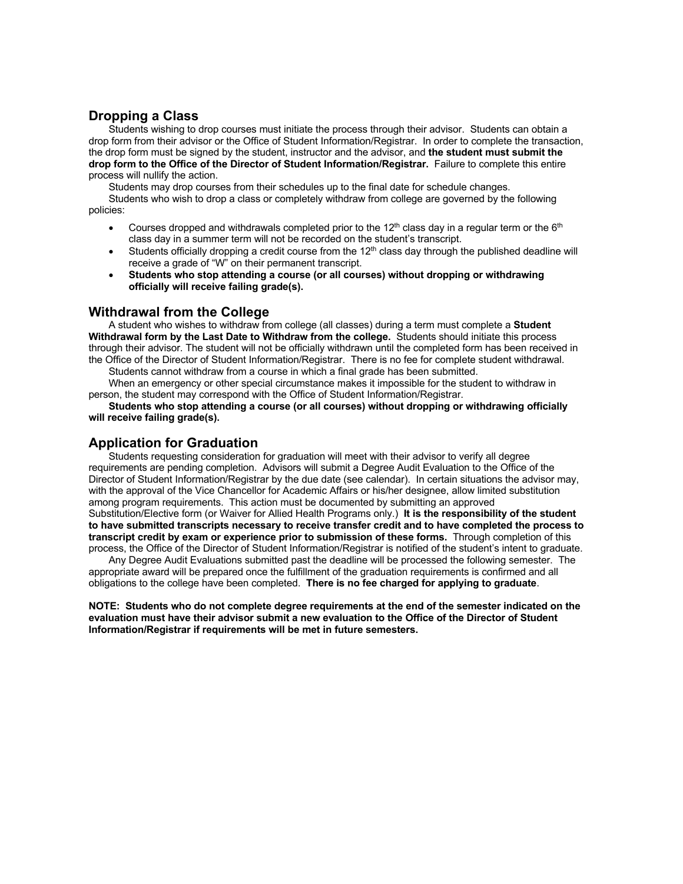## **Dropping a Class**

Students wishing to drop courses must initiate the process through their advisor. Students can obtain a drop form from their advisor or the Office of Student Information/Registrar. In order to complete the transaction, the drop form must be signed by the student, instructor and the advisor, and **the student must submit the drop form to the Office of the Director of Student Information/Registrar.** Failure to complete this entire process will nullify the action.

Students may drop courses from their schedules up to the final date for schedule changes.

Students who wish to drop a class or completely withdraw from college are governed by the following policies:

- Courses dropped and withdrawals completed prior to the  $12<sup>th</sup>$  class day in a regular term or the  $6<sup>th</sup>$ class day in a summer term will not be recorded on the student's transcript.
- Students officially dropping a credit course from the 12<sup>th</sup> class day through the published deadline will receive a grade of "W" on their permanent transcript.
- **Students who stop attending a course (or all courses) without dropping or withdrawing officially will receive failing grade(s).**

### **Withdrawal from the College**

A student who wishes to withdraw from college (all classes) during a term must complete a **Student Withdrawal form by the Last Date to Withdraw from the college.** Students should initiate this process through their advisor. The student will not be officially withdrawn until the completed form has been received in the Office of the Director of Student Information/Registrar. There is no fee for complete student withdrawal.

Students cannot withdraw from a course in which a final grade has been submitted.

When an emergency or other special circumstance makes it impossible for the student to withdraw in person, the student may correspond with the Office of Student Information/Registrar.

**Students who stop attending a course (or all courses) without dropping or withdrawing officially will receive failing grade(s).**

### **Application for Graduation**

Students requesting consideration for graduation will meet with their advisor to verify all degree requirements are pending completion. Advisors will submit a Degree Audit Evaluation to the Office of the Director of Student Information/Registrar by the due date (see calendar). In certain situations the advisor may, with the approval of the Vice Chancellor for Academic Affairs or his/her designee, allow limited substitution among program requirements. This action must be documented by submitting an approved Substitution/Elective form (or Waiver for Allied Health Programs only.) **It is the responsibility of the student to have submitted transcripts necessary to receive transfer credit and to have completed the process to transcript credit by exam or experience prior to submission of these forms.** Through completion of this process, the Office of the Director of Student Information/Registrar is notified of the student's intent to graduate.

Any Degree Audit Evaluations submitted past the deadline will be processed the following semester. The appropriate award will be prepared once the fulfillment of the graduation requirements is confirmed and all obligations to the college have been completed. **There is no fee charged for applying to graduate**.

**NOTE: Students who do not complete degree requirements at the end of the semester indicated on the evaluation must have their advisor submit a new evaluation to the Office of the Director of Student Information/Registrar if requirements will be met in future semesters.**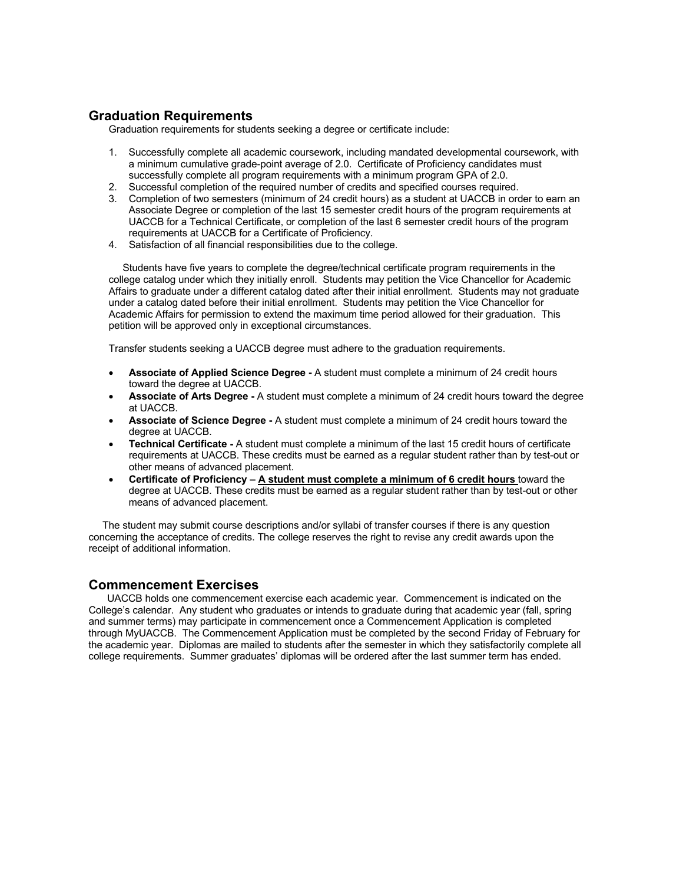## **Graduation Requirements**

Graduation requirements for students seeking a degree or certificate include:

- 1. Successfully complete all academic coursework, including mandated developmental coursework, with a minimum cumulative grade-point average of 2.0. Certificate of Proficiency candidates must successfully complete all program requirements with a minimum program GPA of 2.0.
- 2. Successful completion of the required number of credits and specified courses required.
- 3. Completion of two semesters (minimum of 24 credit hours) as a student at UACCB in order to earn an Associate Degree or completion of the last 15 semester credit hours of the program requirements at UACCB for a Technical Certificate, or completion of the last 6 semester credit hours of the program requirements at UACCB for a Certificate of Proficiency.
- 4. Satisfaction of all financial responsibilities due to the college.

 Students have five years to complete the degree/technical certificate program requirements in the college catalog under which they initially enroll. Students may petition the Vice Chancellor for Academic Affairs to graduate under a different catalog dated after their initial enrollment. Students may not graduate under a catalog dated before their initial enrollment. Students may petition the Vice Chancellor for Academic Affairs for permission to extend the maximum time period allowed for their graduation. This petition will be approved only in exceptional circumstances.

Transfer students seeking a UACCB degree must adhere to the graduation requirements.

- **Associate of Applied Science Degree -** A student must complete a minimum of 24 credit hours toward the degree at UACCB.
- **Associate of Arts Degree -** A student must complete a minimum of 24 credit hours toward the degree at UACCB.
- **Associate of Science Degree -** A student must complete a minimum of 24 credit hours toward the degree at UACCB.
- **Technical Certificate -** A student must complete a minimum of the last 15 credit hours of certificate requirements at UACCB. These credits must be earned as a regular student rather than by test-out or other means of advanced placement.
- **Certificate of Proficiency – A student must complete a minimum of 6 credit hours** toward the degree at UACCB. These credits must be earned as a regular student rather than by test-out or other means of advanced placement.

 The student may submit course descriptions and/or syllabi of transfer courses if there is any question concerning the acceptance of credits. The college reserves the right to revise any credit awards upon the receipt of additional information.

## **Commencement Exercises**

UACCB holds one commencement exercise each academic year. Commencement is indicated on the College's calendar. Any student who graduates or intends to graduate during that academic year (fall, spring and summer terms) may participate in commencement once a Commencement Application is completed through MyUACCB. The Commencement Application must be completed by the second Friday of February for the academic year. Diplomas are mailed to students after the semester in which they satisfactorily complete all college requirements. Summer graduates' diplomas will be ordered after the last summer term has ended.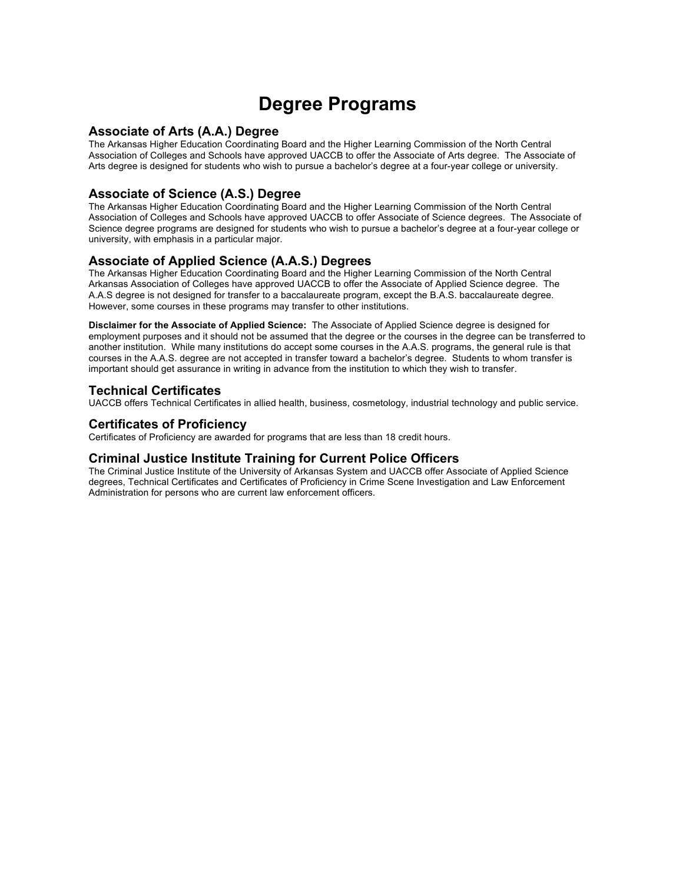# **Degree Programs**

### **Associate of Arts (A.A.) Degree**

The Arkansas Higher Education Coordinating Board and the Higher Learning Commission of the North Central Association of Colleges and Schools have approved UACCB to offer the Associate of Arts degree. The Associate of Arts degree is designed for students who wish to pursue a bachelor's degree at a four-year college or university.

## **Associate of Science (A.S.) Degree**

The Arkansas Higher Education Coordinating Board and the Higher Learning Commission of the North Central Association of Colleges and Schools have approved UACCB to offer Associate of Science degrees. The Associate of Science degree programs are designed for students who wish to pursue a bachelor's degree at a four-year college or university, with emphasis in a particular major.

## **Associate of Applied Science (A.A.S.) Degrees**

The Arkansas Higher Education Coordinating Board and the Higher Learning Commission of the North Central Arkansas Association of Colleges have approved UACCB to offer the Associate of Applied Science degree. The A.A.S degree is not designed for transfer to a baccalaureate program, except the B.A.S. baccalaureate degree. However, some courses in these programs may transfer to other institutions.

**Disclaimer for the Associate of Applied Science:** The Associate of Applied Science degree is designed for employment purposes and it should not be assumed that the degree or the courses in the degree can be transferred to another institution. While many institutions do accept some courses in the A.A.S. programs, the general rule is that courses in the A.A.S. degree are not accepted in transfer toward a bachelor's degree. Students to whom transfer is important should get assurance in writing in advance from the institution to which they wish to transfer.

## **Technical Certificates**

UACCB offers Technical Certificates in allied health, business, cosmetology, industrial technology and public service.

### **Certificates of Proficiency**

Certificates of Proficiency are awarded for programs that are less than 18 credit hours.

### **Criminal Justice Institute Training for Current Police Officers**

The Criminal Justice Institute of the University of Arkansas System and UACCB offer Associate of Applied Science degrees, Technical Certificates and Certificates of Proficiency in Crime Scene Investigation and Law Enforcement Administration for persons who are current law enforcement officers.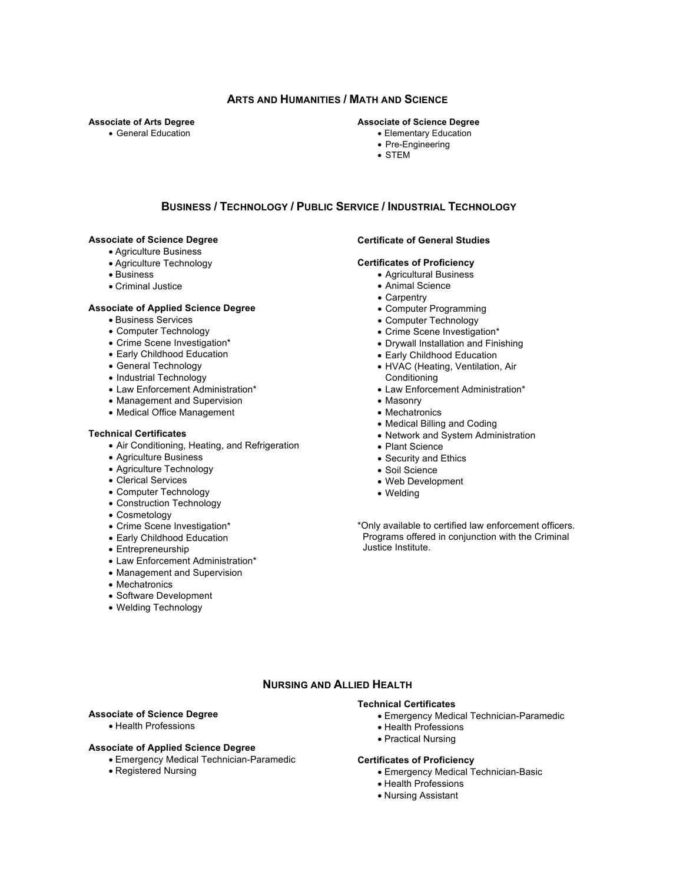### **ARTS AND HUMANITIES / MATH AND SCIENCE**

#### **Associate of Arts Degree**

• General Education

#### **Associate of Science Degree**

- Elementary Education
- Pre-Engineering
- STEM

#### **BUSINESS / TECHNOLOGY / PUBLIC SERVICE / INDUSTRIAL TECHNOLOGY**

#### **Associate of Science Degree**

- Agriculture Business
- Agriculture Technology
- Business
- Criminal Justice

#### **Associate of Applied Science Degree**

- Business Services
- Computer Technology
- Crime Scene Investigation\*
- Early Childhood Education
- General Technology
- Industrial Technology
- Law Enforcement Administration\*
- Management and Supervision
- Medical Office Management

#### **Technical Certificates**

- Air Conditioning, Heating, and Refrigeration
- Agriculture Business
- Agriculture Technology
- Clerical Services
- Computer Technology
- Construction Technology
- Cosmetology
- Crime Scene Investigation\*
- Early Childhood Education
- Entrepreneurship
- Law Enforcement Administration\*
- Management and Supervision
- Mechatronics
- Software Development
- Welding Technology

### **Certificate of General Studies**

#### **Certificates of Proficiency**

- Agricultural Business
- Animal Science
- Carpentry
- Computer Programming
- Computer Technology
- Crime Scene Investigation\*
- Drywall Installation and Finishing
- Early Childhood Education
- HVAC (Heating, Ventilation, Air
- **Conditioning**
- Law Enforcement Administration\*
- Masonry
- Mechatronics
- Medical Billing and Coding
- Network and System Administration
- Plant Science
- Security and Ethics
- Soil Science
- Web Development
- Welding

\*Only available to certified law enforcement officers. Programs offered in conjunction with the Criminal Justice Institute.

#### **NURSING AND ALLIED HEALTH**

#### **Associate of Science Degree**

• Health Professions

#### **Associate of Applied Science Degree**

- Emergency Medical Technician-Paramedic
- Registered Nursing

#### **Technical Certificates**

- Emergency Medical Technician-Paramedic
- Health Professions
- Practical Nursing

#### **Certificates of Proficiency**

- Emergency Medical Technician-Basic
- Health Professions
- Nursing Assistant

- -

- 
-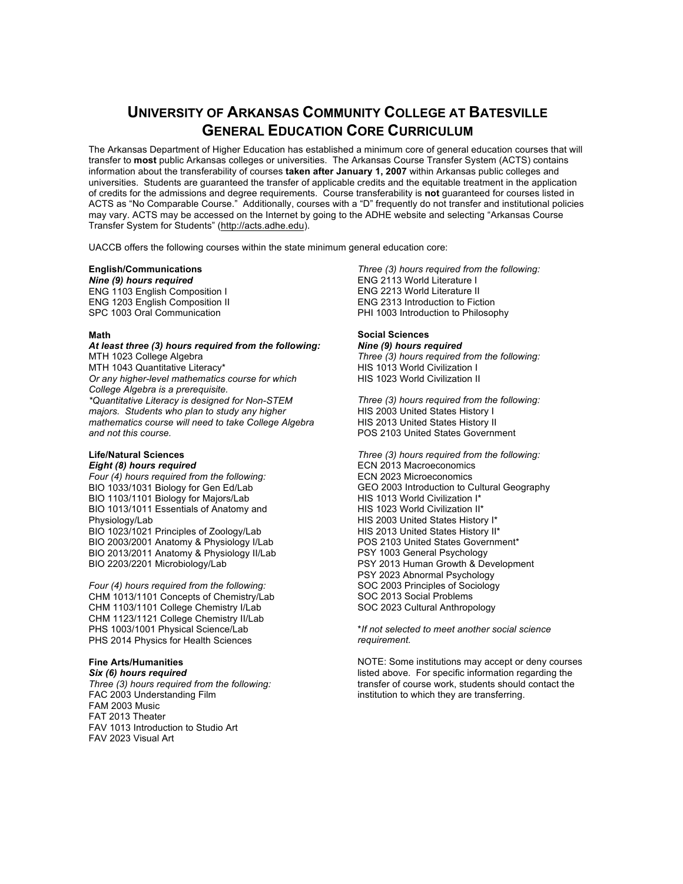## **UNIVERSITY OF ARKANSAS COMMUNITY COLLEGE AT BATESVILLE GENERAL EDUCATION CORE CURRICULUM**

The Arkansas Department of Higher Education has established a minimum core of general education courses that will transfer to **most** public Arkansas colleges or universities. The Arkansas Course Transfer System (ACTS) contains information about the transferability of courses **taken after January 1, 2007** within Arkansas public colleges and universities. Students are guaranteed the transfer of applicable credits and the equitable treatment in the application of credits for the admissions and degree requirements. Course transferability is **not** guaranteed for courses listed in ACTS as "No Comparable Course." Additionally, courses with a "D" frequently do not transfer and institutional policies may vary. ACTS may be accessed on the Internet by going to the ADHE website and selecting "Arkansas Course Transfer System for Students" (http://acts.adhe.edu).

UACCB offers the following courses within the state minimum general education core:

#### **English/Communications**

*Nine (9) hours required* ENG 1103 English Composition I ENG 1203 English Composition II SPC 1003 Oral Communication

#### **Math**

*At least three (3) hours required from the following:* MTH 1023 College Algebra MTH 1043 Quantitative Literacy\* *Or any higher-level mathematics course for which College Algebra is a prerequisite. \*Quantitative Literacy is designed for Non-STEM majors. Students who plan to study any higher mathematics course will need to take College Algebra and not this course.*

#### **Life/Natural Sciences** *Eight (8) hours required*

*Four (4) hours required from the following:* BIO 1033/1031 Biology for Gen Ed/Lab BIO 1103/1101 Biology for Majors/Lab BIO 1013/1011 Essentials of Anatomy and Physiology/Lab BIO 1023/1021 Principles of Zoology/Lab BIO 2003/2001 Anatomy & Physiology I/Lab BIO 2013/2011 Anatomy & Physiology II/Lab BIO 2203/2201 Microbiology/Lab

*Four (4) hours required from the following:* CHM 1013/1101 Concepts of Chemistry/Lab CHM 1103/1101 College Chemistry I/Lab CHM 1123/1121 College Chemistry II/Lab PHS 1003/1001 Physical Science/Lab PHS 2014 Physics for Health Sciences

#### **Fine Arts/Humanities**

*Six (6) hours required Three (3) hours required from the following:* FAC 2003 Understanding Film FAM 2003 Music FAT 2013 Theater FAV 1013 Introduction to Studio Art FAV 2023 Visual Art

*Three (3) hours required from the following:* ENG 2113 World Literature I ENG 2213 World Literature II ENG 2313 Introduction to Fiction PHI 1003 Introduction to Philosophy

#### **Social Sciences**

*Nine (9) hours required Three (3) hours required from the following:* HIS 1013 World Civilization I HIS 1023 World Civilization II

*Three (3) hours required from the following:* HIS 2003 United States History I HIS 2013 United States History II POS 2103 United States Government

*Three (3) hours required from the following:* ECN 2013 Macroeconomics ECN 2023 Microeconomics GEO 2003 Introduction to Cultural Geography HIS 1013 World Civilization I\* HIS 1023 World Civilization II\* HIS 2003 United States History I\* HIS 2013 United States History II\* POS 2103 United States Government\* PSY 1003 General Psychology PSY 2013 Human Growth & Development PSY 2023 Abnormal Psychology SOC 2003 Principles of Sociology SOC 2013 Social Problems SOC 2023 Cultural Anthropology

\**If not selected to meet another social science requirement.*

NOTE: Some institutions may accept or deny courses listed above. For specific information regarding the transfer of course work, students should contact the institution to which they are transferring.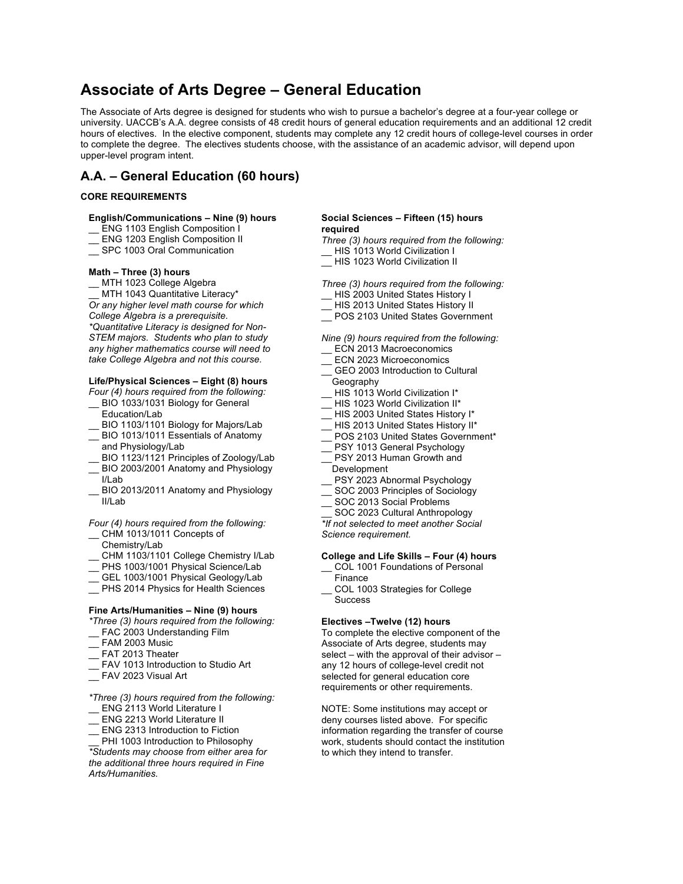## **Associate of Arts Degree – General Education**

The Associate of Arts degree is designed for students who wish to pursue a bachelor's degree at a four-year college or university. UACCB's A.A. degree consists of 48 credit hours of general education requirements and an additional 12 credit hours of electives. In the elective component, students may complete any 12 credit hours of college-level courses in order to complete the degree. The electives students choose, with the assistance of an academic advisor, will depend upon upper-level program intent.

## **A.A. – General Education (60 hours)**

#### **CORE REQUIREMENTS**

#### **English/Communications – Nine (9) hours**

- ENG 1103 English Composition I
- ENG 1203 English Composition II
- SPC 1003 Oral Communication

#### **Math – Three (3) hours**

MTH 1023 College Algebra

MTH 1043 Quantitative Literacy\* *Or any higher level math course for which College Algebra is a prerequisite. \*Quantitative Literacy is designed for Non-STEM majors. Students who plan to study any higher mathematics course will need to take College Algebra and not this course.*

#### **Life/Physical Sciences – Eight (8) hours**

*Four (4) hours required from the following:*

- BIO 1033/1031 Biology for General Education/Lab
- BIO 1103/1101 Biology for Majors/Lab
- BIO 1013/1011 Essentials of Anatomy and Physiology/Lab
- BIO 1123/1121 Principles of Zoology/Lab
- BIO 2003/2001 Anatomy and Physiology I/Lab
- BIO 2013/2011 Anatomy and Physiology II/Lab

#### *Four (4) hours required from the following:*

- CHM 1013/1011 Concepts of Chemistry/Lab
- CHM 1103/1101 College Chemistry I/Lab
- \_\_ PHS 1003/1001 Physical Science/Lab
- 
- GEL 1003/1001 Physical Geology/Lab
- \_\_ PHS 2014 Physics for Health Sciences

#### **Fine Arts/Humanities – Nine (9) hours**

- *\*Three (3) hours required from the following:* FAC 2003 Understanding Film
- FAM 2003 Music
- FAT 2013 Theater
- FAV 1013 Introduction to Studio Art
- $\overline{\phantom{a}}$  FAV 2023 Visual Art
- *\*Three (3) hours required from the following:*
- \_\_ ENG 2113 World Literature I
- ENG 2213 World Literature II
- ENG 2313 Introduction to Fiction

PHI 1003 Introduction to Philosophy *\*Students may choose from either area for the additional three hours required in Fine Arts/Humanities.* 

#### **Social Sciences – Fifteen (15) hours required**

*Three (3) hours required from the following:* \_\_ HIS 1013 World Civilization I

HIS 1023 World Civilization II

*Three (3) hours required from the following:*

- HIS 2003 United States History I
- HIS 2013 United States History II
- \_\_ POS 2103 United States Government

*Nine (9) hours required from the following:*

- ECN 2013 Macroeconomics
- ECN 2023 Microeconomics
- GEO 2003 Introduction to Cultural Geography
- HIS 1013 World Civilization I\*
- HIS 1023 World Civilization II\*
- HIS 2003 United States History I\*
- HIS 2013 United States History II\*
- POS 2103 United States Government\*
- PSY 1013 General Psychology
- PSY 2013 Human Growth and
- Development
- PSY 2023 Abnormal Psychology
- SOC 2003 Principles of Sociology
- SOC 2013 Social Problems
- SOC 2023 Cultural Anthropology

*\*If not selected to meet another Social Science requirement.*

#### **College and Life Skills – Four (4) hours**

- COL 1001 Foundations of Personal
- Finance
- \_\_ COL 1003 Strategies for College **Success**

#### **Electives –Twelve (12) hours**

To complete the elective component of the Associate of Arts degree, students may select – with the approval of their advisor – any 12 hours of college-level credit not selected for general education core requirements or other requirements.

NOTE: Some institutions may accept or deny courses listed above. For specific information regarding the transfer of course work, students should contact the institution to which they intend to transfer.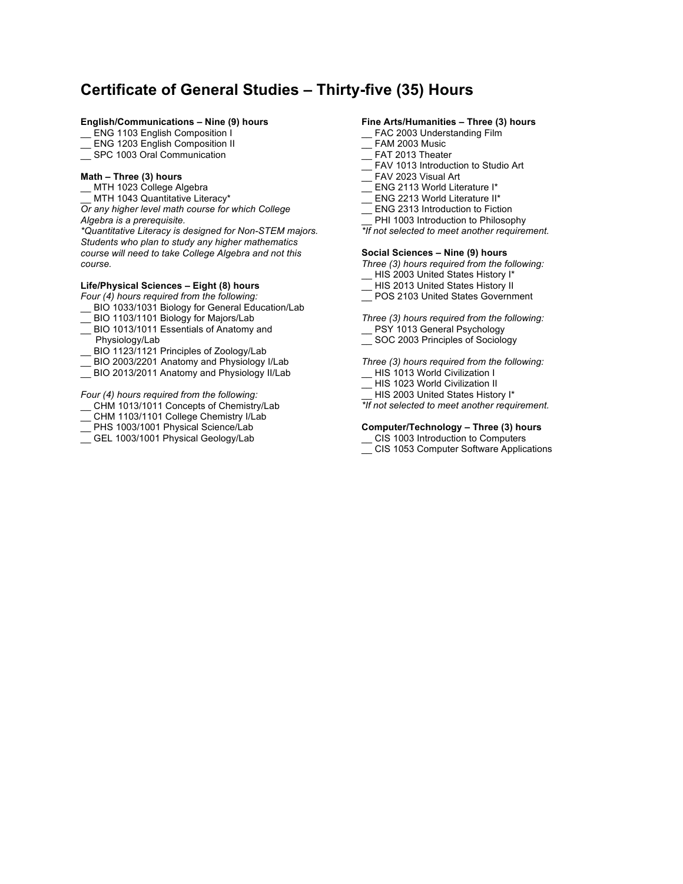## **Certificate of General Studies – Thirty-five (35) Hours**

#### **English/Communications – Nine (9) hours**

- \_\_ ENG 1103 English Composition I
- ENG 1203 English Composition II
- SPC 1003 Oral Communication

#### **Math – Three (3) hours**

- \_\_ MTH 1023 College Algebra
- MTH 1043 Quantitative Literacy\*

*Or any higher level math course for which College Algebra is a prerequisite.*

*\*Quantitative Literacy is designed for Non-STEM majors. Students who plan to study any higher mathematics course will need to take College Algebra and not this course.*

#### **Life/Physical Sciences – Eight (8) hours**

*Four (4) hours required from the following:*

- \_\_ BIO 1033/1031 Biology for General Education/Lab
- \_\_ BIO 1103/1101 Biology for Majors/Lab
- BIO 1013/1011 Essentials of Anatomy and
- Physiology/Lab
- BIO 1123/1121 Principles of Zoology/Lab
- \_\_ BIO 2003/2201 Anatomy and Physiology I/Lab
- \_\_ BIO 2013/2011 Anatomy and Physiology II/Lab

*Four (4) hours required from the following:*

- \_\_ CHM 1013/1011 Concepts of Chemistry/Lab
- \_\_ CHM 1103/1101 College Chemistry I/Lab
- \_\_ PHS 1003/1001 Physical Science/Lab
- GEL 1003/1001 Physical Geology/Lab

#### **Fine Arts/Humanities – Three (3) hours**

- \_EAC 2003 Understanding Film
- FAM 2003 Music
- FAT 2013 Theater
- \_\_ FAV 1013 Introduction to Studio Art
- $\equiv$  FAV 2023 Visual Art
- ENG 2113 World Literature I\*
- ENG 2213 World Literature II\*
- ENG 2313 Introduction to Fiction
- PHI 1003 Introduction to Philosophy
- *\*If not selected to meet another requirement.*

#### **Social Sciences – Nine (9) hours**

*Three (3) hours required from the following:*

- \_\_ HIS 2003 United States History I\*
- HIS 2013 United States History II
- POS 2103 United States Government

*Three (3) hours required from the following:*

- \_\_ PSY 1013 General Psychology
- \_\_ SOC 2003 Principles of Sociology

*Three (3) hours required from the following:*

- \_\_ HIS 1013 World Civilization I
- \_\_ HIS 1023 World Civilization II
- HIS 2003 United States History I\*
- *\*If not selected to meet another requirement.*

#### **Computer/Technology – Three (3) hours**

- CIS 1003 Introduction to Computers
- \_\_ CIS 1053 Computer Software Applications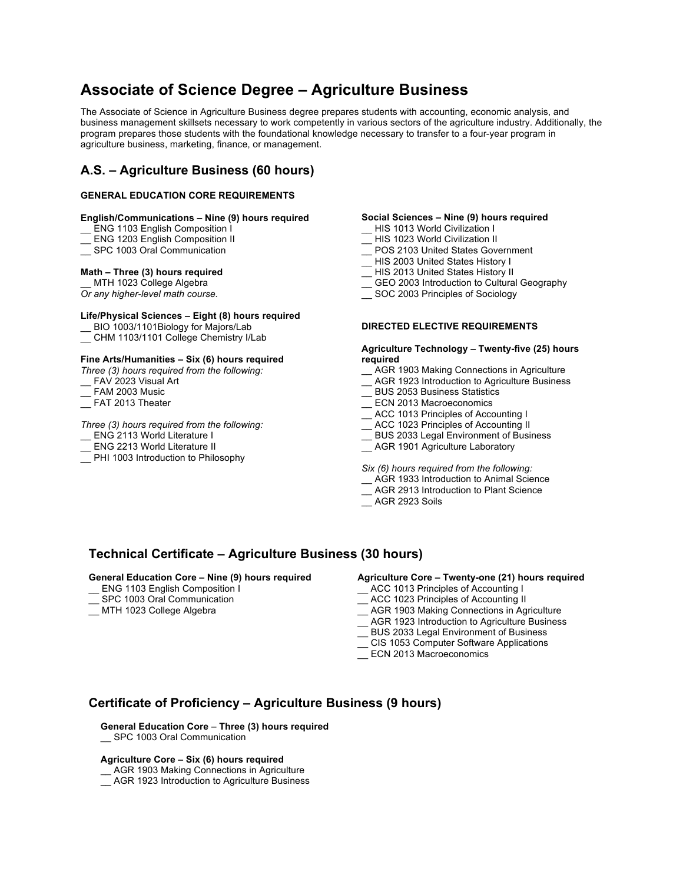# **Associate of Science Degree – Agriculture Business**

The Associate of Science in Agriculture Business degree prepares students with accounting, economic analysis, and business management skillsets necessary to work competently in various sectors of the agriculture industry. Additionally, the program prepares those students with the foundational knowledge necessary to transfer to a four-year program in agriculture business, marketing, finance, or management.

## **A.S. – Agriculture Business (60 hours)**

#### **GENERAL EDUCATION CORE REQUIREMENTS**

#### **English/Communications – Nine (9) hours required**

- ENG 1103 English Composition I
- \_\_ ENG 1203 English Composition II
- SPC 1003 Oral Communication

#### **Math – Three (3) hours required**

MTH 1023 College Algebra

*Or any higher-level math course.*

#### **Life/Physical Sciences – Eight (8) hours required**

\_\_ BIO 1003/1101Biology for Majors/Lab

\_\_ CHM 1103/1101 College Chemistry I/Lab

#### **Fine Arts/Humanities – Six (6) hours required**

*Three (3) hours required from the following:*

- FAV 2023 Visual Art
- $^-$  FAM 2003 Music
- FAT 2013 Theater

#### *Three (3) hours required from the following:*

\_\_ ENG 2113 World Literature I

- \_\_ ENG 2213 World Literature II
- \_\_ PHI 1003 Introduction to Philosophy

#### **Social Sciences – Nine (9) hours required**

- \_\_ HIS 1013 World Civilization I
- HIS 1023 World Civilization II
- POS 2103 United States Government
- \_\_ HIS 2003 United States History I
- \_\_ HIS 2013 United States History II
- \_\_ GEO 2003 Introduction to Cultural Geography
- \_\_ SOC 2003 Principles of Sociology

#### **DIRECTED ELECTIVE REQUIREMENTS**

#### **Agriculture Technology – Twenty-five (25) hours required**

- \_\_ AGR 1903 Making Connections in Agriculture
- \_\_ AGR 1923 Introduction to Agriculture Business
- \_\_ BUS 2053 Business Statistics
- \_\_ ECN 2013 Macroeconomics
- \_\_ ACC 1013 Principles of Accounting I
- ACC 1023 Principles of Accounting II
- BUS 2033 Legal Environment of Business
- \_\_ AGR 1901 Agriculture Laboratory

*Six (6) hours required from the following:* 

- \_\_ AGR 1933 Introduction to Animal Science
- \_\_ AGR 2913 Introduction to Plant Science
- \_\_ AGR 2923 Soils

## **Technical Certificate – Agriculture Business (30 hours)**

#### **General Education Core – Nine (9) hours required**

- \_\_ ENG 1103 English Composition I
- SPC 1003 Oral Communication
- \_\_ MTH 1023 College Algebra

#### **Agriculture Core – Twenty-one (21) hours required**

- \_\_ ACC 1013 Principles of Accounting I
- \_\_ ACC 1023 Principles of Accounting II
- \_\_ AGR 1903 Making Connections in Agriculture
- \_\_ AGR 1923 Introduction to Agriculture Business
- \_\_ BUS 2033 Legal Environment of Business
- \_\_ CIS 1053 Computer Software Applications
- ECN 2013 Macroeconomics

## **Certificate of Proficiency – Agriculture Business (9 hours)**

**General Education Core** – **Three (3) hours required**

\_\_ SPC 1003 Oral Communication

#### **Agriculture Core – Six (6) hours required**

\_\_ AGR 1903 Making Connections in Agriculture

\_\_ AGR 1923 Introduction to Agriculture Business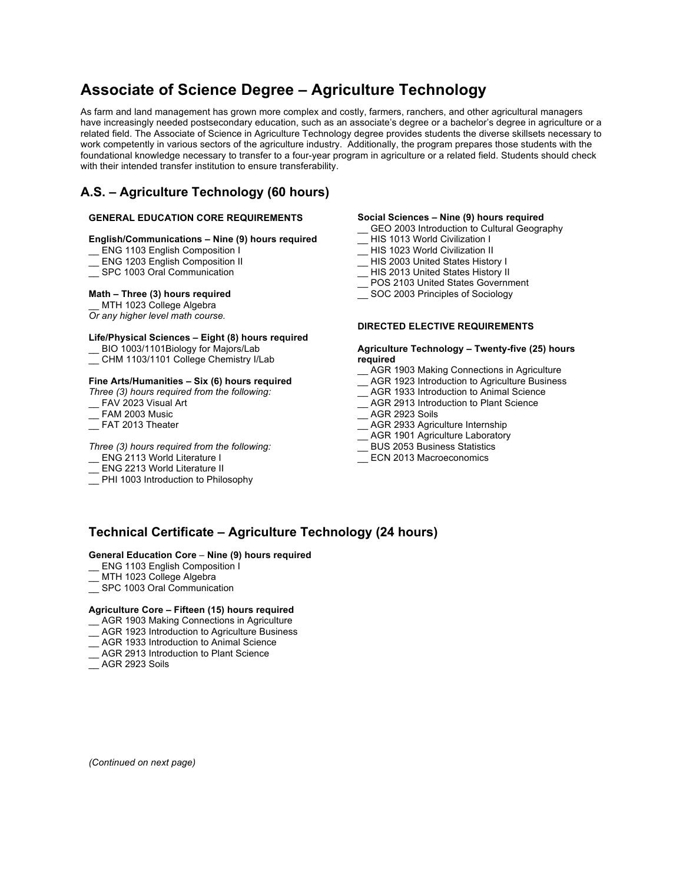# **Associate of Science Degree – Agriculture Technology**

As farm and land management has grown more complex and costly, farmers, ranchers, and other agricultural managers have increasingly needed postsecondary education, such as an associate's degree or a bachelor's degree in agriculture or a related field. The Associate of Science in Agriculture Technology degree provides students the diverse skillsets necessary to work competently in various sectors of the agriculture industry. Additionally, the program prepares those students with the foundational knowledge necessary to transfer to a four-year program in agriculture or a related field. Students should check with their intended transfer institution to ensure transferability.

## **A.S. – Agriculture Technology (60 hours)**

#### **GENERAL EDUCATION CORE REQUIREMENTS**

#### **English/Communications – Nine (9) hours required**

- ENG 1103 English Composition I
- \_\_ ENG 1203 English Composition II
- \_\_ SPC 1003 Oral Communication

#### **Math – Three (3) hours required**

MTH 1023 College Algebra

## *Or any higher level math course.*

#### **Life/Physical Sciences – Eight (8) hours required**

- \_\_ BIO 1003/1101Biology for Majors/Lab
- \_\_ CHM 1103/1101 College Chemistry I/Lab

#### **Fine Arts/Humanities – Six (6) hours required**

*Three (3) hours required from the following:*

- FAV 2023 Visual Art
- \_\_ FAM 2003 Music
- \_\_ FAT 2013 Theater

#### *Three (3) hours required from the following:*

- \_ ENG 2113 World Literature I
- ENG 2213 World Literature II
- \_\_ PHI 1003 Introduction to Philosophy

#### **Social Sciences – Nine (9) hours required**

- GEO 2003 Introduction to Cultural Geography
- \_\_ HIS 1013 World Civilization I
- \_\_ HIS 1023 World Civilization II
- \_\_ HIS 2003 United States History I
- \_\_ HIS 2013 United States History II
- \_\_ POS 2103 United States Government
- \_\_ SOC 2003 Principles of Sociology

#### **DIRECTED ELECTIVE REQUIREMENTS**

#### **Agriculture Technology – Twenty-five (25) hours required**

- \_\_ AGR 1903 Making Connections in Agriculture
- \_\_ AGR 1923 Introduction to Agriculture Business
- \_\_ AGR 1933 Introduction to Animal Science
- \_\_ AGR 2913 Introduction to Plant Science
- \_\_ AGR 2923 Soils
- \_\_ AGR 2933 Agriculture Internship
- \_\_ AGR 1901 Agriculture Laboratory
- \_\_ BUS 2053 Business Statistics
- ECN 2013 Macroeconomics

## **Technical Certificate – Agriculture Technology (24 hours)**

#### **General Education Core** – **Nine (9) hours required**

- ENG 1103 English Composition I
- MTH 1023 College Algebra
- SPC 1003 Oral Communication

#### **Agriculture Core – Fifteen (15) hours required**

- \_\_ AGR 1903 Making Connections in Agriculture
- \_\_ AGR 1923 Introduction to Agriculture Business
- AGR 1933 Introduction to Animal Science
- AGR 2913 Introduction to Plant Science
- AGR 2923 Soils

*(Continued on next page)*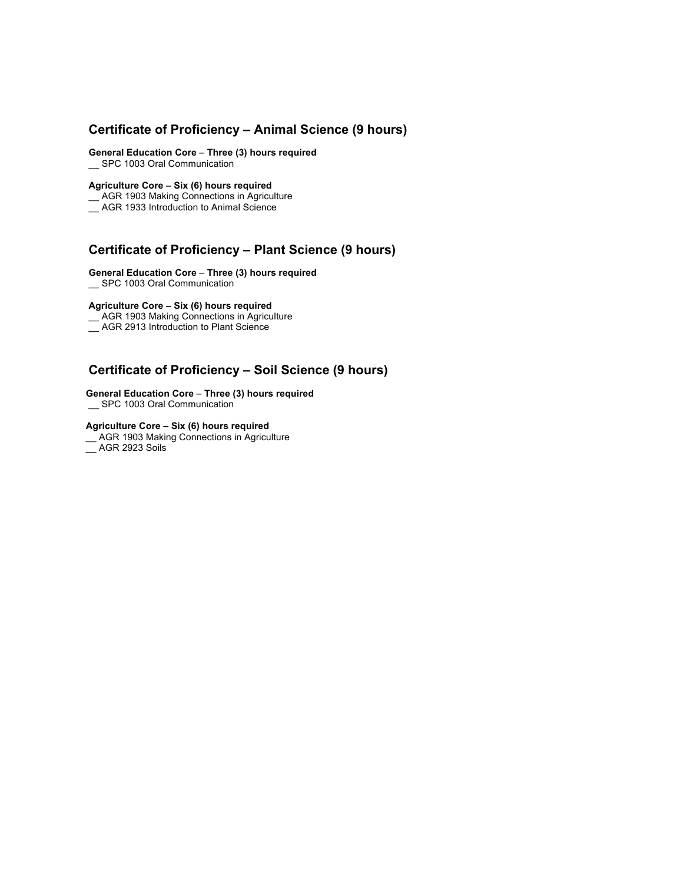## **Certificate of Proficiency – Animal Science (9 hours)**

**General Education Core** – **Three (3) hours required**

\_\_ SPC 1003 Oral Communication

#### **Agriculture Core – Six (6) hours required**

\_\_ AGR 1903 Making Connections in Agriculture

\_\_ AGR 1933 Introduction to Animal Science

## **Certificate of Proficiency – Plant Science (9 hours)**

#### **General Education Core** – **Three (3) hours required**

\_\_ SPC 1003 Oral Communication

#### **Agriculture Core – Six (6) hours required**

\_\_ AGR 1903 Making Connections in Agriculture

\_\_ AGR 2913 Introduction to Plant Science

## **Certificate of Proficiency – Soil Science (9 hours)**

#### **General Education Core** – **Three (3) hours required** \_\_ SPC 1003 Oral Communication

#### **Agriculture Core – Six (6) hours required**

\_\_ AGR 1903 Making Connections in Agriculture

\_\_ AGR 2923 Soils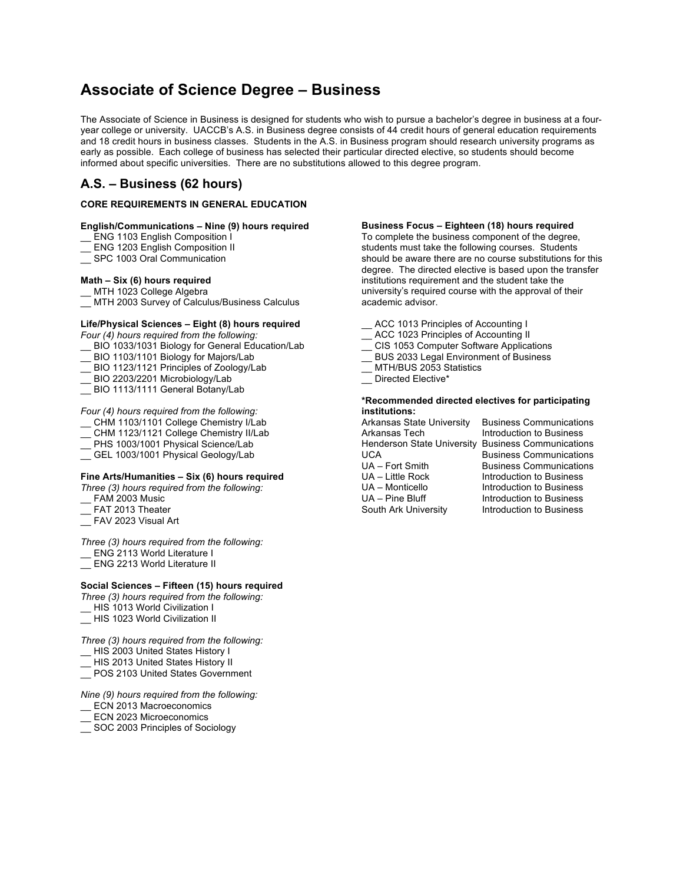## **Associate of Science Degree – Business**

The Associate of Science in Business is designed for students who wish to pursue a bachelor's degree in business at a fouryear college or university. UACCB's A.S. in Business degree consists of 44 credit hours of general education requirements and 18 credit hours in business classes. Students in the A.S. in Business program should research university programs as early as possible. Each college of business has selected their particular directed elective, so students should become informed about specific universities. There are no substitutions allowed to this degree program.

## **A.S. – Business (62 hours)**

#### **CORE REQUIREMENTS IN GENERAL EDUCATION**

#### **English/Communications – Nine (9) hours required**

- \_\_ ENG 1103 English Composition I
- ENG 1203 English Composition II
- SPC 1003 Oral Communication

#### **Math – Six (6) hours required**

MTH 1023 College Algebra

\_\_ MTH 2003 Survey of Calculus/Business Calculus

#### **Life/Physical Sciences – Eight (8) hours required**

*Four (4) hours required from the following:*

- \_\_ BIO 1033/1031 Biology for General Education/Lab
- BIO 1103/1101 Biology for Majors/Lab
- \_\_ BIO 1123/1121 Principles of Zoology/Lab
- BIO 2203/2201 Microbiology/Lab
- BIO 1113/1111 General Botany/Lab

#### *Four (4) hours required from the following:*

- \_\_ CHM 1103/1101 College Chemistry I/Lab
- \_\_ CHM 1123/1121 College Chemistry II/Lab
- \_\_ PHS 1003/1001 Physical Science/Lab
- \_\_ GEL 1003/1001 Physical Geology/Lab

#### **Fine Arts/Humanities – Six (6) hours required**

- *Three (3) hours required from the following:*
- \_\_ FAM 2003 Music
- FAT 2013 Theater
- \_\_ FAV 2023 Visual Art

*Three (3) hours required from the following:* \_\_ ENG 2113 World Literature I

\_\_ ENG 2213 World Literature II

#### **Social Sciences – Fifteen (15) hours required**

*Three (3) hours required from the following:*

- \_\_ HIS 1013 World Civilization I
- \_\_ HIS 1023 World Civilization II

*Three (3) hours required from the following:*

- \_\_ HIS 2003 United States History I
- \_\_ HIS 2013 United States History II
- \_\_ POS 2103 United States Government

*Nine (9) hours required from the following:*

- ECN 2013 Macroeconomics
- ECN 2023 Microeconomics
- SOC 2003 Principles of Sociology

#### **Business Focus – Eighteen (18) hours required**

To complete the business component of the degree, students must take the following courses. Students should be aware there are no course substitutions for this degree. The directed elective is based upon the transfer institutions requirement and the student take the university's required course with the approval of their academic advisor.

- ACC 1013 Principles of Accounting I
- ACC 1023 Principles of Accounting II
- CIS 1053 Computer Software Applications
- \_\_ BUS 2033 Legal Environment of Business
- MTH/BUS 2053 Statistics
- \_\_ Directed Elective\*

#### **\*Recommended directed electives for participating institutions:**

Arkansas State University Business Communications Arkansas Tech Introduction to Business Henderson State University Business Communications UCA **Business Communications**<br>
UA – Fort Smith **Business Communications** UA – Little Rock Introduction to Business<br>UA – Monticello Introduction to Business UA – Pine Bluff Introduction to Business South Ark University **Introduction to Business** 

**Business Communications** Introduction to Business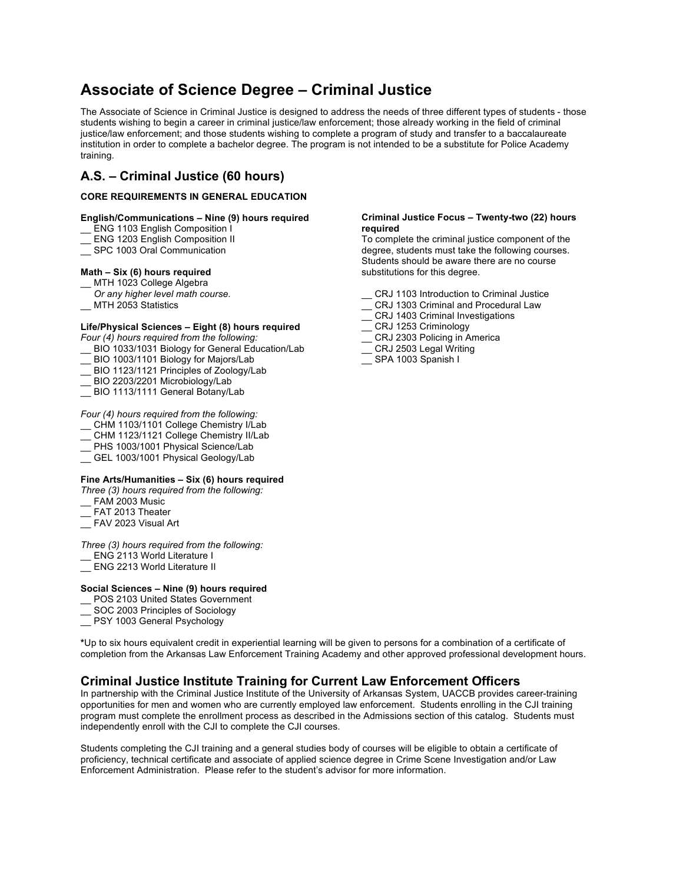## **Associate of Science Degree – Criminal Justice**

The Associate of Science in Criminal Justice is designed to address the needs of three different types of students - those students wishing to begin a career in criminal justice/law enforcement; those already working in the field of criminal justice/law enforcement; and those students wishing to complete a program of study and transfer to a baccalaureate institution in order to complete a bachelor degree. The program is not intended to be a substitute for Police Academy training.

## **A.S. – Criminal Justice (60 hours)**

#### **CORE REQUIREMENTS IN GENERAL EDUCATION**

#### **English/Communications – Nine (9) hours required**

- ENG 1103 English Composition I
- \_\_ ENG 1203 English Composition II
- SPC 1003 Oral Communication

#### **Math – Six (6) hours required**

- MTH 1023 College Algebra
- *Or any higher level math course.*
- MTH 2053 Statistics

#### **Life/Physical Sciences – Eight (8) hours required**

*Four (4) hours required from the following:*

- BIO 1033/1031 Biology for General Education/Lab
- BIO 1003/1101 Biology for Majors/Lab
- BIO 1123/1121 Principles of Zoology/Lab
- BIO 2203/2201 Microbiology/Lab
- BIO 1113/1111 General Botany/Lab

#### *Four (4) hours required from the following:*

- \_\_ CHM 1103/1101 College Chemistry I/Lab
- CHM 1123/1121 College Chemistry II/Lab
- PHS 1003/1001 Physical Science/Lab
- GEL 1003/1001 Physical Geology/Lab

#### **Fine Arts/Humanities – Six (6) hours required**

- *Three (3) hours required from the following:*
- FAM 2003 Music
- FAT 2013 Theater
- \_\_ FAV 2023 Visual Art

#### *Three (3) hours required from the following:*

- ENG 2113 World Literature I
- \_\_ ENG 2213 World Literature II

#### **Social Sciences – Nine (9) hours required**

- POS 2103 United States Government
- SOC 2003 Principles of Sociology
- \_\_ PSY 1003 General Psychology

**\***Up to six hours equivalent credit in experiential learning will be given to persons for a combination of a certificate of completion from the Arkansas Law Enforcement Training Academy and other approved professional development hours.

## **Criminal Justice Institute Training for Current Law Enforcement Officers**

In partnership with the Criminal Justice Institute of the University of Arkansas System, UACCB provides career-training opportunities for men and women who are currently employed law enforcement. Students enrolling in the CJI training program must complete the enrollment process as described in the Admissions section of this catalog. Students must independently enroll with the CJI to complete the CJI courses.

Students completing the CJI training and a general studies body of courses will be eligible to obtain a certificate of proficiency, technical certificate and associate of applied science degree in Crime Scene Investigation and/or Law Enforcement Administration. Please refer to the student's advisor for more information.

#### **Criminal Justice Focus – Twenty-two (22) hours required**

To complete the criminal justice component of the degree, students must take the following courses. Students should be aware there are no course substitutions for this degree.

- CRJ 1103 Introduction to Criminal Justice
- CRJ 1303 Criminal and Procedural Law
- \_\_ CRJ 1403 Criminal Investigations
- CRJ 1253 Criminology
- \_\_ CRJ 2303 Policing in America
- CRJ 2503 Legal Writing
- SPA 1003 Spanish I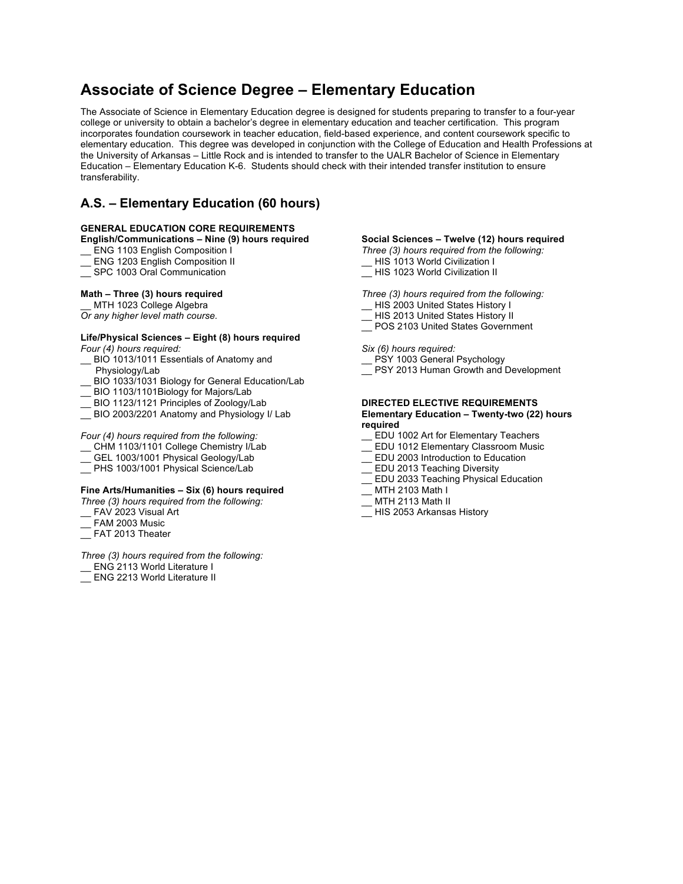## **Associate of Science Degree – Elementary Education**

The Associate of Science in Elementary Education degree is designed for students preparing to transfer to a four-year college or university to obtain a bachelor's degree in elementary education and teacher certification. This program incorporates foundation coursework in teacher education, field-based experience, and content coursework specific to elementary education. This degree was developed in conjunction with the College of Education and Health Professions at the University of Arkansas – Little Rock and is intended to transfer to the UALR Bachelor of Science in Elementary Education – Elementary Education K-6. Students should check with their intended transfer institution to ensure transferability.

## **A.S. – Elementary Education (60 hours)**

#### **GENERAL EDUCATION CORE REQUIREMENTS**

#### **English/Communications – Nine (9) hours required**

- ENG 1103 English Composition I
- \_\_ ENG 1203 English Composition II
- \_\_ SPC 1003 Oral Communication

#### **Math – Three (3) hours required**

MTH 1023 College Algebra

*Or any higher level math course.*

#### **Life/Physical Sciences – Eight (8) hours required** *Four (4) hours required:*

- BIO 1013/1011 Essentials of Anatomy and Physiology/Lab
- BIO 1033/1031 Biology for General Education/Lab
- BIO 1103/1101Biology for Majors/Lab
- \_\_ BIO 1123/1121 Principles of Zoology/Lab
- BIO 2003/2201 Anatomy and Physiology I/ Lab

## *Four (4) hours required from the following:*

- \_\_ CHM 1103/1101 College Chemistry I/Lab
- GEL 1003/1001 Physical Geology/Lab
- PHS 1003/1001 Physical Science/Lab

#### **Fine Arts/Humanities – Six (6) hours required**

*Three (3) hours required from the following:*

- FAV 2023 Visual Art
- FAM 2003 Music
- $\equiv$  FAT 2013 Theater

#### *Three (3) hours required from the following:*

- ENG 2113 World Literature I
- ENG 2213 World Literature II

#### **Social Sciences – Twelve (12) hours required**

- *Three (3) hours required from the following:*
- HIS 1013 World Civilization I
- $\equiv$  HIS 1023 World Civilization II

*Three (3) hours required from the following:*

- HIS 2003 United States History I
- HIS 2013 United States History II
- \_\_ POS 2103 United States Government

*Six (6) hours required:*

- \_\_ PSY 1003 General Psychology
- PSY 2013 Human Growth and Development

#### **DIRECTED ELECTIVE REQUIREMENTS Elementary Education – Twenty-two (22) hours required**

- \_\_ EDU 1002 Art for Elementary Teachers
- \_\_ EDU 1012 Elementary Classroom Music
- \_\_ EDU 2003 Introduction to Education
- EDU 2013 Teaching Diversity
- \_\_ EDU 2033 Teaching Physical Education
- \_\_ MTH 2103 Math I
- \_\_ MTH 2113 Math II
- \_\_ HIS 2053 Arkansas History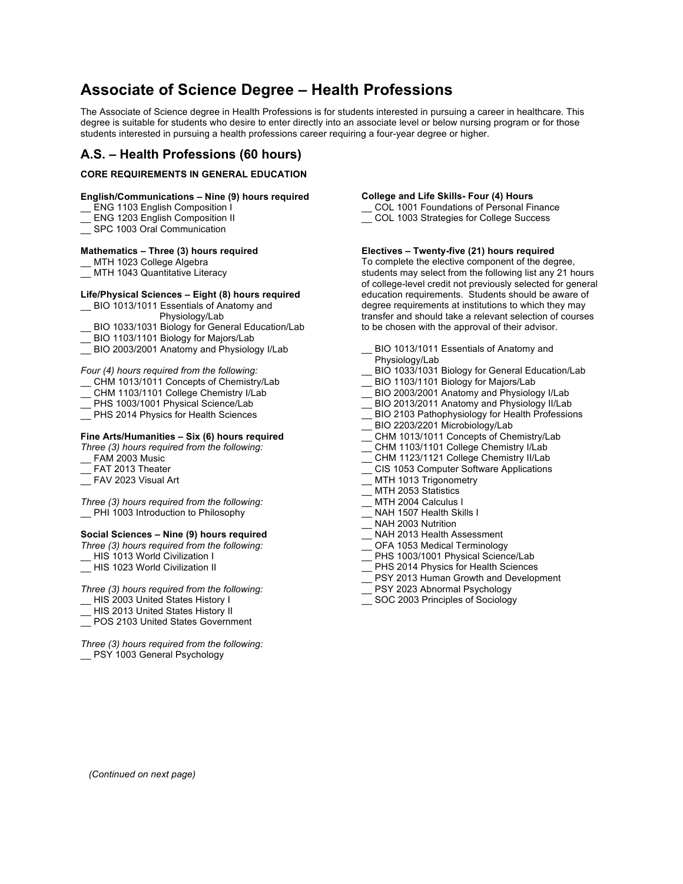## **Associate of Science Degree – Health Professions**

The Associate of Science degree in Health Professions is for students interested in pursuing a career in healthcare. This degree is suitable for students who desire to enter directly into an associate level or below nursing program or for those students interested in pursuing a health professions career requiring a four-year degree or higher.

## **A.S. – Health Professions (60 hours)**

#### **CORE REQUIREMENTS IN GENERAL EDUCATION**

#### **English/Communications – Nine (9) hours required**

\_\_ ENG 1103 English Composition I

- ENG 1203 English Composition II
- SPC 1003 Oral Communication

#### **Mathematics – Three (3) hours required**

MTH 1023 College Algebra

\_MTH 1043 Quantitative Literacy

#### **Life/Physical Sciences – Eight (8) hours required**

- \_\_ BIO 1013/1011 Essentials of Anatomy and
- Physiology/Lab
- BIO 1033/1031 Biology for General Education/Lab
- \_\_ BIO 1103/1101 Biology for Majors/Lab
- \_\_ BIO 2003/2001 Anatomy and Physiology I/Lab

*Four (4) hours required from the following:* 

- \_\_ CHM 1013/1011 Concepts of Chemistry/Lab
- \_\_ CHM 1103/1101 College Chemistry I/Lab
- PHS 1003/1001 Physical Science/Lab
- PHS 2014 Physics for Health Sciences

#### **Fine Arts/Humanities – Six (6) hours required**

*Three (3) hours required from the following:*

- FAM 2003 Music
- FAT 2013 Theater
- FAV 2023 Visual Art

*Three (3) hours required from the following:* \_\_ PHI 1003 Introduction to Philosophy

#### **Social Sciences – Nine (9) hours required**

*Three (3) hours required from the following:*

HIS 1013 World Civilization I

\_\_ HIS 1023 World Civilization II

*Three (3) hours required from the following:*

- \_\_ HIS 2003 United States History I
- HIS 2013 United States History II
- POS 2103 United States Government

*Three (3) hours required from the following:* PSY 1003 General Psychology

#### **College and Life Skills- Four (4) Hours**

COL 1001 Foundations of Personal Finance \_\_ COL 1003 Strategies for College Success

#### **Electives – Twenty-five (21) hours required**

To complete the elective component of the degree, students may select from the following list any 21 hours of college-level credit not previously selected for general education requirements. Students should be aware of degree requirements at institutions to which they may transfer and should take a relevant selection of courses to be chosen with the approval of their advisor.

- BIO 1013/1011 Essentials of Anatomy and
- Physiology/Lab
- BIO 1033/1031 Biology for General Education/Lab
- BIO 1103/1101 Biology for Majors/Lab
- BIO 2003/2001 Anatomy and Physiology I/Lab
- BIO 2013/2011 Anatomy and Physiology II/Lab
- \_\_ BIO 2103 Pathophysiology for Health Professions
- BIO 2203/2201 Microbiology/Lab
- CHM 1013/1011 Concepts of Chemistry/Lab
- CHM 1103/1101 College Chemistry I/Lab
- CHM 1123/1121 College Chemistry II/Lab
- \_\_ CIS 1053 Computer Software Applications
- MTH 1013 Trigonometry
- MTH 2053 Statistics
- MTH 2004 Calculus I
- NAH 1507 Health Skills I
- NAH 2003 Nutrition
- NAH 2013 Health Assessment
- OFA 1053 Medical Terminology
- PHS 1003/1001 Physical Science/Lab
- PHS 2014 Physics for Health Sciences
- PSY 2013 Human Growth and Development
- PSY 2023 Abnormal Psychology
- \_\_ SOC 2003 Principles of Sociology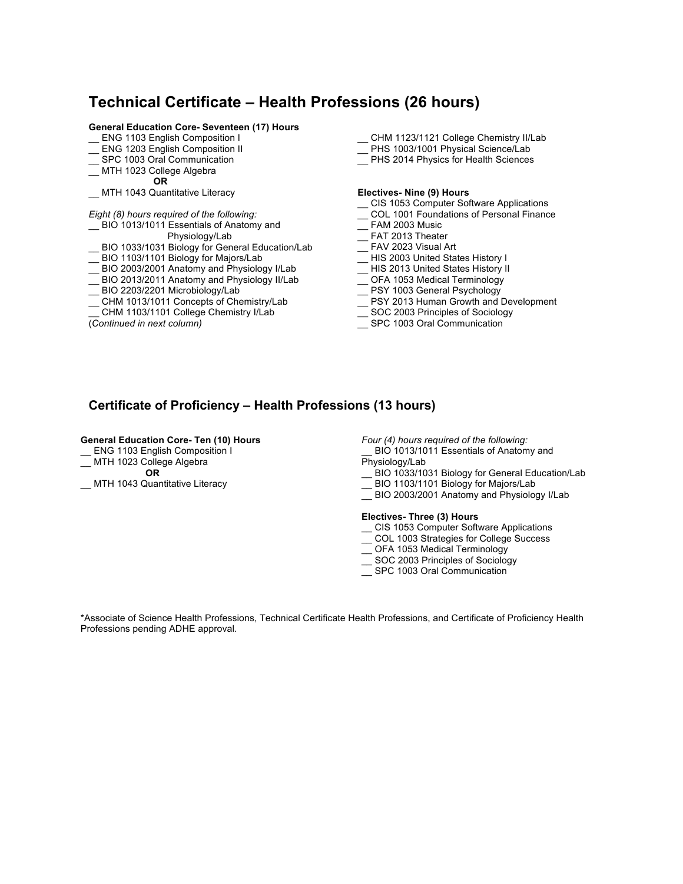## **Technical Certificate – Health Professions (26 hours)**

### **General Education Core- Seventeen (17) Hours**

- ENG 1103 English Composition I
- ENG 1203 English Composition II
- \_\_ SPC 1003 Oral Communication
- \_\_ MTH 1023 College Algebra  **OR**

#### \_\_ MTH 1043 Quantitative Literacy

#### *Eight (8) hours required of the following:*

BIO 1013/1011 Essentials of Anatomy and

Physiology/Lab

- BIO 1033/1031 Biology for General Education/Lab
- BIO 1103/1101 Biology for Majors/Lab
- \_\_ BIO 2003/2001 Anatomy and Physiology I/Lab
- \_\_ BIO 2013/2011 Anatomy and Physiology II/Lab
- \_\_ BIO 2203/2201 Microbiology/Lab
- \_\_ CHM 1013/1011 Concepts of Chemistry/Lab
- CHM 1103/1101 College Chemistry I/Lab
- (*Continued in next column)*
- \_\_ CHM 1123/1121 College Chemistry II/Lab
- \_\_ PHS 1003/1001 Physical Science/Lab
- \_\_ PHS 2014 Physics for Health Sciences

#### **Electives- Nine (9) Hours**

- \_\_ CIS 1053 Computer Software Applications
- \_\_ COL 1001 Foundations of Personal Finance
- \_\_ FAM 2003 Music
- \_\_ FAT 2013 Theater
- \_\_ FAV 2023 Visual Art
- \_\_ HIS 2003 United States History I
- \_\_ HIS 2013 United States History II
- \_\_ OFA 1053 Medical Terminology
- \_\_ PSY 1003 General Psychology
- \_\_ PSY 2013 Human Growth and Development
- \_\_ SOC 2003 Principles of Sociology
- SPC 1003 Oral Communication

## **Certificate of Proficiency – Health Professions (13 hours)**

#### **General Education Core- Ten (10) Hours**

ENG 1103 English Composition I

MTH 1023 College Algebra  **OR**

\_\_ MTH 1043 Quantitative Literacy

*Four (4) hours required of the following:*

BIO 1013/1011 Essentials of Anatomy and Physiology/Lab

- \_\_ BIO 1033/1031 Biology for General Education/Lab
- \_\_ BIO 1103/1101 Biology for Majors/Lab
- \_\_ BIO 2003/2001 Anatomy and Physiology I/Lab

#### **Electives- Three (3) Hours**

- \_\_ CIS 1053 Computer Software Applications
- \_\_ COL 1003 Strategies for College Success
- \_ OFA 1053 Medical Terminology
- SOC 2003 Principles of Sociology
- \_\_ SPC 1003 Oral Communication

\*Associate of Science Health Professions, Technical Certificate Health Professions, and Certificate of Proficiency Health Professions pending ADHE approval.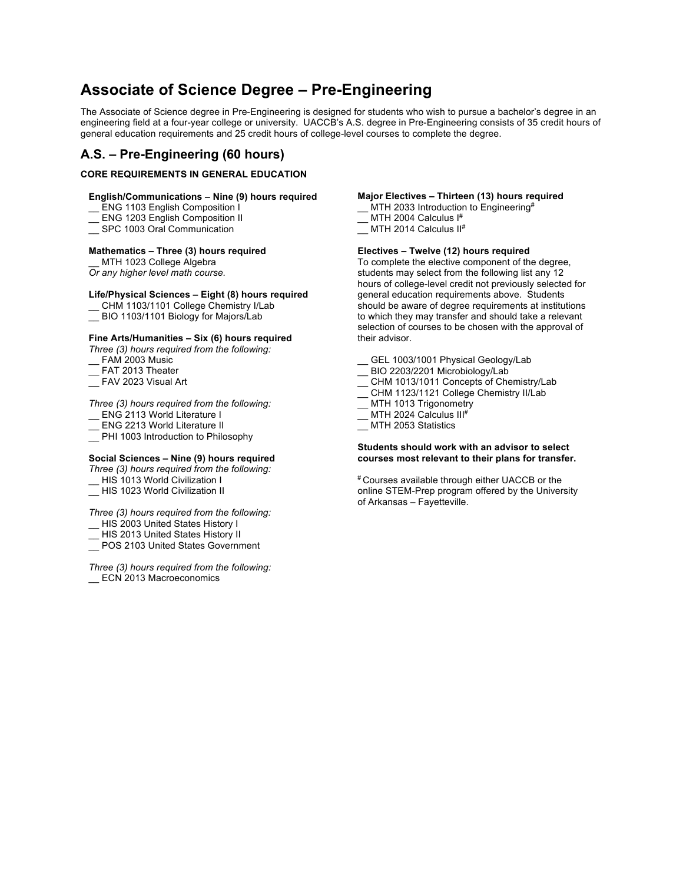## **Associate of Science Degree – Pre-Engineering**

The Associate of Science degree in Pre-Engineering is designed for students who wish to pursue a bachelor's degree in an engineering field at a four-year college or university. UACCB's A.S. degree in Pre-Engineering consists of 35 credit hours of general education requirements and 25 credit hours of college-level courses to complete the degree.

## **A.S. – Pre-Engineering (60 hours)**

#### **CORE REQUIREMENTS IN GENERAL EDUCATION**

#### **English/Communications – Nine (9) hours required**

- ENG 1103 English Composition I
- ENG 1203 English Composition II
- \_\_ SPC 1003 Oral Communication

#### **Mathematics – Three (3) hours required**

MTH 1023 College Algebra *Or any higher level math course.*

#### **Life/Physical Sciences – Eight (8) hours required**

- \_\_ CHM 1103/1101 College Chemistry I/Lab
- \_\_ BIO 1103/1101 Biology for Majors/Lab

#### **Fine Arts/Humanities – Six (6) hours required**

- *Three (3) hours required from the following:*
- FAM 2003 Music
- FAT 2013 Theater
- \_\_ FAV 2023 Visual Art

#### *Three (3) hours required from the following:*

- ENG 2113 World Literature I
- ENG 2213 World Literature II
- PHI 1003 Introduction to Philosophy

#### **Social Sciences – Nine (9) hours required**

#### *Three (3) hours required from the following:*

- HIS 1013 World Civilization I
- \_\_ HIS 1023 World Civilization II

#### *Three (3) hours required from the following:*

- HIS 2003 United States History I
- HIS 2013 United States History II
- \_\_ POS 2103 United States Government

*Three (3) hours required from the following:* ECN 2013 Macroeconomics

#### **Major Electives – Thirteen (13) hours required**

- \_\_ MTH 2033 Introduction to Engineering#
- MTH 2004 Calculus  $I^#$
- MTH 2014 Calculus II<sup>#</sup>

### **Electives – Twelve (12) hours required**

To complete the elective component of the degree, students may select from the following list any 12 hours of college-level credit not previously selected for general education requirements above. Students should be aware of degree requirements at institutions to which they may transfer and should take a relevant selection of courses to be chosen with the approval of their advisor.

- GEL 1003/1001 Physical Geology/Lab
- BIO 2203/2201 Microbiology/Lab
- \_\_ CHM 1013/1011 Concepts of Chemistry/Lab
- \_\_ CHM 1123/1121 College Chemistry II/Lab
- \_MTH 1013 Trigonometry
- MTH 2024 Calculus III#
- MTH 2053 Statistics

#### **Students should work with an advisor to select courses most relevant to their plans for transfer.**

# Courses available through either UACCB or the online STEM-Prep program offered by the University of Arkansas – Fayetteville.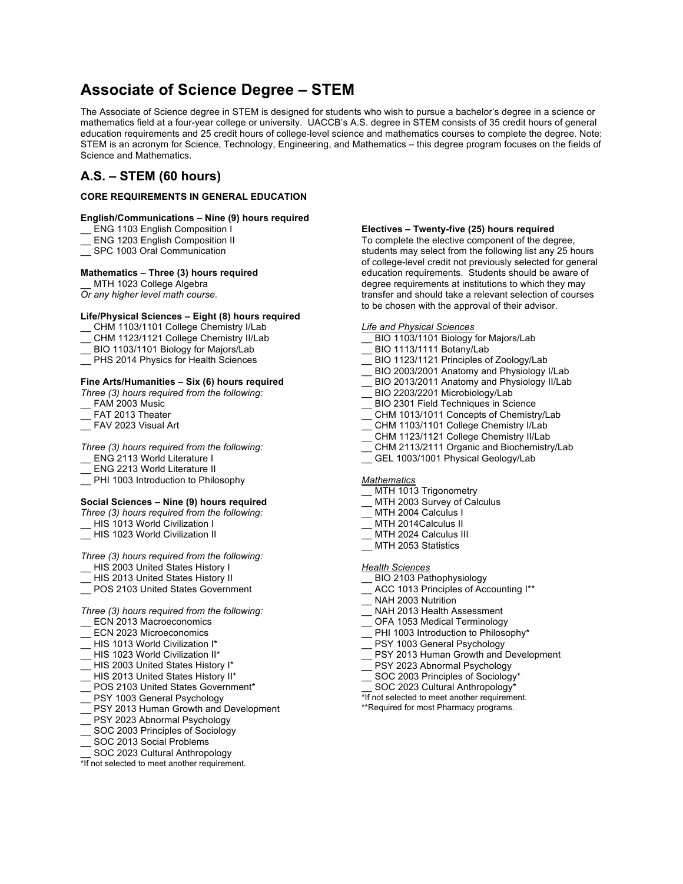## **Associate of Science Degree – STEM**

The Associate of Science degree in STEM is designed for students who wish to pursue a bachelor's degree in a science or mathematics field at a four-year college or university. UACCB's A.S. degree in STEM consists of 35 credit hours of general education requirements and 25 credit hours of college-level science and mathematics courses to complete the degree. Note: STEM is an acronym for Science, Technology, Engineering, and Mathematics – this degree program focuses on the fields of Science and Mathematics.

## **A.S. – STEM (60 hours)**

#### **CORE REQUIREMENTS IN GENERAL EDUCATION**

#### **English/Communications – Nine (9) hours required**

- \_\_ ENG 1103 English Composition I
- \_\_ ENG 1203 English Composition II
- SPC 1003 Oral Communication

#### **Mathematics – Three (3) hours required**

MTH 1023 College Algebra

*Or any higher level math course.*

#### **Life/Physical Sciences – Eight (8) hours required**

- \_\_ CHM 1103/1101 College Chemistry I/Lab
- \_\_ CHM 1123/1121 College Chemistry II/Lab
- \_\_ BIO 1103/1101 Biology for Majors/Lab
- \_\_ PHS 2014 Physics for Health Sciences

#### **Fine Arts/Humanities – Six (6) hours required**

*Three (3) hours required from the following:*

- FAM 2003 Music
- FAT 2013 Theater
- FAV 2023 Visual Art

#### *Three (3) hours required from the following:*

- ENG 2113 World Literature I
- ENG 2213 World Literature II
- PHI 1003 Introduction to Philosophy

#### **Social Sciences – Nine (9) hours required**

- *Three (3) hours required from the following:*
- HIS 1013 World Civilization I
- \_\_ HIS 1023 World Civilization II

*Three (3) hours required from the following:*

- HIS 2003 United States History I
- HIS 2013 United States History II
- \_\_ POS 2103 United States Government

## *Three (3) hours required from the following:*

- ECN 2013 Macroeconomics
- ECN 2023 Microeconomics
- \_\_ HIS 1013 World Civilization I\*
- \_\_ HIS 1023 World Civilization II\*
- HIS 2003 United States History I\*
- HIS 2013 United States History II\*
- \_\_ POS 2103 United States Government\*
- PSY 1003 General Psychology
- PSY 2013 Human Growth and Development
- PSY 2023 Abnormal Psychology
- SOC 2003 Principles of Sociology
- SOC 2013 Social Problems
- SOC 2023 Cultural Anthropology

\*If not selected to meet another requirement.

#### **Electives – Twenty-five (25) hours required**

To complete the elective component of the degree, students may select from the following list any 25 hours of college-level credit not previously selected for general education requirements. Students should be aware of degree requirements at institutions to which they may transfer and should take a relevant selection of courses to be chosen with the approval of their advisor.

#### *Life and Physical Sciences*

- BIO 1103/1101 Biology for Majors/Lab
- BIO 1113/1111 Botany/Lab
- BIO 1123/1121 Principles of Zoology/Lab
- BIO 2003/2001 Anatomy and Physiology I/Lab
- BIO 2013/2011 Anatomy and Physiology II/Lab
- BIO 2203/2201 Microbiology/Lab
- BIO 2301 Field Techniques in Science
- \_\_ CHM 1013/1011 Concepts of Chemistry/Lab
- CHM 1103/1101 College Chemistry I/Lab
- CHM 1123/1121 College Chemistry II/Lab
- CHM 2113/2111 Organic and Biochemistry/Lab
- GEL 1003/1001 Physical Geology/Lab

#### *Mathematics*

- \_\_ MTH 1013 Trigonometry
- MTH 2003 Survey of Calculus
- MTH 2004 Calculus I
- MTH 2014Calculus II
- MTH 2024 Calculus III
- \_\_ MTH 2053 Statistics

#### *Health Sciences*

- BIO 2103 Pathophysiology
- ACC 1013 Principles of Accounting I\*\*
- NAH 2003 Nutrition
- NAH 2013 Health Assessment
- OFA 1053 Medical Terminology
- PHI 1003 Introduction to Philosophy\*
- PSY 1003 General Psychology
- PSY 2013 Human Growth and Development
- PSY 2023 Abnormal Psychology
- SOC 2003 Principles of Sociology\*
- SOC 2023 Cultural Anthropology\*
- \*If not selected to meet another requirement.
- \*\*Required for most Pharmacy programs.
-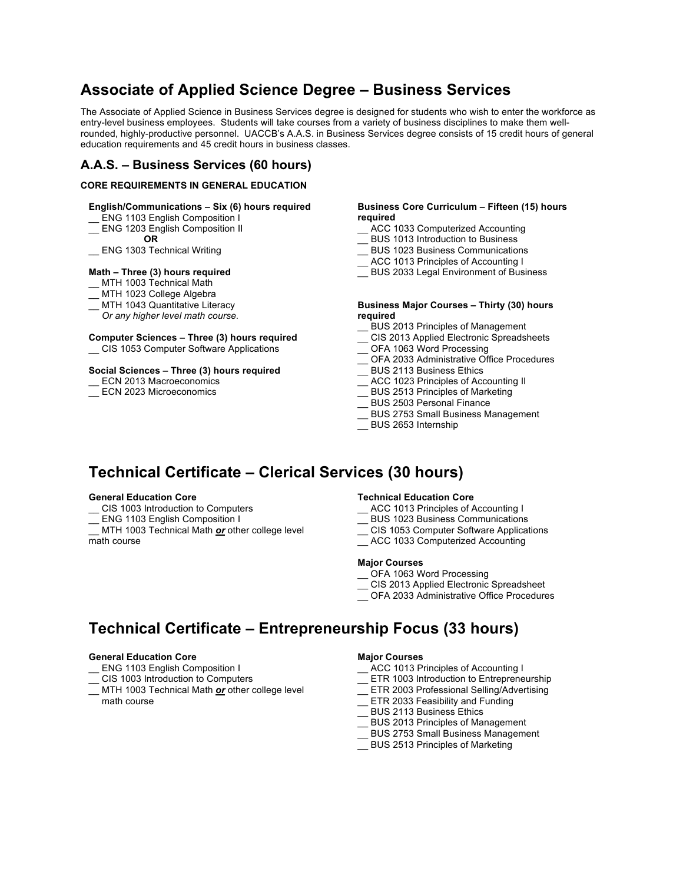## **Associate of Applied Science Degree – Business Services**

The Associate of Applied Science in Business Services degree is designed for students who wish to enter the workforce as entry-level business employees. Students will take courses from a variety of business disciplines to make them wellrounded, highly-productive personnel. UACCB's A.A.S. in Business Services degree consists of 15 credit hours of general education requirements and 45 credit hours in business classes.

## **A.A.S. – Business Services (60 hours)**

#### **CORE REQUIREMENTS IN GENERAL EDUCATION**

#### **English/Communications – Six (6) hours required**

- ENG 1103 English Composition I
- ENG 1203 English Composition II **OR**

#### ENG 1303 Technical Writing

#### **Math – Three (3) hours required**

- MTH 1003 Technical Math
- MTH 1023 College Algebra
- MTH 1043 Quantitative Literacy
- *Or any higher level math course.*

#### **Computer Sciences – Three (3) hours required**

\_\_ CIS 1053 Computer Software Applications

#### **Social Sciences – Three (3) hours required**

- ECN 2013 Macroeconomics
- ECN 2023 Microeconomics

#### **Business Core Curriculum – Fifteen (15) hours required**

- ACC 1033 Computerized Accounting
- \_\_ BUS 1013 Introduction to Business
- \_\_ BUS 1023 Business Communications
- \_\_ ACC 1013 Principles of Accounting I
- \_\_ BUS 2033 Legal Environment of Business

#### **Business Major Courses – Thirty (30) hours required**

- \_\_ BUS 2013 Principles of Management
- CIS 2013 Applied Electronic Spreadsheets
- \_\_ OFA 1063 Word Processing
- OFA 2033 Administrative Office Procedures
- \_\_ BUS 2113 Business Ethics
- \_\_ ACC 1023 Principles of Accounting II
- \_\_ BUS 2513 Principles of Marketing
- \_\_ BUS 2503 Personal Finance
- \_\_ BUS 2753 Small Business Management
- \_\_ BUS 2653 Internship

## **Technical Certificate – Clerical Services (30 hours)**

#### **General Education Core**

- CIS 1003 Introduction to Computers
- ENG 1103 English Composition I
- MTH 1003 Technical Math *or* other college level math course

#### **Technical Education Core**

- \_\_ ACC 1013 Principles of Accounting I
- \_\_ BUS 1023 Business Communications
- \_\_ CIS 1053 Computer Software Applications
- ACC 1033 Computerized Accounting

#### **Major Courses**

- \_\_ OFA 1063 Word Processing
- \_\_ CIS 2013 Applied Electronic Spreadsheet
- \_\_ OFA 2033 Administrative Office Procedures

## **Technical Certificate – Entrepreneurship Focus (33 hours)**

#### **General Education Core**

- ENG 1103 English Composition I
- CIS 1003 Introduction to Computers
- MTH 1003 Technical Math *or* other college level math course

#### **Major Courses**

- \_\_ ACC 1013 Principles of Accounting I
- ETR 1003 Introduction to Entrepreneurship
- \_\_ ETR 2003 Professional Selling/Advertising
- **ETR 2033 Feasibility and Funding**
- \_\_ BUS 2113 Business Ethics
- \_\_ BUS 2013 Principles of Management
- \_\_ BUS 2753 Small Business Management
- \_\_ BUS 2513 Principles of Marketing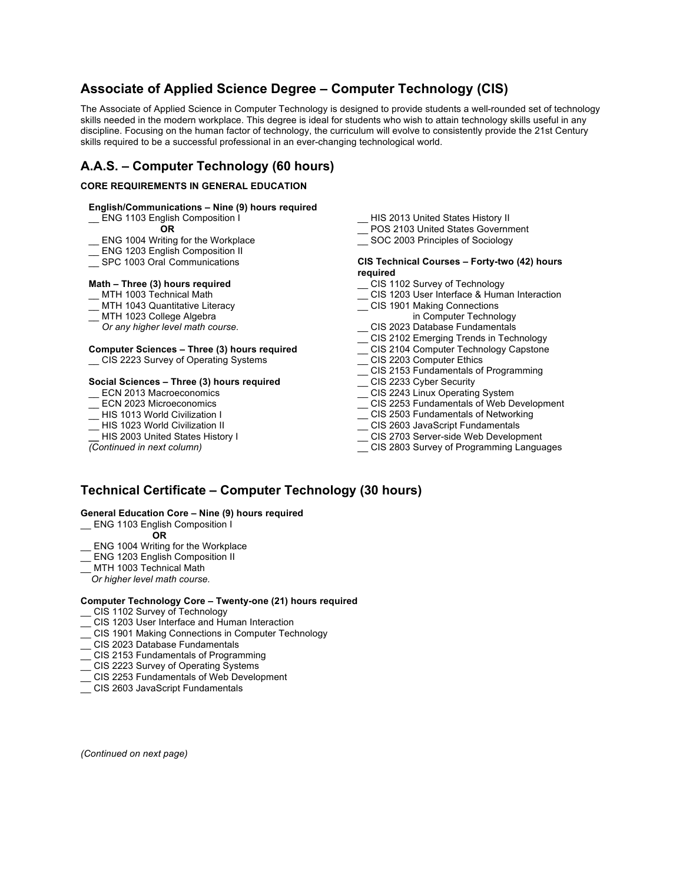## **Associate of Applied Science Degree – Computer Technology (CIS)**

The Associate of Applied Science in Computer Technology is designed to provide students a well-rounded set of technology skills needed in the modern workplace. This degree is ideal for students who wish to attain technology skills useful in any discipline. Focusing on the human factor of technology, the curriculum will evolve to consistently provide the 21st Century skills required to be a successful professional in an ever-changing technological world.

## **A.A.S. – Computer Technology (60 hours)**

#### **CORE REQUIREMENTS IN GENERAL EDUCATION**

#### **English/Communications – Nine (9) hours required**

\_\_ ENG 1103 English Composition I

- **OR**
- ENG 1004 Writing for the Workplace
- \_\_ ENG 1203 English Composition II
- SPC 1003 Oral Communications

#### **Math – Three (3) hours required**

- \_\_ MTH 1003 Technical Math
- MTH 1043 Quantitative Literacy
- MTH 1023 College Algebra
- *Or any higher level math course.*

#### **Computer Sciences – Three (3) hours required**

\_\_ CIS 2223 Survey of Operating Systems

#### **Social Sciences – Three (3) hours required**

- ECN 2013 Macroeconomics
- ECN 2023 Microeconomics
- HIS 1013 World Civilization I
- HIS 1023 World Civilization II
- **\_\_** HIS 2003 United States History I

*(Continued in next column)*

- \_\_ HIS 2013 United States History II
- POS 2103 United States Government
- \_\_ SOC 2003 Principles of Sociology

#### **CIS Technical Courses – Forty-two (42) hours required**

- \_\_ CIS 1102 Survey of Technology
- \_\_ CIS 1203 User Interface & Human Interaction
- \_\_ CIS 1901 Making Connections in Computer Technology
- \_\_ CIS 2023 Database Fundamentals
- \_\_ CIS 2102 Emerging Trends in Technology
- \_\_ CIS 2104 Computer Technology Capstone
- \_\_ CIS 2203 Computer Ethics
- \_\_ CIS 2153 Fundamentals of Programming
- \_ CIS 2233 Cyber Security
- \_\_ CIS 2243 Linux Operating System
- \_\_ CIS 2253 Fundamentals of Web Development
- \_\_ CIS 2503 Fundamentals of Networking
- \_\_ CIS 2603 JavaScript Fundamentals
- \_\_ CIS 2703 Server-side Web Development
- \_\_ CIS 2803 Survey of Programming Languages

## **Technical Certificate – Computer Technology (30 hours)**

#### **General Education Core – Nine (9) hours required**

- ENG 1103 English Composition I
	- **OR**
- ENG 1004 Writing for the Workplace
- **ENG 1203 English Composition II**
- MTH 1003 Technical Math
- *Or higher level math course.*

#### **Computer Technology Core – Twenty-one (21) hours required**

- \_\_ CIS 1102 Survey of Technology
- CIS 1203 User Interface and Human Interaction
- \_\_ CIS 1901 Making Connections in Computer Technology
- \_\_ CIS 2023 Database Fundamentals
- \_\_ CIS 2153 Fundamentals of Programming
- \_\_ CIS 2223 Survey of Operating Systems
- CIS 2253 Fundamentals of Web Development
- \_\_ CIS 2603 JavaScript Fundamentals

*(Continued on next page)*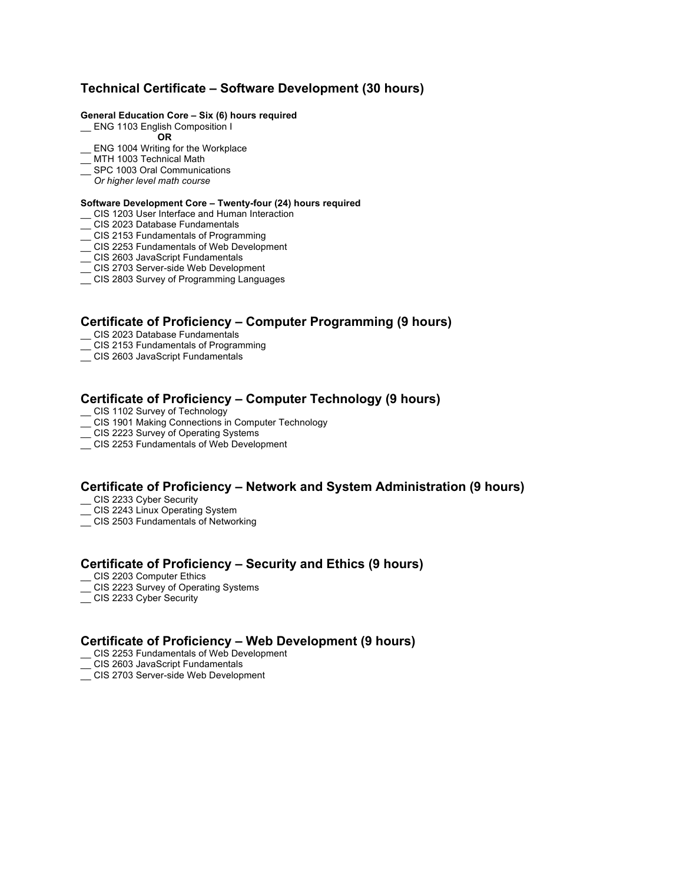## **Technical Certificate – Software Development (30 hours)**

#### **General Education Core – Six (6) hours required**

- \_\_ ENG 1103 English Composition I
	- **OR**
- \_\_ ENG 1004 Writing for the Workplace
- \_MTH 1003 Technical Math
- \_\_ SPC 1003 Oral Communications
- *Or higher level math course*

#### **Software Development Core – Twenty-four (24) hours required**

- \_\_ CIS 1203 User Interface and Human Interaction
- \_\_ CIS 2023 Database Fundamentals
- \_\_ CIS 2153 Fundamentals of Programming
- \_\_ CIS 2253 Fundamentals of Web Development
- \_\_ CIS 2603 JavaScript Fundamentals
- \_\_ CIS 2703 Server-side Web Development
- \_\_ CIS 2803 Survey of Programming Languages

## **Certificate of Proficiency – Computer Programming (9 hours)**

- CIS 2023 Database Fundamentals
- CIS 2153 Fundamentals of Programming
- \_\_ CIS 2603 JavaScript Fundamentals

## **Certificate of Proficiency – Computer Technology (9 hours)**

- CIS 1102 Survey of Technology
- \_\_ CIS 1901 Making Connections in Computer Technology
- \_\_ CIS 2223 Survey of Operating Systems
- \_\_ CIS 2253 Fundamentals of Web Development

### **Certificate of Proficiency – Network and System Administration (9 hours)**

- \_\_ CIS 2233 Cyber Security
- CIS 2243 Linux Operating System
- \_\_ CIS 2503 Fundamentals of Networking

## **Certificate of Proficiency – Security and Ethics (9 hours)**

- CIS 2203 Computer Ethics
- \_\_ CIS 2223 Survey of Operating Systems
- CIS 2233 Cyber Security

### **Certificate of Proficiency – Web Development (9 hours)**

- \_\_ CIS 2253 Fundamentals of Web Development
- CIS 2603 JavaScript Fundamentals
- \_\_ CIS 2703 Server-side Web Development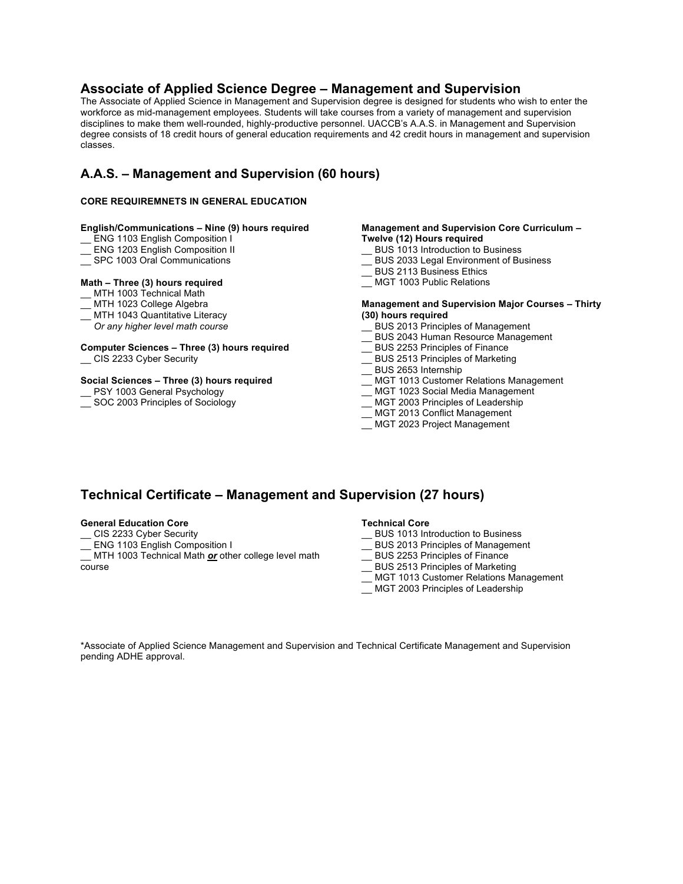## **Associate of Applied Science Degree – Management and Supervision**

The Associate of Applied Science in Management and Supervision degree is designed for students who wish to enter the workforce as mid-management employees. Students will take courses from a variety of management and supervision disciplines to make them well-rounded, highly-productive personnel. UACCB's A.A.S. in Management and Supervision degree consists of 18 credit hours of general education requirements and 42 credit hours in management and supervision classes.

## **A.A.S. – Management and Supervision (60 hours)**

#### **CORE REQUIREMNETS IN GENERAL EDUCATION**

#### **English/Communications – Nine (9) hours required**

- ENG 1103 English Composition I
- \_\_ ENG 1203 English Composition II
- SPC 1003 Oral Communications

#### **Math – Three (3) hours required**

- \_\_ MTH 1003 Technical Math
- MTH 1023 College Algebra
- MTH 1043 Quantitative Literacy
- *Or any higher level math course*

#### **Computer Sciences – Three (3) hours required**

\_\_ CIS 2233 Cyber Security

#### **Social Sciences – Three (3) hours required**

- PSY 1003 General Psychology
- SOC 2003 Principles of Sociology

#### **Management and Supervision Core Curriculum – Twelve (12) Hours required**

- BUS 1013 Introduction to Business
- \_\_ BUS 2033 Legal Environment of Business
- \_\_ BUS 2113 Business Ethics
- MGT 1003 Public Relations

#### **Management and Supervision Major Courses – Thirty (30) hours required**

- \_\_ BUS 2013 Principles of Management
- \_\_ BUS 2043 Human Resource Management
- \_\_ BUS 2253 Principles of Finance
- \_\_ BUS 2513 Principles of Marketing
- \_\_ BUS 2653 Internship
- MGT 1013 Customer Relations Management
- \_\_ MGT 1023 Social Media Management
- \_ MGT 2003 Principles of Leadership
- \_\_ MGT 2013 Conflict Management
- \_\_ MGT 2023 Project Management

## **Technical Certificate – Management and Supervision (27 hours)**

#### **General Education Core**

- \_\_ CIS 2233 Cyber Security
- **ENG 1103 English Composition I**

MTH 1003 Technical Math *or* other college level math course

#### **Technical Core**

- \_\_ BUS 1013 Introduction to Business
- BUS 2013 Principles of Management
- \_\_ BUS 2253 Principles of Finance
- \_\_ BUS 2513 Principles of Marketing
- MGT 1013 Customer Relations Management
- \_\_ MGT 2003 Principles of Leadership

\*Associate of Applied Science Management and Supervision and Technical Certificate Management and Supervision pending ADHE approval.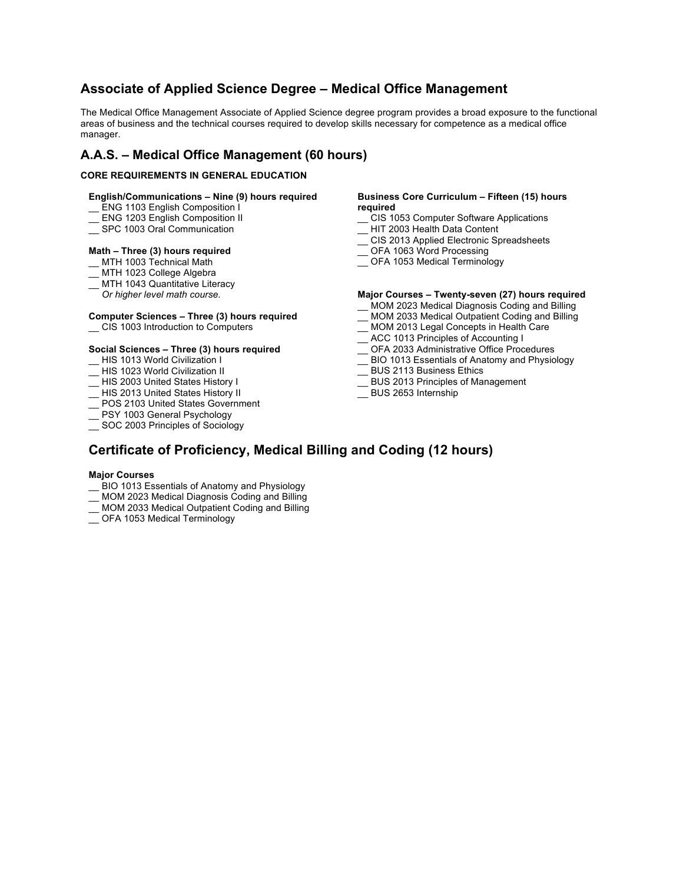## **Associate of Applied Science Degree – Medical Office Management**

The Medical Office Management Associate of Applied Science degree program provides a broad exposure to the functional areas of business and the technical courses required to develop skills necessary for competence as a medical office manager.

## **A.A.S. – Medical Office Management (60 hours)**

#### **CORE REQUIREMENTS IN GENERAL EDUCATION**

#### **English/Communications – Nine (9) hours required**

- \_\_ ENG 1103 English Composition I
- ENG 1203 English Composition II
- \_\_ SPC 1003 Oral Communication

#### **Math – Three (3) hours required**

- \_\_ MTH 1003 Technical Math
- \_\_ MTH 1023 College Algebra
- \_ MTH 1043 Quantitative Literacy
- *Or higher level math course.*

## **Computer Sciences – Three (3) hours required**

\_\_ CIS 1003 Introduction to Computers

#### **Social Sciences – Three (3) hours required**

- \_\_ HIS 1013 World Civilization I
- HIS 1023 World Civilization II
- HIS 2003 United States History I
- \_\_ HIS 2013 United States History II
- \_\_ POS 2103 United States Government
- \_\_ PSY 1003 General Psychology
- SOC 2003 Principles of Sociology

#### **Business Core Curriculum – Fifteen (15) hours required**

- \_\_ CIS 1053 Computer Software Applications
- \_\_ HIT 2003 Health Data Content
- \_\_ CIS 2013 Applied Electronic Spreadsheets
- \_\_ OFA 1063 Word Processing
- \_\_ OFA 1053 Medical Terminology

#### **Major Courses – Twenty-seven (27) hours required**

- \_\_ MOM 2023 Medical Diagnosis Coding and Billing
- \_\_ MOM 2033 Medical Outpatient Coding and Billing
- \_\_ MOM 2013 Legal Concepts in Health Care
- \_\_ ACC 1013 Principles of Accounting I
- \_\_ OFA 2033 Administrative Office Procedures
- \_\_ BIO 1013 Essentials of Anatomy and Physiology
- \_\_ BUS 2113 Business Ethics
- \_\_ BUS 2013 Principles of Management
- \_\_ BUS 2653 Internship

## **Certificate of Proficiency, Medical Billing and Coding (12 hours)**

#### **Major Courses**

- \_\_ BIO 1013 Essentials of Anatomy and Physiology
- \_\_ MOM 2023 Medical Diagnosis Coding and Billing
- \_\_ MOM 2033 Medical Outpatient Coding and Billing
- OFA 1053 Medical Terminology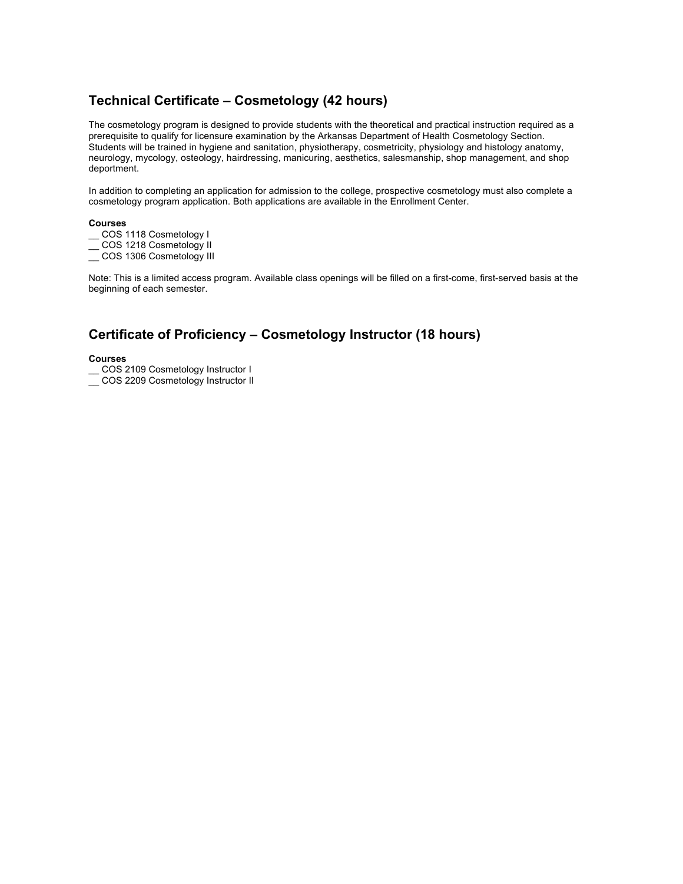## **Technical Certificate – Cosmetology (42 hours)**

The cosmetology program is designed to provide students with the theoretical and practical instruction required as a prerequisite to qualify for licensure examination by the Arkansas Department of Health Cosmetology Section. Students will be trained in hygiene and sanitation, physiotherapy, cosmetricity, physiology and histology anatomy, neurology, mycology, osteology, hairdressing, manicuring, aesthetics, salesmanship, shop management, and shop deportment.

In addition to completing an application for admission to the college, prospective cosmetology must also complete a cosmetology program application. Both applications are available in the Enrollment Center.

#### **Courses**

- \_\_ COS 1118 Cosmetology I
- \_\_ COS 1218 Cosmetology II
- \_\_ COS 1306 Cosmetology III

Note: This is a limited access program. Available class openings will be filled on a first-come, first-served basis at the beginning of each semester.

## **Certificate of Proficiency – Cosmetology Instructor (18 hours)**

#### **Courses**

- \_\_ COS 2109 Cosmetology Instructor I
- \_ COS 2209 Cosmetology Instructor II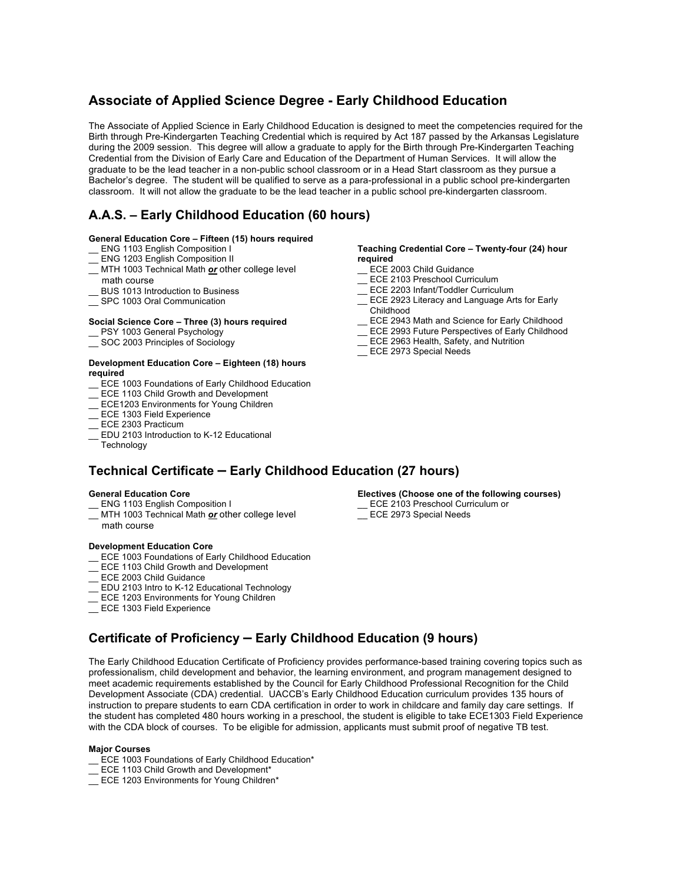## **Associate of Applied Science Degree - Early Childhood Education**

The Associate of Applied Science in Early Childhood Education is designed to meet the competencies required for the Birth through Pre-Kindergarten Teaching Credential which is required by Act 187 passed by the Arkansas Legislature during the 2009 session. This degree will allow a graduate to apply for the Birth through Pre-Kindergarten Teaching Credential from the Division of Early Care and Education of the Department of Human Services. It will allow the graduate to be the lead teacher in a non-public school classroom or in a Head Start classroom as they pursue a Bachelor's degree. The student will be qualified to serve as a para-professional in a public school pre-kindergarten classroom. It will not allow the graduate to be the lead teacher in a public school pre-kindergarten classroom.

## **A.A.S. – Early Childhood Education (60 hours)**

#### **General Education Core – Fifteen (15) hours required**

- \_\_ ENG 1103 English Composition I
- ENG 1203 English Composition II
- \_\_ MTH 1003 Technical Math *or* other college level math course
- BUS 1013 Introduction to Business
- SPC 1003 Oral Communication

#### **Social Science Core – Three (3) hours required**

- \_\_ PSY 1003 General Psychology
- \_\_ SOC 2003 Principles of Sociology

#### **Development Education Core – Eighteen (18) hours required**

- ECE 1003 Foundations of Early Childhood Education
- ECE 1103 Child Growth and Development
- ECE1203 Environments for Young Children
- \_\_ ECE 1303 Field Experience
- ECE 2303 Practicum
- EDU 2103 Introduction to K-12 Educational
- **Technology**

#### **Teaching Credential Core – Twenty-four (24) hour required**

- \_\_ ECE 2003 Child Guidance
- ECE 2103 Preschool Curriculum
- ECE 2203 Infant/Toddler Curriculum
- \_\_ ECE 2923 Literacy and Language Arts for Early Childhood
- \_\_ ECE 2943 Math and Science for Early Childhood
- \_\_ ECE 2993 Future Perspectives of Early Childhood
- ECE 2963 Health, Safety, and Nutrition
- \_\_ ECE 2973 Special Needs

## **Technical Certificate – Early Childhood Education (27 hours)**

#### **General Education Core**

- ENG 1103 English Composition I
- \_\_ MTH 1003 Technical Math *or* other college level math course

#### **Development Education Core**

- \_\_ ECE 1003 Foundations of Early Childhood Education
- ECE 1103 Child Growth and Development
- ECE 2003 Child Guidance
- EDU 2103 Intro to K-12 Educational Technology
- *\_\_* ECE 1203 Environments for Young Children
- ECE 1303 Field Experience

#### **Electives (Choose one of the following courses)**

- ECE 2103 Preschool Curriculum or
- ECE 2973 Special Needs

## **Certificate of Proficiency – Early Childhood Education (9 hours)**

The Early Childhood Education Certificate of Proficiency provides performance-based training covering topics such as professionalism, child development and behavior, the learning environment, and program management designed to meet academic requirements established by the Council for Early Childhood Professional Recognition for the Child Development Associate (CDA) credential. UACCB's Early Childhood Education curriculum provides 135 hours of instruction to prepare students to earn CDA certification in order to work in childcare and family day care settings. If the student has completed 480 hours working in a preschool, the student is eligible to take ECE1303 Field Experience with the CDA block of courses. To be eligible for admission, applicants must submit proof of negative TB test.

#### **Major Courses**

- \_\_ ECE 1003 Foundations of Early Childhood Education\*
- ECE 1103 Child Growth and Development\*
- \_\_ ECE 1203 Environments for Young Children\*
- 
-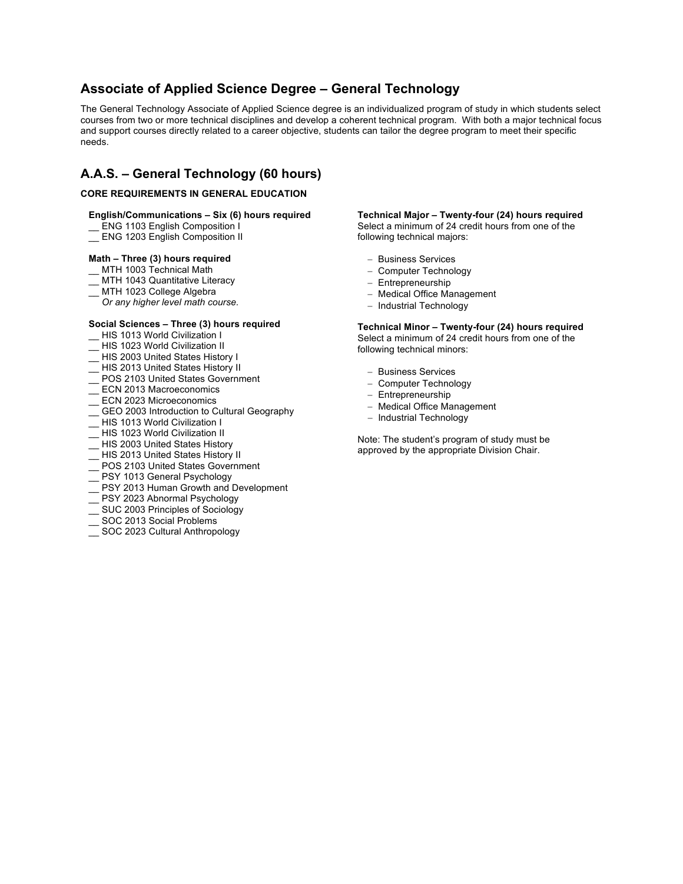## **Associate of Applied Science Degree – General Technology**

The General Technology Associate of Applied Science degree is an individualized program of study in which students select courses from two or more technical disciplines and develop a coherent technical program. With both a major technical focus and support courses directly related to a career objective, students can tailor the degree program to meet their specific needs.

## **A.A.S. – General Technology (60 hours)**

#### **CORE REQUIREMENTS IN GENERAL EDUCATION**

#### **English/Communications – Six (6) hours required**

- \_\_ ENG 1103 English Composition I
- \_\_ ENG 1203 English Composition II

#### **Math – Three (3) hours required**

- \_\_ MTH 1003 Technical Math
- MTH 1043 Quantitative Literacy
- MTH 1023 College Algebra
- *Or any higher level math course.*

#### **Social Sciences – Three (3) hours required**

- HIS 1013 World Civilization I
- HIS 1023 World Civilization II
- \_\_ HIS 2003 United States History I
- \_\_ HIS 2013 United States History II
- \_\_ POS 2103 United States Government
- ECN 2013 Macroeconomics
- ECN 2023 Microeconomics
- GEO 2003 Introduction to Cultural Geography
- HIS 1013 World Civilization I
- \_\_ HIS 1023 World Civilization II
- \_\_ HIS 2003 United States History
- \_\_ HIS 2013 United States History II
- \_\_ POS 2103 United States Government
- PSY 1013 General Psychology
- PSY 2013 Human Growth and Development
- \_\_ PSY 2023 Abnormal Psychology
- \_\_ SUC 2003 Principles of Sociology
- \_\_ SOC 2013 Social Problems
- SOC 2023 Cultural Anthropology

**Technical Major – Twenty-four (24) hours required** Select a minimum of 24 credit hours from one of the following technical majors:

- Business Services
- Computer Technology
- Entrepreneurship
- Medical Office Management
- Industrial Technology

**Technical Minor – Twenty-four (24) hours required** Select a minimum of 24 credit hours from one of the following technical minors:

- Business Services
- Computer Technology
- Entrepreneurship
- Medical Office Management
- Industrial Technology

Note: The student's program of study must be approved by the appropriate Division Chair.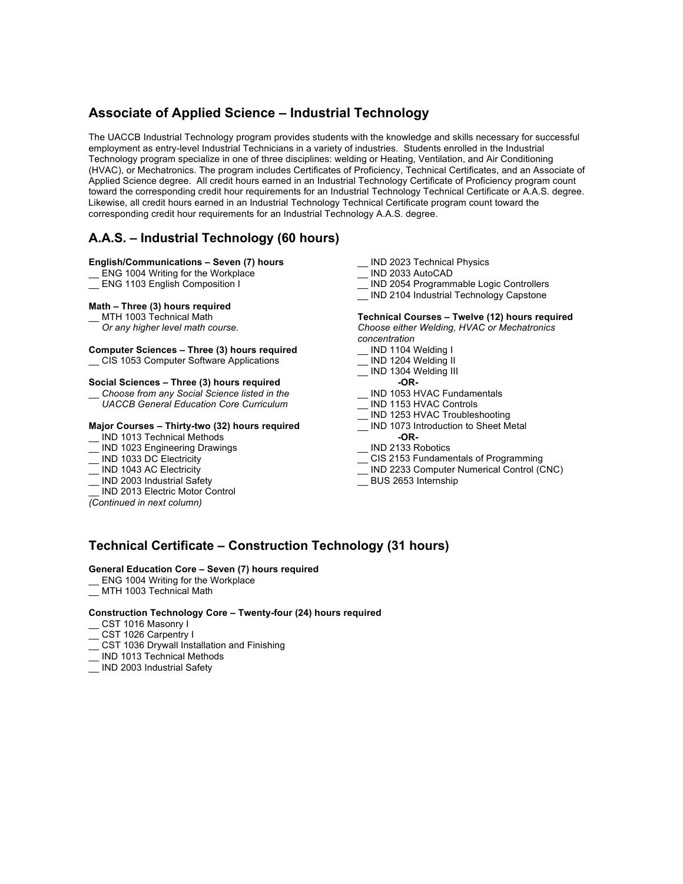## **Associate of Applied Science – Industrial Technology**

The UACCB Industrial Technology program provides students with the knowledge and skills necessary for successful employment as entry-level Industrial Technicians in a variety of industries. Students enrolled in the Industrial Technology program specialize in one of three disciplines: welding or Heating, Ventilation, and Air Conditioning (HVAC), or Mechatronics. The program includes Certificates of Proficiency, Technical Certificates, and an Associate of Applied Science degree. All credit hours earned in an Industrial Technology Certificate of Proficiency program count toward the corresponding credit hour requirements for an Industrial Technology Technical Certificate or A.A.S. degree. Likewise, all credit hours earned in an Industrial Technology Technical Certificate program count toward the corresponding credit hour requirements for an Industrial Technology A.A.S. degree.

## **A.A.S. – Industrial Technology (60 hours)**

#### **English/Communications – Seven (7) hours**

- ENG 1004 Writing for the Workplace
- ENG 1103 English Composition I

#### **Math – Three (3) hours required**

MTH 1003 Technical Math

 *Or any higher level math course.*

#### **Computer Sciences – Three (3) hours required**

\_\_ CIS 1053 Computer Software Applications

#### **Social Sciences – Three (3) hours required**

\_\_ *Choose from any Social Science listed in the UACCB General Education Core Curriculum*

#### **Major Courses – Thirty-two (32) hours required**

- \_\_ IND 1013 Technical Methods
- IND 1023 Engineering Drawings
- IND 1033 DC Electricity
- IND 1043 AC Electricity
- IND 2003 Industrial Safety
- IND 2013 Electric Motor Control
- *(Continued in next column)*
- IND 2023 Technical Physics
- \_\_ IND 2033 AutoCAD
- IND 2054 Programmable Logic Controllers
- \_\_ IND 2104 Industrial Technology Capstone

#### **Technical Courses – Twelve (12) hours required** *Choose either Welding, HVAC or Mechatronics*

*concentration*

- \_\_ IND 1104 Welding I
- \_\_ IND 1204 Welding II
- \_ IND 1304 Welding III
- **-OR-**
- IND 1053 HVAC Fundamentals
- \_ IND 1153 HVAC Controls
- \_\_ IND 1253 HVAC Troubleshooting
- \_\_ IND 1073 Introduction to Sheet Metal **-OR-**
- \_\_ IND 2133 Robotics
- \_\_ CIS 2153 Fundamentals of Programming
- IND 2233 Computer Numerical Control (CNC)
- \_\_ BUS 2653 Internship

## **Technical Certificate – Construction Technology (31 hours)**

#### **General Education Core – Seven (7) hours required**

- ENG 1004 Writing for the Workplace
- MTH 1003 Technical Math

#### **Construction Technology Core – Twenty-four (24) hours required**

- \_\_ CST 1016 Masonry I
- CST 1026 Carpentry I
- CST 1036 Drywall Installation and Finishing
- \_ IND 1013 Technical Methods
- \_\_ IND 2003 Industrial Safety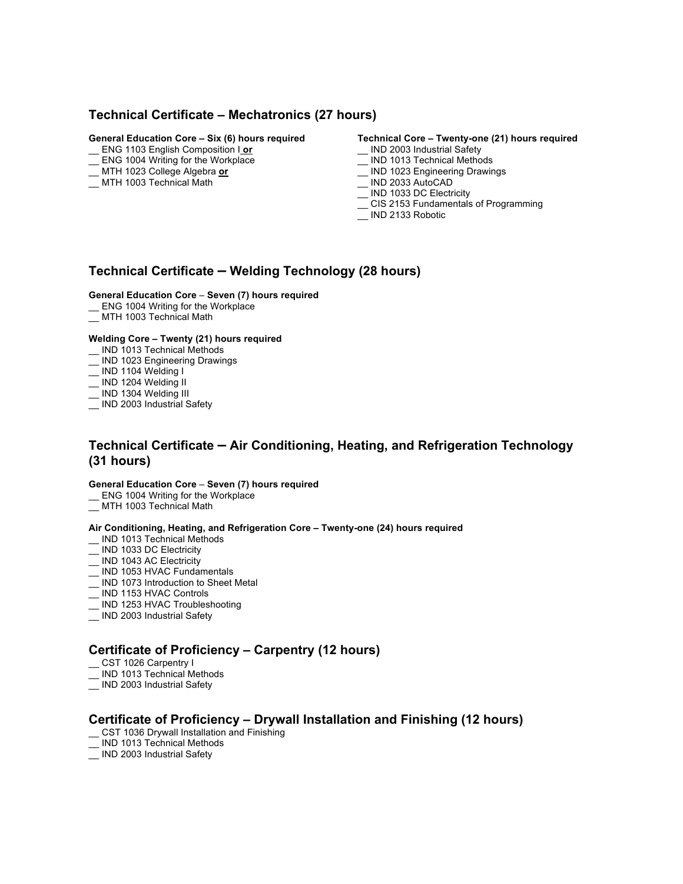## **Technical Certificate – Mechatronics (27 hours)**

#### **General Education Core – Six (6) hours required**

- \_\_ ENG 1103 English Composition I **or**
- \_\_ ENG 1004 Writing for the Workplace
- \_\_ MTH 1023 College Algebra **or**
- \_\_ MTH 1003 Technical Math
- **Technical Core – Twenty-one (21) hours required**
- \_\_ IND 2003 Industrial Safety
- \_ IND 1013 Technical Methods
- \_\_ IND 1023 Engineering Drawings
- \_\_ IND 2033 AutoCAD
- LND 1033 DC Electricity
- \_\_ CIS 2153 Fundamentals of Programming
- \_\_ IND 2133 Robotic

## **Technical Certificate – Welding Technology (28 hours)**

#### **General Education Core** – **Seven (7) hours required**

- ENG 1004 Writing for the Workplace
- MTH 1003 Technical Math

#### **Welding Core – Twenty (21) hours required**

- \_\_ IND 1013 Technical Methods
- \_\_ IND 1023 Engineering Drawings
- \_\_ IND 1104 Welding I
- \_\_ IND 1204 Welding II
- \_ IND 1304 Welding III
- \_\_ IND 2003 Industrial Safety

## **Technical Certificate – Air Conditioning, Heating, and Refrigeration Technology (31 hours)**

#### **General Education Core** – **Seven (7) hours required**

- \_\_ ENG 1004 Writing for the Workplace
- \_\_ MTH 1003 Technical Math

#### **Air Conditioning, Heating, and Refrigeration Core – Twenty-one (24) hours required**

- IND 1013 Technical Methods
- IND 1033 DC Electricity
- \_\_ IND 1043 AC Electricity
- \_\_ IND 1053 HVAC Fundamentals
- IND 1073 Introduction to Sheet Metal
- \_ IND 1153 HVAC Controls
- \_\_ IND 1253 HVAC Troubleshooting
- IND 2003 Industrial Safety

## **Certificate of Proficiency – Carpentry (12 hours)**

- CST 1026 Carpentry I
- \_ IND 1013 Technical Methods
- \_\_ IND 2003 Industrial Safety

## **Certificate of Proficiency – Drywall Installation and Finishing (12 hours)**

- CST 1036 Drywall Installation and Finishing
- \_\_ IND 1013 Technical Methods
- \_ IND 2003 Industrial Safety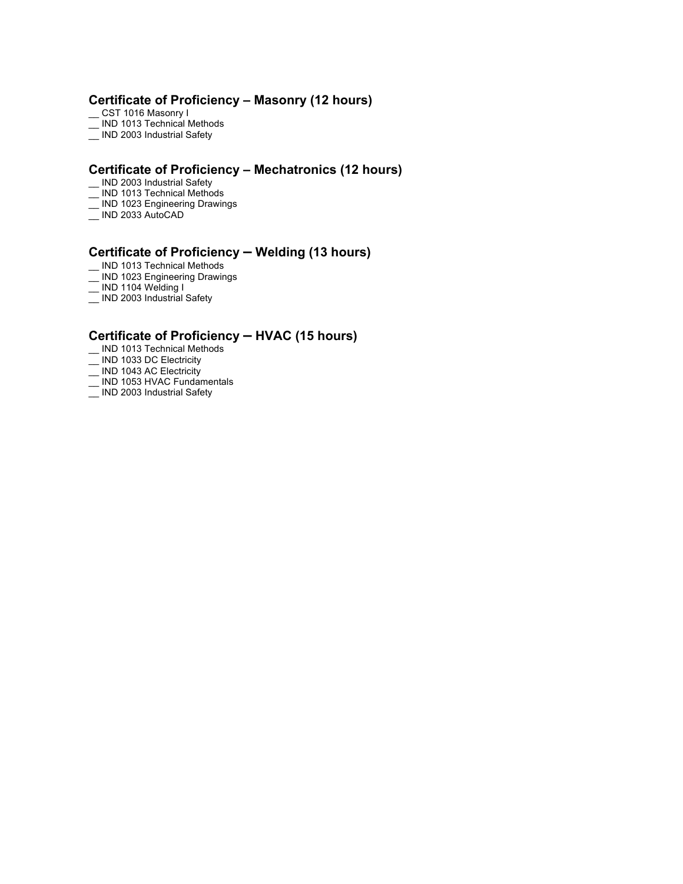## **Certificate of Proficiency – Masonry (12 hours)**

- \_\_ CST 1016 Masonry I
- $\equiv$  IND 1013 Technical Methods
- $\equiv$  IND 2003 Industrial Safety

### **Certificate of Proficiency – Mechatronics (12 hours)**

- IND 2003 Industrial Safety
- \_\_ IND 1013 Technical Methods
- \_\_ IND 1023 Engineering Drawings
- \_\_ IND 2033 AutoCAD

## **Certificate of Proficiency – Welding (13 hours)**

- \_\_ IND 1013 Technical Methods
- \_\_ IND 1023 Engineering Drawings
- \_\_ IND 1104 Welding I
- \_\_ IND 2003 Industrial Safety

### **Certificate of Proficiency – HVAC (15 hours)**

- \_\_ IND 1013 Technical Methods
- \_\_ IND 1033 DC Electricity
- \_\_ IND 1043 AC Electricity
- \_\_ IND 1053 HVAC Fundamentals
- \_\_ IND 2003 Industrial Safety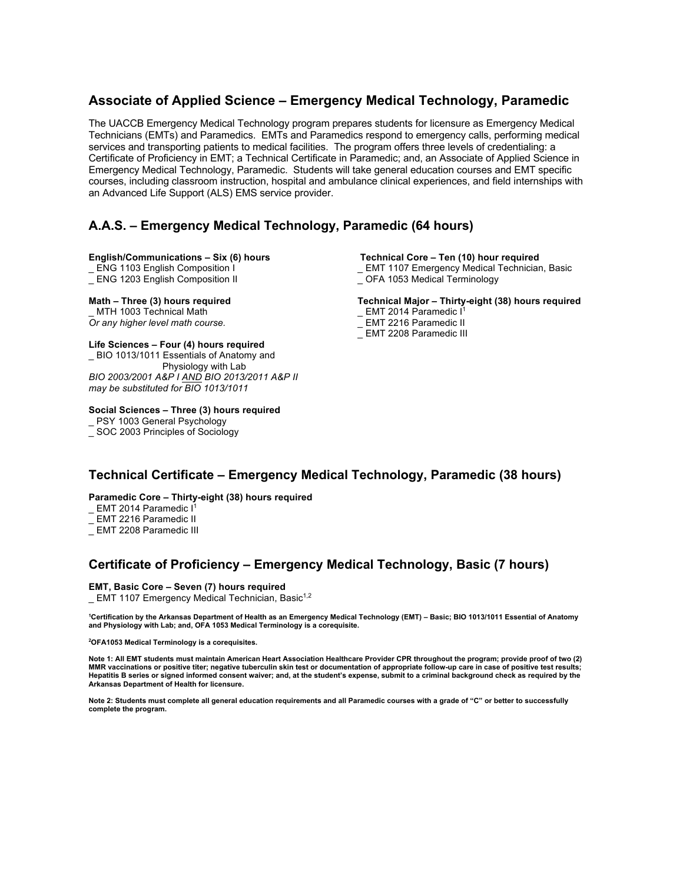## **Associate of Applied Science – Emergency Medical Technology, Paramedic**

The UACCB Emergency Medical Technology program prepares students for licensure as Emergency Medical Technicians (EMTs) and Paramedics. EMTs and Paramedics respond to emergency calls, performing medical services and transporting patients to medical facilities. The program offers three levels of credentialing: a Certificate of Proficiency in EMT; a Technical Certificate in Paramedic; and, an Associate of Applied Science in Emergency Medical Technology, Paramedic. Students will take general education courses and EMT specific courses, including classroom instruction, hospital and ambulance clinical experiences, and field internships with an Advanced Life Support (ALS) EMS service provider.

## **A.A.S. – Emergency Medical Technology, Paramedic (64 hours)**

#### **English/Communications – Six (6) hours**

ENG 1103 English Composition I

\_ ENG 1203 English Composition II

## **Math – Three (3) hours required**

MTH 1003 Technical Math *Or any higher level math course.*

#### **Life Sciences – Four (4) hours required**

\_ BIO 1013/1011 Essentials of Anatomy and Physiology with Lab *BIO 2003/2001 A&P I AND BIO 2013/2011 A&P II may be substituted for BIO 1013/1011*

#### **Social Sciences – Three (3) hours required**

\_ PSY 1003 General Psychology

\_ SOC 2003 Principles of Sociology

#### **Technical Core – Ten (10) hour required**

- \_ EMT 1107 Emergency Medical Technician, Basic
- \_ OFA 1053 Medical Terminology

#### **Technical Major – Thirty-eight (38) hours required**

- \_ EMT 2014 Paramedic I<sup>1</sup>
- EMT 2216 Paramedic II
- EMT 2208 Paramedic III

## **Technical Certificate – Emergency Medical Technology, Paramedic (38 hours)**

**Paramedic Core – Thirty-eight (38) hours required**

 $\_$  EMT 2014 Paramedic I<sup>1</sup>

- EMT 2216 Paramedic II
- EMT 2208 Paramedic III

## **Certificate of Proficiency – Emergency Medical Technology, Basic (7 hours)**

#### **EMT, Basic Core – Seven (7) hours required**

EMT 1107 Emergency Medical Technician, Basic $1,2$ 

<sup>1</sup>Certification by the Arkansas Department of Health as an Emergency Medical Technology (EMT) – Basic; BIO 1013/1011 Essential of Anatomy<br>and Physiology with Lab; and, OFA 1053 Medical Terminology is a corequisite.

**2 OFA1053 Medical Terminology is a corequisites.**

**Note 1: All EMT students must maintain American Heart Association Healthcare Provider CPR throughout the program; provide proof of two (2) MMR vaccinations or positive titer; negative tuberculin skin test or documentation of appropriate follow-up care in case of positive test results; Hepatitis B series or signed informed consent waiver; and, at the student's expense, submit to a criminal background check as required by the Arkansas Department of Health for licensure.**

**Note 2: Students must complete all general education requirements and all Paramedic courses with a grade of "C" or better to successfully complete the program.**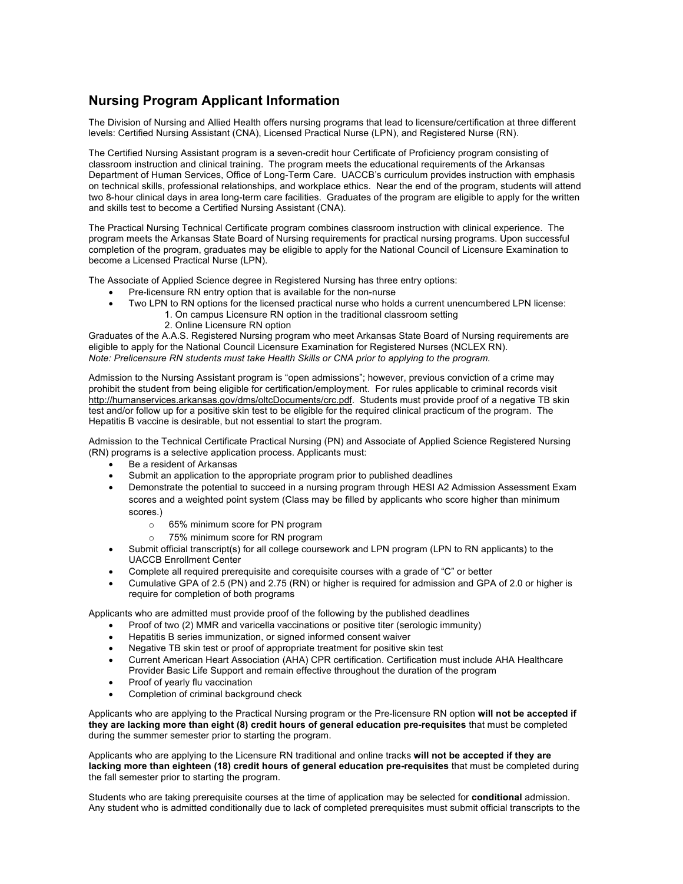## **Nursing Program Applicant Information**

The Division of Nursing and Allied Health offers nursing programs that lead to licensure/certification at three different levels: Certified Nursing Assistant (CNA), Licensed Practical Nurse (LPN), and Registered Nurse (RN).

The Certified Nursing Assistant program is a seven-credit hour Certificate of Proficiency program consisting of classroom instruction and clinical training. The program meets the educational requirements of the Arkansas Department of Human Services, Office of Long-Term Care. UACCB's curriculum provides instruction with emphasis on technical skills, professional relationships, and workplace ethics. Near the end of the program, students will attend two 8-hour clinical days in area long-term care facilities. Graduates of the program are eligible to apply for the written and skills test to become a Certified Nursing Assistant (CNA).

The Practical Nursing Technical Certificate program combines classroom instruction with clinical experience. The program meets the Arkansas State Board of Nursing requirements for practical nursing programs. Upon successful completion of the program, graduates may be eligible to apply for the National Council of Licensure Examination to become a Licensed Practical Nurse (LPN).

The Associate of Applied Science degree in Registered Nursing has three entry options:

- Pre-licensure RN entry option that is available for the non-nurse
- Two LPN to RN options for the licensed practical nurse who holds a current unencumbered LPN license:
	- 1. On campus Licensure RN option in the traditional classroom setting
		- 2. Online Licensure RN option

Graduates of the A.A.S. Registered Nursing program who meet Arkansas State Board of Nursing requirements are eligible to apply for the National Council Licensure Examination for Registered Nurses (NCLEX RN). *Note: Prelicensure RN students must take Health Skills or CNA prior to applying to the program.*

Admission to the Nursing Assistant program is "open admissions"; however, previous conviction of a crime may prohibit the student from being eligible for certification/employment. For rules applicable to criminal records visit http://humanservices.arkansas.gov/dms/oltcDocuments/crc.pdf. Students must provide proof of a negative TB skin test and/or follow up for a positive skin test to be eligible for the required clinical practicum of the program. The Hepatitis B vaccine is desirable, but not essential to start the program.

Admission to the Technical Certificate Practical Nursing (PN) and Associate of Applied Science Registered Nursing (RN) programs is a selective application process. Applicants must:

- Be a resident of Arkansas
- Submit an application to the appropriate program prior to published deadlines
- Demonstrate the potential to succeed in a nursing program through HESI A2 Admission Assessment Exam scores and a weighted point system (Class may be filled by applicants who score higher than minimum scores.)
	- o 65% minimum score for PN program
	- o 75% minimum score for RN program
- Submit official transcript(s) for all college coursework and LPN program (LPN to RN applicants) to the UACCB Enrollment Center
- Complete all required prerequisite and corequisite courses with a grade of "C" or better
- Cumulative GPA of 2.5 (PN) and 2.75 (RN) or higher is required for admission and GPA of 2.0 or higher is require for completion of both programs

Applicants who are admitted must provide proof of the following by the published deadlines

- Proof of two (2) MMR and varicella vaccinations or positive titer (serologic immunity)
- Hepatitis B series immunization, or signed informed consent waiver
- Negative TB skin test or proof of appropriate treatment for positive skin test
- Current American Heart Association (AHA) CPR certification. Certification must include AHA Healthcare Provider Basic Life Support and remain effective throughout the duration of the program
- Proof of yearly flu vaccination
- Completion of criminal background check

Applicants who are applying to the Practical Nursing program or the Pre-licensure RN option **will not be accepted if they are lacking more than eight (8) credit hours of general education pre-requisites** that must be completed during the summer semester prior to starting the program.

Applicants who are applying to the Licensure RN traditional and online tracks **will not be accepted if they are lacking more than eighteen (18) credit hours of general education pre-requisites** that must be completed during the fall semester prior to starting the program.

Students who are taking prerequisite courses at the time of application may be selected for **conditional** admission. Any student who is admitted conditionally due to lack of completed prerequisites must submit official transcripts to the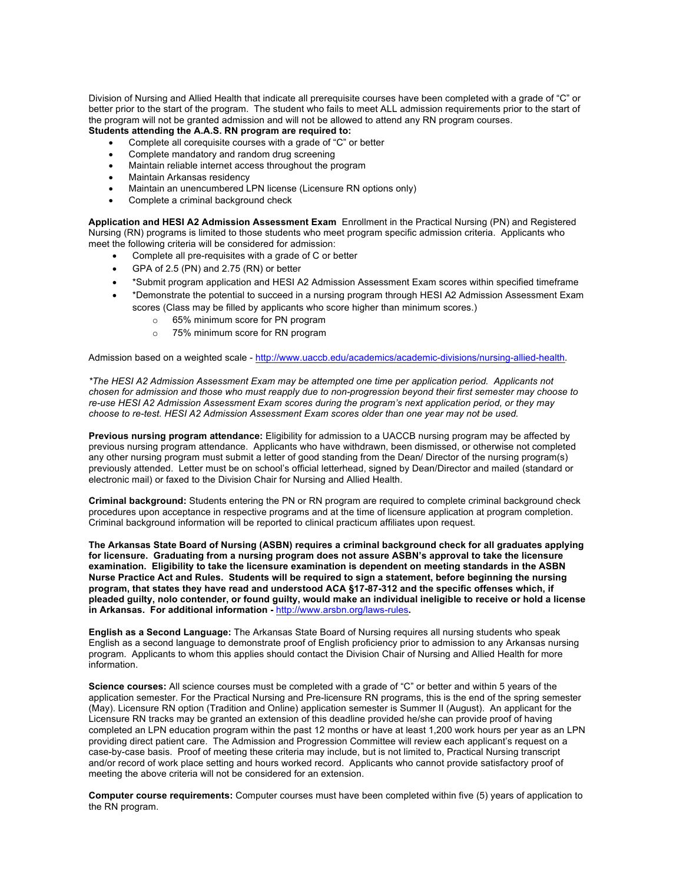Division of Nursing and Allied Health that indicate all prerequisite courses have been completed with a grade of "C" or better prior to the start of the program. The student who fails to meet ALL admission requirements prior to the start of the program will not be granted admission and will not be allowed to attend any RN program courses.

## **Students attending the A.A.S. RN program are required to:**

- Complete all corequisite courses with a grade of "C" or better
- Complete mandatory and random drug screening
- Maintain reliable internet access throughout the program
- Maintain Arkansas residency
- Maintain an unencumbered LPN license (Licensure RN options only)
- Complete a criminal background check

**Application and HESI A2 Admission Assessment Exam** Enrollment in the Practical Nursing (PN) and Registered Nursing (RN) programs is limited to those students who meet program specific admission criteria. Applicants who meet the following criteria will be considered for admission:

- Complete all pre-requisites with a grade of C or better
- GPA of 2.5 (PN) and 2.75 (RN) or better
- \*Submit program application and HESI A2 Admission Assessment Exam scores within specified timeframe
- \*Demonstrate the potential to succeed in a nursing program through HESI A2 Admission Assessment Exam scores (Class may be filled by applicants who score higher than minimum scores.)
	- o 65% minimum score for PN program
	- o 75% minimum score for RN program

Admission based on a weighted scale - http://www.uaccb.edu/academics/academic-divisions/nursing-allied-health.

*\*The HESI A2 Admission Assessment Exam may be attempted one time per application period. Applicants not chosen for admission and those who must reapply due to non-progression beyond their first semester may choose to re-use HESI A2 Admission Assessment Exam scores during the program's next application period, or they may choose to re-test. HESI A2 Admission Assessment Exam scores older than one year may not be used.* 

**Previous nursing program attendance:** Eligibility for admission to a UACCB nursing program may be affected by previous nursing program attendance. Applicants who have withdrawn, been dismissed, or otherwise not completed any other nursing program must submit a letter of good standing from the Dean/ Director of the nursing program(s) previously attended. Letter must be on school's official letterhead, signed by Dean/Director and mailed (standard or electronic mail) or faxed to the Division Chair for Nursing and Allied Health.

**Criminal background:** Students entering the PN or RN program are required to complete criminal background check procedures upon acceptance in respective programs and at the time of licensure application at program completion. Criminal background information will be reported to clinical practicum affiliates upon request.

**The Arkansas State Board of Nursing (ASBN) requires a criminal background check for all graduates applying for licensure. Graduating from a nursing program does not assure ASBN's approval to take the licensure examination. Eligibility to take the licensure examination is dependent on meeting standards in the ASBN Nurse Practice Act and Rules. Students will be required to sign a statement, before beginning the nursing program, that states they have read and understood ACA §17-87-312 and the specific offenses which, if pleaded guilty, nolo contender, or found guilty, would make an individual ineligible to receive or hold a license in Arkansas. For additional information -** http://www.arsbn.org/laws-rules**.** 

**English as a Second Language:** The Arkansas State Board of Nursing requires all nursing students who speak English as a second language to demonstrate proof of English proficiency prior to admission to any Arkansas nursing program. Applicants to whom this applies should contact the Division Chair of Nursing and Allied Health for more information.

**Science courses:** All science courses must be completed with a grade of "C" or better and within 5 years of the application semester. For the Practical Nursing and Pre-licensure RN programs, this is the end of the spring semester (May). Licensure RN option (Tradition and Online) application semester is Summer II (August). An applicant for the Licensure RN tracks may be granted an extension of this deadline provided he/she can provide proof of having completed an LPN education program within the past 12 months or have at least 1,200 work hours per year as an LPN providing direct patient care. The Admission and Progression Committee will review each applicant's request on a case-by-case basis. Proof of meeting these criteria may include, but is not limited to, Practical Nursing transcript and/or record of work place setting and hours worked record. Applicants who cannot provide satisfactory proof of meeting the above criteria will not be considered for an extension.

**Computer course requirements:** Computer courses must have been completed within five (5) years of application to the RN program.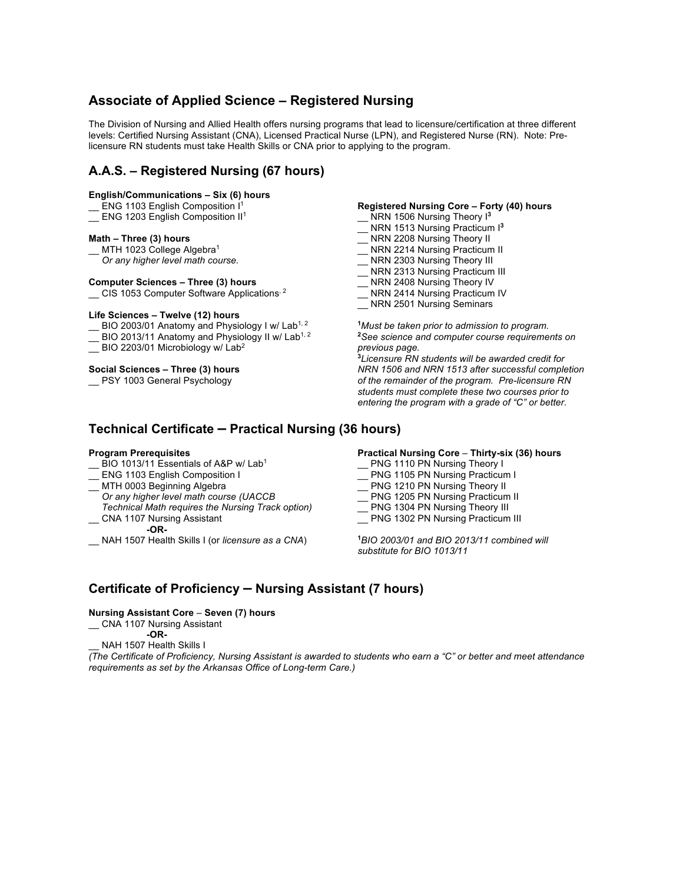## **Associate of Applied Science – Registered Nursing**

The Division of Nursing and Allied Health offers nursing programs that lead to licensure/certification at three different levels: Certified Nursing Assistant (CNA), Licensed Practical Nurse (LPN), and Registered Nurse (RN). Note: Prelicensure RN students must take Health Skills or CNA prior to applying to the program.

## **A.A.S. – Registered Nursing (67 hours)**

#### **English/Communications – Six (6) hours**

- ENG 1103 English Composition I<sup>1</sup>
- \_ ENG 1203 English Composition II<sup>1</sup>

#### **Math – Three (3) hours**

- MTH 1023 College Algebra<sup>1</sup>
- *Or any higher level math course.*

#### **Computer Sciences – Three (3) hours**

\_\_ CIS 1053 Computer Software Applications, 2

#### **Life Sciences – Twelve (12) hours**

- $\_$  BIO 2003/01 Anatomy and Physiology I w/ Lab<sup>1, 2</sup>
- BIO 2013/11 Anatomy and Physiology II w/ Lab<sup>1, 2</sup>
- \_ BIO 2203/01 Microbiology w/ Lab<sup>2</sup>

#### **Social Sciences – Three (3) hours**

\_\_ PSY 1003 General Psychology

#### **Registered Nursing Core – Forty (40) hours**

- NRN 1506 Nursing Theory I<sup>3</sup>
- \_\_ NRN 1513 Nursing Practicum I**<sup>3</sup>**
- \_\_ NRN 2208 Nursing Theory II
- \_ NRN 2214 Nursing Practicum II
- \_\_ NRN 2303 Nursing Theory III
- \_ NRN 2313 Nursing Practicum III
- \_\_ NRN 2408 Nursing Theory IV
- \_\_ NRN 2414 Nursing Practicum IV
- NRN 2501 Nursing Seminars

**1** *Must be taken prior to admission to program.* **2** *See science and computer course requirements on previous page.* **3** *Licensure RN students will be awarded credit for* 

*NRN 1506 and NRN 1513 after successful completion of the remainder of the program. Pre-licensure RN students must complete these two courses prior to entering the program with a grade of "C" or better.*

### **Technical Certificate – Practical Nursing (36 hours)**

#### **Program Prerequisites**

- BIO 1013/11 Essentials of A&P w/ Lab<sup>1</sup>
- ENG 1103 English Composition I
- \_\_ MTH 0003 Beginning Algebra
- *Or any higher level math course (UACCB Technical Math requires the Nursing Track option)* \_\_ CNA 1107 Nursing Assistant

 **-OR-**

\_\_ NAH 1507 Health Skills I (or *licensure as a CNA*)

**Practical Nursing Core** – **Thirty-six (36) hours**

- \_\_ PNG 1110 PN Nursing Theory I
- PNG 1105 PN Nursing Practicum I
- \_\_ PNG 1210 PN Nursing Theory II
- \_\_ PNG 1205 PN Nursing Practicum II
- PNG 1304 PN Nursing Theory III
- PNG 1302 PN Nursing Practicum III

**1** *BIO 2003/01 and BIO 2013/11 combined will substitute for BIO 1013/11*

## **Certificate of Proficiency – Nursing Assistant (7 hours)**

#### **Nursing Assistant Core** – **Seven (7) hours**

\_\_ CNA 1107 Nursing Assistant

 **-OR-**

NAH 1507 Health Skills I

*(The Certificate of Proficiency, Nursing Assistant is awarded to students who earn a "C" or better and meet attendance requirements as set by the Arkansas Office of Long-term Care.)*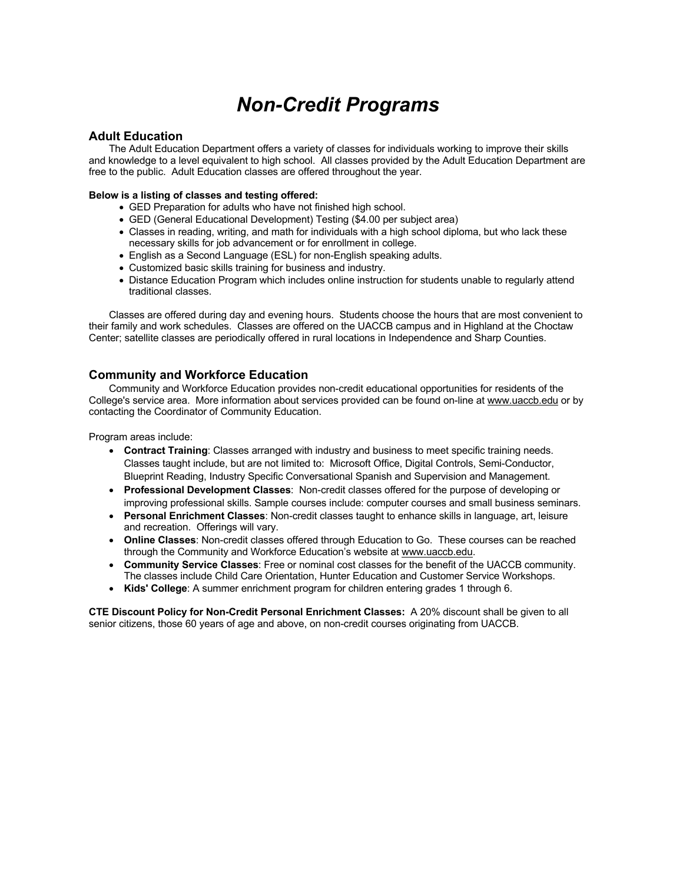# *Non-Credit Programs*

# **Adult Education**

The Adult Education Department offers a variety of classes for individuals working to improve their skills and knowledge to a level equivalent to high school. All classes provided by the Adult Education Department are free to the public. Adult Education classes are offered throughout the year.

# **Below is a listing of classes and testing offered:**

- GED Preparation for adults who have not finished high school.
- GED (General Educational Development) Testing (\$4.00 per subject area)
- Classes in reading, writing, and math for individuals with a high school diploma, but who lack these necessary skills for job advancement or for enrollment in college.
- English as a Second Language (ESL) for non-English speaking adults.
- Customized basic skills training for business and industry.
- Distance Education Program which includes online instruction for students unable to regularly attend traditional classes.

Classes are offered during day and evening hours. Students choose the hours that are most convenient to their family and work schedules. Classes are offered on the UACCB campus and in Highland at the Choctaw Center; satellite classes are periodically offered in rural locations in Independence and Sharp Counties.

# **Community and Workforce Education**

Community and Workforce Education provides non-credit educational opportunities for residents of the College's service area. More information about services provided can be found on-line at www.uaccb.edu or by contacting the Coordinator of Community Education.

Program areas include:

- **Contract Training**: Classes arranged with industry and business to meet specific training needs. Classes taught include, but are not limited to: Microsoft Office, Digital Controls, Semi-Conductor, Blueprint Reading, Industry Specific Conversational Spanish and Supervision and Management.
- **Professional Development Classes**: Non-credit classes offered for the purpose of developing or improving professional skills. Sample courses include: computer courses and small business seminars.
- **Personal Enrichment Classes**: Non-credit classes taught to enhance skills in language, art, leisure and recreation. Offerings will vary.
- **Online Classes**: Non-credit classes offered through Education to Go. These courses can be reached through the Community and Workforce Education's website at www.uaccb.edu.
- **Community Service Classes**: Free or nominal cost classes for the benefit of the UACCB community. The classes include Child Care Orientation, Hunter Education and Customer Service Workshops.
- **Kids' College**: A summer enrichment program for children entering grades 1 through 6.

**CTE Discount Policy for Non-Credit Personal Enrichment Classes:** A 20% discount shall be given to all senior citizens, those 60 years of age and above, on non-credit courses originating from UACCB.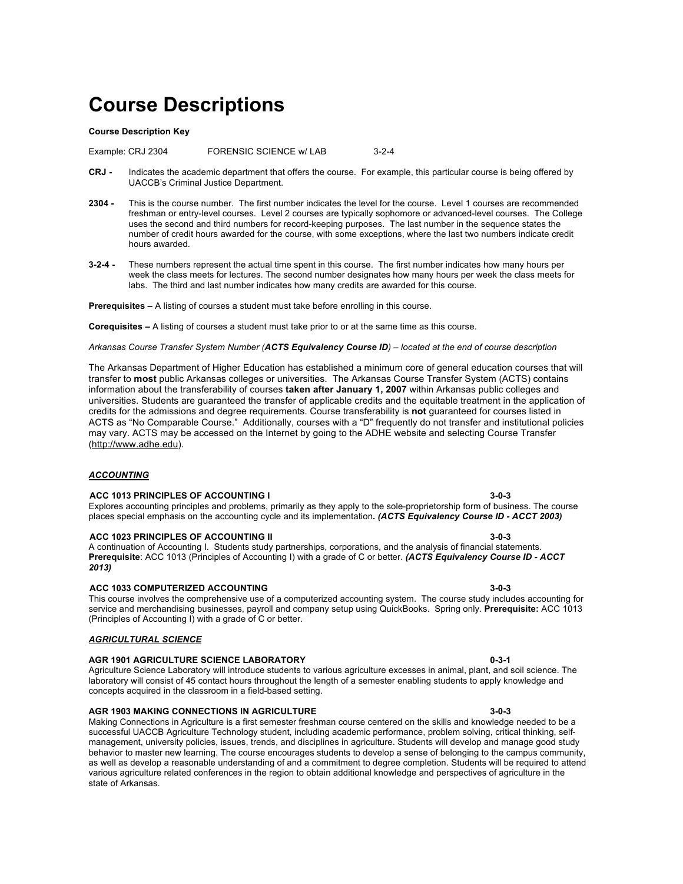# **Course Descriptions**

#### **Course Description Key**

Example: CRJ 2304 FORENSIC SCIENCE w/ LAB 3-2-4

- **CRJ -** Indicates the academic department that offers the course. For example, this particular course is being offered by UACCB's Criminal Justice Department.
- **2304 -** This is the course number. The first number indicates the level for the course. Level 1 courses are recommended freshman or entry-level courses. Level 2 courses are typically sophomore or advanced-level courses. The College uses the second and third numbers for record-keeping purposes. The last number in the sequence states the number of credit hours awarded for the course, with some exceptions, where the last two numbers indicate credit hours awarded.
- **3-2-4 -** These numbers represent the actual time spent in this course. The first number indicates how many hours per week the class meets for lectures. The second number designates how many hours per week the class meets for labs. The third and last number indicates how many credits are awarded for this course.

#### **Prerequisites –** A listing of courses a student must take before enrolling in this course.

**Corequisites –** A listing of courses a student must take prior to or at the same time as this course.

*Arkansas Course Transfer System Number (ACTS Equivalency Course ID) – located at the end of course description*

The Arkansas Department of Higher Education has established a minimum core of general education courses that will transfer to **most** public Arkansas colleges or universities. The Arkansas Course Transfer System (ACTS) contains information about the transferability of courses **taken after January 1, 2007** within Arkansas public colleges and universities. Students are guaranteed the transfer of applicable credits and the equitable treatment in the application of credits for the admissions and degree requirements. Course transferability is **not** guaranteed for courses listed in ACTS as "No Comparable Course." Additionally, courses with a "D" frequently do not transfer and institutional policies may vary. ACTS may be accessed on the Internet by going to the ADHE website and selecting Course Transfer (http://www.adhe.edu).

#### *ACCOUNTING*

#### **ACC 1013 PRINCIPLES OF ACCOUNTING I 3-0-3**

### Explores accounting principles and problems, primarily as they apply to the sole-proprietorship form of business. The course places special emphasis on the accounting cycle and its implementation**.** *(ACTS Equivalency Course ID - ACCT 2003)*

#### **ACC 1023 PRINCIPLES OF ACCOUNTING II**

A continuation of Accounting I. Students study partnerships, corporations, and the analysis of financial statements. **Prerequisite**: ACC 1013 (Principles of Accounting I) with a grade of C or better. *(ACTS Equivalency Course ID - ACCT 2013)*

#### **ACC 1033 COMPUTERIZED ACCOUNTING 3-0-3**

This course involves the comprehensive use of a computerized accounting system. The course study includes accounting for service and merchandising businesses, payroll and company setup using QuickBooks. Spring only. **Prerequisite:** ACC 1013 (Principles of Accounting I) with a grade of C or better.

#### *AGRICULTURAL SCIENCE*

#### **AGR 1901 AGRICULTURE SCIENCE LABORATORY 0-3-1**

Agriculture Science Laboratory will introduce students to various agriculture excesses in animal, plant, and soil science. The laboratory will consist of 45 contact hours throughout the length of a semester enabling students to apply knowledge and concepts acquired in the classroom in a field-based setting.

#### **AGR 1903 MAKING CONNECTIONS IN AGRICULTURE 3-0-3**

Making Connections in Agriculture is a first semester freshman course centered on the skills and knowledge needed to be a successful UACCB Agriculture Technology student, including academic performance, problem solving, critical thinking, selfmanagement, university policies, issues, trends, and disciplines in agriculture. Students will develop and manage good study behavior to master new learning. The course encourages students to develop a sense of belonging to the campus community, as well as develop a reasonable understanding of and a commitment to degree completion. Students will be required to attend various agriculture related conferences in the region to obtain additional knowledge and perspectives of agriculture in the state of Arkansas.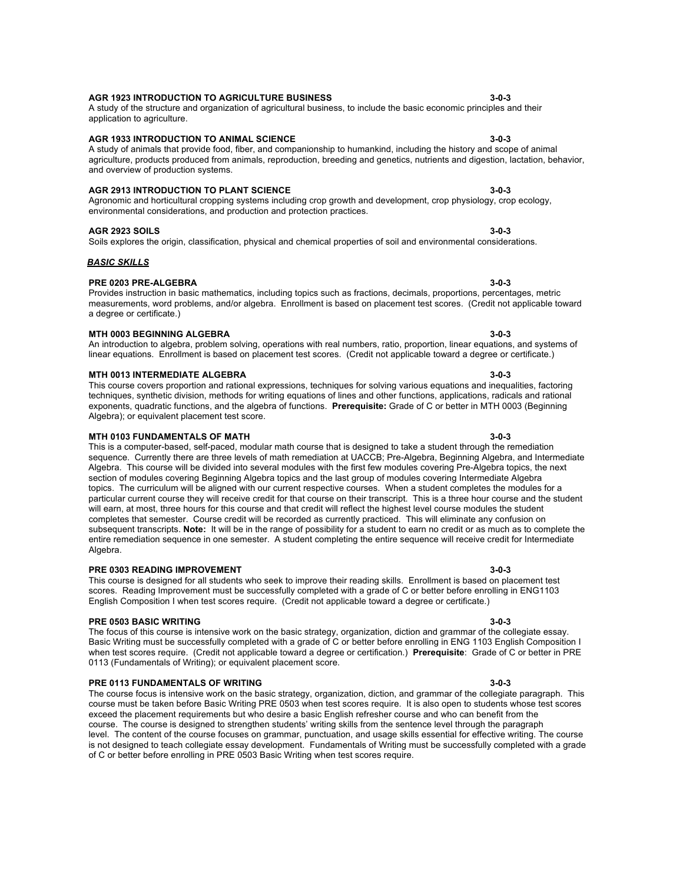#### A study of the structure and organization of agricultural business, to include the basic economic principles and their application to agriculture.

### **AGR 1933 INTRODUCTION TO ANIMAL SCIENCE 3-0-3**

#### A study of animals that provide food, fiber, and companionship to humankind, including the history and scope of animal agriculture, products produced from animals, reproduction, breeding and genetics, nutrients and digestion, lactation, behavior, and overview of production systems.

**AGR 1923 INTRODUCTION TO AGRICULTURE BUSINESS 3-0-3**

# **AGR 2913 INTRODUCTION TO PLANT SCIENCE 3-0-3**

Agronomic and horticultural cropping systems including crop growth and development, crop physiology, crop ecology, environmental considerations, and production and protection practices.

# **AGR 2923 SOILS 3-0-3**

### Soils explores the origin, classification, physical and chemical properties of soil and environmental considerations.

# *BASIC SKILLS*

# **PRE 0203 PRE-ALGEBRA 3-0-3**

#### Provides instruction in basic mathematics, including topics such as fractions, decimals, proportions, percentages, metric measurements, word problems, and/or algebra. Enrollment is based on placement test scores. (Credit not applicable toward a degree or certificate.)

# **MTH 0003 BEGINNING ALGEBRA 3-0-3**

An introduction to algebra, problem solving, operations with real numbers, ratio, proportion, linear equations, and systems of linear equations. Enrollment is based on placement test scores. (Credit not applicable toward a degree or certificate.)

# **MTH 0013 INTERMEDIATE ALGEBRA 3-0-3**

This course covers proportion and rational expressions, techniques for solving various equations and inequalities, factoring techniques, synthetic division, methods for writing equations of lines and other functions, applications, radicals and rational exponents, quadratic functions, and the algebra of functions. **Prerequisite:** Grade of C or better in MTH 0003 (Beginning Algebra); or equivalent placement test score.

### **MTH 0103 FUNDAMENTALS OF MATH 3-0-3**

This is a computer-based, self-paced, modular math course that is designed to take a student through the remediation sequence. Currently there are three levels of math remediation at UACCB; Pre-Algebra, Beginning Algebra, and Intermediate Algebra. This course will be divided into several modules with the first few modules covering Pre-Algebra topics, the next section of modules covering Beginning Algebra topics and the last group of modules covering Intermediate Algebra topics. The curriculum will be aligned with our current respective courses. When a student completes the modules for a particular current course they will receive credit for that course on their transcript. This is a three hour course and the student will earn, at most, three hours for this course and that credit will reflect the highest level course modules the student completes that semester. Course credit will be recorded as currently practiced. This will eliminate any confusion on subsequent transcripts. **Note:** It will be in the range of possibility for a student to earn no credit or as much as to complete the entire remediation sequence in one semester. A student completing the entire sequence will receive credit for Intermediate Algebra.

### **PRE 0303 READING IMPROVEMENT 3-0-3**

This course is designed for all students who seek to improve their reading skills. Enrollment is based on placement test scores. Reading Improvement must be successfully completed with a grade of C or better before enrolling in ENG1103 English Composition I when test scores require. (Credit not applicable toward a degree or certificate.)

### **PRE 0503 BASIC WRITING 3-0-3**

The focus of this course is intensive work on the basic strategy, organization, diction and grammar of the collegiate essay. Basic Writing must be successfully completed with a grade of C or better before enrolling in ENG 1103 English Composition I when test scores require. (Credit not applicable toward a degree or certification.) **Prerequisite**: Grade of C or better in PRE 0113 (Fundamentals of Writing); or equivalent placement score.

### **PRE 0113 FUNDAMENTALS OF WRITING 3-0-3**

The course focus is intensive work on the basic strategy, organization, diction, and grammar of the collegiate paragraph. This course must be taken before Basic Writing PRE 0503 when test scores require. It is also open to students whose test scores exceed the placement requirements but who desire a basic English refresher course and who can benefit from the course. The course is designed to strengthen students' writing skills from the sentence level through the paragraph level. The content of the course focuses on grammar, punctuation, and usage skills essential for effective writing. The course is not designed to teach collegiate essay development. Fundamentals of Writing must be successfully completed with a grade of C or better before enrolling in PRE 0503 Basic Writing when test scores require.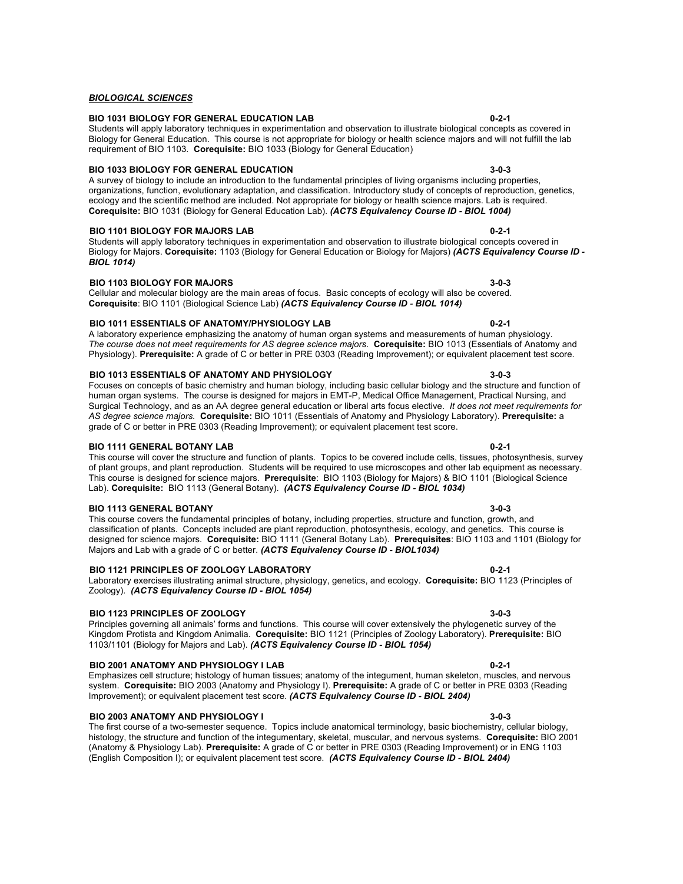Emphasizes cell structure; histology of human tissues; anatomy of the integument, human skeleton, muscles, and nervous system. **Corequisite:** BIO 2003 (Anatomy and Physiology I). **Prerequisite:** A grade of C or better in PRE 0303 (Reading

### **BIO 2003 ANATOMY AND PHYSIOLOGY I 3-0-3**

The first course of a two-semester sequence. Topics include anatomical terminology, basic biochemistry, cellular biology, histology, the structure and function of the integumentary, skeletal, muscular, and nervous systems. **Corequisite:** BIO 2001 (Anatomy & Physiology Lab). **Prerequisite:** A grade of C or better in PRE 0303 (Reading Improvement) or in ENG 1103 (English Composition I); or equivalent placement test score. *(ACTS Equivalency Course ID - BIOL 2404)*

### *BIOLOGICAL SCIENCES*

#### **BIO 1031 BIOLOGY FOR GENERAL EDUCATION LAB 0-2-1**

#### Students will apply laboratory techniques in experimentation and observation to illustrate biological concepts as covered in Biology for General Education. This course is not appropriate for biology or health science majors and will not fulfill the lab requirement of BIO 1103. **Corequisite:** BIO 1033 (Biology for General Education)

### **BIO 1033 BIOLOGY FOR GENERAL EDUCATION 3-0-3**

A survey of biology to include an introduction to the fundamental principles of living organisms including properties, organizations, function, evolutionary adaptation, and classification. Introductory study of concepts of reproduction, genetics, ecology and the scientific method are included. Not appropriate for biology or health science majors. Lab is required. **Corequisite:** BIO 1031 (Biology for General Education Lab). *(ACTS Equivalency Course ID - BIOL 1004)*

### **BIO 1101 BIOLOGY FOR MAJORS LAB 0-2-1**

Students will apply laboratory techniques in experimentation and observation to illustrate biological concepts covered in Biology for Majors. **Corequisite:** 1103 (Biology for General Education or Biology for Majors) *(ACTS Equivalency Course ID - BIOL 1014)*

### **BIO 1103 BIOLOGY FOR MAJORS 3-0-3**

Cellular and molecular biology are the main areas of focus. Basic concepts of ecology will also be covered. **Corequisite**: BIO 1101 (Biological Science Lab) *(ACTS Equivalency Course ID - BIOL 1014)*

### **BIO 1011 ESSENTIALS OF ANATOMY/PHYSIOLOGY LAB 0-2-1**

A laboratory experience emphasizing the anatomy of human organ systems and measurements of human physiology. *The course does not meet requirements for AS degree science majors.* **Corequisite:** BIO 1013 (Essentials of Anatomy and Physiology). **Prerequisite:** A grade of C or better in PRE 0303 (Reading Improvement); or equivalent placement test score.

### **BIO 1013 ESSENTIALS OF ANATOMY AND PHYSIOLOGY 3-0-3**

Focuses on concepts of basic chemistry and human biology, including basic cellular biology and the structure and function of human organ systems. The course is designed for majors in EMT-P, Medical Office Management, Practical Nursing, and Surgical Technology, and as an AA degree general education or liberal arts focus elective. *It does not meet requirements for AS degree science majors.* **Corequisite:** BIO 1011 (Essentials of Anatomy and Physiology Laboratory). **Prerequisite:** a grade of C or better in PRE 0303 (Reading Improvement); or equivalent placement test score.

### **BIO 1111 GENERAL BOTANY LAB 0-2-1**

This course will cover the structure and function of plants. Topics to be covered include cells, tissues, photosynthesis, survey of plant groups, and plant reproduction. Students will be required to use microscopes and other lab equipment as necessary. This course is designed for science majors. **Prerequisite**: BIO 1103 (Biology for Majors) & BIO 1101 (Biological Science Lab). **Corequisite:** BIO 1113 (General Botany). *(ACTS Equivalency Course ID - BIOL 1034)*

### **BIO 1113 GENERAL BOTANY 3-0-3**

This course covers the fundamental principles of botany, including properties, structure and function, growth, and classification of plants. Concepts included are plant reproduction, photosynthesis, ecology, and genetics. This course is designed for science majors. **Corequisite:** BIO 1111 (General Botany Lab). **Prerequisites**: BIO 1103 and 1101 (Biology for Majors and Lab with a grade of C or better. *(ACTS Equivalency Course ID - BIOL1034)*

### **BIO 1121 PRINCIPLES OF ZOOLOGY LABORATORY 0-2-1**

Laboratory exercises illustrating animal structure, physiology, genetics, and ecology. **Corequisite:** BIO 1123 (Principles of Zoology). *(ACTS Equivalency Course ID - BIOL 1054)*

# **BIO 1123 PRINCIPLES OF ZOOLOGY 3-0-3**

Principles governing all animals' forms and functions. This course will cover extensively the phylogenetic survey of the Kingdom Protista and Kingdom Animalia. **Corequisite:** BIO 1121 (Principles of Zoology Laboratory). **Prerequisite:** BIO 1103/1101 (Biology for Majors and Lab). *(ACTS Equivalency Course ID - BIOL 1054)*

# **BIO 2001 ANATOMY AND PHYSIOLOGY I LAB 0-2-1**

Improvement); or equivalent placement test score. *(ACTS Equivalency Course ID - BIOL 2404)*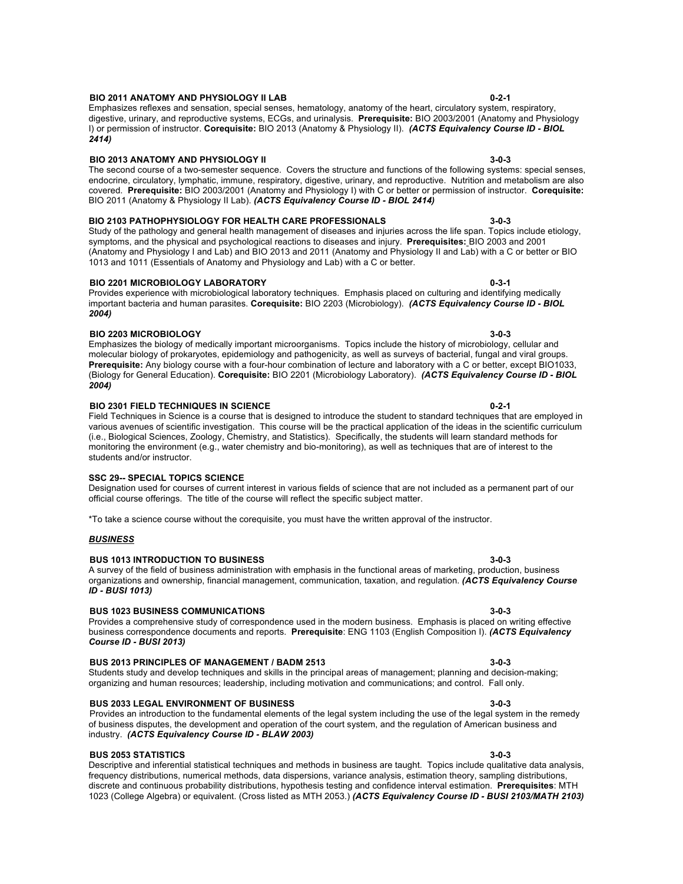A survey of the field of business administration with emphasis in the functional areas of marketing, production, business

 **BUS 2033 LEGAL ENVIRONMENT OF BUSINESS 3-0-3** Provides an introduction to the fundamental elements of the legal system including the use of the legal system in the remedy of business disputes, the development and operation of the court system, and the regulation of American business and industry. *(ACTS Equivalency Course ID - BLAW 2003)*

 **BUS 2053 STATISTICS 3-0-3** Descriptive and inferential statistical techniques and methods in business are taught. Topics include qualitative data analysis, frequency distributions, numerical methods, data dispersions, variance analysis, estimation theory, sampling distributions, discrete and continuous probability distributions, hypothesis testing and confidence interval estimation. **Prerequisites**: MTH 1023 (College Algebra) or equivalent. (Cross listed as MTH 2053.) *(ACTS Equivalency Course ID - BUSI 2103/MATH 2103)*

#### **BIO 2011 ANATOMY AND PHYSIOLOGY II LAB 0-2-1**

Emphasizes reflexes and sensation, special senses, hematology, anatomy of the heart, circulatory system, respiratory, digestive, urinary, and reproductive systems, ECGs, and urinalysis. **Prerequisite:** BIO 2003/2001 (Anatomy and Physiology I) or permission of instructor. **Corequisite:** BIO 2013 (Anatomy & Physiology II). *(ACTS Equivalency Course ID - BIOL 2414)*

#### **BIO 2013 ANATOMY AND PHYSIOLOGY II 3-0-3**

The second course of a two-semester sequence. Covers the structure and functions of the following systems: special senses, endocrine, circulatory, lymphatic, immune, respiratory, digestive, urinary, and reproductive. Nutrition and metabolism are also covered. **Prerequisite:** BIO 2003/2001 (Anatomy and Physiology I) with C or better or permission of instructor. **Corequisite:**  BIO 2011 (Anatomy & Physiology II Lab). *(ACTS Equivalency Course ID - BIOL 2414)*

#### **BIO 2103 PATHOPHYSIOLOGY FOR HEALTH CARE PROFESSIONALS 3-0-3**

Study of the pathology and general health management of diseases and injuries across the life span. Topics include etiology, symptoms, and the physical and psychological reactions to diseases and injury. **Prerequisites:** BIO 2003 and 2001 (Anatomy and Physiology I and Lab) and BIO 2013 and 2011 (Anatomy and Physiology II and Lab) with a C or better or BIO 1013 and 1011 (Essentials of Anatomy and Physiology and Lab) with a C or better.

#### **BIO 2201 MICROBIOLOGY LABORATORY 0-3-1**

Provides experience with microbiological laboratory techniques. Emphasis placed on culturing and identifying medically important bacteria and human parasites. **Corequisite:** BIO 2203 (Microbiology). *(ACTS Equivalency Course ID - BIOL 2004)*

#### **BIO 2203 MICROBIOLOGY 3-0-3**

Emphasizes the biology of medically important microorganisms. Topics include the history of microbiology, cellular and molecular biology of prokaryotes, epidemiology and pathogenicity, as well as surveys of bacterial, fungal and viral groups. **Prerequisite:** Any biology course with a four-hour combination of lecture and laboratory with a C or better, except BIO1033, (Biology for General Education). **Corequisite:** BIO 2201 (Microbiology Laboratory). *(ACTS Equivalency Course ID - BIOL 2004)*

#### **BIO 2301 FIELD TECHNIQUES IN SCIENCE 0-2-1**

Field Techniques in Science is a course that is designed to introduce the student to standard techniques that are employed in various avenues of scientific investigation. This course will be the practical application of the ideas in the scientific curriculum (i.e., Biological Sciences, Zoology, Chemistry, and Statistics). Specifically, the students will learn standard methods for monitoring the environment (e.g., water chemistry and bio-monitoring), as well as techniques that are of interest to the students and/or instructor.

#### **SSC 29-- SPECIAL TOPICS SCIENCE**

Designation used for courses of current interest in various fields of science that are not included as a permanent part of our official course offerings. The title of the course will reflect the specific subject matter.

\*To take a science course without the corequisite, you must have the written approval of the instructor.

### *BUSINESS*

*ID - BUSI 1013)*

### **BUS 1013 INTRODUCTION TO BUSINESS 3-0-3**

# **BUS 1023 BUSINESS COMMUNICATIONS 3-0-3**

Provides a comprehensive study of correspondence used in the modern business. Emphasis is placed on writing effective business correspondence documents and reports. **Prerequisite**: ENG 1103 (English Composition I). *(ACTS Equivalency Course ID - BUSI 2013)*

organizations and ownership, financial management, communication, taxation, and regulation. *(ACTS Equivalency Course* 

# **BUS 2013 PRINCIPLES OF MANAGEMENT / BADM 2513 3-0-3**

#### Students study and develop techniques and skills in the principal areas of management; planning and decision-making; organizing and human resources; leadership, including motivation and communications; and control. Fall only.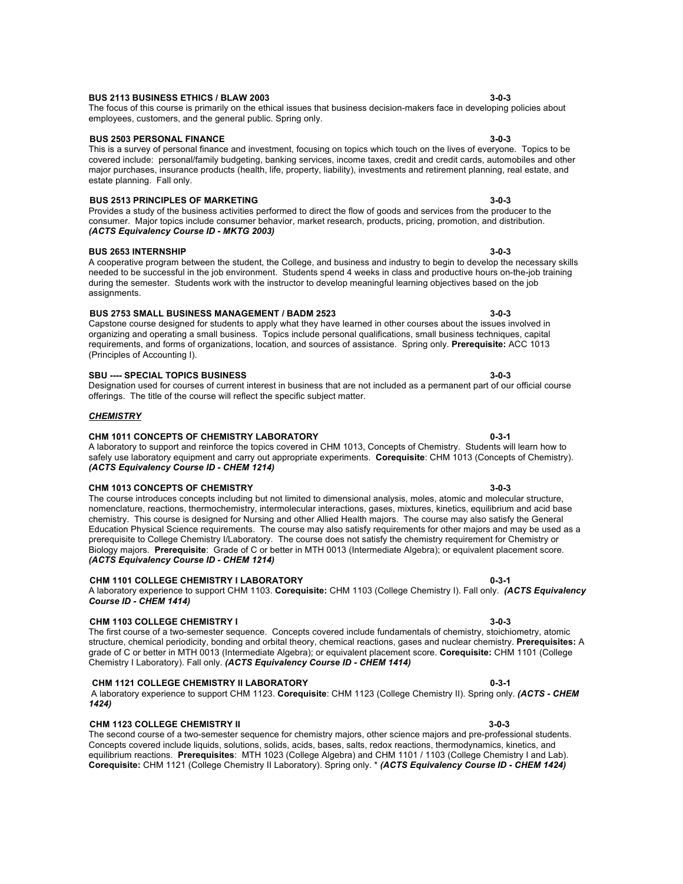### **BUS 2113 BUSINESS ETHICS / BLAW 2003 3-0-3**

#### The focus of this course is primarily on the ethical issues that business decision-makers face in developing policies about employees, customers, and the general public. Spring only.

#### **BUS 2503 PERSONAL FINANCE 3-0-3**

This is a survey of personal finance and investment, focusing on topics which touch on the lives of everyone. Topics to be covered include: personal/family budgeting, banking services, income taxes, credit and credit cards, automobiles and other major purchases, insurance products (health, life, property, liability), investments and retirement planning, real estate, and estate planning. Fall only.

#### **BUS 2513 PRINCIPLES OF MARKETING 3-0-3**

Provides a study of the business activities performed to direct the flow of goods and services from the producer to the consumer. Major topics include consumer behavior, market research, products, pricing, promotion, and distribution. *(ACTS Equivalency Course ID - MKTG 2003)*

#### **BUS 2653 INTERNSHIP 3-0-3**

A cooperative program between the student, the College, and business and industry to begin to develop the necessary skills needed to be successful in the job environment. Students spend 4 weeks in class and productive hours on-the-job training during the semester. Students work with the instructor to develop meaningful learning objectives based on the job assignments.

#### **BUS 2753 SMALL BUSINESS MANAGEMENT / BADM 2523 3-0-3**

Capstone course designed for students to apply what they have learned in other courses about the issues involved in organizing and operating a small business. Topics include personal qualifications, small business techniques, capital requirements, and forms of organizations, location, and sources of assistance. Spring only. **Prerequisite:** ACC 1013 (Principles of Accounting I).

### **SBU ---- SPECIAL TOPICS BUSINESS 3-0-3**

Designation used for courses of current interest in business that are not included as a permanent part of our official course offerings. The title of the course will reflect the specific subject matter.

#### *CHEMISTRY*

### **CHM 1011 CONCEPTS OF CHEMISTRY LABORATORY 0-3-1**

#### A laboratory to support and reinforce the topics covered in CHM 1013, Concepts of Chemistry. Students will learn how to safely use laboratory equipment and carry out appropriate experiments. **Corequisite**: CHM 1013 (Concepts of Chemistry). *(ACTS Equivalency Course ID - CHEM 1214)*

**CHM 1013 CONCEPTS OF CHEMISTRY 3-0-3**

The course introduces concepts including but not limited to dimensional analysis, moles, atomic and molecular structure, nomenclature, reactions, thermochemistry, intermolecular interactions, gases, mixtures, kinetics, equilibrium and acid base chemistry. This course is designed for Nursing and other Allied Health majors. The course may also satisfy the General Education Physical Science requirements. The course may also satisfy requirements for other majors and may be used as a prerequisite to College Chemistry I/Laboratory. The course does not satisfy the chemistry requirement for Chemistry or Biology majors. **Prerequisite**: Grade of C or better in MTH 0013 (Intermediate Algebra); or equivalent placement score. *(ACTS Equivalency Course ID - CHEM 1214)*

### **CHM 1101 COLLEGE CHEMISTRY I LABORATORY 0-3-1**

#### A laboratory experience to support CHM 1103. **Corequisite:** CHM 1103 (College Chemistry I). Fall only. *(ACTS Equivalency Course ID - CHEM 1414)*

### **CHM 1103 COLLEGE CHEMISTRY I 3-0-3**

The first course of a two-semester sequence. Concepts covered include fundamentals of chemistry, stoichiometry, atomic structure, chemical periodicity, bonding and orbital theory, chemical reactions, gases and nuclear chemistry. **Prerequisites:** A grade of C or better in MTH 0013 (Intermediate Algebra); or equivalent placement score. **Corequisite:** CHM 1101 (College Chemistry I Laboratory). Fall only. *(ACTS Equivalency Course ID - CHEM 1414)*

### **CHM 1121 COLLEGE CHEMISTRY II LABORATORY 0-3-1**

### A laboratory experience to support CHM 1123. **Corequisite**: CHM 1123 (College Chemistry II). Spring only. *(ACTS - CHEM 1424)*

### **CHM 1123 COLLEGE CHEMISTRY II 3-0-3**

The second course of a two-semester sequence for chemistry majors, other science majors and pre-professional students. Concepts covered include liquids, solutions, solids, acids, bases, salts, redox reactions, thermodynamics, kinetics, and equilibrium reactions. **Prerequisites**: MTH 1023 (College Algebra) and CHM 1101 / 1103 (College Chemistry I and Lab). **Corequisite:** CHM 1121 (College Chemistry II Laboratory). Spring only. \* *(ACTS Equivalency Course ID - CHEM 1424)*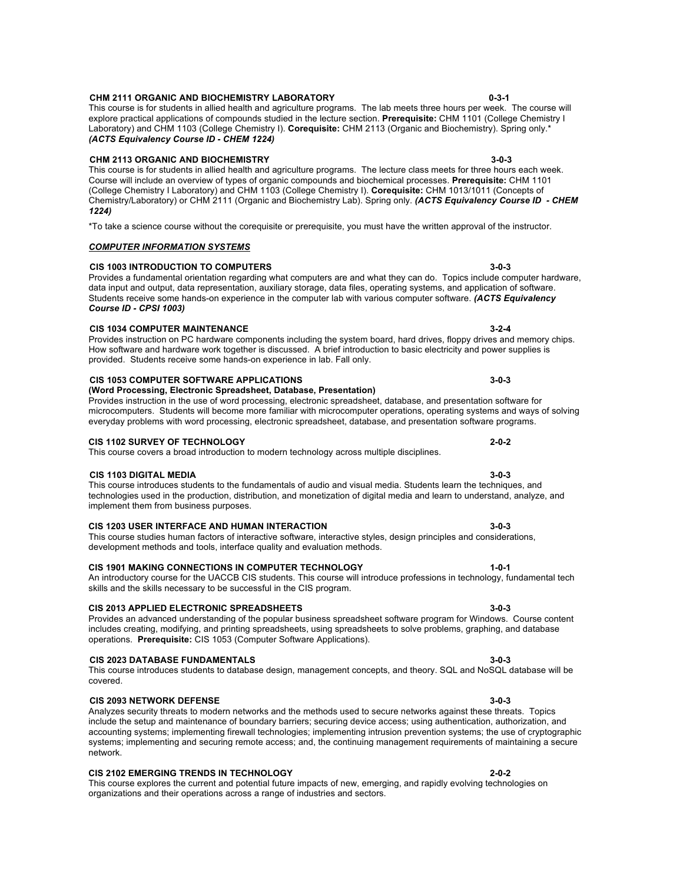#### **CHM 2111 ORGANIC AND BIOCHEMISTRY LABORATORY 0-3-1**

This course is for students in allied health and agriculture programs. The lab meets three hours per week. The course will explore practical applications of compounds studied in the lecture section. **Prerequisite:** CHM 1101 (College Chemistry I Laboratory) and CHM 1103 (College Chemistry I). **Corequisite:** CHM 2113 (Organic and Biochemistry). Spring only.\* *(ACTS Equivalency Course ID - CHEM 1224)*

#### **CHM 2113 ORGANIC AND BIOCHEMISTRY 3-0-3**

This course is for students in allied health and agriculture programs. The lecture class meets for three hours each week. Course will include an overview of types of organic compounds and biochemical processes. **Prerequisite:** CHM 1101 (College Chemistry I Laboratory) and CHM 1103 (College Chemistry I). **Corequisite:** CHM 1013/1011 (Concepts of Chemistry/Laboratory) or CHM 2111 (Organic and Biochemistry Lab). Spring only. *(ACTS Equivalency Course ID - CHEM 1224)*

Provides a fundamental orientation regarding what computers are and what they can do. Topics include computer hardware, data input and output, data representation, auxiliary storage, data files, operating systems, and application of software. Students receive some hands-on experience in the computer lab with various computer software. *(ACTS Equivalency* 

Provides instruction on PC hardware components including the system board, hard drives, floppy drives and memory chips. How software and hardware work together is discussed. A brief introduction to basic electricity and power supplies is

\*To take a science course without the corequisite or prerequisite, you must have the written approval of the instructor.

#### *COMPUTER INFORMATION SYSTEMS*

#### **CIS 1003 INTRODUCTION TO COMPUTERS 3-0-3**

### **CIS 1034 COMPUTER MAINTENANCE 3-2-4**

*Course ID - CPSI 1003)*

#### **CIS 1053 COMPUTER SOFTWARE APPLICATIONS 3-0-3 (Word Processing, Electronic Spreadsheet, Database, Presentation)**

provided. Students receive some hands-on experience in lab. Fall only.

#### microcomputers. Students will become more familiar with microcomputer operations, operating systems and ways of solving everyday problems with word processing, electronic spreadsheet, database, and presentation software programs.

#### **CIS 1102 SURVEY OF TECHNOLOGY 2-0-2**

# This course covers a broad introduction to modern technology across multiple disciplines.

#### **CIS 1103 DIGITAL MEDIA 3-0-3**

This course introduces students to the fundamentals of audio and visual media. Students learn the techniques, and technologies used in the production, distribution, and monetization of digital media and learn to understand, analyze, and implement them from business purposes.

Provides instruction in the use of word processing, electronic spreadsheet, database, and presentation software for

#### **CIS 1203 USER INTERFACE AND HUMAN INTERACTION 3-0-3**

#### This course studies human factors of interactive software, interactive styles, design principles and considerations, development methods and tools, interface quality and evaluation methods.

#### **CIS 1901 MAKING CONNECTIONS IN COMPUTER TECHNOLOGY 1-0-1**

#### An introductory course for the UACCB CIS students. This course will introduce professions in technology, fundamental tech skills and the skills necessary to be successful in the CIS program.

### **CIS 2013 APPLIED ELECTRONIC SPREADSHEETS 3-0-3**

### Provides an advanced understanding of the popular business spreadsheet software program for Windows. Course content includes creating, modifying, and printing spreadsheets, using spreadsheets to solve problems, graphing, and database operations. **Prerequisite:** CIS 1053 (Computer Software Applications).

#### **CIS 2023 DATABASE FUNDAMENTALS 3-0-3**

#### This course introduces students to database design, management concepts, and theory. SQL and NoSQL database will be covered.

### **CIS 2093 NETWORK DEFENSE 3-0-3**

#### Analyzes security threats to modern networks and the methods used to secure networks against these threats. Topics include the setup and maintenance of boundary barriers; securing device access; using authentication, authorization, and accounting systems; implementing firewall technologies; implementing intrusion prevention systems; the use of cryptographic systems; implementing and securing remote access; and, the continuing management requirements of maintaining a secure network.

### **CIS 2102 EMERGING TRENDS IN TECHNOLOGY 2-0-2**

This course explores the current and potential future impacts of new, emerging, and rapidly evolving technologies on organizations and their operations across a range of industries and sectors.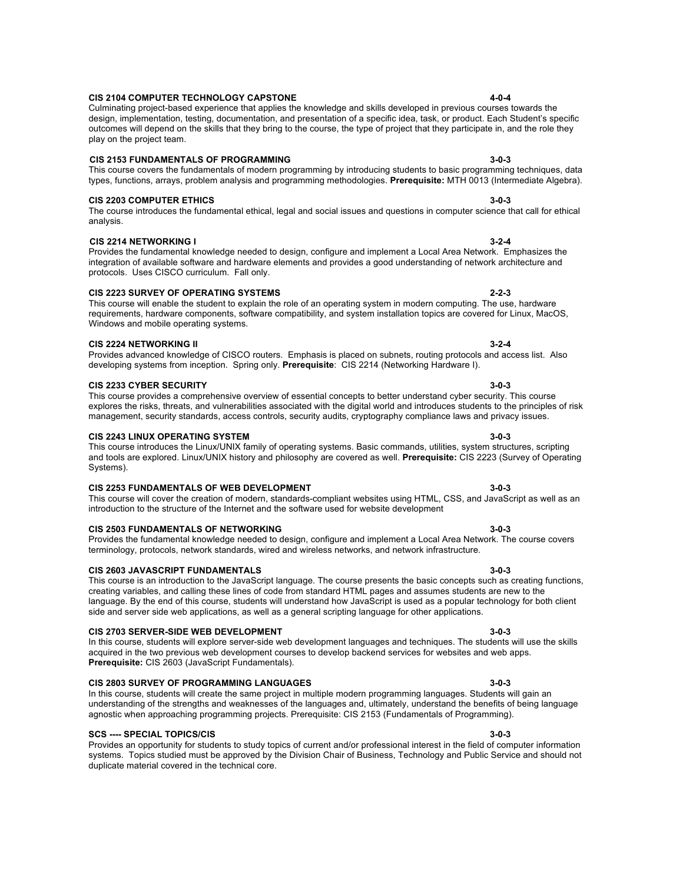# This course will cover the creation of modern, standards-compliant websites using HTML, CSS, and JavaScript as well as an

#### **CIS 2104 COMPUTER TECHNOLOGY CAPSTONE 4-0-4**

# **CIS 2153 FUNDAMENTALS OF PROGRAMMING 3-0-3**

### This course covers the fundamentals of modern programming by introducing students to basic programming techniques, data types, functions, arrays, problem analysis and programming methodologies. **Prerequisite:** MTH 0013 (Intermediate Algebra).

### **CIS 2203 COMPUTER ETHICS 3-0-3**

play on the project team.

The course introduces the fundamental ethical, legal and social issues and questions in computer science that call for ethical analysis.

design, implementation, testing, documentation, and presentation of a specific idea, task, or product. Each Student's specific outcomes will depend on the skills that they bring to the course, the type of project that they participate in, and the role they

### **CIS 2214 NETWORKING I 3-2-4**

Provides the fundamental knowledge needed to design, configure and implement a Local Area Network. Emphasizes the integration of available software and hardware elements and provides a good understanding of network architecture and protocols. Uses CISCO curriculum. Fall only.

### **CIS 2223 SURVEY OF OPERATING SYSTEMS 2-2-3**

#### This course will enable the student to explain the role of an operating system in modern computing. The use, hardware requirements, hardware components, software compatibility, and system installation topics are covered for Linux, MacOS, Windows and mobile operating systems.

### **CIS 2224 NETWORKING II 3-2-4**

#### Provides advanced knowledge of CISCO routers. Emphasis is placed on subnets, routing protocols and access list. Also developing systems from inception. Spring only. **Prerequisite**: CIS 2214 (Networking Hardware I).

### **CIS 2233 CYBER SECURITY 3-0-3**

#### This course provides a comprehensive overview of essential concepts to better understand cyber security. This course explores the risks, threats, and vulnerabilities associated with the digital world and introduces students to the principles of risk management, security standards, access controls, security audits, cryptography compliance laws and privacy issues.

### **CIS 2243 LINUX OPERATING SYSTEM 3-0-3**

This course introduces the Linux/UNIX family of operating systems. Basic commands, utilities, system structures, scripting and tools are explored. Linux/UNIX history and philosophy are covered as well. **Prerequisite:** CIS 2223 (Survey of Operating Systems).

### **CIS 2253 FUNDAMENTALS OF WEB DEVELOPMENT 3-0-3**

**CIS 2503 FUNDAMENTALS OF NETWORKING 3-0-3** Provides the fundamental knowledge needed to design, configure and implement a Local Area Network. The course covers terminology, protocols, network standards, wired and wireless networks, and network infrastructure.

This course is an introduction to the JavaScript language. The course presents the basic concepts such as creating functions, creating variables, and calling these lines of code from standard HTML pages and assumes students are new to the language. By the end of this course, students will understand how JavaScript is used as a popular technology for both client

introduction to the structure of the Internet and the software used for website development

side and server side web applications, as well as a general scripting language for other applications.

### **CIS 2603 JAVASCRIPT FUNDAMENTALS 3-0-3**

# **CIS 2703 SERVER-SIDE WEB DEVELOPMENT 3-0-3**

In this course, students will explore server-side web development languages and techniques. The students will use the skills acquired in the two previous web development courses to develop backend services for websites and web apps. **Prerequisite:** CIS 2603 (JavaScript Fundamentals).

### **CIS 2803 SURVEY OF PROGRAMMING LANGUAGES 3-0-3**

In this course, students will create the same project in multiple modern programming languages. Students will gain an understanding of the strengths and weaknesses of the languages and, ultimately, understand the benefits of being language agnostic when approaching programming projects. Prerequisite: CIS 2153 (Fundamentals of Programming).

### **SCS ---- SPECIAL TOPICS/CIS 3-0-3**

Provides an opportunity for students to study topics of current and/or professional interest in the field of computer information systems. Topics studied must be approved by the Division Chair of Business, Technology and Public Service and should not duplicate material covered in the technical core.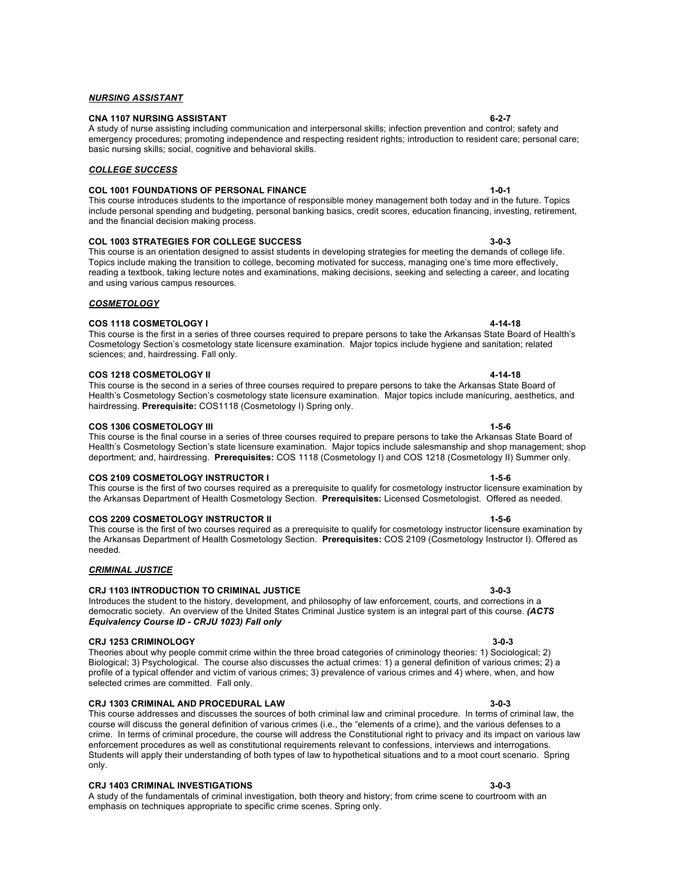**CNA 1107 NURSING ASSISTANT 6-2-7** A study of nurse assisting including communication and interpersonal skills; infection prevention and control; safety and emergency procedures; promoting independence and respecting resident rights; introduction to resident care; personal care; basic nursing skills; social, cognitive and behavioral skills.

# *COLLEGE SUCCESS*

*NURSING ASSISTANT*

# **COL 1001 FOUNDATIONS OF PERSONAL FINANCE 1-0-1**

This course introduces students to the importance of responsible money management both today and in the future. Topics include personal spending and budgeting, personal banking basics, credit scores, education financing, investing, retirement, and the financial decision making process.

# **COL 1003 STRATEGIES FOR COLLEGE SUCCESS 3-0-3**

This course is an orientation designed to assist students in developing strategies for meeting the demands of college life. Topics include making the transition to college, becoming motivated for success, managing one's time more effectively, reading a textbook, taking lecture notes and examinations, making decisions, seeking and selecting a career, and locating and using various campus resources.

### *COSMETOLOGY*

### **COS 1118 COSMETOLOGY I 4-14-18**

This course is the first in a series of three courses required to prepare persons to take the Arkansas State Board of Health's Cosmetology Section's cosmetology state licensure examination. Major topics include hygiene and sanitation; related sciences; and, hairdressing. Fall only.

### **COS 1218 COSMETOLOGY II 4-14-18**

This course is the second in a series of three courses required to prepare persons to take the Arkansas State Board of Health's Cosmetology Section's cosmetology state licensure examination. Major topics include manicuring, aesthetics, and hairdressing. **Prerequisite:** COS1118 (Cosmetology I) Spring only.

This course is the final course in a series of three courses required to prepare persons to take the Arkansas State Board of Health's Cosmetology Section's state licensure examination. Major topics include salesmanship and shop management; shop deportment; and, hairdressing. **Prerequisites:** COS 1118 (Cosmetology I) and COS 1218 (Cosmetology II) Summer only.

### **COS 1306 COSMETOLOGY III 1-5-6**

# **COS 2109 COSMETOLOGY INSTRUCTOR I 1-5-6**

This course is the first of two courses required as a prerequisite to qualify for cosmetology instructor licensure examination by the Arkansas Department of Health Cosmetology Section. **Prerequisites:** Licensed Cosmetologist. Offered as needed.

### **COS 2209 COSMETOLOGY INSTRUCTOR II 1-5-6**

This course is the first of two courses required as a prerequisite to qualify for cosmetology instructor licensure examination by the Arkansas Department of Health Cosmetology Section. **Prerequisites:** COS 2109 (Cosmetology Instructor I). Offered as needed.

### *CRIMINAL JUSTICE*

### **CRJ 1103 INTRODUCTION TO CRIMINAL JUSTICE 3-0-3**

#### Introduces the student to the history, development, and philosophy of law enforcement, courts, and corrections in a democratic society. An overview of the United States Criminal Justice system is an integral part of this course. *(ACTS Equivalency Course ID - CRJU 1023) Fall only*

### **CRJ 1253 CRIMINOLOGY 3-0-3**

Theories about why people commit crime within the three broad categories of criminology theories: 1) Sociological; 2) Biological; 3) Psychological. The course also discusses the actual crimes: 1) a general definition of various crimes; 2) a profile of a typical offender and victim of various crimes; 3) prevalence of various crimes and 4) where, when, and how selected crimes are committed. Fall only.

### **CRJ 1303 CRIMINAL AND PROCEDURAL LAW 3-0-3**

This course addresses and discusses the sources of both criminal law and criminal procedure. In terms of criminal law, the course will discuss the general definition of various crimes (i.e., the "elements of a crime), and the various defenses to a crime. In terms of criminal procedure, the course will address the Constitutional right to privacy and its impact on various law enforcement procedures as well as constitutional requirements relevant to confessions, interviews and interrogations. Students will apply their understanding of both types of law to hypothetical situations and to a moot court scenario. Spring only.

### **CRJ 1403 CRIMINAL INVESTIGATIONS 3-0-3**

A study of the fundamentals of criminal investigation, both theory and history; from crime scene to courtroom with an emphasis on techniques appropriate to specific crime scenes. Spring only.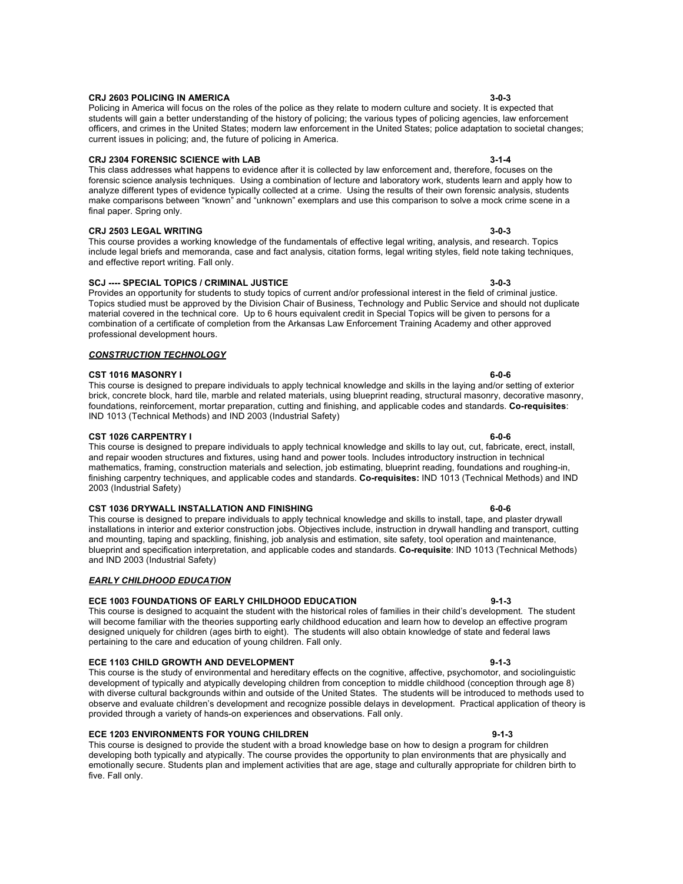### This course is the study of environmental and hereditary effects on the cognitive, affective, psychomotor, and sociolinguistic development of typically and atypically developing children from conception to middle childhood (conception through age 8) with diverse cultural backgrounds within and outside of the United States. The students will be introduced to methods used to observe and evaluate children's development and recognize possible delays in development. Practical application of theory is provided through a variety of hands-on experiences and observations. Fall only.

#### **ECE 1203 ENVIRONMENTS FOR YOUNG CHILDREN 6-1-3** 9-1-3

This course is designed to provide the student with a broad knowledge base on how to design a program for children developing both typically and atypically. The course provides the opportunity to plan environments that are physically and emotionally secure. Students plan and implement activities that are age, stage and culturally appropriate for children birth to five. Fall only.

#### **CRJ 2603 POLICING IN AMERICA 3-0-3**

Policing in America will focus on the roles of the police as they relate to modern culture and society. It is expected that students will gain a better understanding of the history of policing; the various types of policing agencies, law enforcement officers, and crimes in the United States; modern law enforcement in the United States; police adaptation to societal changes; current issues in policing; and, the future of policing in America.

#### **CRJ 2304 FORENSIC SCIENCE with LAB 3-1-4**

This class addresses what happens to evidence after it is collected by law enforcement and, therefore, focuses on the forensic science analysis techniques. Using a combination of lecture and laboratory work, students learn and apply how to analyze different types of evidence typically collected at a crime. Using the results of their own forensic analysis, students make comparisons between "known" and "unknown" exemplars and use this comparison to solve a mock crime scene in a final paper. Spring only.

#### **CRJ 2503 LEGAL WRITING 3-0-3**

This course provides a working knowledge of the fundamentals of effective legal writing, analysis, and research. Topics include legal briefs and memoranda, case and fact analysis, citation forms, legal writing styles, field note taking techniques, and effective report writing. Fall only.

### **SCJ ---- SPECIAL TOPICS / CRIMINAL JUSTICE 3-0-3**

Provides an opportunity for students to study topics of current and/or professional interest in the field of criminal justice. Topics studied must be approved by the Division Chair of Business, Technology and Public Service and should not duplicate material covered in the technical core. Up to 6 hours equivalent credit in Special Topics will be given to persons for a combination of a certificate of completion from the Arkansas Law Enforcement Training Academy and other approved professional development hours.

#### *CONSTRUCTION TECHNOLOGY*

#### **CST 1016 MASONRY I 6-0-6**

This course is designed to prepare individuals to apply technical knowledge and skills in the laying and/or setting of exterior brick, concrete block, hard tile, marble and related materials, using blueprint reading, structural masonry, decorative masonry, foundations, reinforcement, mortar preparation, cutting and finishing, and applicable codes and standards. **Co-requisites**: IND 1013 (Technical Methods) and IND 2003 (Industrial Safety)

#### **CST 1026 CARPENTRY I 6-0-6**

This course is designed to prepare individuals to apply technical knowledge and skills to lay out, cut, fabricate, erect, install, and repair wooden structures and fixtures, using hand and power tools. Includes introductory instruction in technical mathematics, framing, construction materials and selection, job estimating, blueprint reading, foundations and roughing-in, finishing carpentry techniques, and applicable codes and standards. **Co-requisites:** IND 1013 (Technical Methods) and IND 2003 (Industrial Safety)

#### **CST 1036 DRYWALL INSTALLATION AND FINISHING 6-0-6**

This course is designed to prepare individuals to apply technical knowledge and skills to install, tape, and plaster drywall installations in interior and exterior construction jobs. Objectives include, instruction in drywall handling and transport, cutting and mounting, taping and spackling, finishing, job analysis and estimation, site safety, tool operation and maintenance, blueprint and specification interpretation, and applicable codes and standards. **Co-requisite**: IND 1013 (Technical Methods) and IND 2003 (Industrial Safety)

### *EARLY CHILDHOOD EDUCATION*

### **ECE 1003 FOUNDATIONS OF EARLY CHILDHOOD EDUCATION 9-1-3**

This course is designed to acquaint the student with the historical roles of families in their child's development. The student will become familiar with the theories supporting early childhood education and learn how to develop an effective program designed uniquely for children (ages birth to eight). The students will also obtain knowledge of state and federal laws pertaining to the care and education of young children. Fall only.

**ECE 1103 CHILD GROWTH AND DEVELOPMENT 4000 PM AND SET ALL AND SET ALL AND SET ALL AND SET ALL AND SET ALL AND**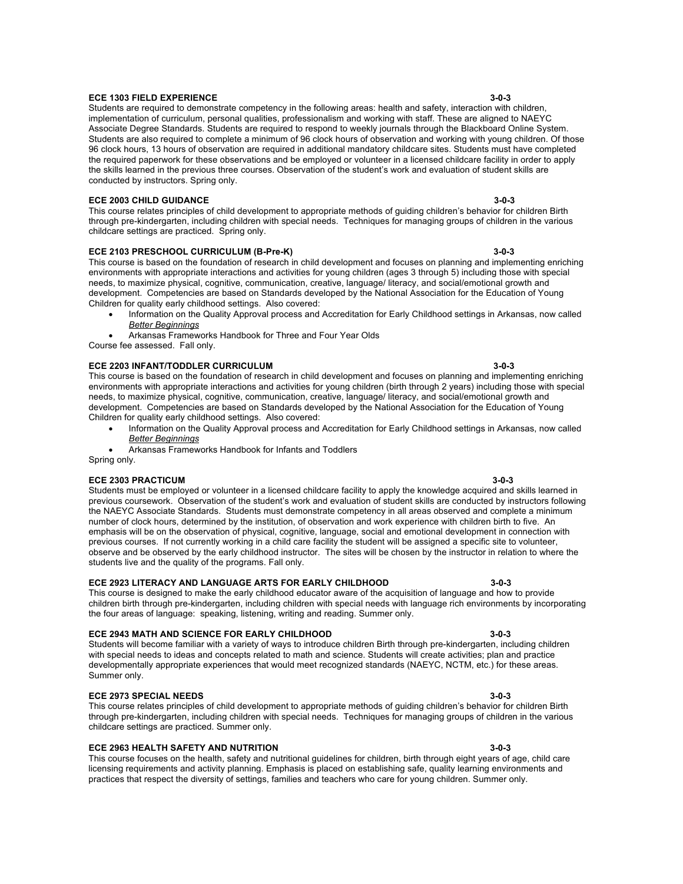# **ECE 1303 FIELD EXPERIENCE 3-0-3**

Students are required to demonstrate competency in the following areas: health and safety, interaction with children, implementation of curriculum, personal qualities, professionalism and working with staff. These are aligned to NAEYC Associate Degree Standards. Students are required to respond to weekly journals through the Blackboard Online System. Students are also required to complete a minimum of 96 clock hours of observation and working with young children. Of those 96 clock hours, 13 hours of observation are required in additional mandatory childcare sites. Students must have completed the required paperwork for these observations and be employed or volunteer in a licensed childcare facility in order to apply the skills learned in the previous three courses. Observation of the student's work and evaluation of student skills are conducted by instructors. Spring only.

# **ECE 2003 CHILD GUIDANCE 3-0-3**

This course relates principles of child development to appropriate methods of guiding children's behavior for children Birth through pre-kindergarten, including children with special needs. Techniques for managing groups of children in the various childcare settings are practiced.Spring only.

# **ECE 2103 PRESCHOOL CURRICULUM (B-Pre-K) 3-0-3**

This course is based on the foundation of research in child development and focuses on planning and implementing enriching environments with appropriate interactions and activities for young children (ages 3 through 5) including those with special needs, to maximize physical, cognitive, communication, creative, language/ literacy, and social/emotional growth and development. Competencies are based on Standards developed by the National Association for the Education of Young Children for quality early childhood settings. Also covered:

- Information on the Quality Approval process and Accreditation for Early Childhood settings in Arkansas, now called *Better Beginnings*
- Arkansas Frameworks Handbook for Three and Four Year Olds
- Course fee assessed. Fall only.

### **ECE 2203 INFANT/TODDLER CURRICULUM 3-0-3**

This course is based on the foundation of research in child development and focuses on planning and implementing enriching environments with appropriate interactions and activities for young children (birth through 2 years) including those with special needs, to maximize physical, cognitive, communication, creative, language/ literacy, and social/emotional growth and development. Competencies are based on Standards developed by the National Association for the Education of Young Children for quality early childhood settings. Also covered:

- Information on the Quality Approval process and Accreditation for Early Childhood settings in Arkansas, now called *Better Beginnings*
- Arkansas Frameworks Handbook for Infants and Toddlers Spring only.

### **ECE 2303 PRACTICUM 3-0-3**

Students must be employed or volunteer in a licensed childcare facility to apply the knowledge acquired and skills learned in previous coursework. Observation of the student's work and evaluation of student skills are conducted by instructors following the NAEYC Associate Standards. Students must demonstrate competency in all areas observed and complete a minimum number of clock hours, determined by the institution, of observation and work experience with children birth to five. An emphasis will be on the observation of physical, cognitive, language, social and emotional development in connection with previous courses. If not currently working in a child care facility the student will be assigned a specific site to volunteer, observe and be observed by the early childhood instructor. The sites will be chosen by the instructor in relation to where the students live and the quality of the programs. Fall only.

### **ECE 2923 LITERACY AND LANGUAGE ARTS FOR EARLY CHILDHOOD 3-0-3**

This course is designed to make the early childhood educator aware of the acquisition of language and how to provide children birth through pre-kindergarten, including children with special needs with language rich environments by incorporating the four areas of language: speaking, listening, writing and reading. Summer only.

### **ECE 2943 MATH AND SCIENCE FOR EARLY CHILDHOOD 3-0-3**

Students will become familiar with a variety of ways to introduce children Birth through pre-kindergarten, including children with special needs to ideas and concepts related to math and science. Students will create activities; plan and practice developmentally appropriate experiences that would meet recognized standards (NAEYC, NCTM, etc.) for these areas. Summer only.

### **ECE 2973 SPECIAL NEEDS 3-0-3**

This course relates principles of child development to appropriate methods of guiding children's behavior for children Birth through pre-kindergarten, including children with special needs. Techniques for managing groups of children in the various childcare settings are practiced. Summer only.

### **ECE 2963 HEALTH SAFETY AND NUTRITION 3-0-3**

This course focuses on the health, safety and nutritional guidelines for children, birth through eight years of age, child care licensing requirements and activity planning. Emphasis is placed on establishing safe, quality learning environments and practices that respect the diversity of settings, families and teachers who care for young children. Summer only.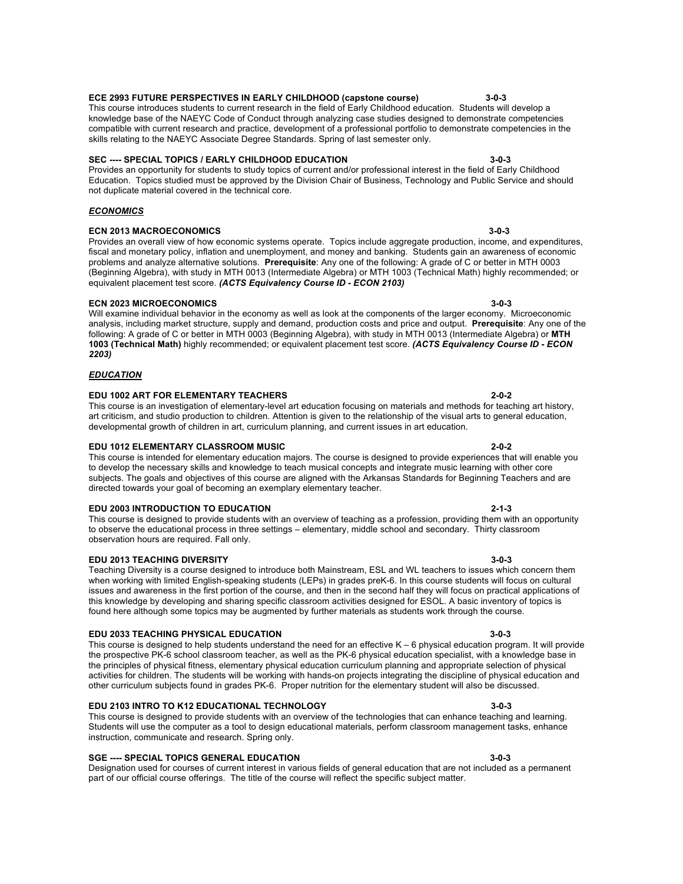# **ECE 2993 FUTURE PERSPECTIVES IN EARLY CHILDHOOD (capstone course) 3-0-3**

This course introduces students to current research in the field of Early Childhood education. Students will develop a knowledge base of the NAEYC Code of Conduct through analyzing case studies designed to demonstrate competencies compatible with current research and practice, development of a professional portfolio to demonstrate competencies in the skills relating to the NAEYC Associate Degree Standards. Spring of last semester only.

# **SEC ---- SPECIAL TOPICS / EARLY CHILDHOOD EDUCATION 3-0-3**

Provides an opportunity for students to study topics of current and/or professional interest in the field of Early Childhood Education. Topics studied must be approved by the Division Chair of Business, Technology and Public Service and should not duplicate material covered in the technical core.

### *ECONOMICS*

### **ECN 2013 MACROECONOMICS 3-0-3**

Provides an overall view of how economic systems operate. Topics include aggregate production, income, and expenditures, fiscal and monetary policy, inflation and unemployment, and money and banking. Students gain an awareness of economic problems and analyze alternative solutions. **Prerequisite**: Any one of the following: A grade of C or better in MTH 0003 (Beginning Algebra), with study in MTH 0013 (Intermediate Algebra) or MTH 1003 (Technical Math) highly recommended; or equivalent placement test score. *(ACTS Equivalency Course ID - ECON 2103)*

### **ECN 2023 MICROECONOMICS 3-0-3**

Will examine individual behavior in the economy as well as look at the components of the larger economy. Microeconomic analysis, including market structure, supply and demand, production costs and price and output. **Prerequisite**: Any one of the following: A grade of C or better in MTH 0003 (Beginning Algebra), with study in MTH 0013 (Intermediate Algebra) or **MTH 1003 (Technical Math)** highly recommended; or equivalent placement test score. *(ACTS Equivalency Course ID - ECON 2203)*

### *EDUCATION*

### **EDU 1002 ART FOR ELEMENTARY TEACHERS 2-0-2**

This course is an investigation of elementary-level art education focusing on materials and methods for teaching art history, art criticism, and studio production to children. Attention is given to the relationship of the visual arts to general education, developmental growth of children in art, curriculum planning, and current issues in art education.

### **EDU 1012 ELEMENTARY CLASSROOM MUSIC 2-0-2**

This course is intended for elementary education majors. The course is designed to provide experiences that will enable you to develop the necessary skills and knowledge to teach musical concepts and integrate music learning with other core subjects. The goals and objectives of this course are aligned with the Arkansas Standards for Beginning Teachers and are directed towards your goal of becoming an exemplary elementary teacher.

### **EDU 2003 INTRODUCTION TO EDUCATION 2-1-3**

This course is designed to provide students with an overview of teaching as a profession, providing them with an opportunity to observe the educational process in three settings – elementary, middle school and secondary. Thirty classroom observation hours are required. Fall only.

### **EDU 2013 TEACHING DIVERSITY 3-0-3**

#### Teaching Diversity is a course designed to introduce both Mainstream, ESL and WL teachers to issues which concern them when working with limited English-speaking students (LEPs) in grades preK-6. In this course students will focus on cultural issues and awareness in the first portion of the course, and then in the second half they will focus on practical applications of this knowledge by developing and sharing specific classroom activities designed for ESOL. A basic inventory of topics is found here although some topics may be augmented by further materials as students work through the course.

### **EDU 2033 TEACHING PHYSICAL EDUCATION 3-0-3**

This course is designed to help students understand the need for an effective K – 6 physical education program. It will provide the prospective PK-6 school classroom teacher, as well as the PK-6 physical education specialist, with a knowledge base in the principles of physical fitness, elementary physical education curriculum planning and appropriate selection of physical activities for children. The students will be working with hands-on projects integrating the discipline of physical education and other curriculum subjects found in grades PK-6. Proper nutrition for the elementary student will also be discussed.

### **EDU 2103 INTRO TO K12 EDUCATIONAL TECHNOLOGY 3-0-3**

This course is designed to provide students with an overview of the technologies that can enhance teaching and learning. Students will use the computer as a tool to design educational materials, perform classroom management tasks, enhance instruction, communicate and research. Spring only.

### **SGE ---- SPECIAL TOPICS GENERAL EDUCATION 3-0-3**

Designation used for courses of current interest in various fields of general education that are not included as a permanent part of our official course offerings. The title of the course will reflect the specific subject matter.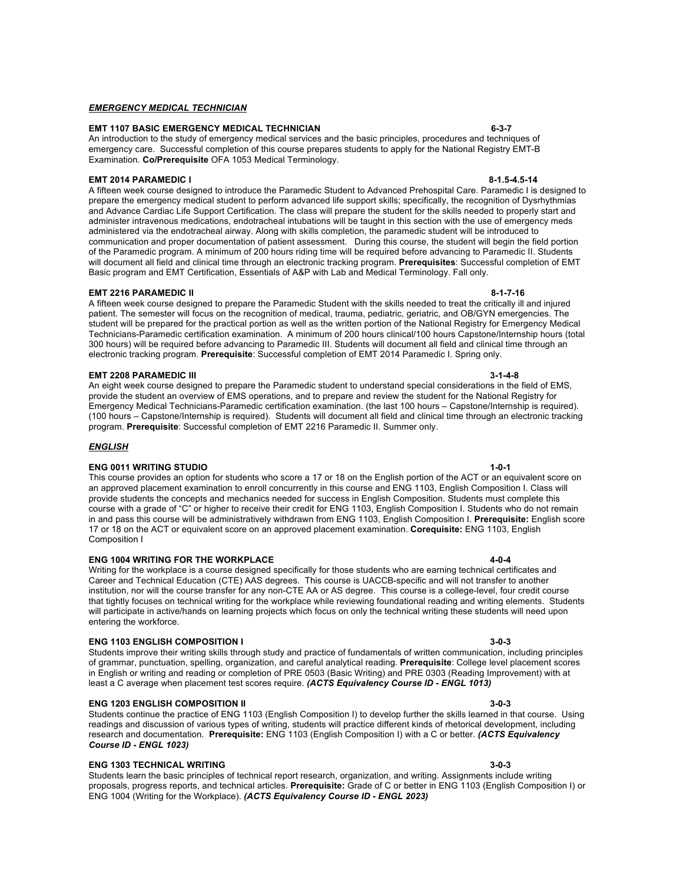#### *EMERGENCY MEDICAL TECHNICIAN*

### **EMT 1107 BASIC EMERGENCY MEDICAL TECHNICIAN 6-3-7**

An introduction to the study of emergency medical services and the basic principles, procedures and techniques of emergency care. Successful completion of this course prepares students to apply for the National Registry EMT-B Examination. **Co/Prerequisite** OFA 1053 Medical Terminology.

#### **EMT 2014 PARAMEDIC I 8-1.5-4.5-14**

A fifteen week course designed to introduce the Paramedic Student to Advanced Prehospital Care. Paramedic I is designed to prepare the emergency medical student to perform advanced life support skills; specifically, the recognition of Dysrhythmias and Advance Cardiac Life Support Certification. The class will prepare the student for the skills needed to properly start and administer intravenous medications, endotracheal intubations will be taught in this section with the use of emergency meds administered via the endotracheal airway. Along with skills completion, the paramedic student will be introduced to communication and proper documentation of patient assessment. During this course, the student will begin the field portion of the Paramedic program. A minimum of 200 hours riding time will be required before advancing to Paramedic II. Students will document all field and clinical time through an electronic tracking program. **Prerequisites**: Successful completion of EMT Basic program and EMT Certification, Essentials of A&P with Lab and Medical Terminology. Fall only.

#### **EMT 2216 PARAMEDIC II 8-1-7-16**

A fifteen week course designed to prepare the Paramedic Student with the skills needed to treat the critically ill and injured patient. The semester will focus on the recognition of medical, trauma, pediatric, geriatric, and OB/GYN emergencies. The student will be prepared for the practical portion as well as the written portion of the National Registry for Emergency Medical Technicians-Paramedic certification examination. A minimum of 200 hours clinical/100 hours Capstone/Internship hours (total 300 hours) will be required before advancing to Paramedic III. Students will document all field and clinical time through an electronic tracking program. **Prerequisite**: Successful completion of EMT 2014 Paramedic I. Spring only.

#### **EMT 2208 PARAMEDIC III 3-1-4-8**

An eight week course designed to prepare the Paramedic student to understand special considerations in the field of EMS, provide the student an overview of EMS operations, and to prepare and review the student for the National Registry for Emergency Medical Technicians-Paramedic certification examination. (the last 100 hours – Capstone/Internship is required). (100 hours – Capstone/Internship is required). Students will document all field and clinical time through an electronic tracking program. **Prerequisite**: Successful completion of EMT 2216 Paramedic II. Summer only.

#### *ENGLISH*

#### **ENG 0011 WRITING STUDIO 1-0-1**

This course provides an option for students who score a 17 or 18 on the English portion of the ACT or an equivalent score on an approved placement examination to enroll concurrently in this course and ENG 1103, English Composition I. Class will provide students the concepts and mechanics needed for success in English Composition. Students must complete this course with a grade of "C" or higher to receive their credit for ENG 1103, English Composition I. Students who do not remain in and pass this course will be administratively withdrawn from ENG 1103, English Composition I. **Prerequisite:** English score 17 or 18 on the ACT or equivalent score on an approved placement examination. **Corequisite:** ENG 1103, English Composition I

#### **ENG 1004 WRITING FOR THE WORKPLACE 4-0-4**

#### Writing for the workplace is a course designed specifically for those students who are earning technical certificates and Career and Technical Education (CTE) AAS degrees. This course is UACCB-specific and will not transfer to another institution, nor will the course transfer for any non-CTE AA or AS degree. This course is a college-level, four credit course that tightly focuses on technical writing for the workplace while reviewing foundational reading and writing elements. Students will participate in active/hands on learning projects which focus on only the technical writing these students will need upon entering the workforce.

#### **ENG 1103 ENGLISH COMPOSITION I 3-0-3**

Students improve their writing skills through study and practice of fundamentals of written communication, including principles of grammar, punctuation, spelling, organization, and careful analytical reading. **Prerequisite**: College level placement scores in English or writing and reading or completion of PRE 0503 (Basic Writing) and PRE 0303 (Reading Improvement) with at least a C average when placement test scores require. *(ACTS Equivalency Course ID - ENGL 1013)*

#### **ENG 1203 ENGLISH COMPOSITION II 3-0-3**

Students continue the practice of ENG 1103 (English Composition I) to develop further the skills learned in that course. Using readings and discussion of various types of writing, students will practice different kinds of rhetorical development, including research and documentation. **Prerequisite:** ENG 1103 (English Composition I) with a C or better. *(ACTS Equivalency Course ID - ENGL 1023)*

#### **ENG 1303 TECHNICAL WRITING 3-0-3**

Students learn the basic principles of technical report research, organization, and writing. Assignments include writing proposals, progress reports, and technical articles. **Prerequisite:** Grade of C or better in ENG 1103 (English Composition I) or ENG 1004 (Writing for the Workplace). *(ACTS Equivalency Course ID - ENGL 2023)*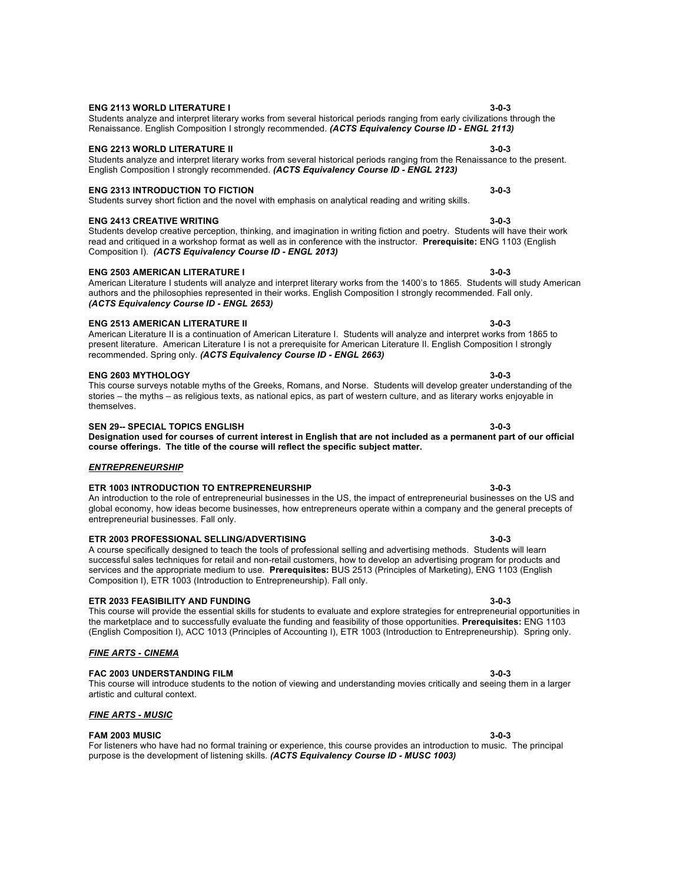# Students analyze and interpret literary works from several historical periods ranging from early civilizations through the Renaissance. English Composition I strongly recommended. *(ACTS Equivalency Course ID - ENGL 2113)*

### **ENG 2213 WORLD LITERATURE II 3-0-3**

### **ENG 2313 INTRODUCTION TO FICTION 3-0-3**

Students survey short fiction and the novel with emphasis on analytical reading and writing skills.

#### **ENG 2413 CREATIVE WRITING 3-0-3**

Students develop creative perception, thinking, and imagination in writing fiction and poetry. Students will have their work read and critiqued in a workshop format as well as in conference with the instructor. **Prerequisite:** ENG 1103 (English Composition I). *(ACTS Equivalency Course ID - ENGL 2013)*

Students analyze and interpret literary works from several historical periods ranging from the Renaissance to the present.

#### **ENG 2503 AMERICAN LITERATURE I 3-0-3**

### American Literature I students will analyze and interpret literary works from the 1400's to 1865. Students will study American authors and the philosophies represented in their works. English Composition I strongly recommended. Fall only. *(ACTS Equivalency Course ID - ENGL 2653)*

#### **ENG 2513 AMERICAN LITERATURE II 3-0-3**

American Literature II is a continuation of American Literature I. Students will analyze and interpret works from 1865 to present literature. American Literature I is not a prerequisite for American Literature II. English Composition I strongly recommended. Spring only. *(ACTS Equivalency Course ID - ENGL 2663)*

#### **ENG 2603 MYTHOLOGY 3-0-3**

This course surveys notable myths of the Greeks, Romans, and Norse. Students will develop greater understanding of the stories – the myths – as religious texts, as national epics, as part of western culture, and as literary works enjoyable in themselves.

#### **SEN 29-- SPECIAL TOPICS ENGLISH 3-0-3**

#### **Designation used for courses of current interest in English that are not included as a permanent part of our official course offerings. The title of the course will reflect the specific subject matter.**

### *ENTREPRENEURSHIP*

#### **ETR 1003 INTRODUCTION TO ENTREPRENEURSHIP 3-0-3**

An introduction to the role of entrepreneurial businesses in the US, the impact of entrepreneurial businesses on the US and global economy, how ideas become businesses, how entrepreneurs operate within a company and the general precepts of entrepreneurial businesses. Fall only.

#### **ETR 2003 PROFESSIONAL SELLING/ADVERTISING 3-0-3** A course specifically designed to teach the tools of professional selling and advertising methods. Students will learn successful sales techniques for retail and non-retail customers, how to develop an advertising program for products and services and the appropriate medium to use. **Prerequisites:** BUS 2513 (Principles of Marketing), ENG 1103 (English Composition I), ETR 1003 (Introduction to Entrepreneurship). Fall only.

#### **ETR 2033 FEASIBILITY AND FUNDING 3-0-3**

#### This course will provide the essential skills for students to evaluate and explore strategies for entrepreneurial opportunities in the marketplace and to successfully evaluate the funding and feasibility of those opportunities. **Prerequisites:** ENG 1103 (English Composition I), ACC 1013 (Principles of Accounting I), ETR 1003 (Introduction to Entrepreneurship). Spring only.

#### *FINE ARTS - CINEMA*

### **FAC 2003 UNDERSTANDING FILM 3-0-3**

#### This course will introduce students to the notion of viewing and understanding movies critically and seeing them in a larger artistic and cultural context.

### *FINE ARTS - MUSIC*

### **FAM 2003 MUSIC 3-0-3**

For listeners who have had no formal training or experience, this course provides an introduction to music. The principal purpose is the development of listening skills. *(ACTS Equivalency Course ID - MUSC 1003)*

### **ENG 2113 WORLD LITERATURE I 3-0-3**

# English Composition I strongly recommended. *(ACTS Equivalency Course ID - ENGL 2123)*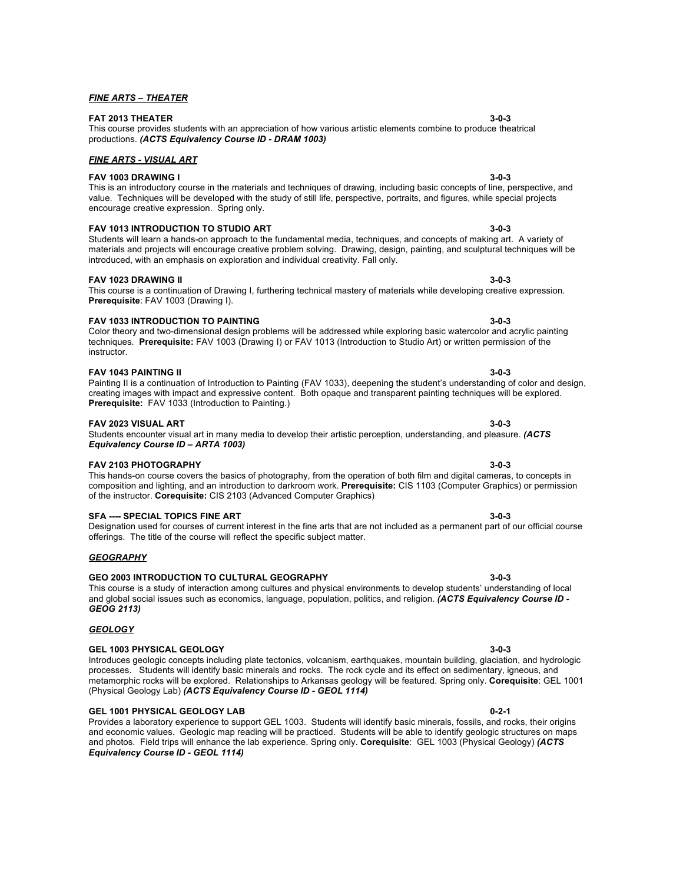# **FAT 2013 THEATER 3-0-3**

*FINE ARTS – THEATER*

### This course provides students with an appreciation of how various artistic elements combine to produce theatrical productions. *(ACTS Equivalency Course ID - DRAM 1003)*

### *FINE ARTS - VISUAL ART*

### **FAV 1003 DRAWING I 3-0-3**

#### This is an introductory course in the materials and techniques of drawing, including basic concepts of line, perspective, and value. Techniques will be developed with the study of still life, perspective, portraits, and figures, while special projects encourage creative expression. Spring only.

### **FAV 1013 INTRODUCTION TO STUDIO ART 3-0-3**

Students will learn a hands-on approach to the fundamental media, techniques, and concepts of making art. A variety of materials and projects will encourage creative problem solving. Drawing, design, painting, and sculptural techniques will be introduced, with an emphasis on exploration and individual creativity. Fall only.

#### **FAV 1023 DRAWING II 3-0-3**

#### This course is a continuation of Drawing I, furthering technical mastery of materials while developing creative expression. **Prerequisite**: FAV 1003 (Drawing I).

#### **FAV 1033 INTRODUCTION TO PAINTING 3-0-3**

Color theory and two-dimensional design problems will be addressed while exploring basic watercolor and acrylic painting techniques. **Prerequisite:** FAV 1003 (Drawing I) or FAV 1013 (Introduction to Studio Art) or written permission of the instructor.

#### **FAV 1043 PAINTING II 3-0-3**

#### Painting II is a continuation of Introduction to Painting (FAV 1033), deepening the student's understanding of color and design, creating images with impact and expressive content. Both opaque and transparent painting techniques will be explored. **Prerequisite:** FAV 1033 (Introduction to Painting.)

#### **FAV 2023 VISUAL ART 3-0-3**

#### Students encounter visual art in many media to develop their artistic perception, understanding, and pleasure. *(ACTS Equivalency Course ID – ARTA 1003)*

#### **FAV 2103 PHOTOGRAPHY 3-0-3**

#### This hands-on course covers the basics of photography, from the operation of both film and digital cameras, to concepts in composition and lighting, and an introduction to darkroom work. **Prerequisite:** CIS 1103 (Computer Graphics) or permission of the instructor. **Corequisite:** CIS 2103 (Advanced Computer Graphics)

### **SFA ---- SPECIAL TOPICS FINE ART 3-0-3**

Designation used for courses of current interest in the fine arts that are not included as a permanent part of our official course offerings. The title of the course will reflect the specific subject matter.

#### *GEOGRAPHY*

*GEOLOGY*

### **GEO 2003 INTRODUCTION TO CULTURAL GEOGRAPHY 3-0-3**

#### This course is a study of interaction among cultures and physical environments to develop students' understanding of local and global social issues such as economics, language, population, politics, and religion. *(ACTS Equivalency Course ID - GEOG 2113)*

**GEL 1003 PHYSICAL GEOLOGY 3-0-3** Introduces geologic concepts including plate tectonics, volcanism, earthquakes, mountain building, glaciation, and hydrologic processes. Students will identify basic minerals and rocks. The rock cycle and its effect on sedimentary, igneous, and metamorphic rocks will be explored. Relationships to Arkansas geology will be featured. Spring only. **Corequisite**: GEL 1001 (Physical Geology Lab) *(ACTS Equivalency Course ID - GEOL 1114)*

### **GEL 1001 PHYSICAL GEOLOGY LAB 0-2-1**

Provides a laboratory experience to support GEL 1003. Students will identify basic minerals, fossils, and rocks, their origins and economic values. Geologic map reading will be practiced. Students will be able to identify geologic structures on maps and photos. Field trips will enhance the lab experience. Spring only. **Corequisite**: GEL 1003 (Physical Geology) *(ACTS Equivalency Course ID - GEOL 1114)*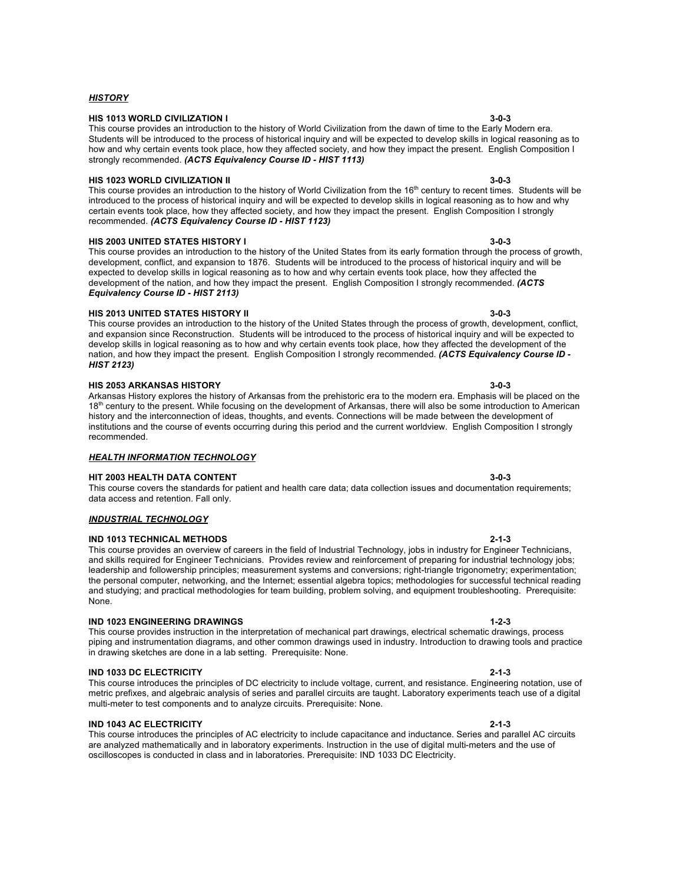# **HIS 1013 WORLD CIVILIZATION I 3-0-3**

*HISTORY*

This course provides an introduction to the history of World Civilization from the dawn of time to the Early Modern era. Students will be introduced to the process of historical inquiry and will be expected to develop skills in logical reasoning as to how and why certain events took place, how they affected society, and how they impact the present. English Composition I strongly recommended. *(ACTS Equivalency Course ID - HIST 1113)*

# **HIS 1023 WORLD CIVILIZATION II 3-0-3**

This course provides an introduction to the history of World Civilization from the 16<sup>th</sup> century to recent times. Students will be introduced to the process of historical inquiry and will be expected to develop skills in logical reasoning as to how and why certain events took place, how they affected society, and how they impact the present. English Composition I strongly recommended. *(ACTS Equivalency Course ID - HIST 1123)*

# **HIS 2003 UNITED STATES HISTORY I 3-0-3**

This course provides an introduction to the history of the United States from its early formation through the process of growth, development, conflict, and expansion to 1876. Students will be introduced to the process of historical inquiry and will be expected to develop skills in logical reasoning as to how and why certain events took place, how they affected the development of the nation, and how they impact the present. English Composition I strongly recommended. *(ACTS Equivalency Course ID - HIST 2113)*

### **HIS 2013 UNITED STATES HISTORY II 3-0-3**

This course provides an introduction to the history of the United States through the process of growth, development, conflict, and expansion since Reconstruction. Students will be introduced to the process of historical inquiry and will be expected to develop skills in logical reasoning as to how and why certain events took place, how they affected the development of the nation, and how they impact the present. English Composition I strongly recommended. *(ACTS Equivalency Course ID - HIST 2123)*

### **HIS 2053 ARKANSAS HISTORY 3-0-3**

Arkansas History explores the history of Arkansas from the prehistoric era to the modern era. Emphasis will be placed on the 18<sup>th</sup> century to the present. While focusing on the development of Arkansas, there will also be some introduction to American history and the interconnection of ideas, thoughts, and events. Connections will be made between the development of institutions and the course of events occurring during this period and the current worldview. English Composition I strongly recommended.

This course covers the standards for patient and health care data; data collection issues and documentation requirements;

### *HEALTH INFORMATION TECHNOLOGY*

### **HIT 2003 HEALTH DATA CONTENT 3-0-3**

# data access and retention. Fall only.

### *INDUSTRIAL TECHNOLOGY*

### **IND 1013 TECHNICAL METHODS 2-1-3**

This course provides an overview of careers in the field of Industrial Technology, jobs in industry for Engineer Technicians, and skills required for Engineer Technicians. Provides review and reinforcement of preparing for industrial technology jobs; leadership and followership principles; measurement systems and conversions; right-triangle trigonometry; experimentation; the personal computer, networking, and the Internet; essential algebra topics; methodologies for successful technical reading and studying; and practical methodologies for team building, problem solving, and equipment troubleshooting. Prerequisite: None.

### **IND 1023 ENGINEERING DRAWINGS 1-2-3**

This course provides instruction in the interpretation of mechanical part drawings, electrical schematic drawings, process piping and instrumentation diagrams, and other common drawings used in industry. Introduction to drawing tools and practice in drawing sketches are done in a lab setting. Prerequisite: None.

### **IND 1033 DC ELECTRICITY 2-1-3**

This course introduces the principles of DC electricity to include voltage, current, and resistance. Engineering notation, use of metric prefixes, and algebraic analysis of series and parallel circuits are taught. Laboratory experiments teach use of a digital multi-meter to test components and to analyze circuits. Prerequisite: None.

### **IND 1043 AC ELECTRICITY**

This course introduces the principles of AC electricity to include capacitance and inductance. Series and parallel AC circuits are analyzed mathematically and in laboratory experiments. Instruction in the use of digital multi-meters and the use of oscilloscopes is conducted in class and in laboratories. Prerequisite: IND 1033 DC Electricity.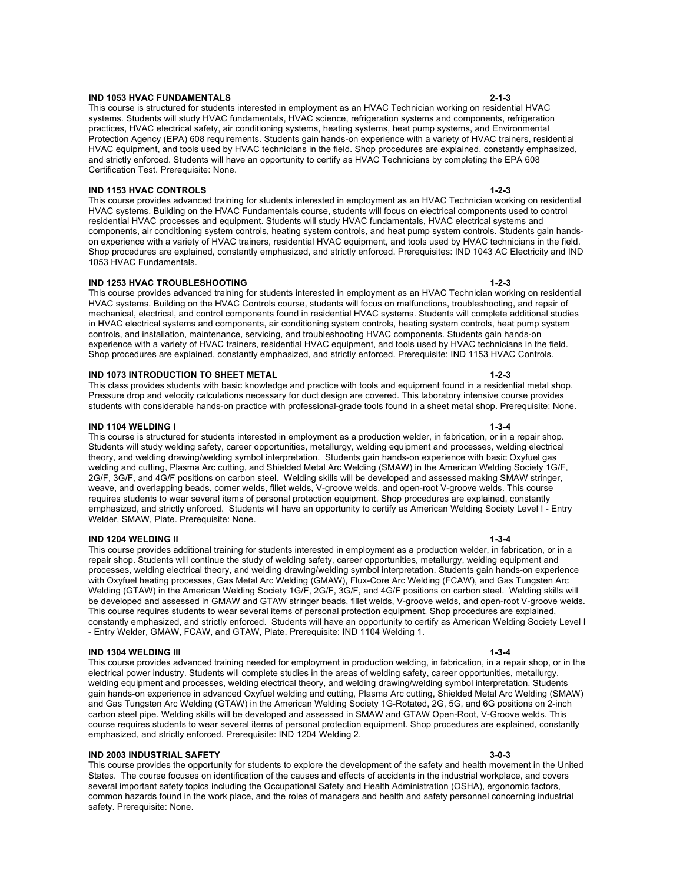#### **IND 1053 HVAC FUNDAMENTALS 2-1-3**

This course is structured for students interested in employment as an HVAC Technician working on residential HVAC systems. Students will study HVAC fundamentals, HVAC science, refrigeration systems and components, refrigeration practices, HVAC electrical safety, air conditioning systems, heating systems, heat pump systems, and Environmental Protection Agency (EPA) 608 requirements. Students gain hands-on experience with a variety of HVAC trainers, residential HVAC equipment, and tools used by HVAC technicians in the field. Shop procedures are explained, constantly emphasized, and strictly enforced. Students will have an opportunity to certify as HVAC Technicians by completing the EPA 608 Certification Test. Prerequisite: None.

### **IND 1153 HVAC CONTROLS 1-2-3**

This course provides advanced training for students interested in employment as an HVAC Technician working on residential HVAC systems. Building on the HVAC Fundamentals course, students will focus on electrical components used to control residential HVAC processes and equipment. Students will study HVAC fundamentals, HVAC electrical systems and components, air conditioning system controls, heating system controls, and heat pump system controls. Students gain handson experience with a variety of HVAC trainers, residential HVAC equipment, and tools used by HVAC technicians in the field. Shop procedures are explained, constantly emphasized, and strictly enforced. Prerequisites: IND 1043 AC Electricity and IND 1053 HVAC Fundamentals.

### **IND 1253 HVAC TROUBLESHOOTING 1-2-3**

This course provides advanced training for students interested in employment as an HVAC Technician working on residential HVAC systems. Building on the HVAC Controls course, students will focus on malfunctions, troubleshooting, and repair of mechanical, electrical, and control components found in residential HVAC systems. Students will complete additional studies in HVAC electrical systems and components, air conditioning system controls, heating system controls, heat pump system controls, and installation, maintenance, servicing, and troubleshooting HVAC components. Students gain hands-on experience with a variety of HVAC trainers, residential HVAC equipment, and tools used by HVAC technicians in the field. Shop procedures are explained, constantly emphasized, and strictly enforced. Prerequisite: IND 1153 HVAC Controls.

### **IND 1073 INTRODUCTION TO SHEET METAL 1-2-3**

This class provides students with basic knowledge and practice with tools and equipment found in a residential metal shop. Pressure drop and velocity calculations necessary for duct design are covered. This laboratory intensive course provides students with considerable hands-on practice with professional-grade tools found in a sheet metal shop. Prerequisite: None.

#### **IND 1104 WELDING I 1-3-4**

This course is structured for students interested in employment as a production welder, in fabrication, or in a repair shop. Students will study welding safety, career opportunities, metallurgy, welding equipment and processes, welding electrical theory, and welding drawing/welding symbol interpretation. Students gain hands-on experience with basic Oxyfuel gas welding and cutting, Plasma Arc cutting, and Shielded Metal Arc Welding (SMAW) in the American Welding Society 1G/F, 2G/F, 3G/F, and 4G/F positions on carbon steel. Welding skills will be developed and assessed making SMAW stringer, weave, and overlapping beads, corner welds, fillet welds, V-groove welds, and open-root V-groove welds. This course requires students to wear several items of personal protection equipment. Shop procedures are explained, constantly emphasized, and strictly enforced. Students will have an opportunity to certify as American Welding Society Level I - Entry Welder, SMAW, Plate. Prerequisite: None.

#### **IND 1204 WELDING II 1-3-4**

This course provides additional training for students interested in employment as a production welder, in fabrication, or in a repair shop. Students will continue the study of welding safety, career opportunities, metallurgy, welding equipment and processes, welding electrical theory, and welding drawing/welding symbol interpretation. Students gain hands-on experience with Oxyfuel heating processes, Gas Metal Arc Welding (GMAW), Flux-Core Arc Welding (FCAW), and Gas Tungsten Arc Welding (GTAW) in the American Welding Society 1G/F, 2G/F, 3G/F, and 4G/F positions on carbon steel. Welding skills will be developed and assessed in GMAW and GTAW stringer beads, fillet welds, V-groove welds, and open-root V-groove welds. This course requires students to wear several items of personal protection equipment. Shop procedures are explained, constantly emphasized, and strictly enforced. Students will have an opportunity to certify as American Welding Society Level I - Entry Welder, GMAW, FCAW, and GTAW, Plate. Prerequisite: IND 1104 Welding 1.

#### **IND 1304 WELDING III 1-3-4**

This course provides advanced training needed for employment in production welding, in fabrication, in a repair shop, or in the electrical power industry. Students will complete studies in the areas of welding safety, career opportunities, metallurgy, welding equipment and processes, welding electrical theory, and welding drawing/welding symbol interpretation. Students gain hands-on experience in advanced Oxyfuel welding and cutting, Plasma Arc cutting, Shielded Metal Arc Welding (SMAW) and Gas Tungsten Arc Welding (GTAW) in the American Welding Society 1G-Rotated, 2G, 5G, and 6G positions on 2-inch carbon steel pipe. Welding skills will be developed and assessed in SMAW and GTAW Open-Root, V-Groove welds. This course requires students to wear several items of personal protection equipment. Shop procedures are explained, constantly emphasized, and strictly enforced. Prerequisite: IND 1204 Welding 2.

#### **IND 2003 INDUSTRIAL SAFETY 3-0-3**

This course provides the opportunity for students to explore the development of the safety and health movement in the United States. The course focuses on identification of the causes and effects of accidents in the industrial workplace, and covers several important safety topics including the Occupational Safety and Health Administration (OSHA), ergonomic factors, common hazards found in the work place, and the roles of managers and health and safety personnel concerning industrial safety. Prerequisite: None.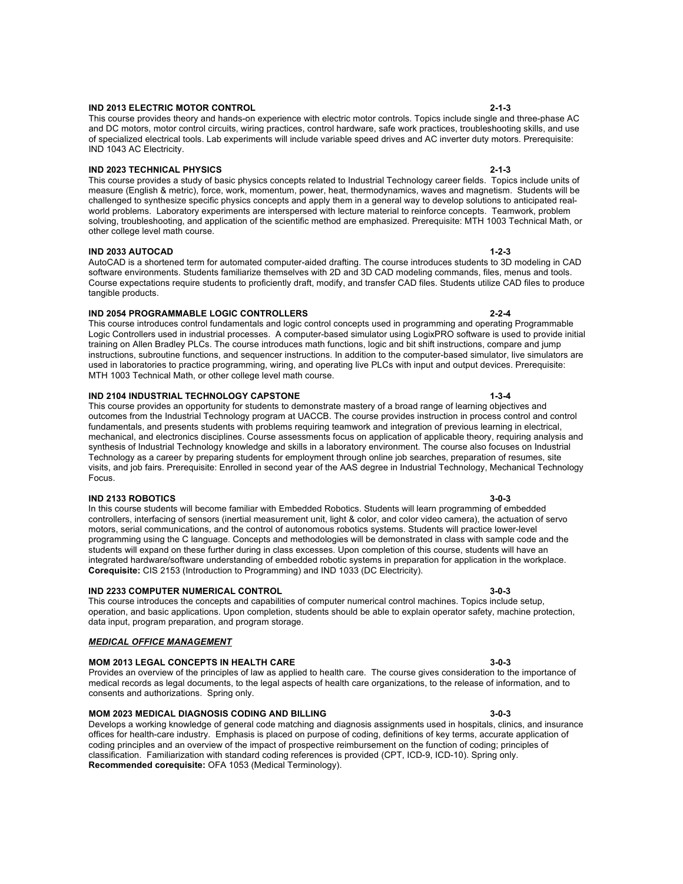# **IND 2013 ELECTRIC MOTOR CONTROL 2-1-3**

This course provides theory and hands-on experience with electric motor controls. Topics include single and three-phase AC and DC motors, motor control circuits, wiring practices, control hardware, safe work practices, troubleshooting skills, and use of specialized electrical tools. Lab experiments will include variable speed drives and AC inverter duty motors. Prerequisite: IND 1043 AC Electricity.

### **IND 2023 TECHNICAL PHYSICS 2-1-3**

This course provides a study of basic physics concepts related to Industrial Technology career fields. Topics include units of measure (English & metric), force, work, momentum, power, heat, thermodynamics, waves and magnetism. Students will be challenged to synthesize specific physics concepts and apply them in a general way to develop solutions to anticipated realworld problems. Laboratory experiments are interspersed with lecture material to reinforce concepts. Teamwork, problem solving, troubleshooting, and application of the scientific method are emphasized. Prerequisite: MTH 1003 Technical Math, or other college level math course.

# **IND 2033 AUTOCAD 1-2-3**

AutoCAD is a shortened term for automated computer-aided drafting. The course introduces students to 3D modeling in CAD software environments. Students familiarize themselves with 2D and 3D CAD modeling commands, files, menus and tools. Course expectations require students to proficiently draft, modify, and transfer CAD files. Students utilize CAD files to produce tangible products.

### **IND 2054 PROGRAMMABLE LOGIC CONTROLLERS 2-2-4**

This course introduces control fundamentals and logic control concepts used in programming and operating Programmable Logic Controllers used in industrial processes. A computer-based simulator using LogixPRO software is used to provide initial training on Allen Bradley PLCs. The course introduces math functions, logic and bit shift instructions, compare and jump instructions, subroutine functions, and sequencer instructions. In addition to the computer-based simulator, live simulators are used in laboratories to practice programming, wiring, and operating live PLCs with input and output devices. Prerequisite: MTH 1003 Technical Math, or other college level math course.

### **IND 2104 INDUSTRIAL TECHNOLOGY CAPSTONE 1-3-4**

This course provides an opportunity for students to demonstrate mastery of a broad range of learning objectives and outcomes from the Industrial Technology program at UACCB. The course provides instruction in process control and control fundamentals, and presents students with problems requiring teamwork and integration of previous learning in electrical, mechanical, and electronics disciplines. Course assessments focus on application of applicable theory, requiring analysis and synthesis of Industrial Technology knowledge and skills in a laboratory environment. The course also focuses on Industrial Technology as a career by preparing students for employment through online job searches, preparation of resumes, site visits, and job fairs. Prerequisite: Enrolled in second year of the AAS degree in Industrial Technology, Mechanical Technology Focus.

#### **IND 2133 ROBOTICS 3-0-3**

In this course students will become familiar with Embedded Robotics. Students will learn programming of embedded controllers, interfacing of sensors (inertial measurement unit, light & color, and color video camera), the actuation of servo motors, serial communications, and the control of autonomous robotics systems. Students will practice lower-level programming using the C language. Concepts and methodologies will be demonstrated in class with sample code and the students will expand on these further during in class excesses. Upon completion of this course, students will have an integrated hardware/software understanding of embedded robotic systems in preparation for application in the workplace. **Corequisite:** CIS 2153 (Introduction to Programming) and IND 1033 (DC Electricity).

### **IND 2233 COMPUTER NUMERICAL CONTROL 3-0-3**

This course introduces the concepts and capabilities of computer numerical control machines. Topics include setup, operation, and basic applications. Upon completion, students should be able to explain operator safety, machine protection, data input, program preparation, and program storage.

### *MEDICAL OFFICE MANAGEMENT*

### **MOM 2013 LEGAL CONCEPTS IN HEALTH CARE 3-0-3**

Provides an overview of the principles of law as applied to health care. The course gives consideration to the importance of medical records as legal documents, to the legal aspects of health care organizations, to the release of information, and to consents and authorizations. Spring only.

### **MOM 2023 MEDICAL DIAGNOSIS CODING AND BILLING 3-0-3**

Develops a working knowledge of general code matching and diagnosis assignments used in hospitals, clinics, and insurance offices for health-care industry. Emphasis is placed on purpose of coding, definitions of key terms, accurate application of coding principles and an overview of the impact of prospective reimbursement on the function of coding; principles of classification. Familiarization with standard coding references is provided (CPT, ICD-9, ICD-10). Spring only. **Recommended corequisite:** OFA 1053 (Medical Terminology).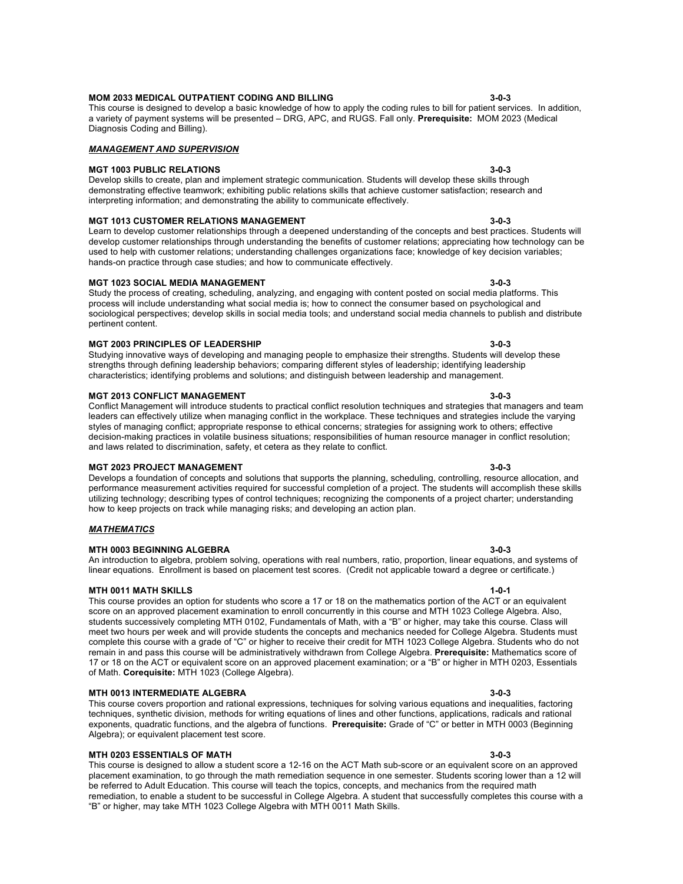#### **MOM 2033 MEDICAL OUTPATIENT CODING AND BILLING 3-0-3** This course is designed to develop a basic knowledge of how to apply the coding rules to bill for patient services. In addition, a variety of payment systems will be presented – DRG, APC, and RUGS. Fall only. **Prerequisite:** MOM 2023 (Medical

### *MANAGEMENT AND SUPERVISION*

# **MGT 1003 PUBLIC RELATIONS 3-0-3**

Diagnosis Coding and Billing).

Develop skills to create, plan and implement strategic communication. Students will develop these skills through demonstrating effective teamwork; exhibiting public relations skills that achieve customer satisfaction; research and interpreting information; and demonstrating the ability to communicate effectively.

# **MGT 1013 CUSTOMER RELATIONS MANAGEMENT 3-0-3**

Learn to develop customer relationships through a deepened understanding of the concepts and best practices. Students will develop customer relationships through understanding the benefits of customer relations; appreciating how technology can be used to help with customer relations; understanding challenges organizations face; knowledge of key decision variables; hands-on practice through case studies; and how to communicate effectively.

### **MGT 1023 SOCIAL MEDIA MANAGEMENT 3-0-3**

Study the process of creating, scheduling, analyzing, and engaging with content posted on social media platforms. This process will include understanding what social media is; how to connect the consumer based on psychological and sociological perspectives; develop skills in social media tools; and understand social media channels to publish and distribute pertinent content.

#### **MGT 2003 PRINCIPLES OF LEADERSHIP 3-0-3**

Studying innovative ways of developing and managing people to emphasize their strengths. Students will develop these strengths through defining leadership behaviors; comparing different styles of leadership; identifying leadership characteristics; identifying problems and solutions; and distinguish between leadership and management.

#### **MGT 2013 CONFLICT MANAGEMENT 3-0-3**

Conflict Management will introduce students to practical conflict resolution techniques and strategies that managers and team leaders can effectively utilize when managing conflict in the workplace. These techniques and strategies include the varying styles of managing conflict; appropriate response to ethical concerns; strategies for assigning work to others; effective decision-making practices in volatile business situations; responsibilities of human resource manager in conflict resolution; and laws related to discrimination, safety, et cetera as they relate to conflict.

### **MGT 2023 PROJECT MANAGEMENT 3-0-3**

Develops a foundation of concepts and solutions that supports the planning, scheduling, controlling, resource allocation, and performance measurement activities required for successful completion of a project. The students will accomplish these skills utilizing technology; describing types of control techniques; recognizing the components of a project charter; understanding how to keep projects on track while managing risks; and developing an action plan.

#### *MATHEMATICS*

#### **MTH 0003 BEGINNING ALGEBRA 3-0-3**

### An introduction to algebra, problem solving, operations with real numbers, ratio, proportion, linear equations, and systems of linear equations. Enrollment is based on placement test scores. (Credit not applicable toward a degree or certificate.)

#### **MTH 0011 MATH SKILLS 1-0-1**

This course provides an option for students who score a 17 or 18 on the mathematics portion of the ACT or an equivalent score on an approved placement examination to enroll concurrently in this course and MTH 1023 College Algebra. Also, students successively completing MTH 0102, Fundamentals of Math, with a "B" or higher, may take this course. Class will meet two hours per week and will provide students the concepts and mechanics needed for College Algebra. Students must complete this course with a grade of "C" or higher to receive their credit for MTH 1023 College Algebra. Students who do not remain in and pass this course will be administratively withdrawn from College Algebra. **Prerequisite:** Mathematics score of 17 or 18 on the ACT or equivalent score on an approved placement examination; or a "B" or higher in MTH 0203, Essentials of Math. **Corequisite:** MTH 1023 (College Algebra).

### **MTH 0013 INTERMEDIATE ALGEBRA 3-0-3**

This course covers proportion and rational expressions, techniques for solving various equations and inequalities, factoring techniques, synthetic division, methods for writing equations of lines and other functions, applications, radicals and rational exponents, quadratic functions, and the algebra of functions. **Prerequisite:** Grade of "C" or better in MTH 0003 (Beginning Algebra); or equivalent placement test score.

### **MTH 0203 ESSENTIALS OF MATH 3-0-3**

This course is designed to allow a student score a 12-16 on the ACT Math sub-score or an equivalent score on an approved placement examination, to go through the math remediation sequence in one semester. Students scoring lower than a 12 will be referred to Adult Education. This course will teach the topics, concepts, and mechanics from the required math remediation, to enable a student to be successful in College Algebra. A student that successfully completes this course with a "B" or higher, may take MTH 1023 College Algebra with MTH 0011 Math Skills.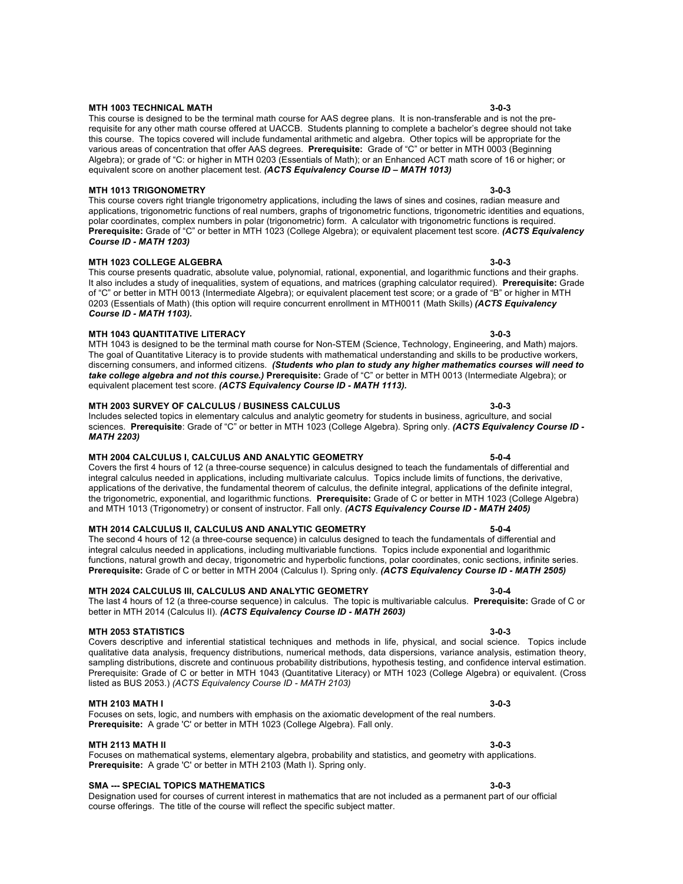# **MTH 1003 TECHNICAL MATH 3-0-3**

This course is designed to be the terminal math course for AAS degree plans. It is non-transferable and is not the prerequisite for any other math course offered at UACCB. Students planning to complete a bachelor's degree should not take this course. The topics covered will include fundamental arithmetic and algebra. Other topics will be appropriate for the various areas of concentration that offer AAS degrees. **Prerequisite:** Grade of "C" or better in MTH 0003 (Beginning Algebra); or grade of "C: or higher in MTH 0203 (Essentials of Math); or an Enhanced ACT math score of 16 or higher; or equivalent score on another placement test. *(ACTS Equivalency Course ID – MATH 1013)*

# **MTH 1013 TRIGONOMETRY 3-0-3**

This course covers right triangle trigonometry applications, including the laws of sines and cosines, radian measure and applications, trigonometric functions of real numbers, graphs of trigonometric functions, trigonometric identities and equations, polar coordinates, complex numbers in polar (trigonometric) form. A calculator with trigonometric functions is required. **Prerequisite:** Grade of "C" or better in MTH 1023 (College Algebra); or equivalent placement test score. *(ACTS Equivalency Course ID - MATH 1203)*

# **MTH 1023 COLLEGE ALGEBRA 3-0-3**

#### This course presents quadratic, absolute value, polynomial, rational, exponential, and logarithmic functions and their graphs. It also includes a study of inequalities, system of equations, and matrices (graphing calculator required). **Prerequisite:** Grade of "C" or better in MTH 0013 (Intermediate Algebra); or equivalent placement test score; or a grade of "B" or higher in MTH 0203 (Essentials of Math) (this option will require concurrent enrollment in MTH0011 (Math Skills) *(ACTS Equivalency Course ID - MATH 1103).*

# **MTH 1043 QUANTITATIVE LITERACY 3-0-3**

MTH 1043 is designed to be the terminal math course for Non-STEM (Science, Technology, Engineering, and Math) majors. The goal of Quantitative Literacy is to provide students with mathematical understanding and skills to be productive workers, discerning consumers, and informed citizens. *(Students who plan to study any higher mathematics courses will need to take college algebra and not this course.)* **Prerequisite:** Grade of "C" or better in MTH 0013 (Intermediate Algebra); or equivalent placement test score. *(ACTS Equivalency Course ID - MATH 1113).*

# **MTH 2003 SURVEY OF CALCULUS / BUSINESS CALCULUS 3-0-3**

Includes selected topics in elementary calculus and analytic geometry for students in business, agriculture, and social sciences. **Prerequisite**: Grade of "C" or better in MTH 1023 (College Algebra). Spring only. *(ACTS Equivalency Course ID - MATH 2203)*

#### **MTH 2004 CALCULUS I, CALCULUS AND ANALYTIC GEOMETRY 5-0-4** Covers the first 4 hours of 12 (a three-course sequence) in calculus designed to teach the fundamentals of differential and integral calculus needed in applications, including multivariate calculus. Topics include limits of functions, the derivative, applications of the derivative, the fundamental theorem of calculus, the definite integral, applications of the definite integral, the trigonometric, exponential, and logarithmic functions. **Prerequisite:** Grade of C or better in MTH 1023 (College Algebra) and MTH 1013 (Trigonometry) or consent of instructor. Fall only. *(ACTS Equivalency Course ID - MATH 2405)*

# **MTH 2014 CALCULUS II, CALCULUS AND ANALYTIC GEOMETRY 5-0-4**

The second 4 hours of 12 (a three-course sequence) in calculus designed to teach the fundamentals of differential and integral calculus needed in applications, including multivariable functions. Topics include exponential and logarithmic functions, natural growth and decay, trigonometric and hyperbolic functions, polar coordinates, conic sections, infinite series. **Prerequisite:** Grade of C or better in MTH 2004 (Calculus I). Spring only. *(ACTS Equivalency Course ID - MATH 2505)*

# **MTH 2024 CALCULUS III, CALCULUS AND ANALYTIC GEOMETRY 3-0-4**

The last 4 hours of 12 (a three-course sequence) in calculus. The topic is multivariable calculus. **Prerequisite:** Grade of C or better in MTH 2014 (Calculus II). *(ACTS Equivalency Course ID - MATH 2603)*

# **MTH 2053 STATISTICS 3-0-3**

Covers descriptive and inferential statistical techniques and methods in life, physical, and social science. Topics include qualitative data analysis, frequency distributions, numerical methods, data dispersions, variance analysis, estimation theory, sampling distributions, discrete and continuous probability distributions, hypothesis testing, and confidence interval estimation. Prerequisite: Grade of C or better in MTH 1043 (Quantitative Literacy) or MTH 1023 (College Algebra) or equivalent. (Cross listed as BUS 2053.) *(ACTS Equivalency Course ID - MATH 2103)*

# **MTH 2103 MATH I 3-0-3**

Focuses on sets, logic, and numbers with emphasis on the axiomatic development of the real numbers. **Prerequisite:** A grade 'C' or better in MTH 1023 (College Algebra). Fall only.

# **MTH 2113 MATH II 3-0-3**

Focuses on mathematical systems, elementary algebra, probability and statistics, and geometry with applications. **Prerequisite:** A grade 'C' or better in MTH 2103 (Math I). Spring only.

# **SMA --- SPECIAL TOPICS MATHEMATICS 3-0-3**

Designation used for courses of current interest in mathematics that are not included as a permanent part of our official course offerings. The title of the course will reflect the specific subject matter.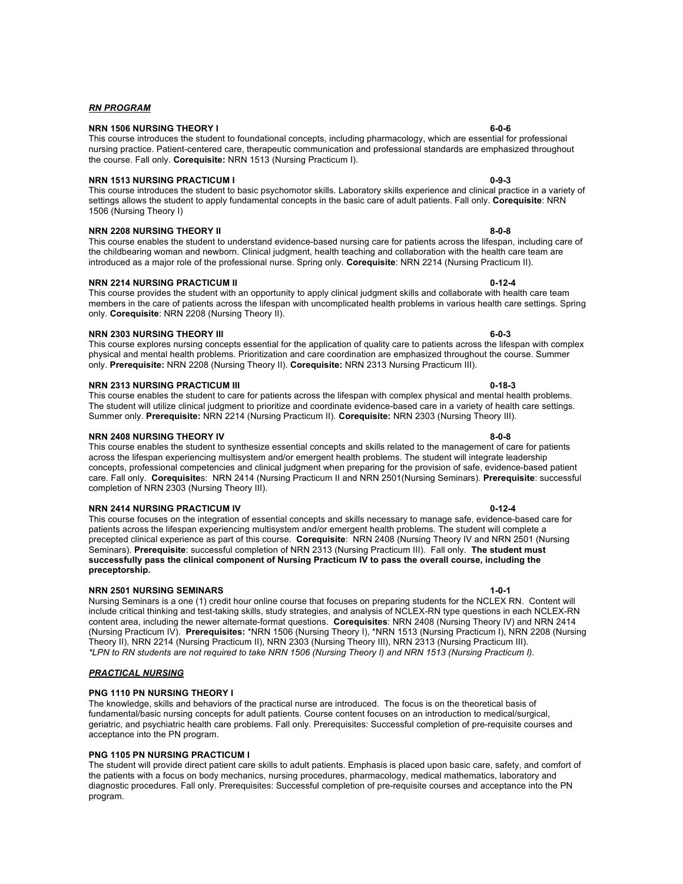# **NRN 1506 NURSING THEORY I 6-0-6**

This course introduces the student to foundational concepts, including pharmacology, which are essential for professional nursing practice. Patient-centered care, therapeutic communication and professional standards are emphasized throughout the course. Fall only. **Corequisite:** NRN 1513 (Nursing Practicum I).

# **NRN 1513 NURSING PRACTICUM I 120 Order to 20 Order than 1513 NURSING PRACTICUM I**

This course introduces the student to basic psychomotor skills. Laboratory skills experience and clinical practice in a variety of settings allows the student to apply fundamental concepts in the basic care of adult patients. Fall only. **Corequisite**: NRN 1506 (Nursing Theory I)

# **NRN 2208 NURSING THEORY II 8-0-8**

This course enables the student to understand evidence-based nursing care for patients across the lifespan, including care of the childbearing woman and newborn. Clinical judgment, health teaching and collaboration with the health care team are introduced as a major role of the professional nurse. Spring only. **Corequisite**: NRN 2214 (Nursing Practicum II).

# **NRN 2214 NURSING PRACTICUM II 0-12-4**

#### This course provides the student with an opportunity to apply clinical judgment skills and collaborate with health care team members in the care of patients across the lifespan with uncomplicated health problems in various health care settings. Spring only. **Corequisite**: NRN 2208 (Nursing Theory II).

# **NRN 2303 NURSING THEORY III 6-0-3**

This course explores nursing concepts essential for the application of quality care to patients across the lifespan with complex physical and mental health problems. Prioritization and care coordination are emphasized throughout the course. Summer only. **Prerequisite:** NRN 2208 (Nursing Theory II). **Corequisite:** NRN 2313 Nursing Practicum III).

# **NRN 2313 NURSING PRACTICUM III 0-18-3**

This course enables the student to care for patients across the lifespan with complex physical and mental health problems. The student will utilize clinical judgment to prioritize and coordinate evidence-based care in a variety of health care settings. Summer only. **Prerequisite:** NRN 2214 (Nursing Practicum II). **Corequisite:** NRN 2303 (Nursing Theory III).

# **NRN 2408 NURSING THEORY IV 8-0-8**

This course enables the student to synthesize essential concepts and skills related to the management of care for patients across the lifespan experiencing multisystem and/or emergent health problems. The student will integrate leadership concepts, professional competencies and clinical judgment when preparing for the provision of safe, evidence-based patient care. Fall only. **Corequisite**s: NRN 2414 (Nursing Practicum II and NRN 2501(Nursing Seminars). **Prerequisite**: successful completion of NRN 2303 (Nursing Theory III).

# **NRN 2414 NURSING PRACTICUM IV 0-12-4**

This course focuses on the integration of essential concepts and skills necessary to manage safe, evidence-based care for patients across the lifespan experiencing multisystem and/or emergent health problems. The student will complete a precepted clinical experience as part of this course. **Corequisite**: NRN 2408 (Nursing Theory IV and NRN 2501 (Nursing Seminars). **Prerequisite**: successful completion of NRN 2313 (Nursing Practicum III). Fall only. **The student must successfully pass the clinical component of Nursing Practicum IV to pass the overall course, including the preceptorship.**

# **NRN 2501 NURSING SEMINARS 1-0-1**

Nursing Seminars is a one (1) credit hour online course that focuses on preparing students for the NCLEX RN. Content will include critical thinking and test-taking skills, study strategies, and analysis of NCLEX-RN type questions in each NCLEX-RN content area, including the newer alternate-format questions. **Corequisites**: NRN 2408 (Nursing Theory IV) and NRN 2414 (Nursing Practicum IV). **Prerequisites:** \*NRN 1506 (Nursing Theory I), \*NRN 1513 (Nursing Practicum I), NRN 2208 (Nursing Theory II), NRN 2214 (Nursing Practicum II), NRN 2303 (Nursing Theory III), NRN 2313 (Nursing Practicum III). *\*LPN to RN students are not required to take NRN 1506 (Nursing Theory I) and NRN 1513 (Nursing Practicum I).*

# *PRACTICAL NURSING*

# **PNG 1110 PN NURSING THEORY I**

The knowledge, skills and behaviors of the practical nurse are introduced. The focus is on the theoretical basis of fundamental/basic nursing concepts for adult patients. Course content focuses on an introduction to medical/surgical, geriatric, and psychiatric health care problems. Fall only. Prerequisites: Successful completion of pre-requisite courses and acceptance into the PN program.

# **PNG 1105 PN NURSING PRACTICUM I**

The student will provide direct patient care skills to adult patients. Emphasis is placed upon basic care, safety, and comfort of the patients with a focus on body mechanics, nursing procedures, pharmacology, medical mathematics, laboratory and diagnostic procedures. Fall only. Prerequisites: Successful completion of pre-requisite courses and acceptance into the PN program.

# *RN PROGRAM*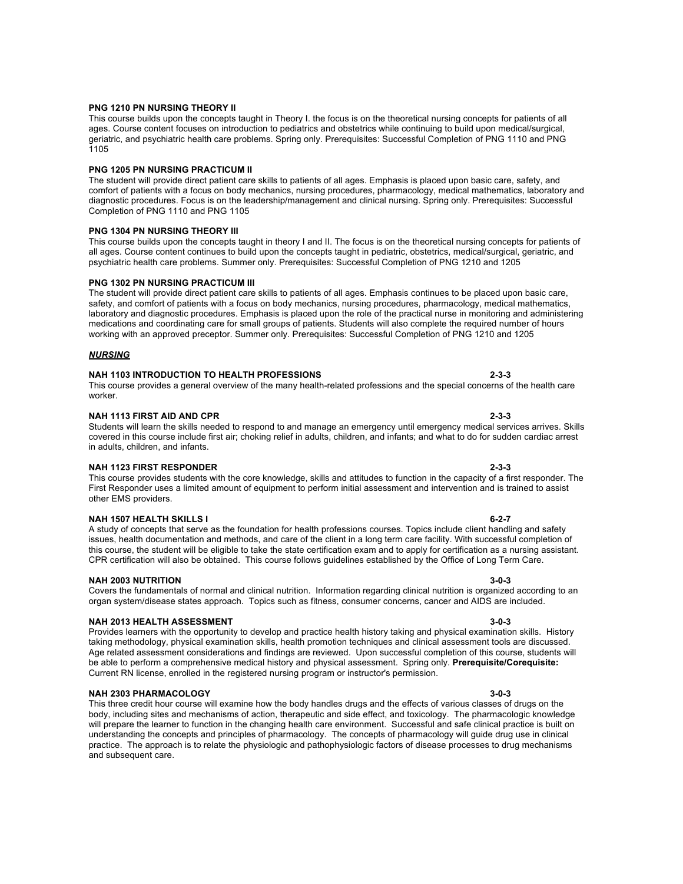#### **PNG 1210 PN NURSING THEORY II**

This course builds upon the concepts taught in Theory I. the focus is on the theoretical nursing concepts for patients of all ages. Course content focuses on introduction to pediatrics and obstetrics while continuing to build upon medical/surgical, geriatric, and psychiatric health care problems. Spring only. Prerequisites: Successful Completion of PNG 1110 and PNG 1105

#### **PNG 1205 PN NURSING PRACTICUM II**

The student will provide direct patient care skills to patients of all ages. Emphasis is placed upon basic care, safety, and comfort of patients with a focus on body mechanics, nursing procedures, pharmacology, medical mathematics, laboratory and diagnostic procedures. Focus is on the leadership/management and clinical nursing. Spring only. Prerequisites: Successful Completion of PNG 1110 and PNG 1105

#### **PNG 1304 PN NURSING THEORY III**

This course builds upon the concepts taught in theory I and II. The focus is on the theoretical nursing concepts for patients of all ages. Course content continues to build upon the concepts taught in pediatric, obstetrics, medical/surgical, geriatric, and psychiatric health care problems. Summer only. Prerequisites: Successful Completion of PNG 1210 and 1205

#### **PNG 1302 PN NURSING PRACTICUM III**

The student will provide direct patient care skills to patients of all ages. Emphasis continues to be placed upon basic care, safety, and comfort of patients with a focus on body mechanics, nursing procedures, pharmacology, medical mathematics, laboratory and diagnostic procedures. Emphasis is placed upon the role of the practical nurse in monitoring and administering medications and coordinating care for small groups of patients. Students will also complete the required number of hours working with an approved preceptor. Summer only. Prerequisites: Successful Completion of PNG 1210 and 1205

#### *NURSING*

#### **NAH 1103 INTRODUCTION TO HEALTH PROFESSIONS 2-3-3**

#### This course provides a general overview of the many health-related professions and the special concerns of the health care worker.

#### **NAH 1113 FIRST AID AND CPR 2-3-3**

#### Students will learn the skills needed to respond to and manage an emergency until emergency medical services arrives. Skills covered in this course include first air; choking relief in adults, children, and infants; and what to do for sudden cardiac arrest in adults, children, and infants.

#### **NAH 1123 FIRST RESPONDER 2-3-3**

This course provides students with the core knowledge, skills and attitudes to function in the capacity of a first responder. The First Responder uses a limited amount of equipment to perform initial assessment and intervention and is trained to assist other EMS providers.

#### **NAH 1507 HEALTH SKILLS I 6-2-7**

A study of concepts that serve as the foundation for health professions courses. Topics include client handling and safety issues, health documentation and methods, and care of the client in a long term care facility. With successful completion of this course, the student will be eligible to take the state certification exam and to apply for certification as a nursing assistant. CPR certification will also be obtained. This course follows guidelines established by the Office of Long Term Care.

#### **NAH 2003 NUTRITION**

#### Covers the fundamentals of normal and clinical nutrition. Information regarding clinical nutrition is organized according to an organ system/disease states approach. Topics such as fitness, consumer concerns, cancer and AIDS are included.

#### **NAH 2013 HEALTH ASSESSMENT 3-0-3**

Provides learners with the opportunity to develop and practice health history taking and physical examination skills. History taking methodology, physical examination skills, health promotion techniques and clinical assessment tools are discussed. Age related assessment considerations and findings are reviewed. Upon successful completion of this course, students will be able to perform a comprehensive medical history and physical assessment. Spring only. **Prerequisite/Corequisite:** Current RN license, enrolled in the registered nursing program or instructor's permission.

### **NAH 2303 PHARMACOLOGY 3-0-3**

This three credit hour course will examine how the body handles drugs and the effects of various classes of drugs on the body, including sites and mechanisms of action, therapeutic and side effect, and toxicology. The pharmacologic knowledge will prepare the learner to function in the changing health care environment. Successful and safe clinical practice is built on understanding the concepts and principles of pharmacology. The concepts of pharmacology will guide drug use in clinical practice. The approach is to relate the physiologic and pathophysiologic factors of disease processes to drug mechanisms and subsequent care.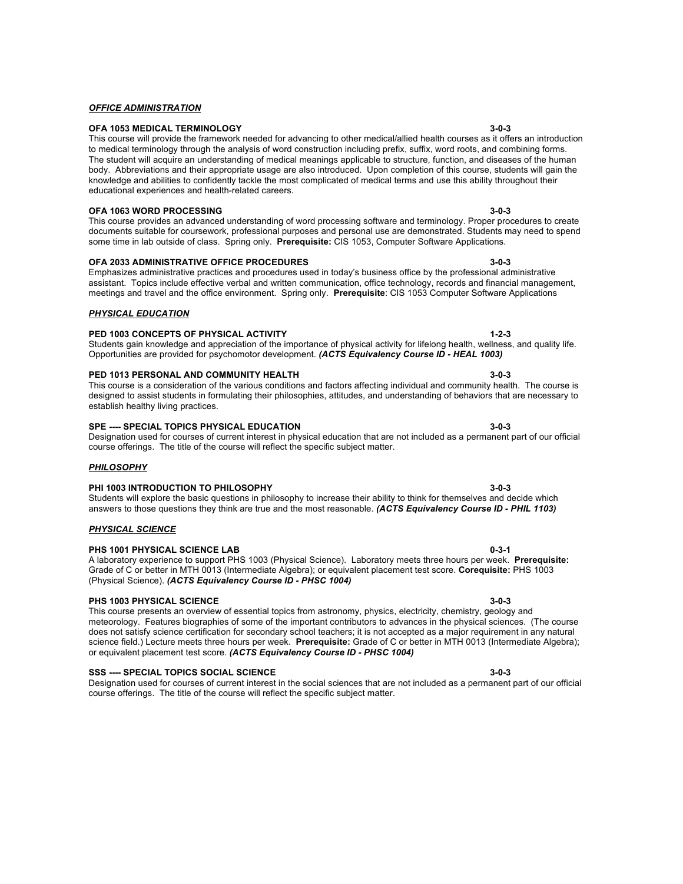Students will explore the basic questions in philosophy to increase their ability to think for themselves and decide which

course offerings. The title of the course will reflect the specific subject matter.

#### *OFFICE ADMINISTRATION*

#### **OFA 1053 MEDICAL TERMINOLOGY 3-0-3**

#### This course will provide the framework needed for advancing to other medical/allied health courses as it offers an introduction to medical terminology through the analysis of word construction including prefix, suffix, word roots, and combining forms. The student will acquire an understanding of medical meanings applicable to structure, function, and diseases of the human body. Abbreviations and their appropriate usage are also introduced. Upon completion of this course, students will gain the knowledge and abilities to confidently tackle the most complicated of medical terms and use this ability throughout their educational experiences and health-related careers.

#### **OFA 1063 WORD PROCESSING 3-0-3**

*PHYSICAL EDUCATION*

### This course provides an advanced understanding of word processing software and terminology. Proper procedures to create documents suitable for coursework, professional purposes and personal use are demonstrated. Students may need to spend some time in lab outside of class. Spring only. **Prerequisite:** CIS 1053, Computer Software Applications.

#### **OFA 2033 ADMINISTRATIVE OFFICE PROCEDURES 3-0-3**

#### Emphasizes administrative practices and procedures used in today's business office by the professional administrative assistant. Topics include effective verbal and written communication, office technology, records and financial management, meetings and travel and the office environment. Spring only. **Prerequisite**: CIS 1053 Computer Software Applications

# **PED 1003 CONCEPTS OF PHYSICAL ACTIVITY 1-2-3**

### Students gain knowledge and appreciation of the importance of physical activity for lifelong health, wellness, and quality life. Opportunities are provided for psychomotor development. *(ACTS Equivalency Course ID - HEAL 1003)*

# **PED 1013 PERSONAL AND COMMUNITY HEALTH 3-0-3**

#### This course is a consideration of the various conditions and factors affecting individual and community health. The course is designed to assist students in formulating their philosophies, attitudes, and understanding of behaviors that are necessary to establish healthy living practices.

# **SPE ---- SPECIAL TOPICS PHYSICAL EDUCATION 3-0-3**

#### Designation used for courses of current interest in physical education that are not included as a permanent part of our official course offerings. The title of the course will reflect the specific subject matter.

answers to those questions they think are true and the most reasonable. *(ACTS Equivalency Course ID - PHIL 1103)*

Grade of C or better in MTH 0013 (Intermediate Algebra); or equivalent placement test score. **Corequisite:** PHS 1003

### *PHILOSOPHY*

### **PHI 1003 INTRODUCTION TO PHILOSOPHY 3-0-3**

### *PHYSICAL SCIENCE*

#### **PHS 1001 PHYSICAL SCIENCE LAB 0-3-1** A laboratory experience to support PHS 1003 (Physical Science). Laboratory meets three hours per week. **Prerequisite:**

### **PHS 1003 PHYSICAL SCIENCE 3-0-3**

This course presents an overview of essential topics from astronomy, physics, electricity, chemistry, geology and meteorology. Features biographies of some of the important contributors to advances in the physical sciences. (The course does not satisfy science certification for secondary school teachers; it is not accepted as a major requirement in any natural science field.) Lecture meets three hours per week. **Prerequisite:** Grade of C or better in MTH 0013 (Intermediate Algebra); or equivalent placement test score. *(ACTS Equivalency Course ID - PHSC 1004)*

### **SSS ---- SPECIAL TOPICS SOCIAL SCIENCE 3-0-3**

(Physical Science). *(ACTS Equivalency Course ID - PHSC 1004)*

Designation used for courses of current interest in the social sciences that are not included as a permanent part of our official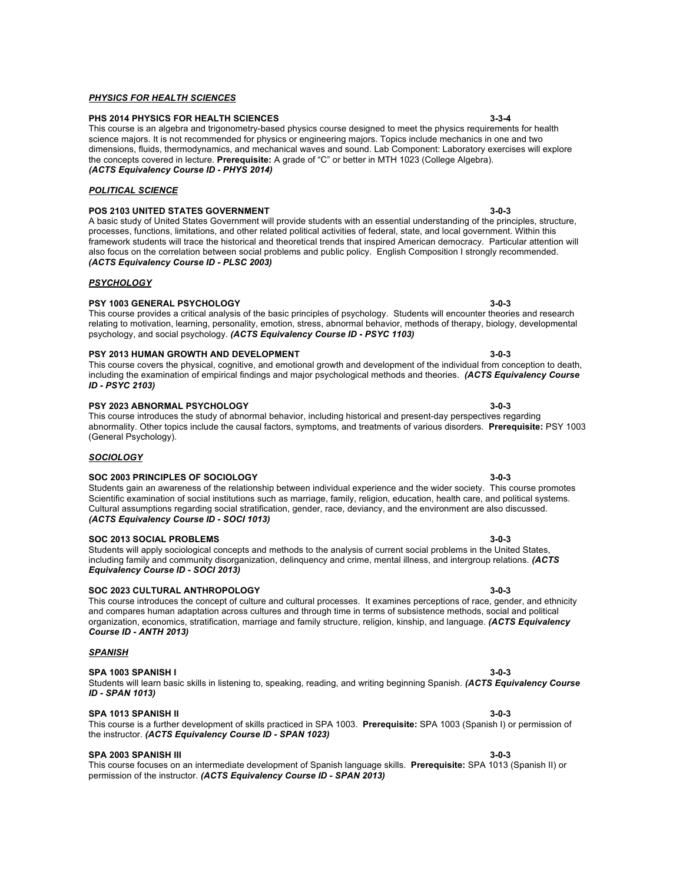# *PHYSICS FOR HEALTH SCIENCES*

### **PHS 2014 PHYSICS FOR HEALTH SCIENCES 3-3-4**

#### This course is an algebra and trigonometry-based physics course designed to meet the physics requirements for health science majors. It is not recommended for physics or engineering majors. Topics include mechanics in one and two dimensions, fluids, thermodynamics, and mechanical waves and sound. Lab Component: Laboratory exercises will explore the concepts covered in lecture. **Prerequisite:** A grade of "C" or better in MTH 1023 (College Algebra). *(ACTS Equivalency Course ID - PHYS 2014)*

### *POLITICAL SCIENCE*

### **POS 2103 UNITED STATES GOVERNMENT 3-0-3**

A basic study of United States Government will provide students with an essential understanding of the principles, structure, processes, functions, limitations, and other related political activities of federal, state, and local government. Within this framework students will trace the historical and theoretical trends that inspired American democracy. Particular attention will also focus on the correlation between social problems and public policy. English Composition I strongly recommended. *(ACTS Equivalency Course ID - PLSC 2003)*

### *PSYCHOLOGY*

### **PSY 1003 GENERAL PSYCHOLOGY 3-0-3**

This course provides a critical analysis of the basic principles of psychology. Students will encounter theories and research relating to motivation, learning, personality, emotion, stress, abnormal behavior, methods of therapy, biology, developmental psychology, and social psychology. *(ACTS Equivalency Course ID - PSYC 1103)*

# **PSY 2013 HUMAN GROWTH AND DEVELOPMENT 3-0-3**

This course covers the physical, cognitive, and emotional growth and development of the individual from conception to death, including the examination of empirical findings and major psychological methods and theories. *(ACTS Equivalency Course ID - PSYC 2103)*

#### **PSY 2023 ABNORMAL PSYCHOLOGY 3-0-3**

This course introduces the study of abnormal behavior, including historical and present-day perspectives regarding abnormality. Other topics include the causal factors, symptoms, and treatments of various disorders. **Prerequisite:** PSY 1003 (General Psychology).

# *SOCIOLOGY*

#### **SOC 2003 PRINCIPLES OF SOCIOLOGY 3-0-3**

Students gain an awareness of the relationship between individual experience and the wider society. This course promotes Scientific examination of social institutions such as marriage, family, religion, education, health care, and political systems. Cultural assumptions regarding social stratification, gender, race, deviancy, and the environment are also discussed. *(ACTS Equivalency Course ID - SOCI 1013)*

#### **SOC 2013 SOCIAL PROBLEMS 3-0-3**

Students will apply sociological concepts and methods to the analysis of current social problems in the United States, including family and community disorganization, delinquency and crime, mental illness, and intergroup relations. *(ACTS Equivalency Course ID - SOCI 2013)*

#### **SOC 2023 CULTURAL ANTHROPOLOGY 3-0-3**

#### This course introduces the concept of culture and cultural processes. It examines perceptions of race, gender, and ethnicity and compares human adaptation across cultures and through time in terms of subsistence methods, social and political organization, economics, stratification, marriage and family structure, religion, kinship, and language. *(ACTS Equivalency Course ID - ANTH 2013)*

#### *SPANISH*

#### **SPA 1003 SPANISH I 3-0-3**

### Students will learn basic skills in listening to, speaking, reading, and writing beginning Spanish. *(ACTS Equivalency Course ID - SPAN 1013)*

#### **SPA 1013 SPANISH II 3-0-3**

# the instructor. *(ACTS Equivalency Course ID - SPAN 1023)*

# **SPA 2003 SPANISH III 3-0-3**

This course focuses on an intermediate development of Spanish language skills. **Prerequisite:** SPA 1013 (Spanish II) or permission of the instructor. *(ACTS Equivalency Course ID - SPAN 2013)*

This course is a further development of skills practiced in SPA 1003. **Prerequisite:** SPA 1003 (Spanish I) or permission of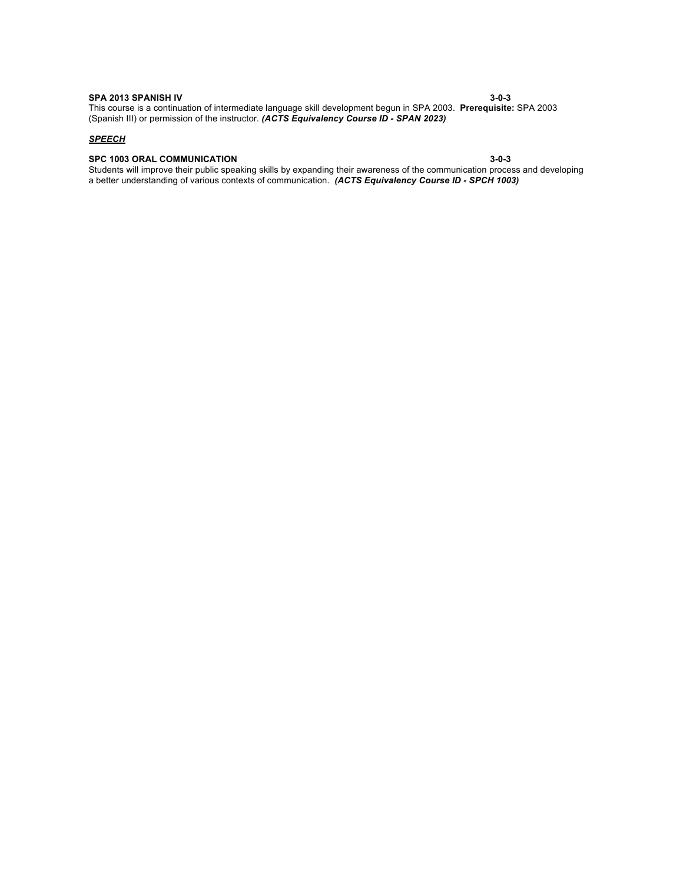**SPA 2013 SPANISH IV 3-0-3** This course is a continuation of intermediate language skill development begun in SPA 2003. **Prerequisite:** SPA 2003 (Spanish III) or permission of the instructor. *(ACTS Equivalency Course ID - SPAN 2023)*

#### *SPEECH*

### **SPC 1003 ORAL COMMUNICATION 3-0-3**

Students will improve their public speaking skills by expanding their awareness of the communication process and developing a better understanding of various contexts of communication. *(ACTS Equivalency Course ID - SPCH 1003)*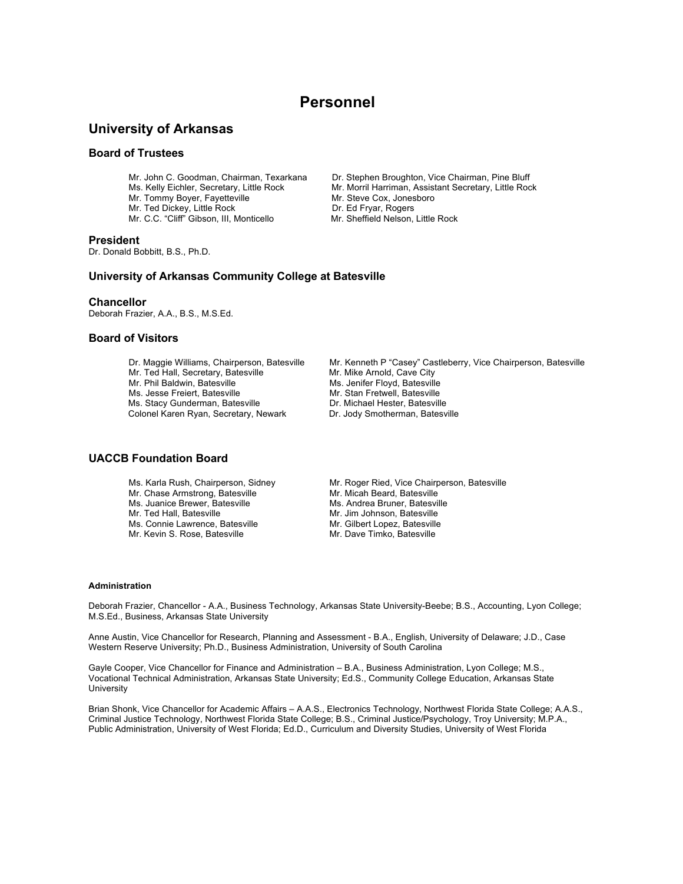# **Personnel**

# **University of Arkansas**

### **Board of Trustees**

- Mr. Tommy Boyer, Fayetteville Mr. Steve Cox, Jonesboro
- Mr. Ted Dickey, Little Rock Dr. Ed Fryar, Rogers
- Mr. C.C. "Cliff" Gibson, III, Monticello Mr. Sheffield Nelson, Little Rock

#### **President**

Dr. Donald Bobbitt, B.S., Ph.D.

Mr. John C. Goodman, Chairman, Texarkana Dr. Stephen Broughton, Vice Chairman, Pine Bluff

Ms. Kelly Eichler, Secretary, Little Rock Mr. Morril Harriman, Assistant Secretary, Little Rock

- 
- 

### **University of Arkansas Community College at Batesville**

### **Chancellor**

Deborah Frazier, A.A., B.S., M.S.Ed.

### **Board of Visitors**

Dr. Maggie Williams, Chairperson, Batesville Mr. Kenneth P "Casey" Castleberry, Vice Chairperson, Batesville Mr. Ted Hall, Secretary, Batesville Mr. Mike Arnold, Cave City Mr. Phil Baldwin, Batesville Michael Ms. Jenifer Floyd, Batesville Ms. Jesse Freiert, Batesville Ms. Jesse Freiert, Batesville Mr. Stan Fretwell, Batesville Ms. Stacy Gunderman, Batesville Ms. Stacy Current

Ms. Stacy Gunderman, Batesville **Dr. Michael Hester, Batesville Colonel Karen Ryan, Secretary, Newark** Dr. Jody Smotherman, Batesville Colonel Karen Ryan, Secretary, Newark

# **UACCB Foundation Board**

- Mr. Chase Armstrong, Batesville Mr. Micah Beard, Batesville<br>Ms. Juanice Brewer, Batesville Ms. Andrea Bruner, Batesville Ms. Juanice Brewer, Batesville<br>Mr. Ted Hall, Batesville
- 
- Mr. Kevin S. Rose, Batesville
- 
- 
- 
- Ms. Karla Rush, Chairperson, Sidney Mr. Roger Ried, Vice Chairperson, Batesville<br>Mr. Chase Armstrong, Batesville Mr. Micah Beard, Batesville Mr. Jim Johnson, Batesville Ms. Connie Lawrence, Batesville Mr. Gilbert Lopez, Batesville<br>Mr. Kevin S. Rose, Batesville Mr. Dave Timko, Batesville

#### **Administration**

Deborah Frazier, Chancellor - A.A., Business Technology, Arkansas State University-Beebe; B.S., Accounting, Lyon College; M.S.Ed., Business, Arkansas State University

Anne Austin, Vice Chancellor for Research, Planning and Assessment - B.A., English, University of Delaware; J.D., Case Western Reserve University; Ph.D., Business Administration, University of South Carolina

Gayle Cooper, Vice Chancellor for Finance and Administration – B.A., Business Administration, Lyon College; M.S., Vocational Technical Administration, Arkansas State University; Ed.S., Community College Education, Arkansas State **University** 

Brian Shonk, Vice Chancellor for Academic Affairs – A.A.S., Electronics Technology, Northwest Florida State College; A.A.S., Criminal Justice Technology, Northwest Florida State College; B.S., Criminal Justice/Psychology, Troy University; M.P.A., Public Administration, University of West Florida; Ed.D., Curriculum and Diversity Studies, University of West Florida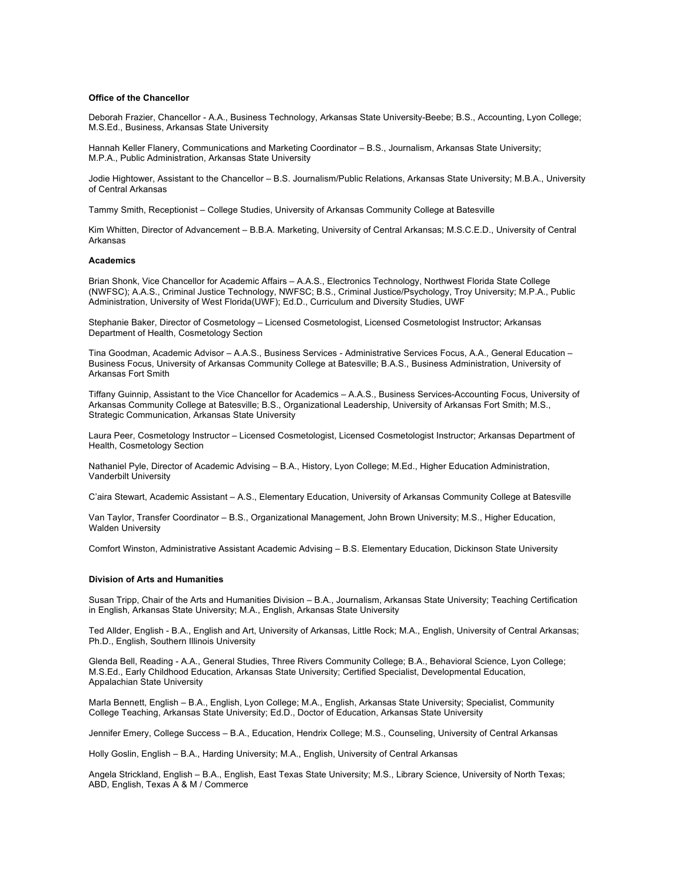#### **Office of the Chancellor**

Deborah Frazier, Chancellor - A.A., Business Technology, Arkansas State University-Beebe; B.S., Accounting, Lyon College; M.S.Ed., Business, Arkansas State University

Hannah Keller Flanery, Communications and Marketing Coordinator – B.S., Journalism, Arkansas State University; M.P.A., Public Administration, Arkansas State University

Jodie Hightower, Assistant to the Chancellor – B.S. Journalism/Public Relations, Arkansas State University; M.B.A., University of Central Arkansas

Tammy Smith, Receptionist – College Studies, University of Arkansas Community College at Batesville

Kim Whitten, Director of Advancement – B.B.A. Marketing, University of Central Arkansas; M.S.C.E.D., University of Central Arkansas

#### **Academics**

Brian Shonk, Vice Chancellor for Academic Affairs – A.A.S., Electronics Technology, Northwest Florida State College (NWFSC); A.A.S., Criminal Justice Technology, NWFSC; B.S., Criminal Justice/Psychology, Troy University; M.P.A., Public Administration, University of West Florida(UWF); Ed.D., Curriculum and Diversity Studies, UWF

Stephanie Baker, Director of Cosmetology – Licensed Cosmetologist, Licensed Cosmetologist Instructor; Arkansas Department of Health, Cosmetology Section

Tina Goodman, Academic Advisor – A.A.S., Business Services - Administrative Services Focus, A.A., General Education – Business Focus, University of Arkansas Community College at Batesville; B.A.S., Business Administration, University of Arkansas Fort Smith

Tiffany Guinnip, Assistant to the Vice Chancellor for Academics – A.A.S., Business Services-Accounting Focus, University of Arkansas Community College at Batesville; B.S., Organizational Leadership, University of Arkansas Fort Smith; M.S., Strategic Communication, Arkansas State University

Laura Peer, Cosmetology Instructor – Licensed Cosmetologist, Licensed Cosmetologist Instructor; Arkansas Department of Health, Cosmetology Section

Nathaniel Pyle, Director of Academic Advising – B.A., History, Lyon College; M.Ed., Higher Education Administration, Vanderbilt University

C'aira Stewart, Academic Assistant – A.S., Elementary Education, University of Arkansas Community College at Batesville

Van Taylor, Transfer Coordinator – B.S., Organizational Management, John Brown University; M.S., Higher Education, Walden University

Comfort Winston, Administrative Assistant Academic Advising – B.S. Elementary Education, Dickinson State University

#### **Division of Arts and Humanities**

Susan Tripp, Chair of the Arts and Humanities Division – B.A., Journalism, Arkansas State University; Teaching Certification in English, Arkansas State University; M.A., English, Arkansas State University

Ted Allder, English - B.A., English and Art, University of Arkansas, Little Rock; M.A., English, University of Central Arkansas; Ph.D., English, Southern Illinois University

Glenda Bell, Reading - A.A., General Studies, Three Rivers Community College; B.A., Behavioral Science, Lyon College; M.S.Ed., Early Childhood Education, Arkansas State University; Certified Specialist, Developmental Education, Appalachian State University

Marla Bennett, English – B.A., English, Lyon College; M.A., English, Arkansas State University; Specialist, Community College Teaching, Arkansas State University; Ed.D., Doctor of Education, Arkansas State University

Jennifer Emery, College Success – B.A., Education, Hendrix College; M.S., Counseling, University of Central Arkansas

Holly Goslin, English – B.A., Harding University; M.A., English, University of Central Arkansas

Angela Strickland, English – B.A., English, East Texas State University; M.S., Library Science, University of North Texas; ABD, English, Texas A & M / Commerce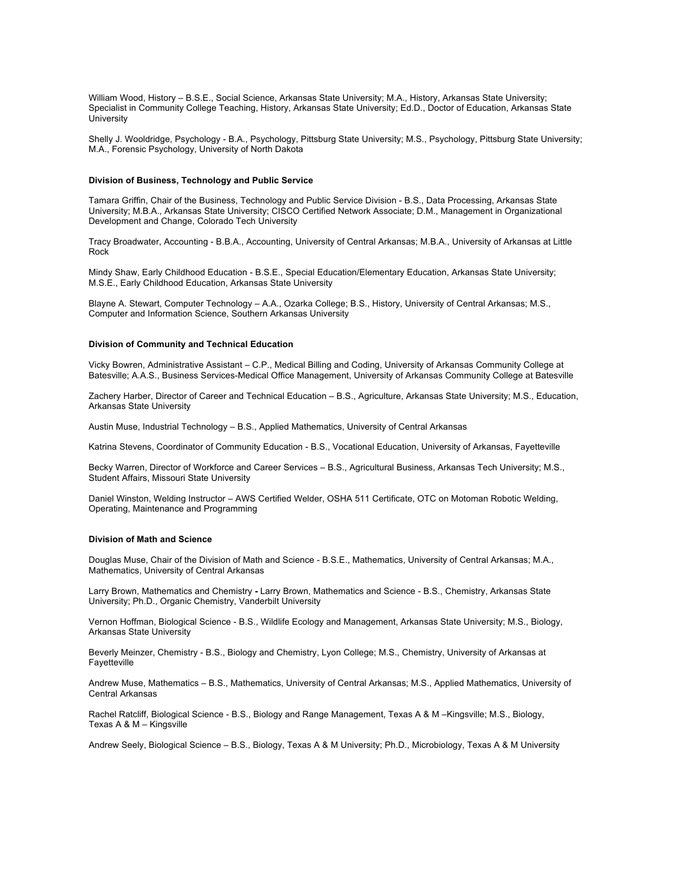William Wood, History – B.S.E., Social Science, Arkansas State University; M.A., History, Arkansas State University; Specialist in Community College Teaching, History, Arkansas State University; Ed.D., Doctor of Education, Arkansas State University

Shelly J. Wooldridge, Psychology - B.A., Psychology, Pittsburg State University; M.S., Psychology, Pittsburg State University; M.A., Forensic Psychology, University of North Dakota

#### **Division of Business, Technology and Public Service**

Tamara Griffin, Chair of the Business, Technology and Public Service Division - B.S., Data Processing, Arkansas State University; M.B.A., Arkansas State University; CISCO Certified Network Associate; D.M., Management in Organizational Development and Change, Colorado Tech University

Tracy Broadwater, Accounting - B.B.A., Accounting, University of Central Arkansas; M.B.A., University of Arkansas at Little Rock

Mindy Shaw, Early Childhood Education - B.S.E., Special Education/Elementary Education, Arkansas State University; M.S.E., Early Childhood Education, Arkansas State University

Blayne A. Stewart, Computer Technology – A.A., Ozarka College; B.S., History, University of Central Arkansas; M.S., Computer and Information Science, Southern Arkansas University

#### **Division of Community and Technical Education**

Vicky Bowren, Administrative Assistant – C.P., Medical Billing and Coding, University of Arkansas Community College at Batesville; A.A.S., Business Services-Medical Office Management, University of Arkansas Community College at Batesville

Zachery Harber, Director of Career and Technical Education – B.S., Agriculture, Arkansas State University; M.S., Education, Arkansas State University

Austin Muse, Industrial Technology – B.S., Applied Mathematics, University of Central Arkansas

Katrina Stevens, Coordinator of Community Education - B.S., Vocational Education, University of Arkansas, Fayetteville

Becky Warren, Director of Workforce and Career Services – B.S., Agricultural Business, Arkansas Tech University; M.S., Student Affairs, Missouri State University

Daniel Winston, Welding Instructor – AWS Certified Welder, OSHA 511 Certificate, OTC on Motoman Robotic Welding, Operating, Maintenance and Programming

#### **Division of Math and Science**

Douglas Muse, Chair of the Division of Math and Science - B.S.E., Mathematics, University of Central Arkansas; M.A., Mathematics, University of Central Arkansas

Larry Brown, Mathematics and Chemistry **-** Larry Brown, Mathematics and Science - B.S., Chemistry, Arkansas State University; Ph.D., Organic Chemistry, Vanderbilt University

Vernon Hoffman, Biological Science - B.S., Wildlife Ecology and Management, Arkansas State University; M.S., Biology, Arkansas State University

Beverly Meinzer, Chemistry - B.S., Biology and Chemistry, Lyon College; M.S., Chemistry, University of Arkansas at **Fayetteville** 

Andrew Muse, Mathematics – B.S., Mathematics, University of Central Arkansas; M.S., Applied Mathematics, University of Central Arkansas

Rachel Ratcliff, Biological Science - B.S., Biology and Range Management, Texas A & M –Kingsville; M.S., Biology, Texas A & M – Kingsville

Andrew Seely, Biological Science – B.S., Biology, Texas A & M University; Ph.D., Microbiology, Texas A & M University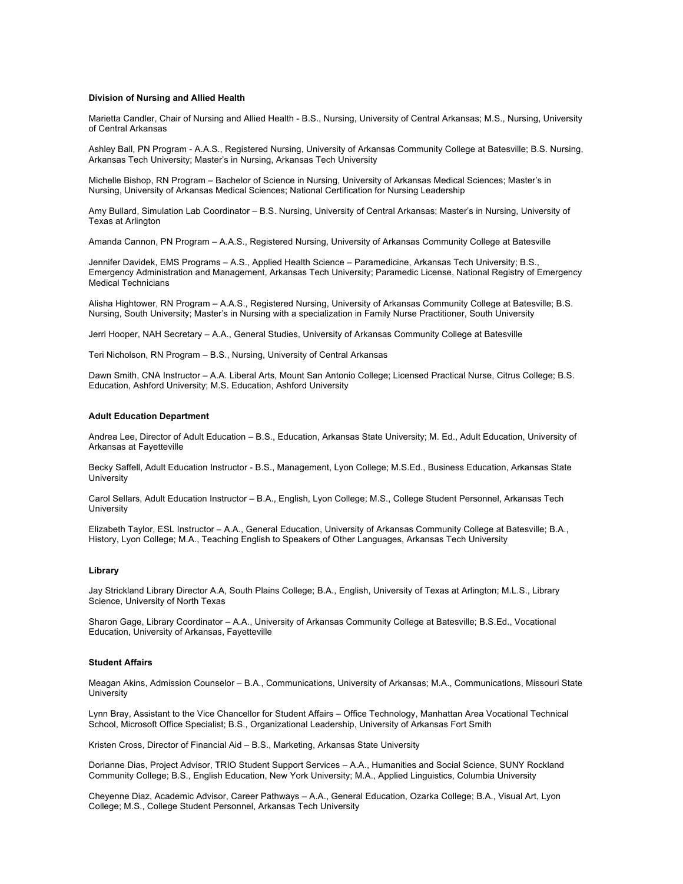#### **Division of Nursing and Allied Health**

Marietta Candler, Chair of Nursing and Allied Health - B.S., Nursing, University of Central Arkansas; M.S., Nursing, University of Central Arkansas

Ashley Ball, PN Program - A.A.S., Registered Nursing, University of Arkansas Community College at Batesville; B.S. Nursing, Arkansas Tech University; Master's in Nursing, Arkansas Tech University

Michelle Bishop, RN Program – Bachelor of Science in Nursing, University of Arkansas Medical Sciences; Master's in Nursing, University of Arkansas Medical Sciences; National Certification for Nursing Leadership

Amy Bullard, Simulation Lab Coordinator – B.S. Nursing, University of Central Arkansas; Master's in Nursing, University of Texas at Arlington

Amanda Cannon, PN Program – A.A.S., Registered Nursing, University of Arkansas Community College at Batesville

Jennifer Davidek, EMS Programs – A.S., Applied Health Science – Paramedicine, Arkansas Tech University; B.S., Emergency Administration and Management, Arkansas Tech University; Paramedic License, National Registry of Emergency Medical Technicians

Alisha Hightower, RN Program – A.A.S., Registered Nursing, University of Arkansas Community College at Batesville; B.S. Nursing, South University; Master's in Nursing with a specialization in Family Nurse Practitioner, South University

Jerri Hooper, NAH Secretary – A.A., General Studies, University of Arkansas Community College at Batesville

Teri Nicholson, RN Program – B.S., Nursing, University of Central Arkansas

Dawn Smith, CNA Instructor – A.A. Liberal Arts, Mount San Antonio College; Licensed Practical Nurse, Citrus College; B.S. Education, Ashford University; M.S. Education, Ashford University

#### **Adult Education Department**

Andrea Lee, Director of Adult Education – B.S., Education, Arkansas State University; M. Ed., Adult Education, University of Arkansas at Fayetteville

Becky Saffell, Adult Education Instructor - B.S., Management, Lyon College; M.S.Ed., Business Education, Arkansas State **University** 

Carol Sellars, Adult Education Instructor – B.A., English, Lyon College; M.S., College Student Personnel, Arkansas Tech **University** 

Elizabeth Taylor, ESL Instructor – A.A., General Education, University of Arkansas Community College at Batesville; B.A., History, Lyon College; M.A., Teaching English to Speakers of Other Languages, Arkansas Tech University

#### **Library**

Jay Strickland Library Director A.A, South Plains College; B.A., English, University of Texas at Arlington; M.L.S., Library Science, University of North Texas

Sharon Gage, Library Coordinator – A.A., University of Arkansas Community College at Batesville; B.S.Ed., Vocational Education, University of Arkansas, Fayetteville

#### **Student Affairs**

Meagan Akins, Admission Counselor – B.A., Communications, University of Arkansas; M.A., Communications, Missouri State **University** 

Lynn Bray, Assistant to the Vice Chancellor for Student Affairs – Office Technology, Manhattan Area Vocational Technical School, Microsoft Office Specialist; B.S., Organizational Leadership, University of Arkansas Fort Smith

Kristen Cross, Director of Financial Aid – B.S., Marketing, Arkansas State University

Dorianne Dias, Project Advisor, TRIO Student Support Services – A.A., Humanities and Social Science, SUNY Rockland Community College; B.S., English Education, New York University; M.A., Applied Linguistics, Columbia University

Cheyenne Diaz, Academic Advisor, Career Pathways – A.A., General Education, Ozarka College; B.A., Visual Art, Lyon College; M.S., College Student Personnel, Arkansas Tech University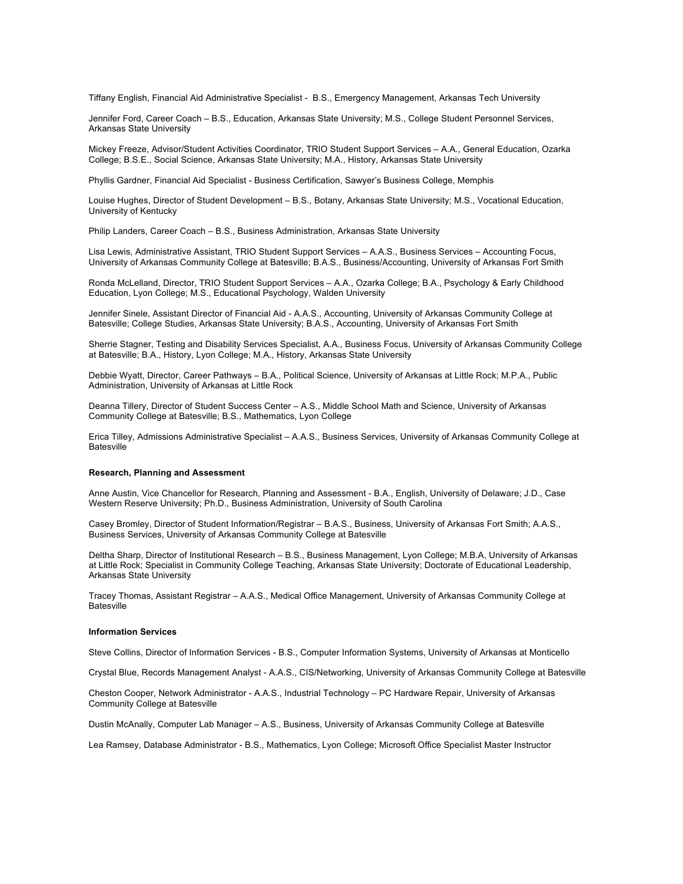Tiffany English, Financial Aid Administrative Specialist - B.S., Emergency Management, Arkansas Tech University

Jennifer Ford, Career Coach – B.S., Education, Arkansas State University; M.S., College Student Personnel Services, Arkansas State University

Mickey Freeze, Advisor/Student Activities Coordinator, TRIO Student Support Services – A.A., General Education, Ozarka College; B.S.E., Social Science, Arkansas State University; M.A., History, Arkansas State University

Phyllis Gardner, Financial Aid Specialist - Business Certification, Sawyer's Business College, Memphis

Louise Hughes, Director of Student Development – B.S., Botany, Arkansas State University; M.S., Vocational Education, University of Kentucky

Philip Landers, Career Coach – B.S., Business Administration, Arkansas State University

Lisa Lewis, Administrative Assistant, TRIO Student Support Services – A.A.S., Business Services – Accounting Focus, University of Arkansas Community College at Batesville; B.A.S., Business/Accounting, University of Arkansas Fort Smith

Ronda McLelland, Director, TRIO Student Support Services – A.A., Ozarka College; B.A., Psychology & Early Childhood Education, Lyon College; M.S., Educational Psychology, Walden University

Jennifer Sinele, Assistant Director of Financial Aid - A.A.S., Accounting, University of Arkansas Community College at Batesville; College Studies, Arkansas State University; B.A.S., Accounting, University of Arkansas Fort Smith

Sherrie Stagner, Testing and Disability Services Specialist, A.A., Business Focus, University of Arkansas Community College at Batesville; B.A., History, Lyon College; M.A., History, Arkansas State University

Debbie Wyatt, Director, Career Pathways – B.A., Political Science, University of Arkansas at Little Rock; M.P.A., Public Administration, University of Arkansas at Little Rock

Deanna Tillery, Director of Student Success Center – A.S., Middle School Math and Science, University of Arkansas Community College at Batesville; B.S., Mathematics, Lyon College

Erica Tilley, Admissions Administrative Specialist – A.A.S., Business Services, University of Arkansas Community College at **Batesville** 

#### **Research, Planning and Assessment**

Anne Austin, Vice Chancellor for Research, Planning and Assessment - B.A., English, University of Delaware; J.D., Case Western Reserve University; Ph.D., Business Administration, University of South Carolina

Casey Bromley, Director of Student Information/Registrar – B.A.S., Business, University of Arkansas Fort Smith; A.A.S., Business Services, University of Arkansas Community College at Batesville

Deltha Sharp, Director of Institutional Research – B.S., Business Management, Lyon College; M.B.A, University of Arkansas at Little Rock; Specialist in Community College Teaching, Arkansas State University; Doctorate of Educational Leadership, Arkansas State University

Tracey Thomas, Assistant Registrar – A.A.S., Medical Office Management, University of Arkansas Community College at **Batesville** 

#### **Information Services**

Steve Collins, Director of Information Services - B.S., Computer Information Systems, University of Arkansas at Monticello

Crystal Blue, Records Management Analyst - A.A.S., CIS/Networking, University of Arkansas Community College at Batesville

Cheston Cooper, Network Administrator - A.A.S., Industrial Technology – PC Hardware Repair, University of Arkansas Community College at Batesville

Dustin McAnally, Computer Lab Manager – A.S., Business, University of Arkansas Community College at Batesville

Lea Ramsey, Database Administrator - B.S., Mathematics, Lyon College; Microsoft Office Specialist Master Instructor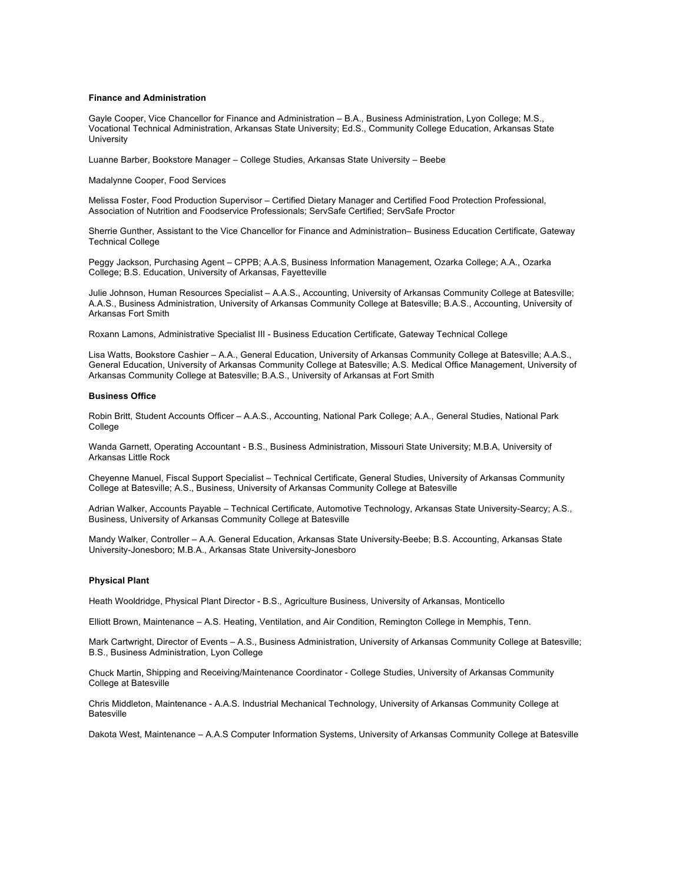#### **Finance and Administration**

Gayle Cooper, Vice Chancellor for Finance and Administration – B.A., Business Administration, Lyon College; M.S., Vocational Technical Administration, Arkansas State University; Ed.S., Community College Education, Arkansas State **University** 

Luanne Barber, Bookstore Manager – College Studies, Arkansas State University – Beebe

Madalynne Cooper, Food Services

Melissa Foster, Food Production Supervisor – Certified Dietary Manager and Certified Food Protection Professional, Association of Nutrition and Foodservice Professionals; ServSafe Certified; ServSafe Proctor

Sherrie Gunther, Assistant to the Vice Chancellor for Finance and Administration– Business Education Certificate, Gateway Technical College

Peggy Jackson, Purchasing Agent – CPPB; A.A.S, Business Information Management, Ozarka College; A.A., Ozarka College; B.S. Education, University of Arkansas, Fayetteville

Julie Johnson, Human Resources Specialist – A.A.S., Accounting, University of Arkansas Community College at Batesville; A.A.S., Business Administration, University of Arkansas Community College at Batesville; B.A.S., Accounting, University of Arkansas Fort Smith

Roxann Lamons, Administrative Specialist III - Business Education Certificate, Gateway Technical College

Lisa Watts, Bookstore Cashier – A.A., General Education, University of Arkansas Community College at Batesville; A.A.S., General Education, University of Arkansas Community College at Batesville; A.S. Medical Office Management, University of Arkansas Community College at Batesville; B.A.S., University of Arkansas at Fort Smith

#### **Business Office**

Robin Britt, Student Accounts Officer – A.A.S., Accounting, National Park College; A.A., General Studies, National Park College

Wanda Garnett, Operating Accountant - B.S., Business Administration, Missouri State University; M.B.A, University of Arkansas Little Rock

Cheyenne Manuel, Fiscal Support Specialist – Technical Certificate, General Studies, University of Arkansas Community College at Batesville; A.S., Business, University of Arkansas Community College at Batesville

Adrian Walker, Accounts Payable – Technical Certificate, Automotive Technology, Arkansas State University-Searcy; A.S., Business, University of Arkansas Community College at Batesville

Mandy Walker, Controller – A.A. General Education, Arkansas State University-Beebe; B.S. Accounting, Arkansas State University-Jonesboro; M.B.A., Arkansas State University-Jonesboro

#### **Physical Plant**

Heath Wooldridge, Physical Plant Director - B.S., Agriculture Business, University of Arkansas, Monticello

Elliott Brown, Maintenance – A.S. Heating, Ventilation, and Air Condition, Remington College in Memphis, Tenn.

Mark Cartwright, Director of Events – A.S., Business Administration, University of Arkansas Community College at Batesville; B.S., Business Administration, Lyon College

Chuck Martin, Shipping and Receiving/Maintenance Coordinator - College Studies, University of Arkansas Community College at Batesville

Chris Middleton, Maintenance - A.A.S. Industrial Mechanical Technology, University of Arkansas Community College at Batesville

Dakota West, Maintenance – A.A.S Computer Information Systems, University of Arkansas Community College at Batesville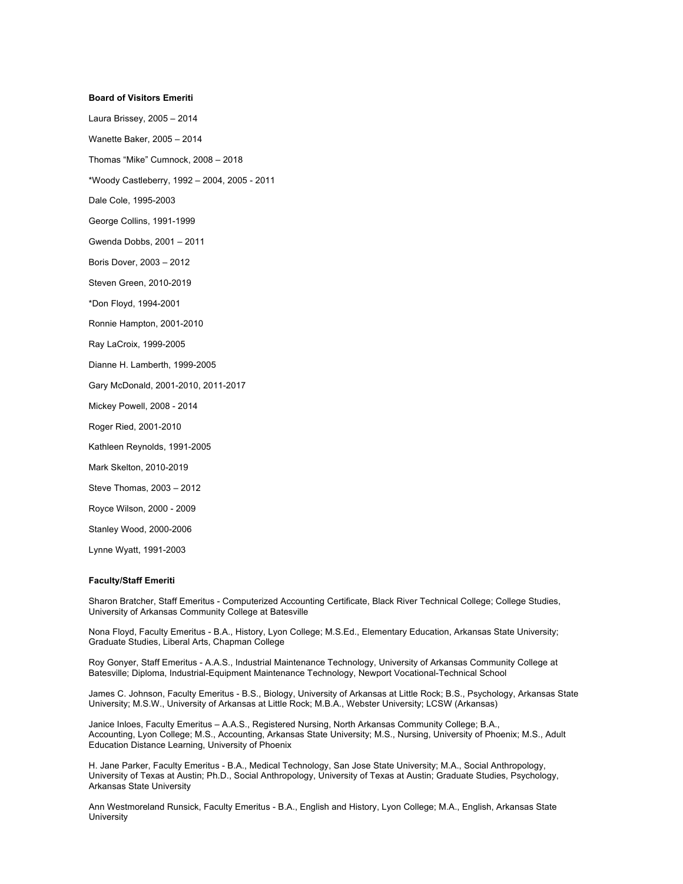#### **Board of Visitors Emeriti**

Laura Brissey, 2005 – 2014

Wanette Baker, 2005 – 2014

Thomas "Mike" Cumnock, 2008 – 2018

\*Woody Castleberry, 1992 – 2004, 2005 - 2011

Dale Cole, 1995-2003

George Collins, 1991-1999

Gwenda Dobbs, 2001 – 2011

Boris Dover, 2003 – 2012

Steven Green, 2010-2019

\*Don Floyd, 1994-2001

Ronnie Hampton, 2001-2010

Ray LaCroix, 1999-2005

Dianne H. Lamberth, 1999-2005

Gary McDonald, 2001-2010, 2011-2017

Mickey Powell, 2008 - 2014

Roger Ried, 2001-2010

Kathleen Reynolds, 1991-2005

Mark Skelton, 2010-2019

Steve Thomas, 2003 – 2012

Royce Wilson, 2000 - 2009

Stanley Wood, 2000-2006

Lynne Wyatt, 1991-2003

#### **Faculty/Staff Emeriti**

Sharon Bratcher, Staff Emeritus - Computerized Accounting Certificate, Black River Technical College; College Studies, University of Arkansas Community College at Batesville

Nona Floyd, Faculty Emeritus - B.A., History, Lyon College; M.S.Ed., Elementary Education, Arkansas State University; Graduate Studies, Liberal Arts, Chapman College

Roy Gonyer, Staff Emeritus - A.A.S., Industrial Maintenance Technology, University of Arkansas Community College at Batesville; Diploma, Industrial-Equipment Maintenance Technology, Newport Vocational-Technical School

James C. Johnson, Faculty Emeritus - B.S., Biology, University of Arkansas at Little Rock; B.S., Psychology, Arkansas State University; M.S.W., University of Arkansas at Little Rock; M.B.A., Webster University; LCSW (Arkansas)

Janice Inloes, Faculty Emeritus – A.A.S., Registered Nursing, North Arkansas Community College; B.A., Accounting, Lyon College; M.S., Accounting, Arkansas State University; M.S., Nursing, University of Phoenix; M.S., Adult Education Distance Learning, University of Phoenix

H. Jane Parker, Faculty Emeritus - B.A., Medical Technology, San Jose State University; M.A., Social Anthropology, University of Texas at Austin; Ph.D., Social Anthropology, University of Texas at Austin; Graduate Studies, Psychology, Arkansas State University

Ann Westmoreland Runsick, Faculty Emeritus - B.A., English and History, Lyon College; M.A., English, Arkansas State **University**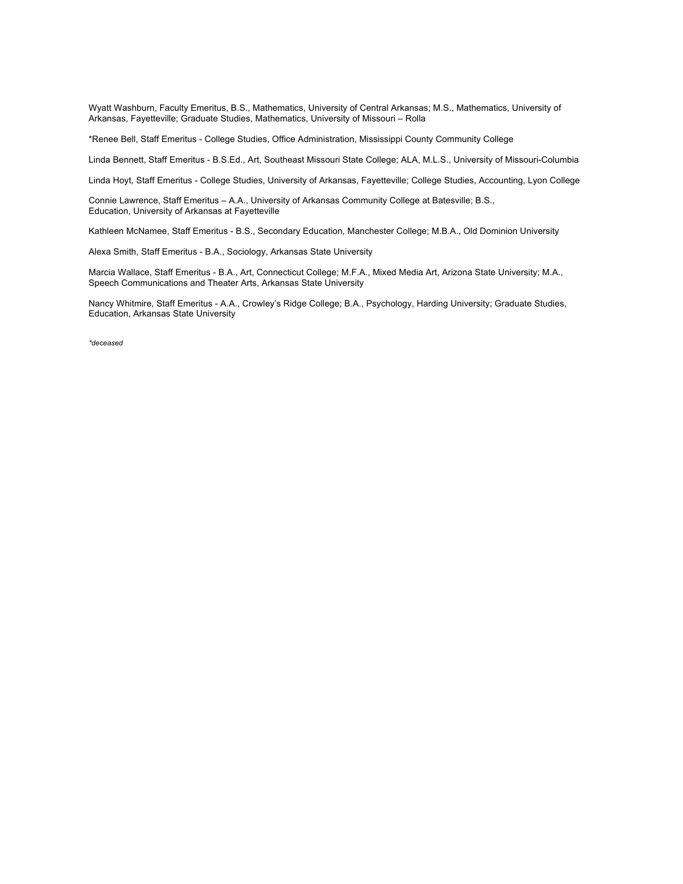Wyatt Washburn, Faculty Emeritus, B.S., Mathematics, University of Central Arkansas; M.S., Mathematics, University of Arkansas, Fayetteville; Graduate Studies, Mathematics, University of Missouri – Rolla

\*Renee Bell, Staff Emeritus - College Studies, Office Administration, Mississippi County Community College

Linda Bennett, Staff Emeritus - B.S.Ed., Art, Southeast Missouri State College; ALA, M.L.S., University of Missouri-Columbia

Linda Hoyt, Staff Emeritus - College Studies, University of Arkansas, Fayetteville; College Studies, Accounting, Lyon College

Connie Lawrence, Staff Emeritus *–* A.A., University of Arkansas Community College at Batesville; B.S., Education, University of Arkansas at Fayetteville

Kathleen McNamee, Staff Emeritus - B.S., Secondary Education, Manchester College; M.B.A., Old Dominion University

Alexa Smith, Staff Emeritus - B.A., Sociology, Arkansas State University

Marcia Wallace, Staff Emeritus - B.A., Art, Connecticut College; M.F.A., Mixed Media Art, Arizona State University; M.A., Speech Communications and Theater Arts, Arkansas State University

Nancy Whitmire, Staff Emeritus - A.A., Crowley's Ridge College; B.A., Psychology, Harding University; Graduate Studies, Education, Arkansas State University

*\*deceased*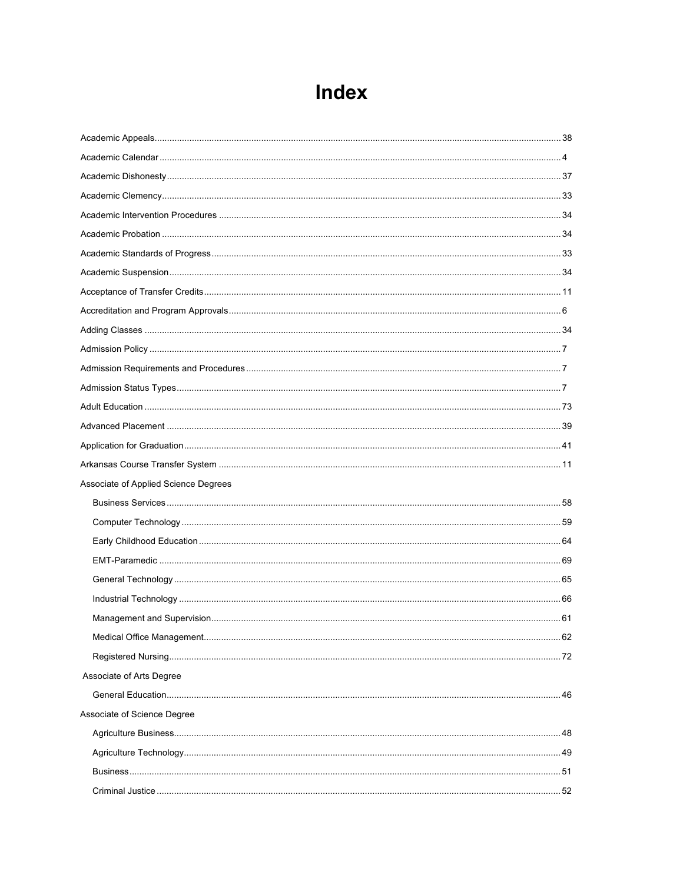# Index

| Associate of Applied Science Degrees |  |
|--------------------------------------|--|
|                                      |  |
|                                      |  |
|                                      |  |
|                                      |  |
|                                      |  |
|                                      |  |
|                                      |  |
|                                      |  |
|                                      |  |
| Associate of Arts Degree             |  |
|                                      |  |
| Associate of Science Degree          |  |
|                                      |  |
|                                      |  |
|                                      |  |
|                                      |  |
|                                      |  |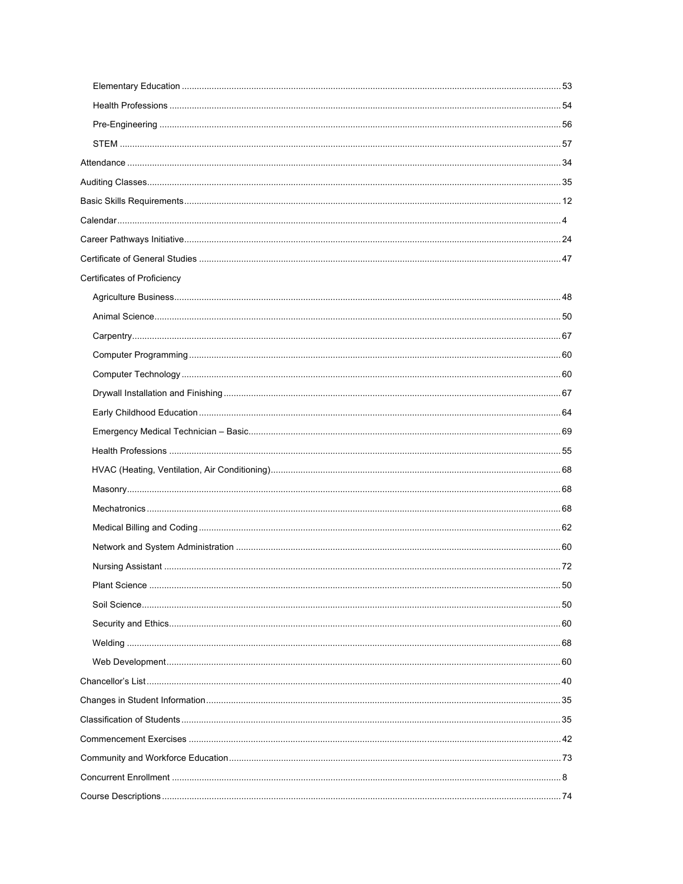| Certificates of Proficiency |  |
|-----------------------------|--|
|                             |  |
|                             |  |
|                             |  |
|                             |  |
|                             |  |
|                             |  |
|                             |  |
|                             |  |
|                             |  |
|                             |  |
|                             |  |
|                             |  |
|                             |  |
|                             |  |
|                             |  |
|                             |  |
|                             |  |
|                             |  |
|                             |  |
|                             |  |
|                             |  |
|                             |  |
|                             |  |
|                             |  |
|                             |  |
|                             |  |
|                             |  |